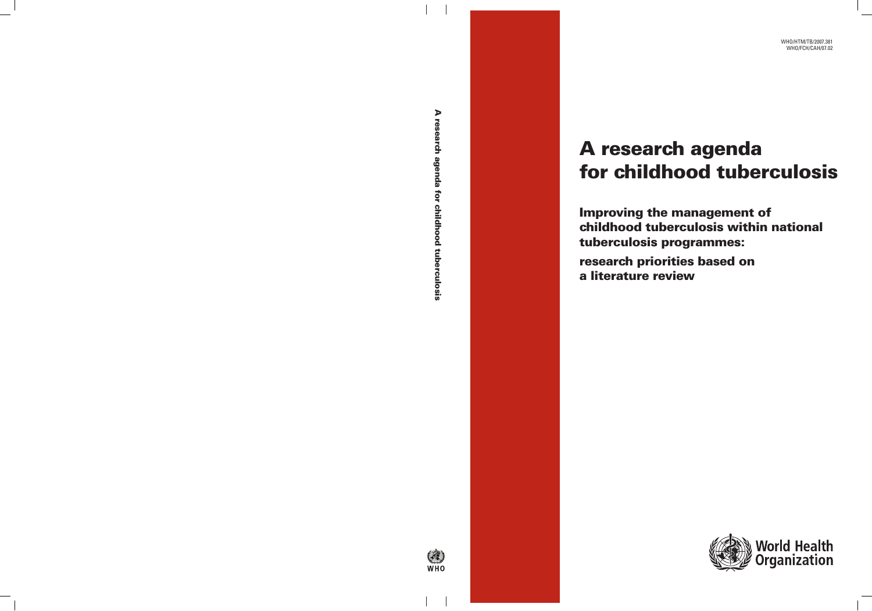# A research agenda for childhood tuberculosis

Improving the management of childhood tuberculosis within national tuberculosis programmes: research priorities based on a literature review

**ON THE** 

A research agenda for childhood tuberculosis A research agenda for childhood tuberculosis



World Health<br>Organization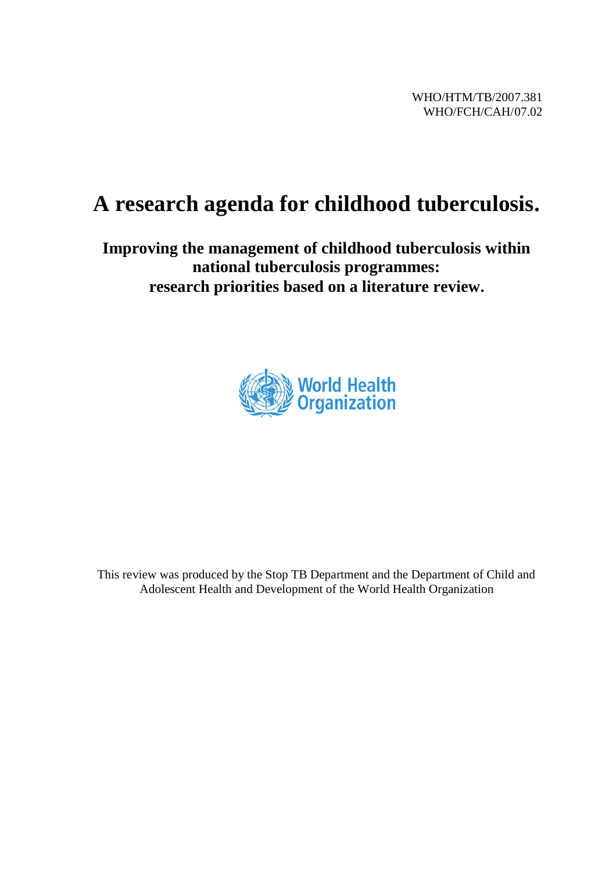### **A research agenda for childhood tuberculosis.**

#### **Improving the management of childhood tuberculosis within national tuberculosis programmes: research priorities based on a literature review.**



This review was produced by the Stop TB Department and the Department of Child and Adolescent Health and Development of the World Health Organization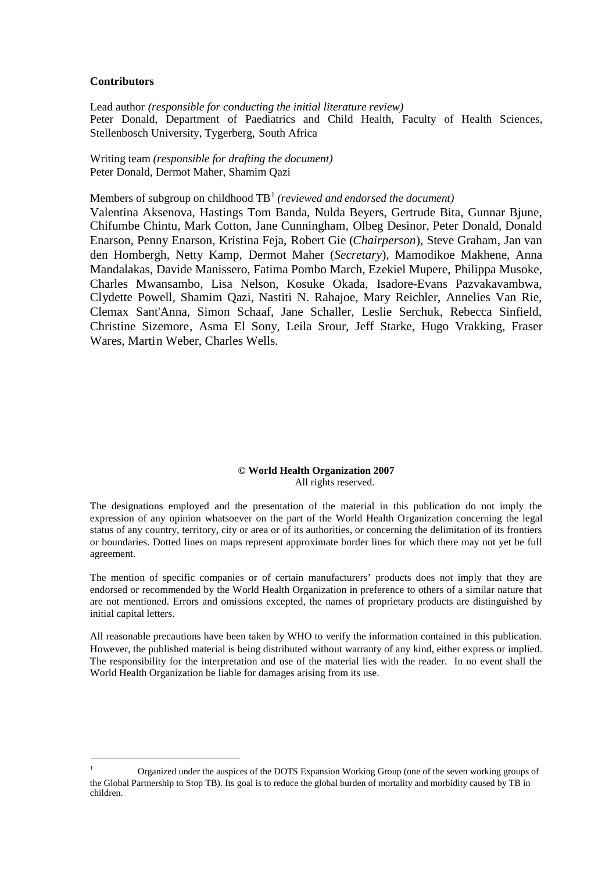#### **Contributors**

Lead author *(responsible for conducting the initial literature review)* Peter Donald, Department of Paediatrics and Child Health, Faculty of Health Sciences, Stellenbosch University, Tygerberg, South Africa

Writing team *(responsible for drafting the document)* Peter Donald, Dermot Maher, Shamim Qazi

Members of subgroup on childhoodTB<sup>1</sup> *(reviewed and endorsed the document)*

Valentina Aksenova, Hastings Tom Banda, Nulda Beyers, Gertrude Bita, Gunnar Bjune, Chifumbe Chintu, Mark Cotton, Jane Cunningham, Olbeg Desinor, Peter Donald, Donald Enarson, Penny Enarson, Kristina Feja, Robert Gie (*Chairperson*), Steve Graham, Jan van den Hombergh, Netty Kamp, Dermot Maher (*Secretary*), Mamodikoe Makhene, Anna Mandalakas, Davide Manissero, Fatima Pombo March, Ezekiel Mupere, Philippa Musoke, Charles Mwansambo, Lisa Nelson, Kosuke Okada, Isadore-Evans Pazvakavambwa, Clydette Powell, Shamim Qazi, Nastiti N. Rahajoe, Mary Reichler, Annelies Van Rie, Clemax Sant'Anna, Simon Schaaf, Jane Schaller, Leslie Serchuk, Rebecca Sinfield, Christine Sizemore, Asma El Sony, Leila Srour, Jeff Starke, Hugo Vrakking, Fraser Wares, Martin Weber, Charles Wells.

#### **© World Health Organization 2007** All rights reserved.

The designations employed and the presentation of the material in this publication do not imply the expression of any opinion whatsoever on the part of the World Health Organization concerning the legal status of any country, territory, city or area or of its authorities, or concerning the delimitation of its frontiers or boundaries. Dotted lines on maps represent approximate border lines for which there may not yet be full agreement.

The mention of specific companies or of certain manufacturers' products does not imply that they are endorsed or recommended by the World Health Organization in preference to others of a similar nature that are not mentioned. Errors and omissions excepted, the names of proprietary products are distinguished by initial capital letters.

All reasonable precautions have been taken by WHO to verify the information contained in this publication. However, the published material is being distributed without warranty of any kind, either express or implied. The responsibility for the interpretation and use of the material lies with the reader. In no event shall the World Health Organization be liable for damages arising from its use.

<span id="page-2-0"></span><sup>1</sup> Organized under the auspices of the DOTS Expansion Working Group (one of the seven working groups of the Global Partnership to Stop TB). Its goal is to reduce the global burden of mortality and morbidity caused by TB in children.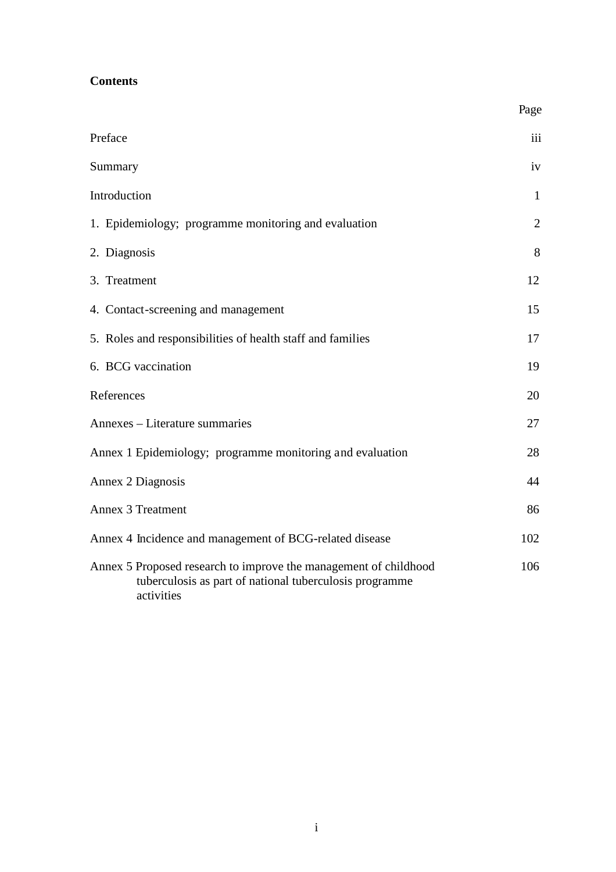| <b>Contents</b> |  |
|-----------------|--|
|-----------------|--|

|                                                                                                                                           | Page           |
|-------------------------------------------------------------------------------------------------------------------------------------------|----------------|
| Preface                                                                                                                                   | iii            |
| Summary                                                                                                                                   | iv             |
| Introduction                                                                                                                              | $\mathbf{1}$   |
| 1. Epidemiology; programme monitoring and evaluation                                                                                      | $\overline{2}$ |
| 2. Diagnosis                                                                                                                              | 8              |
| 3. Treatment                                                                                                                              | 12             |
| 4. Contact-screening and management                                                                                                       | 15             |
| 5. Roles and responsibilities of health staff and families                                                                                | 17             |
| 6. BCG vaccination                                                                                                                        | 19             |
| References                                                                                                                                | 20             |
| Annexes - Literature summaries                                                                                                            | 27             |
| Annex 1 Epidemiology; programme monitoring and evaluation                                                                                 | 28             |
| Annex 2 Diagnosis                                                                                                                         | 44             |
| <b>Annex 3 Treatment</b>                                                                                                                  | 86             |
| Annex 4 Incidence and management of BCG-related disease                                                                                   | 102            |
| Annex 5 Proposed research to improve the management of childhood<br>tuberculosis as part of national tuberculosis programme<br>activities | 106            |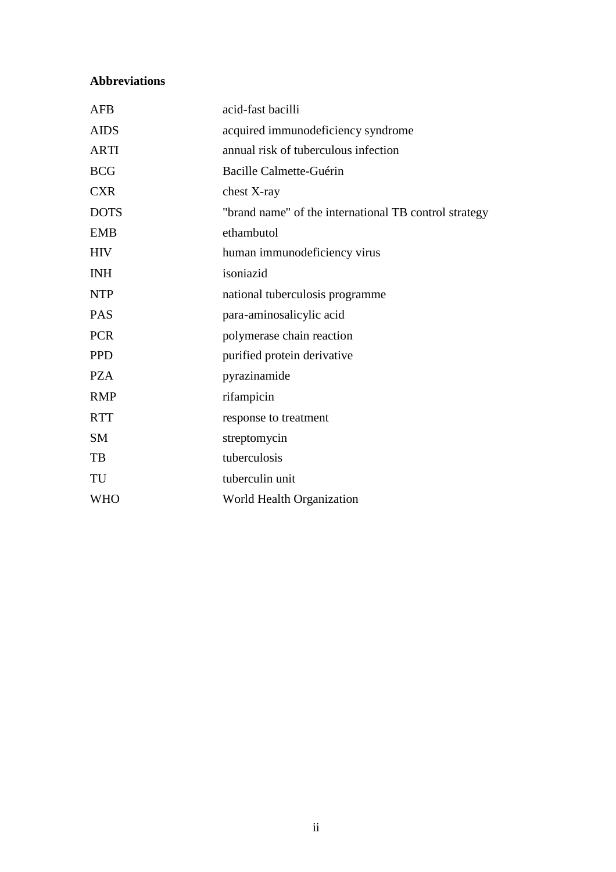#### **Abbreviations**

| <b>AFB</b>  | acid-fast bacilli                                     |  |  |  |  |
|-------------|-------------------------------------------------------|--|--|--|--|
| <b>AIDS</b> | acquired immunodeficiency syndrome                    |  |  |  |  |
| <b>ARTI</b> | annual risk of tuberculous infection                  |  |  |  |  |
| <b>BCG</b>  | <b>Bacille Calmette-Guérin</b>                        |  |  |  |  |
| <b>CXR</b>  | chest X-ray                                           |  |  |  |  |
| <b>DOTS</b> | "brand name" of the international TB control strategy |  |  |  |  |
| <b>EMB</b>  | ethambutol                                            |  |  |  |  |
| <b>HIV</b>  | human immunodeficiency virus                          |  |  |  |  |
| <b>INH</b>  | isoniazid                                             |  |  |  |  |
| <b>NTP</b>  | national tuberculosis programme                       |  |  |  |  |
| <b>PAS</b>  | para-aminosalicylic acid                              |  |  |  |  |
| <b>PCR</b>  | polymerase chain reaction                             |  |  |  |  |
| <b>PPD</b>  | purified protein derivative                           |  |  |  |  |
| <b>PZA</b>  | pyrazinamide                                          |  |  |  |  |
| <b>RMP</b>  | rifampicin                                            |  |  |  |  |
| <b>RTT</b>  | response to treatment                                 |  |  |  |  |
| <b>SM</b>   | streptomycin                                          |  |  |  |  |
| TB          | tuberculosis                                          |  |  |  |  |
| TU          | tuberculin unit                                       |  |  |  |  |
| <b>WHO</b>  | World Health Organization                             |  |  |  |  |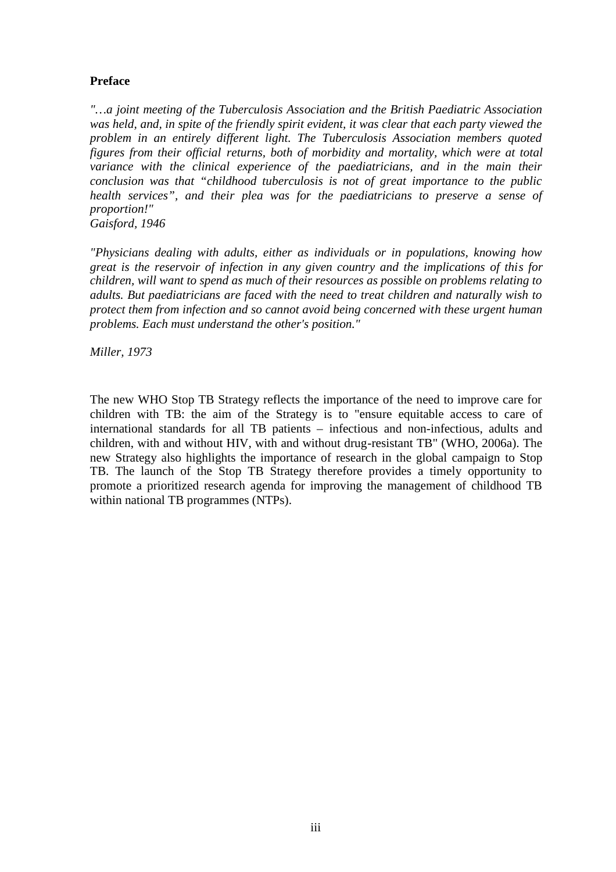#### **Preface**

*"…a joint meeting of the Tuberculosis Association and the British Paediatric Association was held, and, in spite of the friendly spirit evident, it was clear that each party viewed the problem in an entirely different light. The Tuberculosis Association members quoted figures from their official returns, both of morbidity and mortality, which were at total variance with the clinical experience of the paediatricians, and in the main their conclusion was that "childhood tuberculosis is not of great importance to the public health services", and their plea was for the paediatricians to preserve a sense of proportion!"*

*Gaisford, 1946*

*"Physicians dealing with adults, either as individuals or in populations, knowing how great is the reservoir of infection in any given country and the implications of this for children, will want to spend as much of their resources as possible on problems relating to adults. But paediatricians are faced with the need to treat children and naturally wish to protect them from infection and so cannot avoid being concerned with these urgent human problems. Each must understand the other's position."*

*Miller, 1973*

The new WHO Stop TB Strategy reflects the importance of the need to improve care for children with TB: the aim of the Strategy is to "ensure equitable access to care of international standards for all TB patients – infectious and non-infectious, adults and children, with and without HIV, with and without drug-resistant TB" (WHO, 2006a). The new Strategy also highlights the importance of research in the global campaign to Stop TB. The launch of the Stop TB Strategy therefore provides a timely opportunity to promote a prioritized research agenda for improving the management of childhood TB within national TB programmes (NTPs).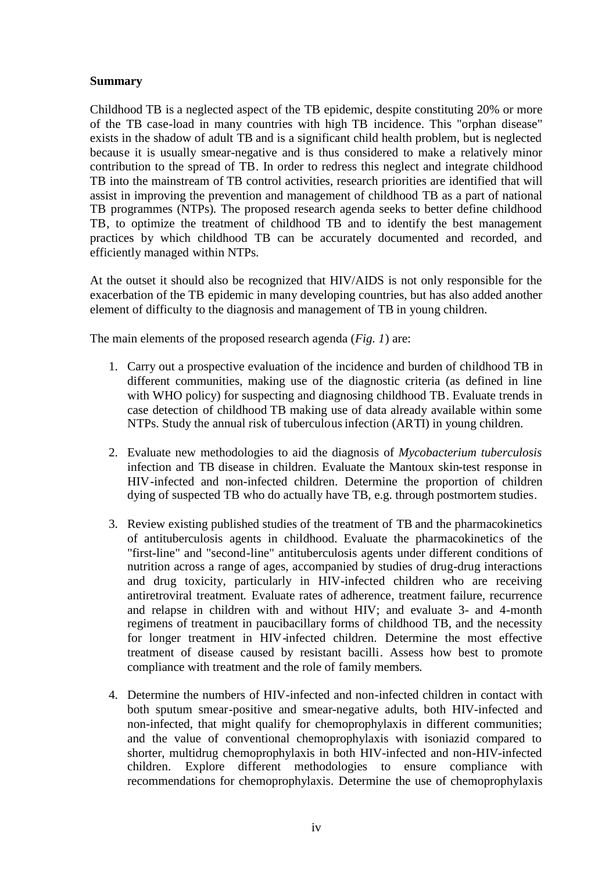#### **Summary**

Childhood TB is a neglected aspect of the TB epidemic, despite constituting 20% or more of the TB case-load in many countries with high TB incidence. This "orphan disease" exists in the shadow of adult TB and is a significant child health problem, but is neglected because it is usually smear-negative and is thus considered to make a relatively minor contribution to the spread of TB. In order to redress this neglect and integrate childhood TB into the mainstream of TB control activities, research priorities are identified that will assist in improving the prevention and management of childhood TB as a part of national TB programmes (NTPs). The proposed research agenda seeks to better define childhood TB, to optimize the treatment of childhood TB and to identify the best management practices by which childhood TB can be accurately documented and recorded, and efficiently managed within NTPs.

At the outset it should also be recognized that HIV/AIDS is not only responsible for the exacerbation of the TB epidemic in many developing countries, but has also added another element of difficulty to the diagnosis and management of TB in young children.

The main elements of the proposed research agenda (*Fig. 1*) are:

- 1. Carry out a prospective evaluation of the incidence and burden of childhood TB in different communities, making use of the diagnostic criteria (as defined in line with WHO policy) for suspecting and diagnosing childhood TB. Evaluate trends in case detection of childhood TB making use of data already available within some NTPs. Study the annual risk of tuberculous infection (ARTI) in young children.
- 2. Evaluate new methodologies to aid the diagnosis of *Mycobacterium tuberculosis* infection and TB disease in children. Evaluate the Mantoux skin-test response in HIV-infected and non-infected children. Determine the proportion of children dying of suspected TB who do actually have TB, e.g. through postmortem studies.
- 3. Review existing published studies of the treatment of TB and the pharmacokinetics of antituberculosis agents in childhood. Evaluate the pharmacokinetics of the "first-line" and "second-line" antituberculosis agents under different conditions of nutrition across a range of ages, accompanied by studies of drug-drug interactions and drug toxicity, particularly in HIV-infected children who are receiving antiretroviral treatment. Evaluate rates of adherence, treatment failure, recurrence and relapse in children with and without HIV; and evaluate 3- and 4-month regimens of treatment in paucibacillary forms of childhood TB, and the necessity for longer treatment in HIV-infected children. Determine the most effective treatment of disease caused by resistant bacilli. Assess how best to promote compliance with treatment and the role of family members.
- 4. Determine the numbers of HIV-infected and non-infected children in contact with both sputum smear-positive and smear-negative adults, both HIV-infected and non-infected, that might qualify for chemoprophylaxis in different communities; and the value of conventional chemoprophylaxis with isoniazid compared to shorter, multidrug chemoprophylaxis in both HIV-infected and non-HIV-infected children. Explore different methodologies to ensure compliance with recommendations for chemoprophylaxis. Determine the use of chemoprophylaxis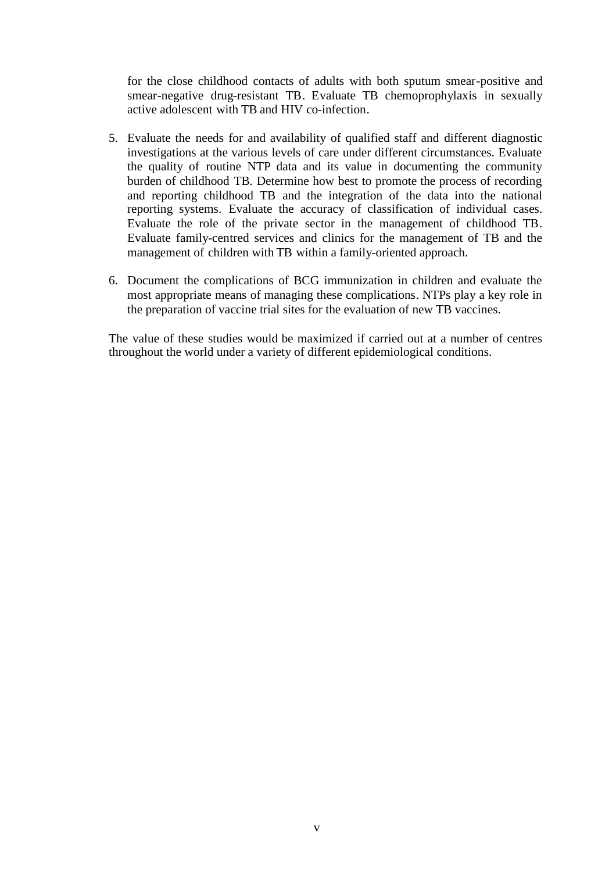for the close childhood contacts of adults with both sputum smear-positive and smear-negative drug-resistant TB. Evaluate TB chemoprophylaxis in sexually active adolescent with TB and HIV co-infection.

- 5. Evaluate the needs for and availability of qualified staff and different diagnostic investigations at the various levels of care under different circumstances. Evaluate the quality of routine NTP data and its value in documenting the community burden of childhood TB. Determine how best to promote the process of recording and reporting childhood TB and the integration of the data into the national reporting systems. Evaluate the accuracy of classification of individual cases. Evaluate the role of the private sector in the management of childhood TB. Evaluate family-centred services and clinics for the management of TB and the management of children with TB within a family-oriented approach.
- 6. Document the complications of BCG immunization in children and evaluate the most appropriate means of managing these complications. NTPs play a key role in the preparation of vaccine trial sites for the evaluation of new TB vaccines.

The value of these studies would be maximized if carried out at a number of centres throughout the world under a variety of different epidemiological conditions.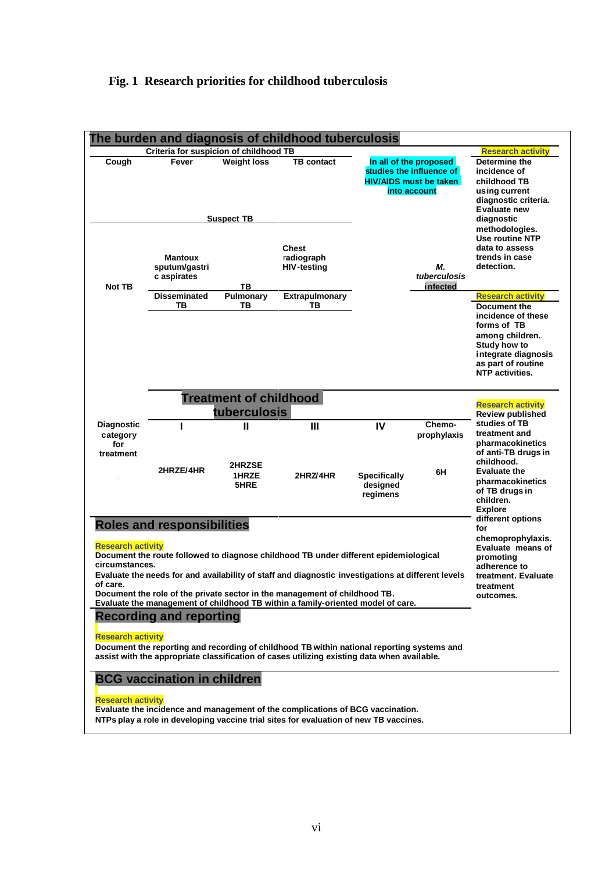#### **Fig. 1 Research priorities for childhood tuberculosis**

|                                                                                                                                                                                                                                                                                                                                                                                                                                                            |                                                                                                                                                                    |                                         | The burden and diagnosis of childhood tuberculosis                                                                                                                                        |                                                   |                                                                                                     |                                                                                                                                                                                         |  |
|------------------------------------------------------------------------------------------------------------------------------------------------------------------------------------------------------------------------------------------------------------------------------------------------------------------------------------------------------------------------------------------------------------------------------------------------------------|--------------------------------------------------------------------------------------------------------------------------------------------------------------------|-----------------------------------------|-------------------------------------------------------------------------------------------------------------------------------------------------------------------------------------------|---------------------------------------------------|-----------------------------------------------------------------------------------------------------|-----------------------------------------------------------------------------------------------------------------------------------------------------------------------------------------|--|
| Cough                                                                                                                                                                                                                                                                                                                                                                                                                                                      | Criteria for suspicion of childhood TB<br>Fever                                                                                                                    | <b>Weight loss</b>                      | <b>TB</b> contact                                                                                                                                                                         |                                                   | In all of the proposed<br>studies the influence of<br><b>HIV/AIDS must be taken</b><br>into account | <b>Research activity</b><br>Determine the<br>incidence of<br>childhood TB<br>using current<br>diagnostic criteria.                                                                      |  |
|                                                                                                                                                                                                                                                                                                                                                                                                                                                            | <b>Mantoux</b><br>sputum/gastri<br>c aspirates                                                                                                                     | <b>Suspect TB</b>                       | <b>Chest</b><br>radiograph<br><b>HIV-testing</b>                                                                                                                                          |                                                   | М.<br>tuberculosis                                                                                  | Evaluate new<br>diagnostic<br>methodologies.<br><b>Use routine NTP</b><br>data to assess<br>trends in case<br>detection.                                                                |  |
| Not TB                                                                                                                                                                                                                                                                                                                                                                                                                                                     | <b>Disseminated</b><br>TВ                                                                                                                                          | TВ<br>Pulmonary<br>ΤВ                   | Extrapulmonary<br>TВ                                                                                                                                                                      |                                                   | infected                                                                                            | <b>Research activity</b><br>Document the<br>incidence of these<br>forms of TB<br>among children.<br>Study how to<br>integrate diagnosis<br>as part of routine<br><b>NTP</b> activities. |  |
|                                                                                                                                                                                                                                                                                                                                                                                                                                                            | <b>Treatment of childhood</b><br><b>Research activity</b><br>tuberculosis<br><b>Review published</b>                                                               |                                         |                                                                                                                                                                                           |                                                   |                                                                                                     |                                                                                                                                                                                         |  |
| <b>Diagnostic</b><br>category<br>for<br>treatment                                                                                                                                                                                                                                                                                                                                                                                                          | 2HRZE/4HR                                                                                                                                                          | $\mathbf{I}$<br>2HRZSE<br>1HRZE<br>5HRE | $\mathbf{III}$<br>2HRZ/4HR                                                                                                                                                                | IV<br><b>Specifically</b><br>designed<br>regimens | Chemo-<br>prophylaxis<br>6H                                                                         | studies of TB<br>treatment and<br>pharmacokinetics<br>of anti-TB drugs in<br>childhood.<br><b>Evaluate the</b><br>pharmacokinetics<br>of TB drugs in<br>children.                       |  |
| <b>Roles and responsibilities</b><br><b>Research activity</b><br>Document the route followed to diagnose childhood TB under different epidemiological<br>circumstances.<br>Evaluate the needs for and availability of staff and diagnostic investigations at different levels<br>of care.<br>Document the role of the private sector in the management of childhood TB.<br>Evaluate the management of childhood TB within a family-oriented model of care. | <b>Explore</b><br>different options<br>for<br>chemoprophylaxis.<br>Evaluate means of<br>promoting<br>adherence to<br>treatment. Evaluate<br>treatment<br>outcomes. |                                         |                                                                                                                                                                                           |                                                   |                                                                                                     |                                                                                                                                                                                         |  |
| <b>Research activity</b>                                                                                                                                                                                                                                                                                                                                                                                                                                   | <b>Recording and reporting</b><br><b>BCG vaccination in children</b>                                                                                               |                                         | Document the reporting and recording of childhood TB within national reporting systems and<br>assist with the appropriate classification of cases utilizing existing data when available. |                                                   |                                                                                                     |                                                                                                                                                                                         |  |
| <b>Research activity</b>                                                                                                                                                                                                                                                                                                                                                                                                                                   |                                                                                                                                                                    |                                         | Evaluate the incidence and management of the complications of BCG vaccination.<br>NTPs play a role in developing vaccine trial sites for evaluation of new TB vaccines.                   |                                                   |                                                                                                     |                                                                                                                                                                                         |  |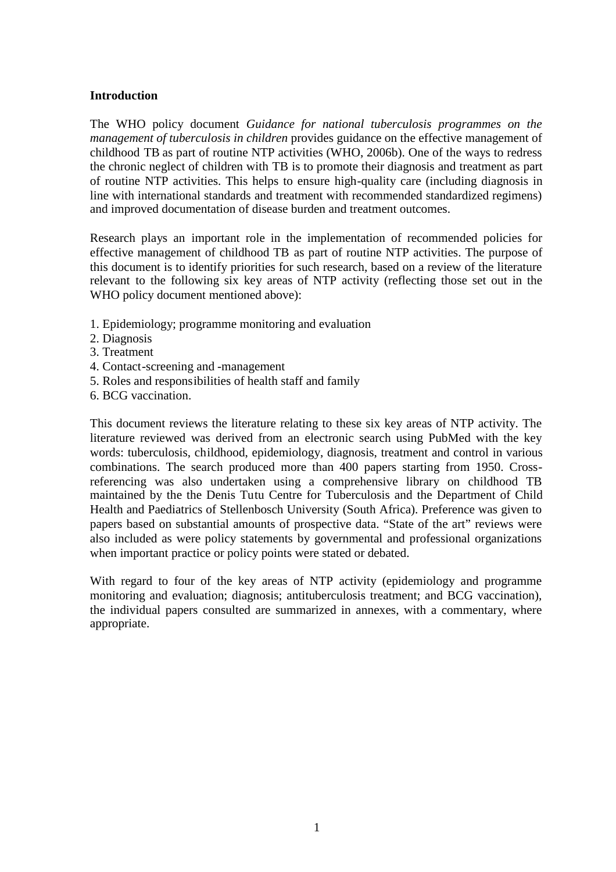#### **Introduction**

The WHO policy document *Guidance for national tuberculosis programmes on the management of tuberculosis in children* provides guidance on the effective management of childhood TB as part of routine NTP activities (WHO, 2006b). One of the ways to redress the chronic neglect of children with TB is to promote their diagnosis and treatment as part of routine NTP activities. This helps to ensure high-quality care (including diagnosis in line with international standards and treatment with recommended standardized regimens) and improved documentation of disease burden and treatment outcomes.

Research plays an important role in the implementation of recommended policies for effective management of childhood TB as part of routine NTP activities. The purpose of this document is to identify priorities for such research, based on a review of the literature relevant to the following six key areas of NTP activity (reflecting those set out in the WHO policy document mentioned above):

- 1. Epidemiology; programme monitoring and evaluation
- 2. Diagnosis
- 3. Treatment
- 4. Contact-screening and -management
- 5. Roles and responsibilities of health staff and family
- 6. BCG vaccination.

This document reviews the literature relating to these six key areas of NTP activity. The literature reviewed was derived from an electronic search using PubMed with the key words: tuberculosis, childhood, epidemiology, diagnosis, treatment and control in various combinations. The search produced more than 400 papers starting from 1950. Crossreferencing was also undertaken using a comprehensive library on childhood TB maintained by the the Denis Tutu Centre for Tuberculosis and the Department of Child Health and Paediatrics of Stellenbosch University (South Africa). Preference was given to papers based on substantial amounts of prospective data. "State of the art" reviews were also included as were policy statements by governmental and professional organizations when important practice or policy points were stated or debated.

With regard to four of the key areas of NTP activity (epidemiology and programme monitoring and evaluation; diagnosis; antituberculosis treatment; and BCG vaccination), the individual papers consulted are summarized in annexes, with a commentary, where appropriate.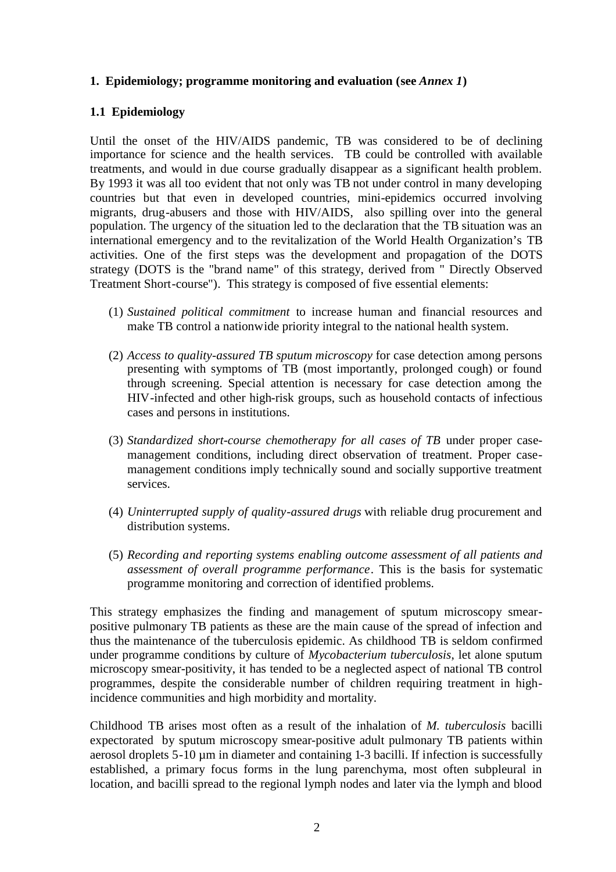#### **1. Epidemiology; programme monitoring and evaluation (see** *Annex 1***)**

#### **1.1 Epidemiology**

Until the onset of the HIV/AIDS pandemic, TB was considered to be of declining importance for science and the health services. TB could be controlled with available treatments, and would in due course gradually disappear as a significant health problem. By 1993 it was all too evident that not only was TB not under control in many developing countries but that even in developed countries, mini-epidemics occurred involving migrants, drug-abusers and those with HIV/AIDS, also spilling over into the general population. The urgency of the situation led to the declaration that the TB situation was an international emergency and to the revitalization of the World Health Organization's TB activities. One of the first steps was the development and propagation of the DOTS strategy (DOTS is the "brand name" of this strategy, derived from " Directly Observed Treatment Short-course"). This strategy is composed of five essential elements:

- (1) *Sustained political commitment* to increase human and financial resources and make TB control a nationwide priority integral to the national health system.
- (2) *Access to quality-assured TB sputum microscopy* for case detection among persons presenting with symptoms of TB (most importantly, prolonged cough) or found through screening. Special attention is necessary for case detection among the HIV-infected and other high-risk groups, such as household contacts of infectious cases and persons in institutions.
- (3) *Standardized short-course chemotherapy for all cases of TB* under proper casemanagement conditions, including direct observation of treatment. Proper casemanagement conditions imply technically sound and socially supportive treatment services.
- (4) *Uninterrupted supply of quality-assured drugs* with reliable drug procurement and distribution systems.
- (5) *Recording and reporting systems enabling outcome assessment of all patients and assessment of overall programme performance*. This is the basis for systematic programme monitoring and correction of identified problems.

This strategy emphasizes the finding and management of sputum microscopy smearpositive pulmonary TB patients as these are the main cause of the spread of infection and thus the maintenance of the tuberculosis epidemic. As childhood TB is seldom confirmed under programme conditions by culture of *Mycobacterium tuberculosis*, let alone sputum microscopy smear-positivity, it has tended to be a neglected aspect of national TB control programmes, despite the considerable number of children requiring treatment in highincidence communities and high morbidity and mortality.

Childhood TB arises most often as a result of the inhalation of *M. tuberculosis* bacilli expectorated by sputum microscopy smear-positive adult pulmonary TB patients within aerosol droplets 5-10 µm in diameter and containing 1-3 bacilli. If infection is successfully established, a primary focus forms in the lung parenchyma, most often subpleural in location, and bacilli spread to the regional lymph nodes and later via the lymph and blood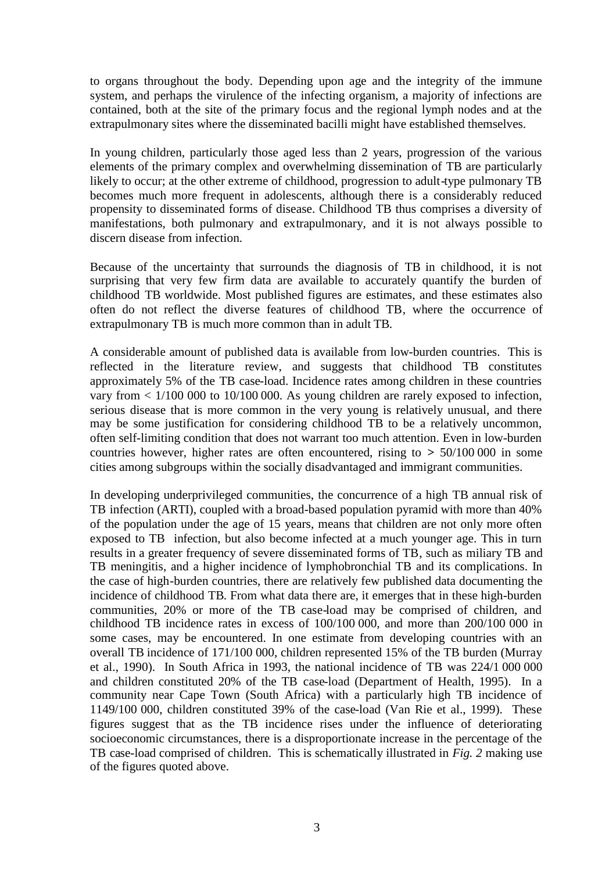to organs throughout the body. Depending upon age and the integrity of the immune system, and perhaps the virulence of the infecting organism, a majority of infections are contained, both at the site of the primary focus and the regional lymph nodes and at the extrapulmonary sites where the disseminated bacilli might have established themselves.

In young children, particularly those aged less than 2 years, progression of the various elements of the primary complex and overwhelming dissemination of TB are particularly likely to occur; at the other extreme of childhood, progression to adult-type pulmonary TB becomes much more frequent in adolescents, although there is a considerably reduced propensity to disseminated forms of disease. Childhood TB thus comprises a diversity of manifestations, both pulmonary and extrapulmonary, and it is not always possible to discern disease from infection.

Because of the uncertainty that surrounds the diagnosis of TB in childhood, it is not surprising that very few firm data are available to accurately quantify the burden of childhood TB worldwide. Most published figures are estimates, and these estimates also often do not reflect the diverse features of childhood TB, where the occurrence of extrapulmonary TB is much more common than in adult TB.

A considerable amount of published data is available from low-burden countries. This is reflected in the literature review, and suggests that childhood TB constitutes approximately 5% of the TB case-load. Incidence rates among children in these countries vary from < 1/100 000 to 10/100 000. As young children are rarely exposed to infection, serious disease that is more common in the very young is relatively unusual, and there may be some justification for considering childhood TB to be a relatively uncommon, often self-limiting condition that does not warrant too much attention. Even in low-burden countries however, higher rates are often encountered, rising to **>** 50/100 000 in some cities among subgroups within the socially disadvantaged and immigrant communities.

In developing underprivileged communities, the concurrence of a high TB annual risk of TB infection (ARTI), coupled with a broad-based population pyramid with more than 40% of the population under the age of 15 years, means that children are not only more often exposed to TB infection, but also become infected at a much younger age. This in turn results in a greater frequency of severe disseminated forms of TB, such as miliary TB and TB meningitis, and a higher incidence of lymphobronchial TB and its complications. In the case of high-burden countries, there are relatively few published data documenting the incidence of childhood TB. From what data there are, it emerges that in these high-burden communities, 20% or more of the TB case-load may be comprised of children, and childhood TB incidence rates in excess of 100/100 000, and more than 200/100 000 in some cases, may be encountered. In one estimate from developing countries with an overall TB incidence of 171/100 000, children represented 15% of the TB burden (Murray et al., 1990). In South Africa in 1993, the national incidence of TB was 224/1 000 000 and children constituted 20% of the TB case-load (Department of Health, 1995). In a community near Cape Town (South Africa) with a particularly high TB incidence of 1149/100 000, children constituted 39% of the case-load (Van Rie et al., 1999). These figures suggest that as the TB incidence rises under the influence of deteriorating socioeconomic circumstances, there is a disproportionate increase in the percentage of the TB case-load comprised of children. This is schematically illustrated in *Fig. 2* making use of the figures quoted above.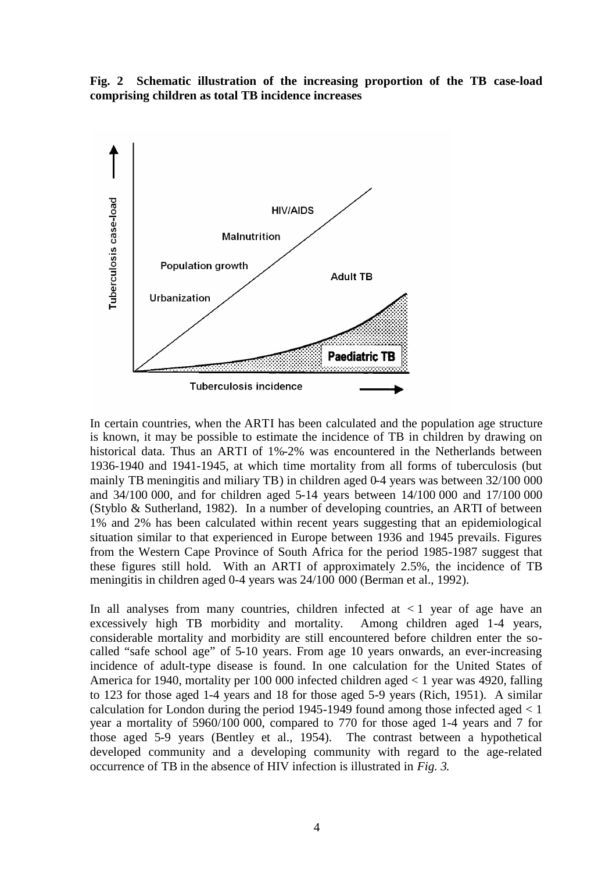**Fig. 2 Schematic illustration of the increasing proportion of the TB case-load comprising children as total TB incidence increases**



In certain countries, when the ARTI has been calculated and the population age structure is known, it may be possible to estimate the incidence of TB in children by drawing on historical data. Thus an ARTI of 1%-2% was encountered in the Netherlands between 1936-1940 and 1941-1945, at which time mortality from all forms of tuberculosis (but mainly TB meningitis and miliary TB) in children aged 0-4 years was between 32/100 000 and 34/100 000, and for children aged 5-14 years between 14/100 000 and 17/100 000 (Styblo & Sutherland, 1982). In a number of developing countries, an ARTI of between 1% and 2% has been calculated within recent years suggesting that an epidemiological situation similar to that experienced in Europe between 1936 and 1945 prevails. Figures from the Western Cape Province of South Africa for the period 1985-1987 suggest that these figures still hold. With an ARTI of approximately 2.5%, the incidence of TB meningitis in children aged 0-4 years was 24/100 000 (Berman et al., 1992).

In all analyses from many countries, children infected at  $\lt 1$  year of age have an excessively high TB morbidity and mortality. Among children aged 1-4 years, considerable mortality and morbidity are still encountered before children enter the socalled "safe school age" of 5-10 years. From age 10 years onwards, an ever-increasing incidence of adult-type disease is found. In one calculation for the United States of America for 1940, mortality per 100 000 infected children aged < 1 year was 4920, falling to 123 for those aged 1-4 years and 18 for those aged 5-9 years (Rich, 1951). A similar calculation for London during the period  $1945-1949$  found among those infected aged  $< 1$ year a mortality of 5960/100 000, compared to 770 for those aged 1-4 years and 7 for those aged 5-9 years (Bentley et al., 1954). The contrast between a hypothetical developed community and a developing community with regard to the age-related occurrence of TB in the absence of HIV infection is illustrated in *Fig. 3*.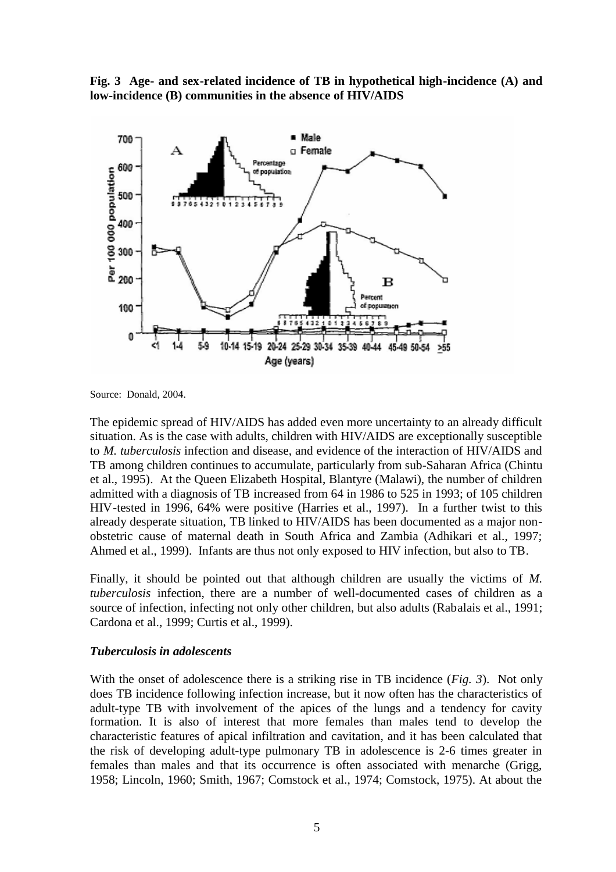**Fig. 3 Age- and sex-related incidence of TB in hypothetical high-incidence (A) and low-incidence (B) communities in the absence of HIV/AIDS**



Source: Donald, 2004.

The epidemic spread of HIV/AIDS has added even more uncertainty to an already difficult situation. As is the case with adults, children with HIV/AIDS are exceptionally susceptible to *M. tuberculosis* infection and disease, and evidence of the interaction of HIV/AIDS and TB among children continues to accumulate, particularly from sub-Saharan Africa (Chintu et al., 1995). At the Queen Elizabeth Hospital, Blantyre (Malawi), the number of children admitted with a diagnosis of TB increased from 64 in 1986 to 525 in 1993; of 105 children HIV-tested in 1996, 64% were positive (Harries et al., 1997). In a further twist to this already desperate situation, TB linked to HIV/AIDS has been documented as a major nonobstetric cause of maternal death in South Africa and Zambia (Adhikari et al., 1997; Ahmed et al., 1999). Infants are thus not only exposed to HIV infection, but also to TB.

Finally, it should be pointed out that although children are usually the victims of *M. tuberculosis* infection, there are a number of well-documented cases of children as a source of infection, infecting not only other children, but also adults (Rabalais et al., 1991; Cardona et al., 1999; Curtis et al., 1999).

#### *Tuberculosis in adolescents*

With the onset of adolescence there is a striking rise in TB incidence (*Fig. 3*). Not only does TB incidence following infection increase, but it now often has the characteristics of adult-type TB with involvement of the apices of the lungs and a tendency for cavity formation. It is also of interest that more females than males tend to develop the characteristic features of apical infiltration and cavitation, and it has been calculated that the risk of developing adult-type pulmonary TB in adolescence is 2-6 times greater in females than males and that its occurrence is often associated with menarche (Grigg, 1958; Lincoln, 1960; Smith, 1967; Comstock et al., 1974; Comstock, 1975). At about the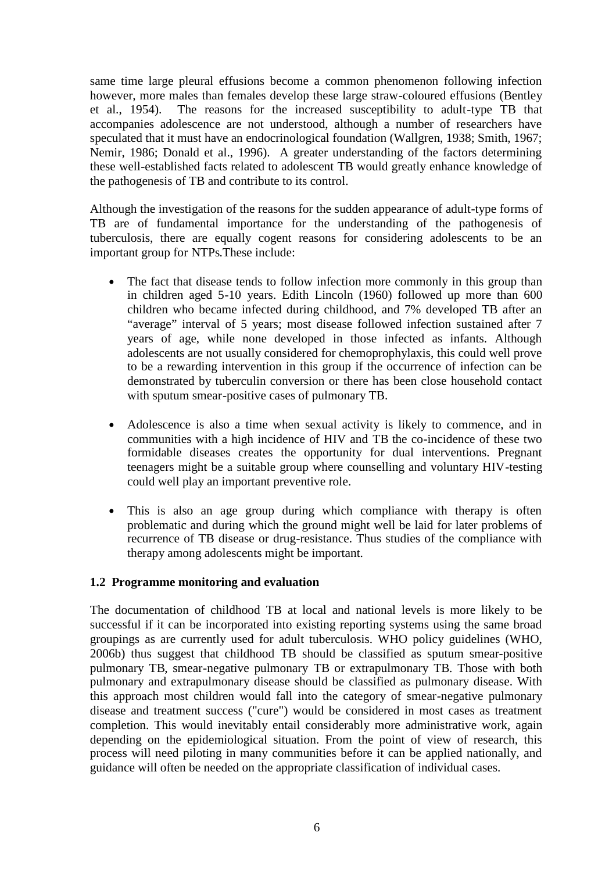same time large pleural effusions become a common phenomenon following infection however, more males than females develop these large straw-coloured effusions (Bentley et al., 1954). The reasons for the increased susceptibility to adult-type TB that accompanies adolescence are not understood, although a number of researchers have speculated that it must have an endocrinological foundation (Wallgren, 1938; Smith, 1967; Nemir, 1986; Donald et al., 1996). A greater understanding of the factors determining these well-established facts related to adolescent TB would greatly enhance knowledge of the pathogenesis of TB and contribute to its control.

Although the investigation of the reasons for the sudden appearance of adult-type forms of TB are of fundamental importance for the understanding of the pathogenesis of tuberculosis, there are equally cogent reasons for considering adolescents to be an important group for NTPs.These include:

- The fact that disease tends to follow infection more commonly in this group than in children aged 5-10 years. Edith Lincoln (1960) followed up more than 600 children who became infected during childhood, and 7% developed TB after an "average" interval of 5 years; most disease followed infection sustained after 7 years of age, while none developed in those infected as infants. Although adolescents are not usually considered for chemoprophylaxis, this could well prove to be a rewarding intervention in this group if the occurrence of infection can be demonstrated by tuberculin conversion or there has been close household contact with sputum smear-positive cases of pulmonary TB.
- Adolescence is also a time when sexual activity is likely to commence, and in communities with a high incidence of HIV and TB the co-incidence of these two formidable diseases creates the opportunity for dual interventions. Pregnant teenagers might be a suitable group where counselling and voluntary HIV-testing could well play an important preventive role.
- This is also an age group during which compliance with therapy is often problematic and during which the ground might well be laid for later problems of recurrence of TB disease or drug-resistance. Thus studies of the compliance with therapy among adolescents might be important.

#### **1.2 Programme monitoring and evaluation**

The documentation of childhood TB at local and national levels is more likely to be successful if it can be incorporated into existing reporting systems using the same broad groupings as are currently used for adult tuberculosis. WHO policy guidelines (WHO, 2006b) thus suggest that childhood TB should be classified as sputum smear-positive pulmonary TB, smear-negative pulmonary TB or extrapulmonary TB. Those with both pulmonary and extrapulmonary disease should be classified as pulmonary disease. With this approach most children would fall into the category of smear-negative pulmonary disease and treatment success ("cure") would be considered in most cases as treatment completion. This would inevitably entail considerably more administrative work, again depending on the epidemiological situation. From the point of view of research, this process will need piloting in many communities before it can be applied nationally, and guidance will often be needed on the appropriate classification of individual cases.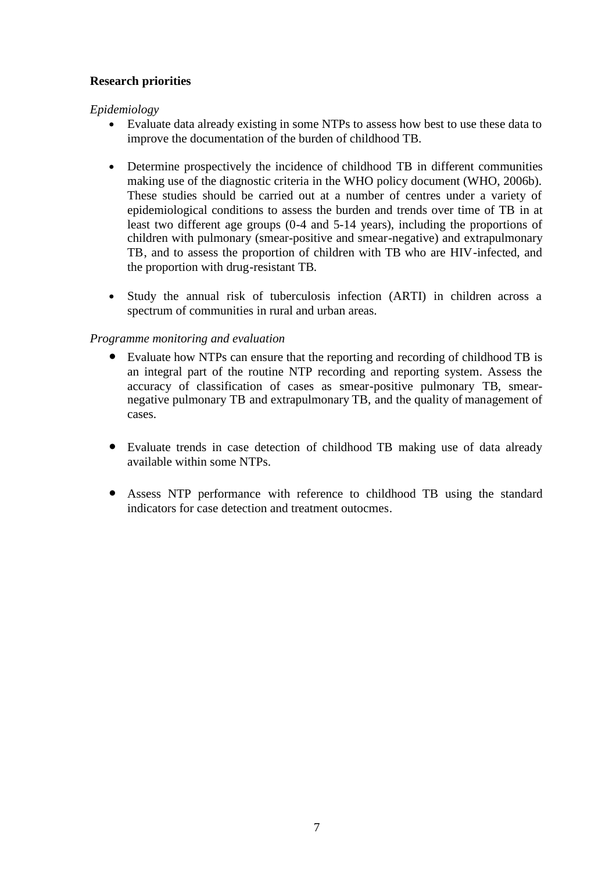#### **Research priorities**

#### *Epidemiology*

- Evaluate data already existing in some NTPs to assess how best to use these data to improve the documentation of the burden of childhood TB.
- Determine prospectively the incidence of childhood TB in different communities making use of the diagnostic criteria in the WHO policy document (WHO, 2006b). These studies should be carried out at a number of centres under a variety of epidemiological conditions to assess the burden and trends over time of TB in at least two different age groups (0-4 and 5-14 years), including the proportions of children with pulmonary (smear-positive and smear-negative) and extrapulmonary TB, and to assess the proportion of children with TB who are HIV-infected, and the proportion with drug-resistant TB.
- Study the annual risk of tuberculosis infection (ARTI) in children across a spectrum of communities in rural and urban areas.

#### *Programme monitoring and evaluation*

- Evaluate how NTPs can ensure that the reporting and recording of childhood TB is an integral part of the routine NTP recording and reporting system. Assess the accuracy of classification of cases as smear-positive pulmonary TB, smearnegative pulmonary TB and extrapulmonary TB, and the quality of management of cases.
- Evaluate trends in case detection of childhood TB making use of data already available within some NTPs.
- Assess NTP performance with reference to childhood TB using the standard indicators for case detection and treatment outocmes.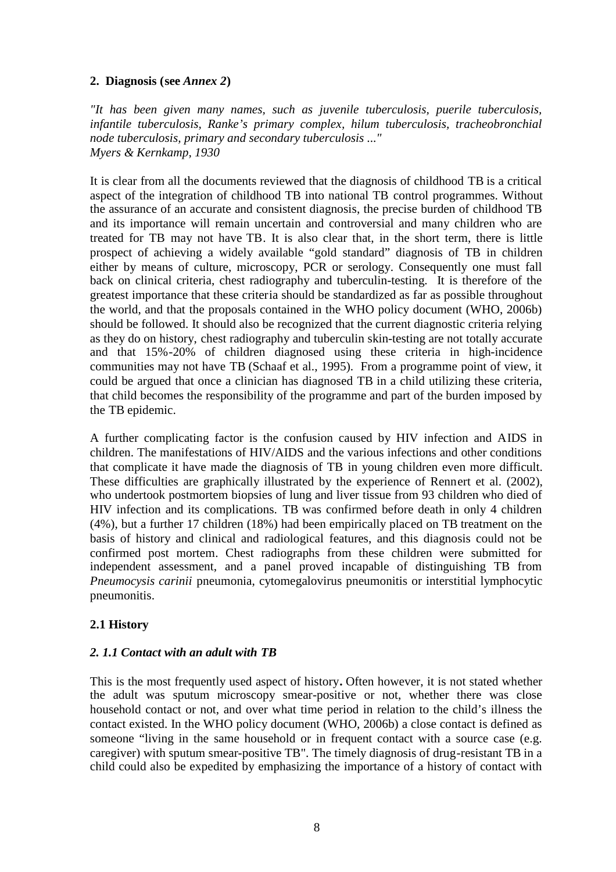#### **2. Diagnosis (see** *Annex 2***)**

*"It has been given many names, such as juvenile tuberculosis, puerile tuberculosis, infantile tuberculosis, Ranke's primary complex, hilum tuberculosis, tracheobronchial node tuberculosis, primary and secondary tuberculosis ..." Myers & Kernkamp, 1930*

It is clear from all the documents reviewed that the diagnosis of childhood TB is a critical aspect of the integration of childhood TB into national TB control programmes. Without the assurance of an accurate and consistent diagnosis, the precise burden of childhood TB and its importance will remain uncertain and controversial and many children who are treated for TB may not have TB. It is also clear that, in the short term, there is little prospect of achieving a widely available "gold standard" diagnosis of TB in children either by means of culture, microscopy, PCR or serology. Consequently one must fall back on clinical criteria, chest radiography and tuberculin-testing. It is therefore of the greatest importance that these criteria should be standardized as far as possible throughout the world, and that the proposals contained in the WHO policy document (WHO, 2006b) should be followed. It should also be recognized that the current diagnostic criteria relying as they do on history, chest radiography and tuberculin skin-testing are not totally accurate and that 15%-20% of children diagnosed using these criteria in high-incidence communities may not have TB (Schaaf et al., 1995). From a programme point of view, it could be argued that once a clinician has diagnosed TB in a child utilizing these criteria, that child becomes the responsibility of the programme and part of the burden imposed by the TB epidemic.

A further complicating factor is the confusion caused by HIV infection and AIDS in children. The manifestations of HIV/AIDS and the various infections and other conditions that complicate it have made the diagnosis of TB in young children even more difficult. These difficulties are graphically illustrated by the experience of Rennert et al. (2002), who undertook postmortem biopsies of lung and liver tissue from 93 children who died of HIV infection and its complications. TB was confirmed before death in only 4 children (4%), but a further 17 children (18%) had been empirically placed on TB treatment on the basis of history and clinical and radiological features, and this diagnosis could not be confirmed post mortem. Chest radiographs from these children were submitted for independent assessment, and a panel proved incapable of distinguishing TB from *Pneumocysis carinii* pneumonia, cytomegalovirus pneumonitis or interstitial lymphocytic pneumonitis.

#### **2.1 History**

#### *2. 1.1 Contact with an adult with TB*

This is the most frequently used aspect of history**.** Often however, it is not stated whether the adult was sputum microscopy smear-positive or not, whether there was close household contact or not, and over what time period in relation to the child's illness the contact existed. In the WHO policy document (WHO, 2006b) a close contact is defined as someone "living in the same household or in frequent contact with a source case (e.g. caregiver) with sputum smear-positive TB". The timely diagnosis of drug-resistant TB in a child could also be expedited by emphasizing the importance of a history of contact with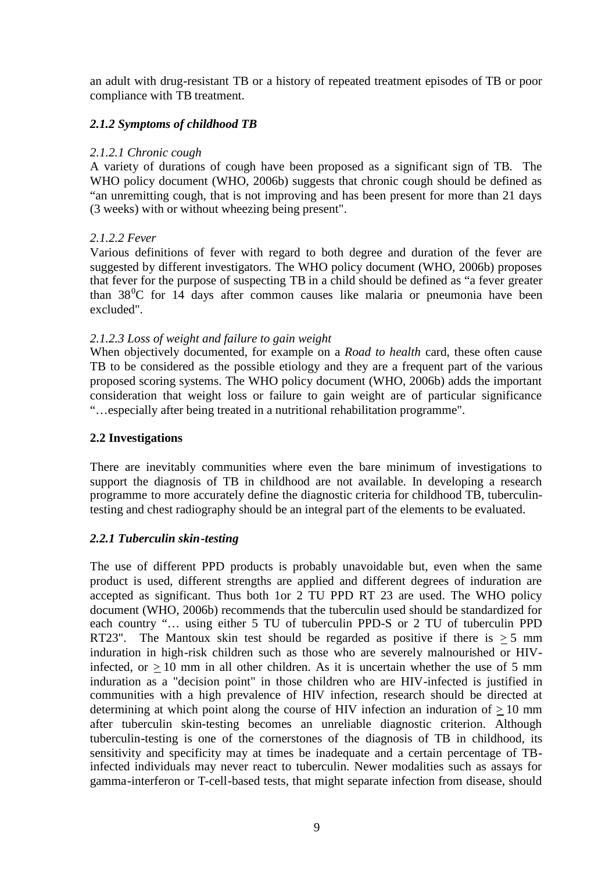an adult with drug-resistant TB or a history of repeated treatment episodes of TB or poor compliance with TB treatment.

#### *2.1.2 Symptoms of childhood TB*

#### *2.1.2.1 Chronic cough*

A variety of durations of cough have been proposed as a significant sign of TB. The WHO policy document (WHO, 2006b) suggests that chronic cough should be defined as "an unremitting cough, that is not improving and has been present for more than 21 days (3 weeks) with or without wheezing being present".

#### *2.1.2.2 Fever*

Various definitions of fever with regard to both degree and duration of the fever are suggested by different investigators. The WHO policy document (WHO, 2006b) proposes that fever for the purpose of suspecting TB in a child should be defined as "a fever greater than  $38\degree$ C for 14 days after common causes like malaria or pneumonia have been excluded".

#### *2.1.2.3 Loss of weight and failure to gain weight*

When objectively documented, for example on a *Road to health* card, these often cause TB to be considered as the possible etiology and they are a frequent part of the various proposed scoring systems. The WHO policy document (WHO, 2006b) adds the important consideration that weight loss or failure to gain weight are of particular significance "…especially after being treated in a nutritional rehabilitation programme".

#### **2.2 Investigations**

There are inevitably communities where even the bare minimum of investigations to support the diagnosis of TB in childhood are not available. In developing a research programme to more accurately define the diagnostic criteria for childhood TB, tuberculintesting and chest radiography should be an integral part of the elements to be evaluated.

#### *2.2.1 Tuberculin skin-testing*

The use of different PPD products is probably unavoidable but, even when the same product is used, different strengths are applied and different degrees of induration are accepted as significant. Thus both 1or 2 TU PPD RT 23 are used. The WHO policy document (WHO, 2006b) recommends that the tuberculin used should be standardized for each country "… using either 5 TU of tuberculin PPD-S or 2 TU of tuberculin PPD RT23". The Mantoux skin test should be regarded as positive if there is  $> 5$  mm induration in high-risk children such as those who are severely malnourished or HIVinfected, or  $> 10$  mm in all other children. As it is uncertain whether the use of 5 mm induration as a "decision point" in those children who are HIV-infected is justified in communities with a high prevalence of HIV infection, research should be directed at determining at which point along the course of HIV infection an induration of  $> 10$  mm after tuberculin skin-testing becomes an unreliable diagnostic criterion. Although tuberculin-testing is one of the cornerstones of the diagnosis of TB in childhood, its sensitivity and specificity may at times be inadequate and a certain percentage of TBinfected individuals may never react to tuberculin. Newer modalities such as assays for gamma-interferon or T-cell-based tests, that might separate infection from disease, should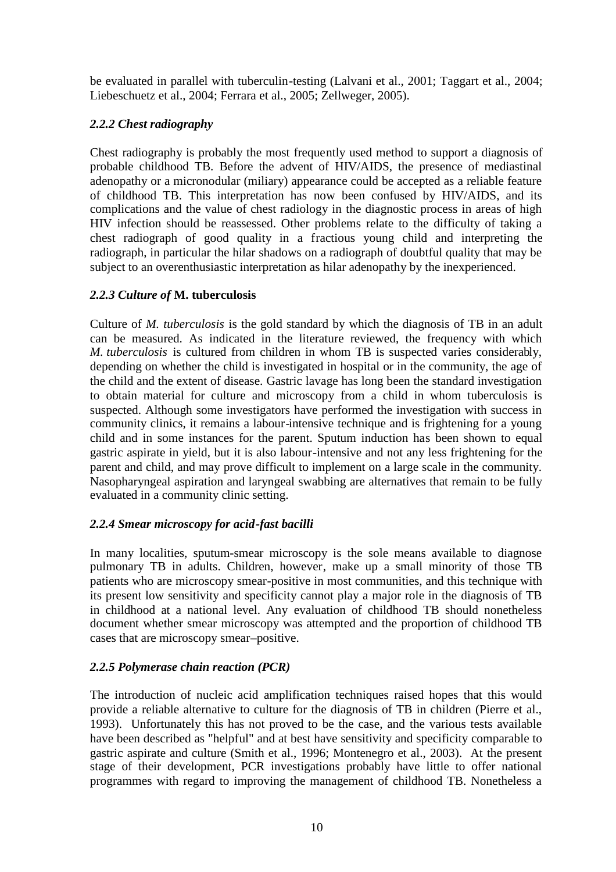be evaluated in parallel with tuberculin-testing (Lalvani et al., 2001; Taggart et al., 2004; Liebeschuetz et al., 2004; Ferrara et al., 2005; Zellweger, 2005).

#### *2.2.2 Chest radiography*

Chest radiography is probably the most frequently used method to support a diagnosis of probable childhood TB. Before the advent of HIV/AIDS, the presence of mediastinal adenopathy or a micronodular (miliary) appearance could be accepted as a reliable feature of childhood TB. This interpretation has now been confused by HIV/AIDS, and its complications and the value of chest radiology in the diagnostic process in areas of high HIV infection should be reassessed. Other problems relate to the difficulty of taking a chest radiograph of good quality in a fractious young child and interpreting the radiograph, in particular the hilar shadows on a radiograph of doubtful quality that may be subject to an overenthusiastic interpretation as hilar adenopathy by the inexperienced.

#### *2.2.3 Culture of* **M. tuberculosis**

Culture of *M. tuberculosis* is the gold standard by which the diagnosis of TB in an adult can be measured. As indicated in the literature reviewed, the frequency with which *M. tuberculosis* is cultured from children in whom TB is suspected varies considerably, depending on whether the child is investigated in hospital or in the community, the age of the child and the extent of disease. Gastric lavage has long been the standard investigation to obtain material for culture and microscopy from a child in whom tuberculosis is suspected. Although some investigators have performed the investigation with success in community clinics, it remains a labour-intensive technique and is frightening for a young child and in some instances for the parent. Sputum induction has been shown to equal gastric aspirate in yield, but it is also labour-intensive and not any less frightening for the parent and child, and may prove difficult to implement on a large scale in the community. Nasopharyngeal aspiration and laryngeal swabbing are alternatives that remain to be fully evaluated in a community clinic setting.

#### *2.2.4 Smear microscopy for acid-fast bacilli*

In many localities, sputum-smear microscopy is the sole means available to diagnose pulmonary TB in adults. Children, however, make up a small minority of those TB patients who are microscopy smear-positive in most communities, and this technique with its present low sensitivity and specificity cannot play a major role in the diagnosis of TB in childhood at a national level. Any evaluation of childhood TB should nonetheless document whether smear microscopy was attempted and the proportion of childhood TB cases that are microscopy smear–positive.

#### *2.2.5 Polymerase chain reaction (PCR)*

The introduction of nucleic acid amplification techniques raised hopes that this would provide a reliable alternative to culture for the diagnosis of TB in children (Pierre et al., 1993). Unfortunately this has not proved to be the case, and the various tests available have been described as "helpful" and at best have sensitivity and specificity comparable to gastric aspirate and culture (Smith et al., 1996; Montenegro et al., 2003). At the present stage of their development, PCR investigations probably have little to offer national programmes with regard to improving the management of childhood TB. Nonetheless a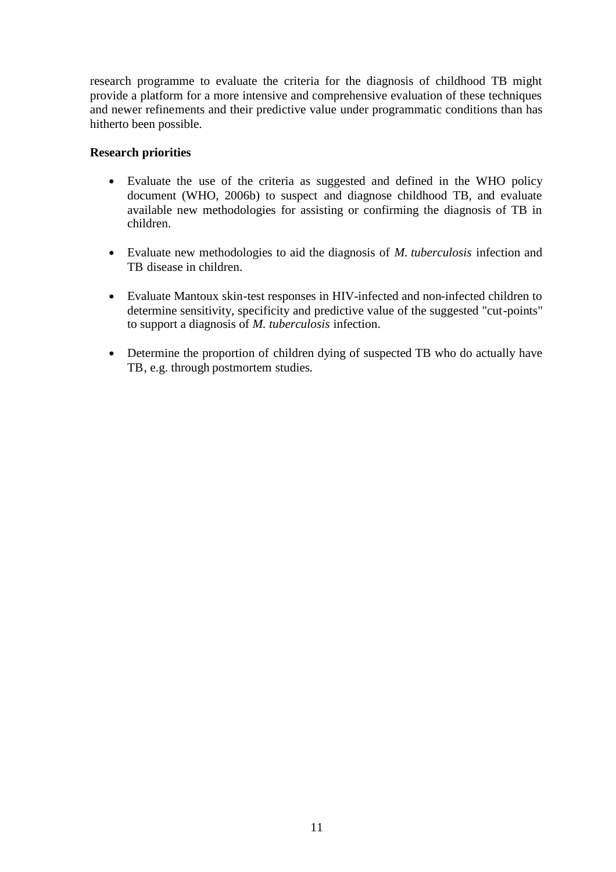research programme to evaluate the criteria for the diagnosis of childhood TB might provide a platform for a more intensive and comprehensive evaluation of these techniques and newer refinements and their predictive value under programmatic conditions than has hitherto been possible.

#### **Research priorities**

- Evaluate the use of the criteria as suggested and defined in the WHO policy document (WHO, 2006b) to suspect and diagnose childhood TB, and evaluate available new methodologies for assisting or confirming the diagnosis of TB in children.
- Evaluate new methodologies to aid the diagnosis of *M. tuberculosis* infection and TB disease in children.
- Evaluate Mantoux skin-test responses in HIV-infected and non-infected children to determine sensitivity, specificity and predictive value of the suggested "cut-points" to support a diagnosis of *M. tuberculosis* infection.
- Determine the proportion of children dying of suspected TB who do actually have TB, e.g. through postmortem studies.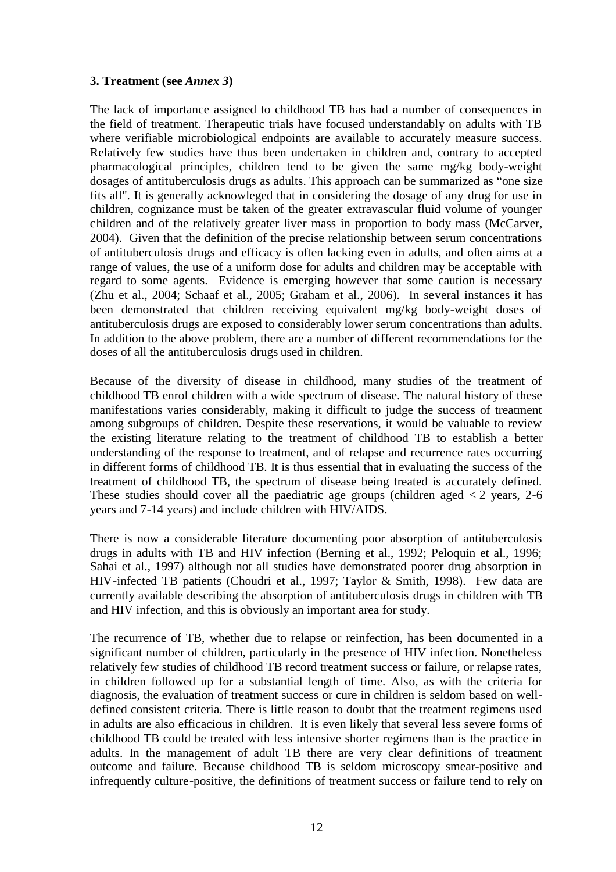#### **3. Treatment (see** *Annex 3***)**

The lack of importance assigned to childhood TB has had a number of consequences in the field of treatment. Therapeutic trials have focused understandably on adults with TB where verifiable microbiological endpoints are available to accurately measure success. Relatively few studies have thus been undertaken in children and, contrary to accepted pharmacological principles, children tend to be given the same mg/kg body-weight dosages of antituberculosis drugs as adults. This approach can be summarized as "one size fits all". It is generally acknowleged that in considering the dosage of any drug for use in children, cognizance must be taken of the greater extravascular fluid volume of younger children and of the relatively greater liver mass in proportion to body mass (McCarver, 2004). Given that the definition of the precise relationship between serum concentrations of antituberculosis drugs and efficacy is often lacking even in adults, and often aims at a range of values, the use of a uniform dose for adults and children may be acceptable with regard to some agents. Evidence is emerging however that some caution is necessary (Zhu et al., 2004; Schaaf et al., 2005; Graham et al., 2006). In several instances it has been demonstrated that children receiving equivalent mg/kg body-weight doses of antituberculosis drugs are exposed to considerably lower serum concentrations than adults. In addition to the above problem, there are a number of different recommendations for the doses of all the antituberculosis drugs used in children.

Because of the diversity of disease in childhood, many studies of the treatment of childhood TB enrol children with a wide spectrum of disease. The natural history of these manifestations varies considerably, making it difficult to judge the success of treatment among subgroups of children. Despite these reservations, it would be valuable to review the existing literature relating to the treatment of childhood TB to establish a better understanding of the response to treatment, and of relapse and recurrence rates occurring in different forms of childhood TB. It is thus essential that in evaluating the success of the treatment of childhood TB, the spectrum of disease being treated is accurately defined. These studies should cover all the paediatric age groups (children aged  $\lt 2$  years, 2-6 years and 7-14 years) and include children with HIV/AIDS.

There is now a considerable literature documenting poor absorption of antituberculosis drugs in adults with TB and HIV infection (Berning et al., 1992; Peloquin et al., 1996; Sahai et al., 1997) although not all studies have demonstrated poorer drug absorption in HIV-infected TB patients (Choudri et al., 1997; Taylor & Smith, 1998). Few data are currently available describing the absorption of antituberculosis drugs in children with TB and HIV infection, and this is obviously an important area for study.

The recurrence of TB, whether due to relapse or reinfection, has been documented in a significant number of children, particularly in the presence of HIV infection. Nonetheless relatively few studies of childhood TB record treatment success or failure, or relapse rates, in children followed up for a substantial length of time. Also, as with the criteria for diagnosis, the evaluation of treatment success or cure in children is seldom based on welldefined consistent criteria. There is little reason to doubt that the treatment regimens used in adults are also efficacious in children. It is even likely that several less severe forms of childhood TB could be treated with less intensive shorter regimens than is the practice in adults. In the management of adult TB there are very clear definitions of treatment outcome and failure. Because childhood TB is seldom microscopy smear-positive and infrequently culture-positive, the definitions of treatment success or failure tend to rely on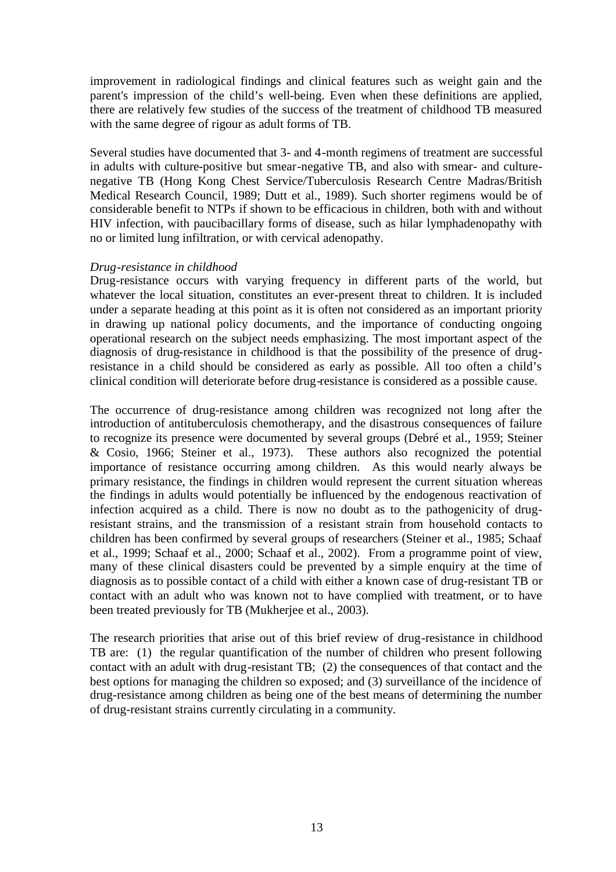improvement in radiological findings and clinical features such as weight gain and the parent's impression of the child's well-being. Even when these definitions are applied, there are relatively few studies of the success of the treatment of childhood TB measured with the same degree of rigour as adult forms of TB.

Several studies have documented that 3- and 4-month regimens of treatment are successful in adults with culture-positive but smear-negative TB, and also with smear- and culturenegative TB (Hong Kong Chest Service/Tuberculosis Research Centre Madras/British Medical Research Council, 1989; Dutt et al., 1989). Such shorter regimens would be of considerable benefit to NTPs if shown to be efficacious in children, both with and without HIV infection, with paucibacillary forms of disease, such as hilar lymphadenopathy with no or limited lung infiltration, or with cervical adenopathy.

#### *Drug-resistance in childhood*

Drug-resistance occurs with varying frequency in different parts of the world, but whatever the local situation, constitutes an ever-present threat to children. It is included under a separate heading at this point as it is often not considered as an important priority in drawing up national policy documents, and the importance of conducting ongoing operational research on the subject needs emphasizing. The most important aspect of the diagnosis of drug-resistance in childhood is that the possibility of the presence of drugresistance in a child should be considered as early as possible. All too often a child's clinical condition will deteriorate before drug-resistance is considered as a possible cause.

The occurrence of drug-resistance among children was recognized not long after the introduction of antituberculosis chemotherapy, and the disastrous consequences of failure to recognize its presence were documented by several groups (Debré et al., 1959; Steiner & Cosio, 1966; Steiner et al., 1973). These authors also recognized the potential importance of resistance occurring among children. As this would nearly always be primary resistance, the findings in children would represent the current situation whereas the findings in adults would potentially be influenced by the endogenous reactivation of infection acquired as a child. There is now no doubt as to the pathogenicity of drugresistant strains, and the transmission of a resistant strain from household contacts to children has been confirmed by several groups of researchers (Steiner et al., 1985; Schaaf et al., 1999; Schaaf et al., 2000; Schaaf et al., 2002). From a programme point of view, many of these clinical disasters could be prevented by a simple enquiry at the time of diagnosis as to possible contact of a child with either a known case of drug-resistant TB or contact with an adult who was known not to have complied with treatment, or to have been treated previously for TB (Mukherjee et al., 2003).

The research priorities that arise out of this brief review of drug-resistance in childhood TB are: (1) the regular quantification of the number of children who present following contact with an adult with drug-resistant TB; (2) the consequences of that contact and the best options for managing the children so exposed; and (3) surveillance of the incidence of drug-resistance among children as being one of the best means of determining the number of drug-resistant strains currently circulating in a community.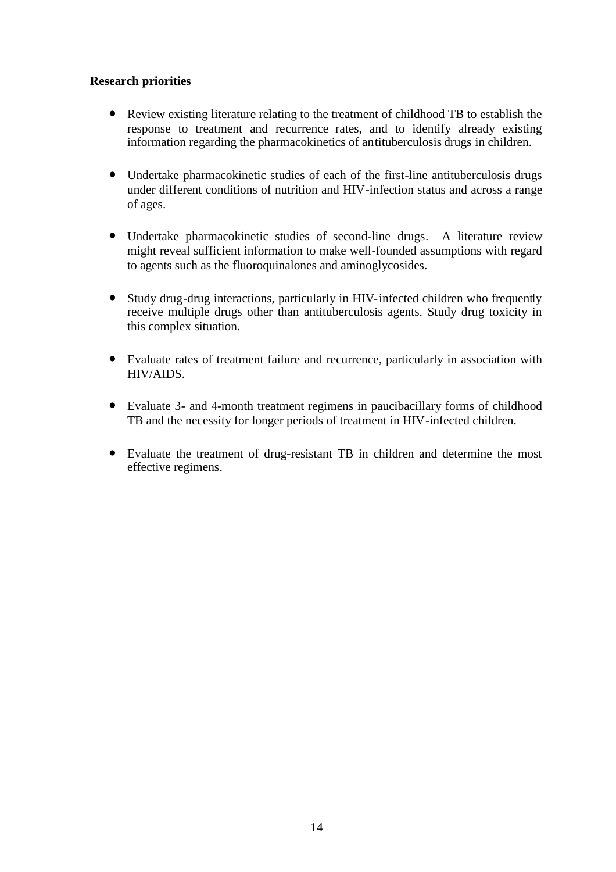#### **Research priorities**

- Review existing literature relating to the treatment of childhood TB to establish the response to treatment and recurrence rates, and to identify already existing information regarding the pharmacokinetics of antituberculosis drugs in children.
- Undertake pharmacokinetic studies of each of the first-line antituberculosis drugs under different conditions of nutrition and HIV-infection status and across a range of ages.
- Undertake pharmacokinetic studies of second-line drugs. A literature review might reveal sufficient information to make well-founded assumptions with regard to agents such as the fluoroquinalones and aminoglycosides.
- Study drug-drug interactions, particularly in HIV-infected children who frequently receive multiple drugs other than antituberculosis agents. Study drug toxicity in this complex situation.
- Evaluate rates of treatment failure and recurrence, particularly in association with HIV/AIDS.
- Evaluate 3- and 4-month treatment regimens in paucibacillary forms of childhood TB and the necessity for longer periods of treatment in HIV-infected children.
- Evaluate the treatment of drug-resistant TB in children and determine the most effective regimens.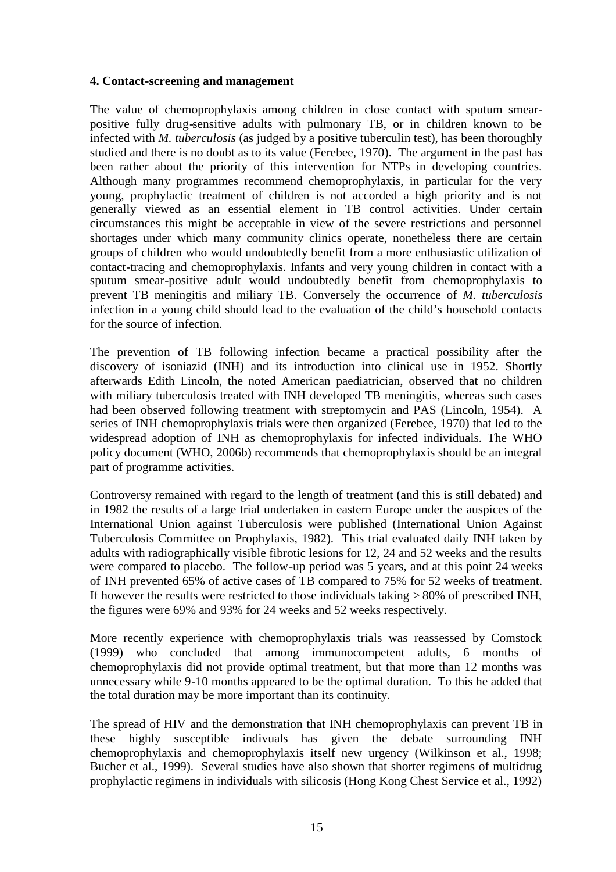#### **4. Contact-screening and management**

The value of chemoprophylaxis among children in close contact with sputum smearpositive fully drug-sensitive adults with pulmonary TB, or in children known to be infected with *M. tuberculosis* (as judged by a positive tuberculin test), has been thoroughly studied and there is no doubt as to its value (Ferebee, 1970). The argument in the past has been rather about the priority of this intervention for NTPs in developing countries. Although many programmes recommend chemoprophylaxis, in particular for the very young, prophylactic treatment of children is not accorded a high priority and is not generally viewed as an essential element in TB control activities. Under certain circumstances this might be acceptable in view of the severe restrictions and personnel shortages under which many community clinics operate, nonetheless there are certain groups of children who would undoubtedly benefit from a more enthusiastic utilization of contact-tracing and chemoprophylaxis. Infants and very young children in contact with a sputum smear-positive adult would undoubtedly benefit from chemoprophylaxis to prevent TB meningitis and miliary TB. Conversely the occurrence of *M. tuberculosis* infection in a young child should lead to the evaluation of the child's household contacts for the source of infection.

The prevention of TB following infection became a practical possibility after the discovery of isoniazid (INH) and its introduction into clinical use in 1952. Shortly afterwards Edith Lincoln, the noted American paediatrician, observed that no children with miliary tuberculosis treated with INH developed TB meningitis, whereas such cases had been observed following treatment with streptomycin and PAS (Lincoln, 1954). A series of INH chemoprophylaxis trials were then organized (Ferebee, 1970) that led to the widespread adoption of INH as chemoprophylaxis for infected individuals. The WHO policy document (WHO, 2006b) recommends that chemoprophylaxis should be an integral part of programme activities.

Controversy remained with regard to the length of treatment (and this is still debated) and in 1982 the results of a large trial undertaken in eastern Europe under the auspices of the International Union against Tuberculosis were published (International Union Against Tuberculosis Committee on Prophylaxis, 1982). This trial evaluated daily INH taken by adults with radiographically visible fibrotic lesions for 12, 24 and 52 weeks and the results were compared to placebo. The follow-up period was 5 years, and at this point 24 weeks of INH prevented 65% of active cases of TB compared to 75% for 52 weeks of treatment. If however the results were restricted to those individuals taking  $> 80\%$  of prescribed INH, the figures were 69% and 93% for 24 weeks and 52 weeks respectively.

More recently experience with chemoprophylaxis trials was reassessed by Comstock (1999) who concluded that among immunocompetent adults, 6 months of chemoprophylaxis did not provide optimal treatment, but that more than 12 months was unnecessary while 9-10 months appeared to be the optimal duration. To this he added that the total duration may be more important than its continuity.

The spread of HIV and the demonstration that INH chemoprophylaxis can prevent TB in these highly susceptible indivuals has given the debate surrounding INH chemoprophylaxis and chemoprophylaxis itself new urgency (Wilkinson et al., 1998; Bucher et al., 1999). Several studies have also shown that shorter regimens of multidrug prophylactic regimens in individuals with silicosis (Hong Kong Chest Service et al., 1992)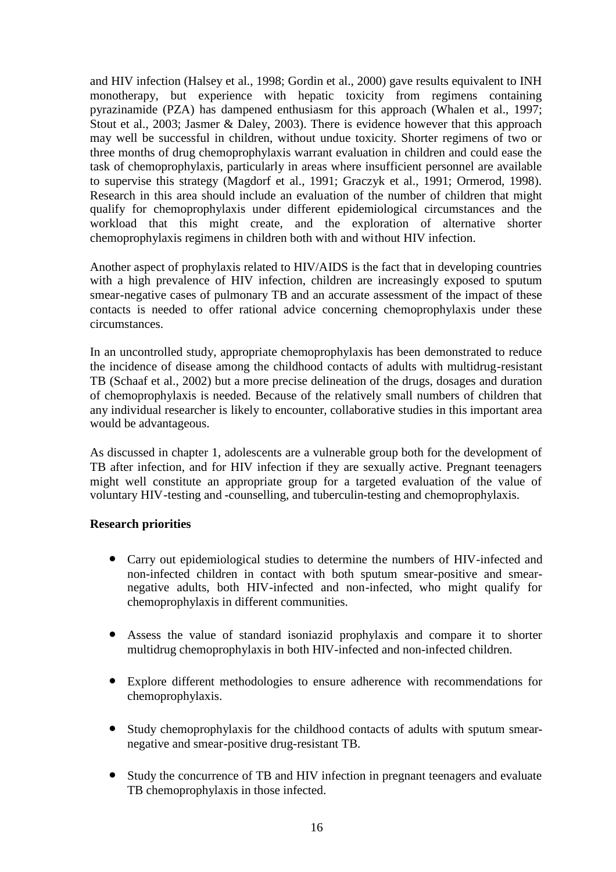and HIV infection (Halsey et al., 1998; Gordin et al., 2000) gave results equivalent to INH monotherapy, but experience with hepatic toxicity from regimens containing pyrazinamide (PZA) has dampened enthusiasm for this approach (Whalen et al., 1997; Stout et al., 2003; Jasmer & Daley, 2003). There is evidence however that this approach may well be successful in children, without undue toxicity. Shorter regimens of two or three months of drug chemoprophylaxis warrant evaluation in children and could ease the task of chemoprophylaxis, particularly in areas where insufficient personnel are available to supervise this strategy (Magdorf et al., 1991; Graczyk et al., 1991; Ormerod, 1998). Research in this area should include an evaluation of the number of children that might qualify for chemoprophylaxis under different epidemiological circumstances and the workload that this might create, and the exploration of alternative shorter chemoprophylaxis regimens in children both with and without HIV infection.

Another aspect of prophylaxis related to HIV/AIDS is the fact that in developing countries with a high prevalence of HIV infection, children are increasingly exposed to sputum smear-negative cases of pulmonary TB and an accurate assessment of the impact of these contacts is needed to offer rational advice concerning chemoprophylaxis under these circumstances.

In an uncontrolled study, appropriate chemoprophylaxis has been demonstrated to reduce the incidence of disease among the childhood contacts of adults with multidrug-resistant TB (Schaaf et al., 2002) but a more precise delineation of the drugs, dosages and duration of chemoprophylaxis is needed. Because of the relatively small numbers of children that any individual researcher is likely to encounter, collaborative studies in this important area would be advantageous.

As discussed in chapter 1, adolescents are a vulnerable group both for the development of TB after infection, and for HIV infection if they are sexually active. Pregnant teenagers might well constitute an appropriate group for a targeted evaluation of the value of voluntary HIV-testing and -counselling, and tuberculin-testing and chemoprophylaxis.

#### **Research priorities**

- Carry out epidemiological studies to determine the numbers of HIV-infected and non-infected children in contact with both sputum smear-positive and smearnegative adults, both HIV-infected and non-infected, who might qualify for chemoprophylaxis in different communities.
- Assess the value of standard isoniazid prophylaxis and compare it to shorter multidrug chemoprophylaxis in both HIV-infected and non-infected children.
- Explore different methodologies to ensure adherence with recommendations for chemoprophylaxis.
- Study chemoprophylaxis for the childhood contacts of adults with sputum smearnegative and smear-positive drug-resistant TB.
- Study the concurrence of TB and HIV infection in pregnant teenagers and evaluate TB chemoprophylaxis in those infected.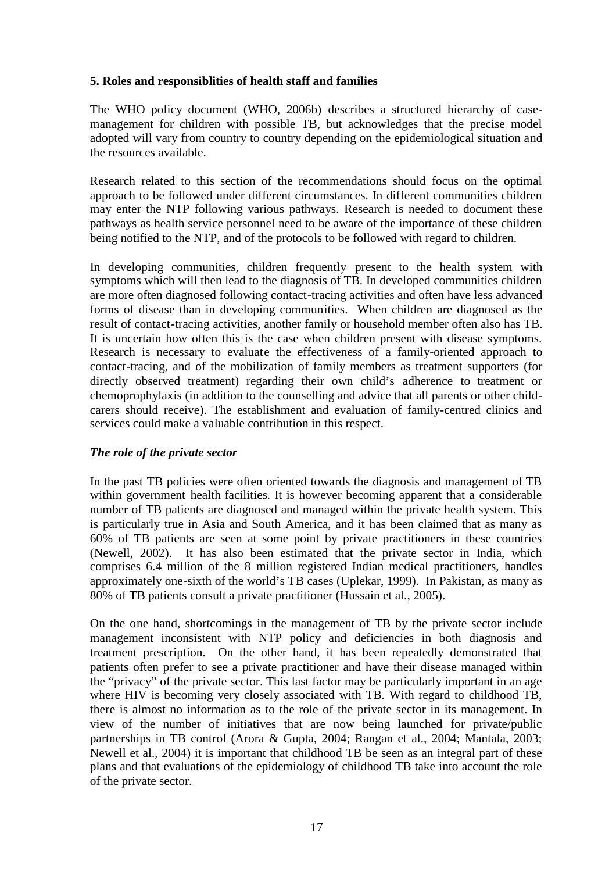#### **5. Roles and responsiblities of health staff and families**

The WHO policy document (WHO, 2006b) describes a structured hierarchy of casemanagement for children with possible TB, but acknowledges that the precise model adopted will vary from country to country depending on the epidemiological situation and the resources available.

Research related to this section of the recommendations should focus on the optimal approach to be followed under different circumstances. In different communities children may enter the NTP following various pathways. Research is needed to document these pathways as health service personnel need to be aware of the importance of these children being notified to the NTP, and of the protocols to be followed with regard to children.

In developing communities, children frequently present to the health system with symptoms which will then lead to the diagnosis of TB. In developed communities children are more often diagnosed following contact-tracing activities and often have less advanced forms of disease than in developing communities. When children are diagnosed as the result of contact-tracing activities, another family or household member often also has TB. It is uncertain how often this is the case when children present with disease symptoms. Research is necessary to evaluate the effectiveness of a family-oriented approach to contact-tracing, and of the mobilization of family members as treatment supporters (for directly observed treatment) regarding their own child's adherence to treatment or chemoprophylaxis (in addition to the counselling and advice that all parents or other childcarers should receive). The establishment and evaluation of family-centred clinics and services could make a valuable contribution in this respect.

#### *The role of the private sector*

In the past TB policies were often oriented towards the diagnosis and management of TB within government health facilities. It is however becoming apparent that a considerable number of TB patients are diagnosed and managed within the private health system. This is particularly true in Asia and South America, and it has been claimed that as many as 60% of TB patients are seen at some point by private practitioners in these countries (Newell, 2002). It has also been estimated that the private sector in India, which comprises 6.4 million of the 8 million registered Indian medical practitioners, handles approximately one-sixth of the world's TB cases (Uplekar, 1999). In Pakistan, as many as 80% of TB patients consult a private practitioner (Hussain et al., 2005).

On the one hand, shortcomings in the management of TB by the private sector include management inconsistent with NTP policy and deficiencies in both diagnosis and treatment prescription. On the other hand, it has been repeatedly demonstrated that patients often prefer to see a private practitioner and have their disease managed within the "privacy" of the private sector. This last factor may be particularly important in an age where HIV is becoming very closely associated with TB. With regard to childhood TB, there is almost no information as to the role of the private sector in its management. In view of the number of initiatives that are now being launched for private/public partnerships in TB control (Arora & Gupta, 2004; Rangan et al., 2004; Mantala, 2003; Newell et al., 2004) it is important that childhood TB be seen as an integral part of these plans and that evaluations of the epidemiology of childhood TB take into account the role of the private sector.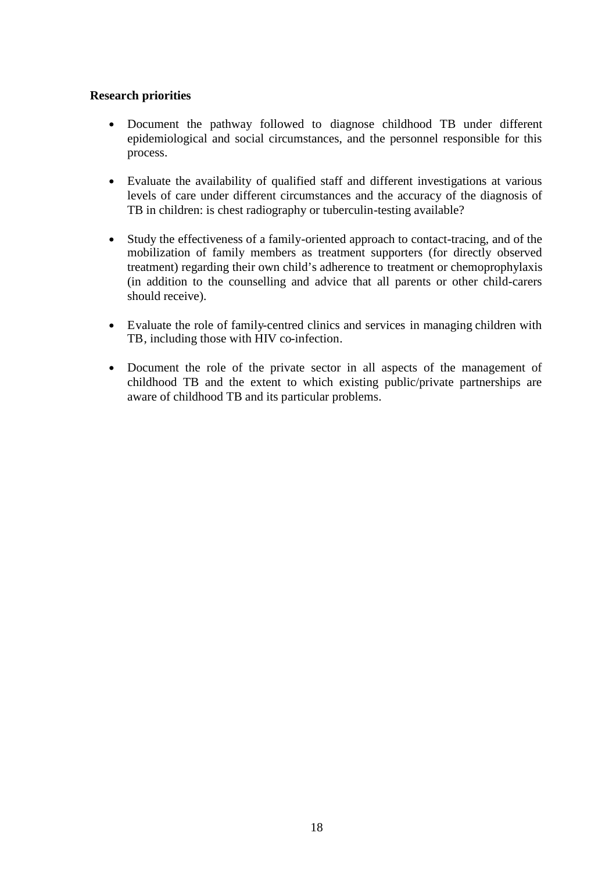#### **Research priorities**

- Document the pathway followed to diagnose childhood TB under different epidemiological and social circumstances, and the personnel responsible for this process.
- Evaluate the availability of qualified staff and different investigations at various levels of care under different circumstances and the accuracy of the diagnosis of TB in children: is chest radiography or tuberculin-testing available?
- Study the effectiveness of a family-oriented approach to contact-tracing, and of the mobilization of family members as treatment supporters (for directly observed treatment) regarding their own child's adherence to treatment or chemoprophylaxis (in addition to the counselling and advice that all parents or other child-carers should receive).
- Evaluate the role of family-centred clinics and services in managing children with TB, including those with HIV co-infection.
- Document the role of the private sector in all aspects of the management of childhood TB and the extent to which existing public/private partnerships are aware of childhood TB and its particular problems.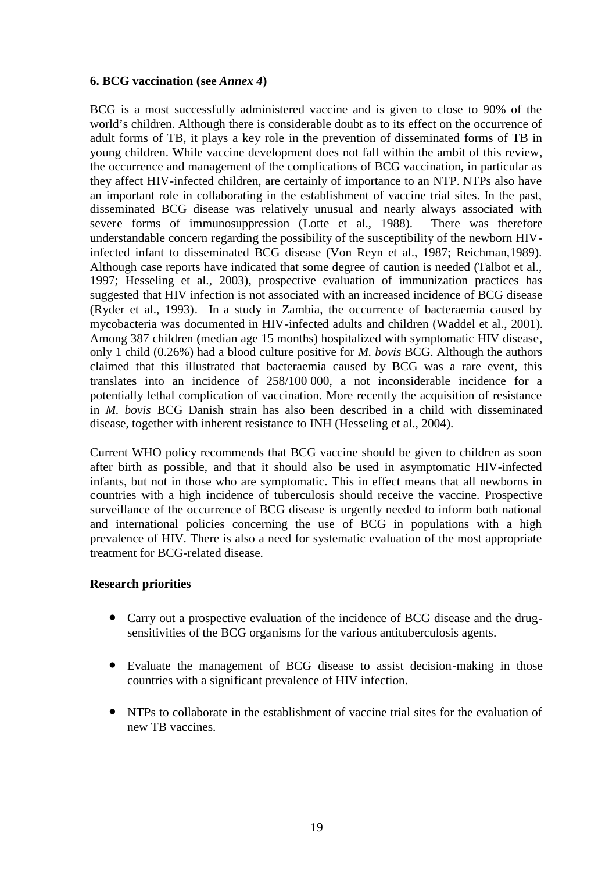#### **6. BCG vaccination (see** *Annex 4***)**

BCG is a most successfully administered vaccine and is given to close to 90% of the world's children. Although there is considerable doubt as to its effect on the occurrence of adult forms of TB, it plays a key role in the prevention of disseminated forms of TB in young children. While vaccine development does not fall within the ambit of this review, the occurrence and management of the complications of BCG vaccination, in particular as they affect HIV-infected children, are certainly of importance to an NTP. NTPs also have an important role in collaborating in the establishment of vaccine trial sites. In the past, disseminated BCG disease was relatively unusual and nearly always associated with severe forms of immunosuppression (Lotte et al., 1988). There was therefore understandable concern regarding the possibility of the susceptibility of the newborn HIVinfected infant to disseminated BCG disease (Von Reyn et al., 1987; Reichman,1989). Although case reports have indicated that some degree of caution is needed (Talbot et al., 1997; Hesseling et al., 2003), prospective evaluation of immunization practices has suggested that HIV infection is not associated with an increased incidence of BCG disease (Ryder et al., 1993). In a study in Zambia, the occurrence of bacteraemia caused by mycobacteria was documented in HIV-infected adults and children (Waddel et al., 2001). Among 387 children (median age 15 months) hospitalized with symptomatic HIV disease, only 1 child (0.26%) had a blood culture positive for *M. bovis* BCG. Although the authors claimed that this illustrated that bacteraemia caused by BCG was a rare event, this translates into an incidence of 258/100 000, a not inconsiderable incidence for a potentially lethal complication of vaccination. More recently the acquisition of resistance in *M. bovis* BCG Danish strain has also been described in a child with disseminated disease, together with inherent resistance to INH (Hesseling et al., 2004).

Current WHO policy recommends that BCG vaccine should be given to children as soon after birth as possible, and that it should also be used in asymptomatic HIV-infected infants, but not in those who are symptomatic. This in effect means that all newborns in countries with a high incidence of tuberculosis should receive the vaccine. Prospective surveillance of the occurrence of BCG disease is urgently needed to inform both national and international policies concerning the use of BCG in populations with a high prevalence of HIV. There is also a need for systematic evaluation of the most appropriate treatment for BCG-related disease.

#### **Research priorities**

- Carry out a prospective evaluation of the incidence of BCG disease and the drugsensitivities of the BCG organisms for the various antituberculosis agents.
- Evaluate the management of BCG disease to assist decision-making in those countries with a significant prevalence of HIV infection.
- NTPs to collaborate in the establishment of vaccine trial sites for the evaluation of new TB vaccines.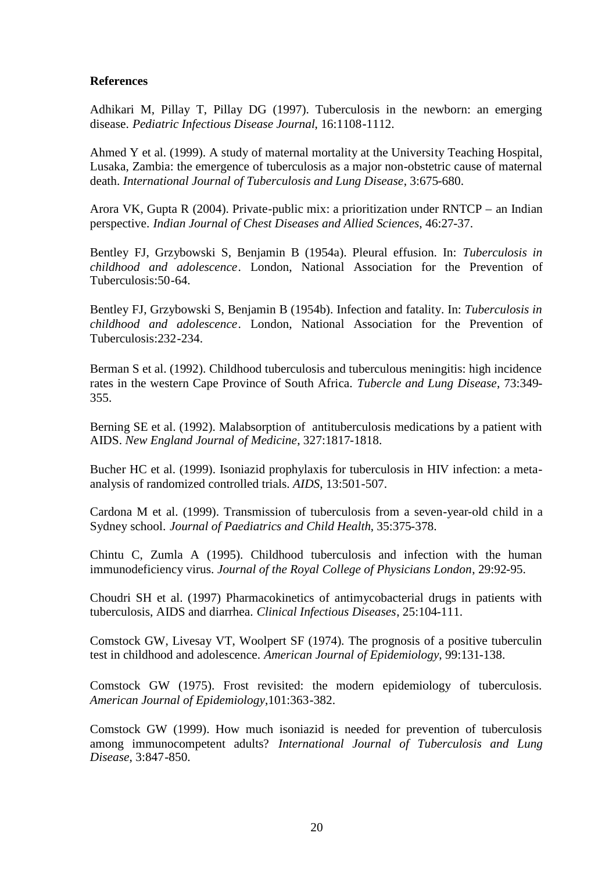#### **References**

Adhikari M, Pillay T, Pillay DG (1997). Tuberculosis in the newborn: an emerging disease. *Pediatric Infectious Disease Journal*, 16:1108-1112.

Ahmed Y et al. (1999). A study of maternal mortality at the University Teaching Hospital, Lusaka, Zambia: the emergence of tuberculosis as a major non-obstetric cause of maternal death. *International Journal of Tuberculosis and Lung Disease*, 3:675-680.

Arora VK, Gupta R (2004). Private-public mix: a prioritization under RNTCP – an Indian perspective. *Indian Journal of Chest Diseases and Allied Sciences*, 46:27-37.

Bentley FJ, Grzybowski S, Benjamin B (1954a). Pleural effusion. In: *Tuberculosis in childhood and adolescence*. London, National Association for the Prevention of Tuberculosis:50-64.

Bentley FJ, Grzybowski S, Benjamin B (1954b). Infection and fatality. In: *Tuberculosis in childhood and adolescence*. London, National Association for the Prevention of Tuberculosis:232-234.

Berman S et al. (1992). Childhood tuberculosis and tuberculous meningitis: high incidence rates in the western Cape Province of South Africa. *Tubercle and Lung Disease*, 73:349- 355.

Berning SE et al. (1992). Malabsorption of antituberculosis medications by a patient with AIDS. *New England Journal of Medicine*, 327:1817-1818.

Bucher HC et al. (1999). Isoniazid prophylaxis for tuberculosis in HIV infection: a metaanalysis of randomized controlled trials. *AIDS*, 13:501-507.

Cardona M et al. (1999). Transmission of tuberculosis from a seven-year-old child in a Sydney school. *Journal of Paediatrics and Child Health*, 35:375-378.

Chintu C, Zumla A (1995). Childhood tuberculosis and infection with the human immunodeficiency virus. *Journal of the Royal College of Physicians London*, 29:92-95.

Choudri SH et al. (1997) Pharmacokinetics of antimycobacterial drugs in patients with tuberculosis, AIDS and diarrhea. *Clinical Infectious Diseases*, 25:104-111.

Comstock GW, Livesay VT, Woolpert SF (1974). The prognosis of a positive tuberculin test in childhood and adolescence. *American Journal of Epidemiology*, 99:131-138.

Comstock GW (1975). Frost revisited: the modern epidemiology of tuberculosis. *American Journal of Epidemiology*,101:363-382.

Comstock GW (1999). How much isoniazid is needed for prevention of tuberculosis among immunocompetent adults? *International Journal of Tuberculosis and Lung Disease*, 3:847-850.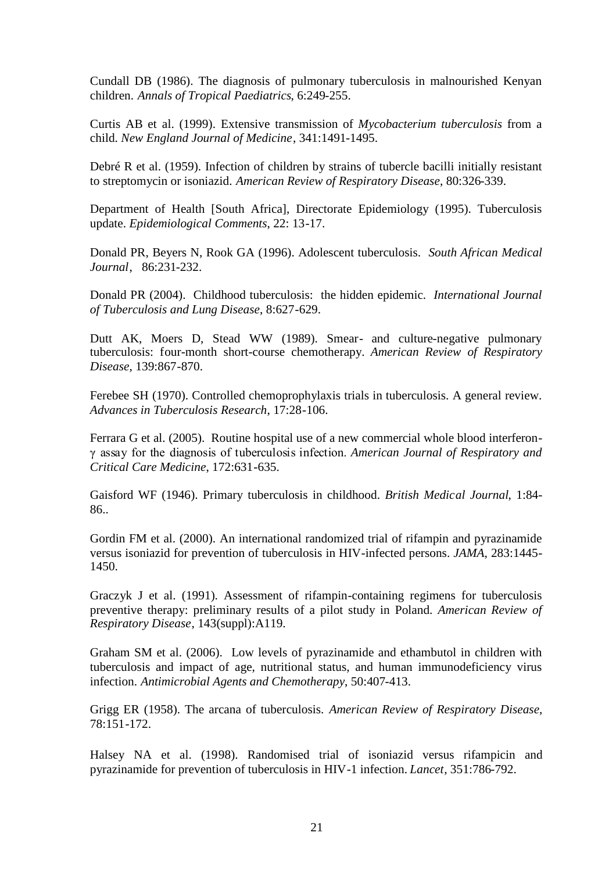Cundall DB (1986). The diagnosis of pulmonary tuberculosis in malnourished Kenyan children. *Annals of Tropical Paediatrics*, 6:249-255.

Curtis AB et al. (1999). Extensive transmission of *Mycobacterium tuberculosis* from a child. *New England Journal of Medicine*, 341:1491-1495.

Debré R et al. (1959). Infection of children by strains of tubercle bacilli initially resistant to streptomycin or isoniazid. *American Review of Respiratory Disease*, 80:326-339.

Department of Health [South Africa], Directorate Epidemiology (1995). Tuberculosis update. *Epidemiological Comments*, 22: 13-17.

Donald PR, Beyers N, Rook GA (1996). Adolescent tuberculosis. *South African Medical Journal*, 86:231-232.

Donald PR (2004). Childhood tuberculosis: the hidden epidemic. *International Journal of Tuberculosis and Lung Disease*, 8:627-629.

Dutt AK, Moers D, Stead WW (1989). Smear- and culture-negative pulmonary tuberculosis: four-month short-course chemotherapy. *American Review of Respiratory Disease*, 139:867-870.

Ferebee SH (1970). Controlled chemoprophylaxis trials in tuberculosis. A general review. *Advances in Tuberculosis Research*, 17:28-106.

Ferrara G et al. (2005). Routine hospital use of a new commercial whole blood interferonγassay for the diagnosis of tuberculosis infection. *American Journal of Respiratory and Critical Care Medicine*, 172:631-635.

Gaisford WF (1946). Primary tuberculosis in childhood. *British Medical Journal*, 1:84- 86..

Gordin FM et al. (2000). An international randomized trial of rifampin and pyrazinamide versus isoniazid for prevention of tuberculosis in HIV-infected persons. *JAMA*, 283:1445- 1450.

Graczyk J et al. (1991). Assessment of rifampin-containing regimens for tuberculosis preventive therapy: preliminary results of a pilot study in Poland. *American Review of Respiratory Disease*, 143(suppl):A119.

Graham SM et al. (2006). Low levels of pyrazinamide and ethambutol in children with tuberculosis and impact of age, nutritional status, and human immunodeficiency virus infection. *Antimicrobial Agents and Chemotherapy*, 50:407-413.

Grigg ER (1958). The arcana of tuberculosis. *American Review of Respiratory Disease*, 78:151-172.

Halsey NA et al. (1998). Randomised trial of isoniazid versus rifampicin and pyrazinamide for prevention of tuberculosis in HIV-1 infection. *Lancet*, 351:786-792.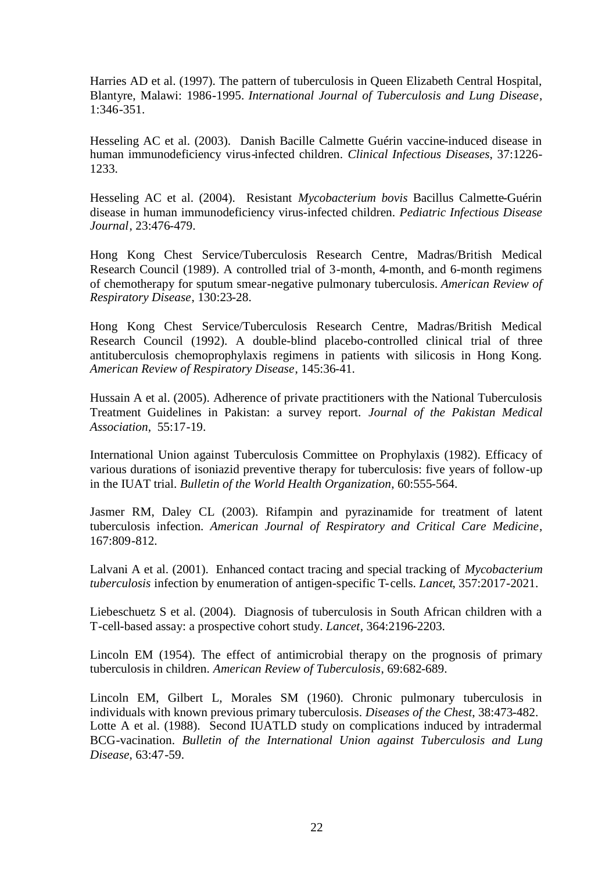Harries AD et al. (1997). The pattern of tuberculosis in Queen Elizabeth Central Hospital, Blantyre, Malawi: 1986-1995. *International Journal of Tuberculosis and Lung Disease*, 1:346-351.

Hesseling AC et al. (2003). Danish Bacille Calmette Guérin vaccine-induced disease in human immunodeficiency virus-infected children. *Clinical Infectious Diseases*, 37:1226- 1233.

Hesseling AC et al. (2004). Resistant *Mycobacterium bovis* Bacillus Calmette-Guérin disease in human immunodeficiency virus-infected children. *Pediatric Infectious Disease Journal*, 23:476-479.

Hong Kong Chest Service/Tuberculosis Research Centre, Madras/British Medical Research Council (1989). A controlled trial of 3-month, 4-month, and 6-month regimens of chemotherapy for sputum smear-negative pulmonary tuberculosis. *American Review of Respiratory Disease*, 130:23-28.

Hong Kong Chest Service/Tuberculosis Research Centre, Madras/British Medical Research Council (1992). A double-blind placebo-controlled clinical trial of three antituberculosis chemoprophylaxis regimens in patients with silicosis in Hong Kong. *American Review of Respiratory Disease*, 145:36-41.

Hussain A et al. (2005). Adherence of private practitioners with the National Tuberculosis Treatment Guidelines in Pakistan: a survey report. *Journal of the Pakistan Medical Association*, 55:17-19.

International Union against Tuberculosis Committee on Prophylaxis (1982). Efficacy of various durations of isoniazid preventive therapy for tuberculosis: five years of follow-up in the IUAT trial. *Bulletin of the World Health Organization*, 60:555-564.

Jasmer RM, Daley CL (2003). Rifampin and pyrazinamide for treatment of latent tuberculosis infection. *American Journal of Respiratory and Critical Care Medicine*, 167:809-812.

Lalvani A et al. (2001). Enhanced contact tracing and special tracking of *Mycobacterium tuberculosis* infection by enumeration of antigen-specific T-cells. *Lancet*, 357:2017-2021.

Liebeschuetz S et al. (2004). Diagnosis of tuberculosis in South African children with a T-cell-based assay: a prospective cohort study. *Lancet*, 364:2196-2203.

Lincoln EM (1954). The effect of antimicrobial therapy on the prognosis of primary tuberculosis in children. *American Review of Tuberculosis*, 69:682-689.

Lincoln EM, Gilbert L, Morales SM (1960). Chronic pulmonary tuberculosis in individuals with known previous primary tuberculosis. *Diseases of the Chest*, 38:473-482. Lotte A et al. (1988). Second IUATLD study on complications induced by intradermal BCG-vacination. *Bulletin of the International Union against Tuberculosis and Lung Disease*, 63:47-59.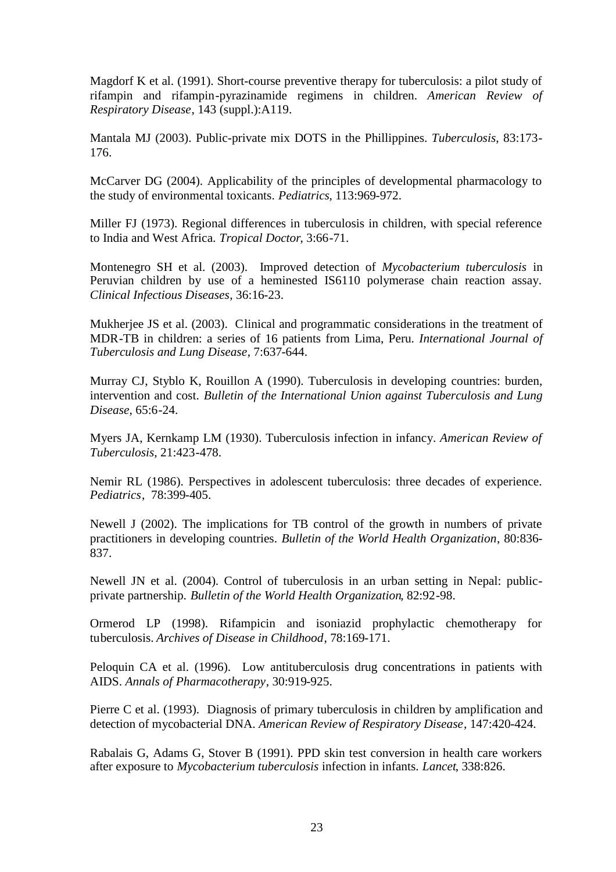Magdorf K et al. (1991). Short-course preventive therapy for tuberculosis: a pilot study of rifampin and rifampin-pyrazinamide regimens in children. *American Review of Respiratory Disease*, 143 (suppl.):A119.

Mantala MJ (2003). Public-private mix DOTS in the Phillippines. *Tuberculosis*, 83:173- 176.

McCarver DG (2004). Applicability of the principles of developmental pharmacology to the study of environmental toxicants. *Pediatrics*, 113:969-972.

Miller FJ (1973). Regional differences in tuberculosis in children, with special reference to India and West Africa. *Tropical Doctor*, 3:66-71.

Montenegro SH et al. (2003). Improved detection of *Mycobacterium tuberculosis* in Peruvian children by use of a heminested IS6110 polymerase chain reaction assay. *Clinical Infectious Diseases*, 36:16-23.

Mukherjee JS et al. (2003). Clinical and programmatic considerations in the treatment of MDR-TB in children: a series of 16 patients from Lima, Peru. *International Journal of Tuberculosis and Lung Disease*, 7:637-644.

Murray CJ, Styblo K, Rouillon A (1990). Tuberculosis in developing countries: burden, intervention and cost. *Bulletin of the International Union against Tuberculosis and Lung Disease*, 65:6-24.

Myers JA, Kernkamp LM (1930). Tuberculosis infection in infancy. *American Review of Tuberculosis*, 21:423-478.

Nemir RL (1986). Perspectives in adolescent tuberculosis: three decades of experience. *Pediatrics*, 78:399-405.

Newell J (2002). The implications for TB control of the growth in numbers of private practitioners in developing countries. *Bulletin of the World Health Organization*, 80:836- 837.

Newell JN et al. (2004). Control of tuberculosis in an urban setting in Nepal: publicprivate partnership. *Bulletin of the World Health Organization*, 82:92-98.

Ormerod LP (1998). Rifampicin and isoniazid prophylactic chemotherapy for tuberculosis. *Archives of Disease in Childhood*, 78:169-171.

Peloquin CA et al. (1996). Low antituberculosis drug concentrations in patients with AIDS. *Annals of Pharmacotherapy*, 30:919-925.

Pierre C et al. (1993). Diagnosis of primary tuberculosis in children by amplification and detection of mycobacterial DNA. *American Review of Respiratory Disease*, 147:420-424.

Rabalais G, Adams G, Stover B (1991). PPD skin test conversion in health care workers after exposure to *Mycobacterium tuberculosis* infection in infants. *Lancet*, 338:826.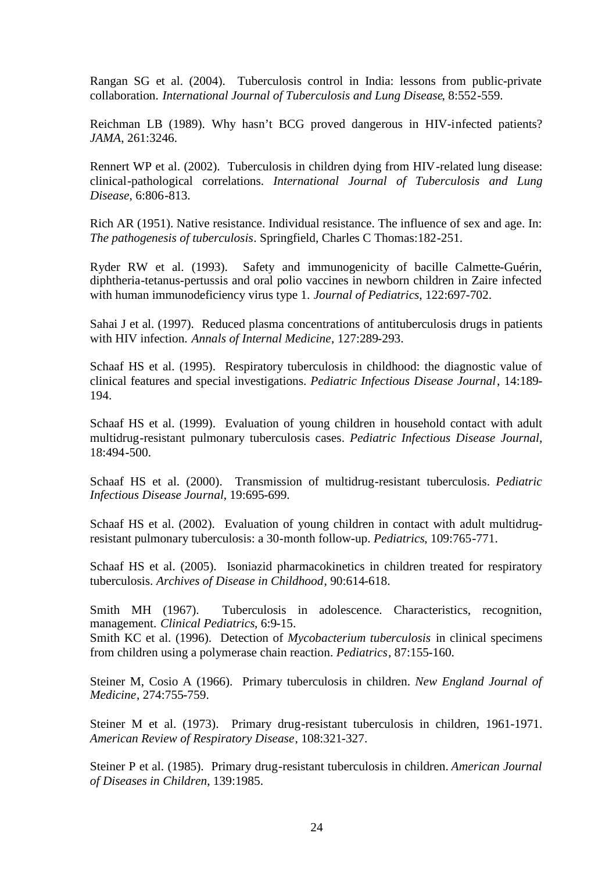Rangan SG et al. (2004). Tuberculosis control in India: lessons from public-private collaboration. *International Journal of Tuberculosis and Lung Disease*, 8:552-559.

Reichman LB (1989). Why hasn't BCG proved dangerous in HIV-infected patients? *JAMA*, 261:3246.

Rennert WP et al. (2002). Tuberculosis in children dying from HIV-related lung disease: clinical-pathological correlations. *International Journal of Tuberculosis and Lung Disease*, 6:806-813.

Rich AR (1951). Native resistance. Individual resistance. The influence of sex and age. In: *The pathogenesis of tuberculosis*. Springfield, Charles C Thomas:182-251.

Ryder RW et al. (1993). Safety and immunogenicity of bacille Calmette-Guérin, diphtheria-tetanus-pertussis and oral polio vaccines in newborn children in Zaire infected with human immunodeficiency virus type 1. *Journal of Pediatrics*, 122:697-702.

Sahai J et al. (1997). Reduced plasma concentrations of antituberculosis drugs in patients with HIV infection. *Annals of Internal Medicine*, 127:289-293.

Schaaf HS et al. (1995). Respiratory tuberculosis in childhood: the diagnostic value of clinical features and special investigations. *Pediatric Infectious Disease Journal*, 14:189- 194.

Schaaf HS et al. (1999). Evaluation of young children in household contact with adult multidrug-resistant pulmonary tuberculosis cases. *Pediatric Infectious Disease Journal*, 18:494-500.

Schaaf HS et al. (2000). Transmission of multidrug-resistant tuberculosis. *Pediatric Infectious Disease Journal*, 19:695-699.

Schaaf HS et al. (2002). Evaluation of young children in contact with adult multidrugresistant pulmonary tuberculosis: a 30-month follow-up. *Pediatrics*, 109:765-771.

Schaaf HS et al. (2005). Isoniazid pharmacokinetics in children treated for respiratory tuberculosis. *Archives of Disease in Childhood*, 90:614-618.

Smith MH (1967). Tuberculosis in adolescence. Characteristics, recognition, management. *Clinical Pediatrics*, 6:9-15.

Smith KC et al. (1996). Detection of *Mycobacterium tuberculosis* in clinical specimens from children using a polymerase chain reaction. *Pediatrics*, 87:155-160.

Steiner M, Cosio A (1966). Primary tuberculosis in children. *New England Journal of Medicine*, 274:755-759.

Steiner M et al. (1973). Primary drug-resistant tuberculosis in children, 1961-1971. *American Review of Respiratory Disease*, 108:321-327.

Steiner P et al. (1985). Primary drug-resistant tuberculosis in children. *American Journal of Diseases in Children*, 139:1985.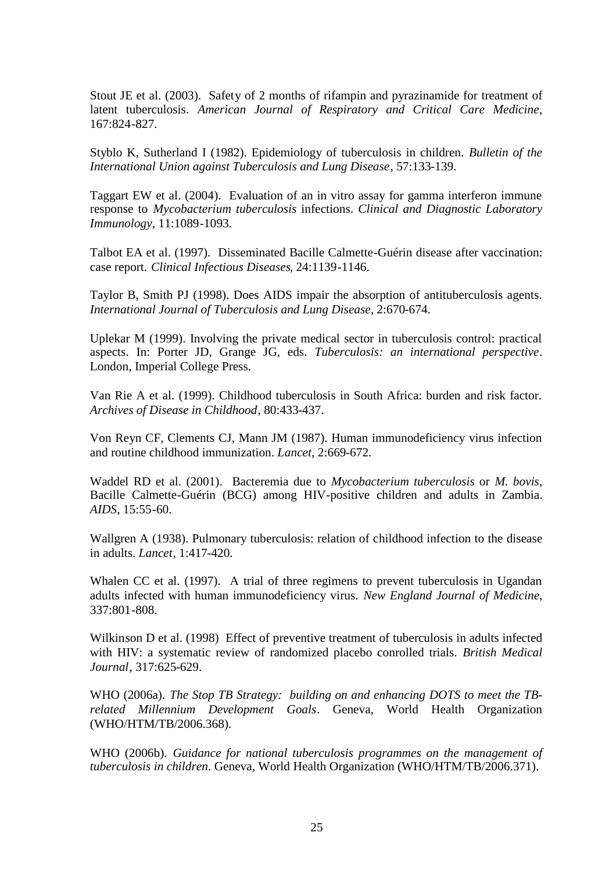Stout JE et al. (2003). Safety of 2 months of rifampin and pyrazinamide for treatment of latent tuberculosis. *American Journal of Respiratory and Critical Care Medicine*, 167:824-827.

Styblo K, Sutherland I (1982). Epidemiology of tuberculosis in children. *Bulletin of the International Union against Tuberculosis and Lung Disease*, 57:133-139.

Taggart EW et al. (2004). Evaluation of an in vitro assay for gamma interferon immune response to *Mycobacterium tuberculosis* infections. *Clinical and Diagnostic Laboratory Immunology*, 11:1089-1093.

Talbot EA et al. (1997). Disseminated Bacille Calmette-Guérin disease after vaccination: case report. *Clinical Infectious Diseases*, 24:1139-1146.

Taylor B, Smith PJ (1998). Does AIDS impair the absorption of antituberculosis agents. *International Journal of Tuberculosis and Lung Disease*, 2:670-674.

Uplekar M (1999). Involving the private medical sector in tuberculosis control: practical aspects. In: Porter JD, Grange JG, eds. *Tuberculosis: an international perspective*. London, Imperial College Press.

Van Rie A et al. (1999). Childhood tuberculosis in South Africa: burden and risk factor. *Archives of Disease in Childhood*, 80:433-437.

Von Reyn CF, Clements CJ, Mann JM (1987). Human immunodeficiency virus infection and routine childhood immunization. *Lancet*, 2:669-672.

Waddel RD et al. (2001). Bacteremia due to *Mycobacterium tuberculosis* or *M. bovis*, Bacille Calmette-Guérin (BCG) among HIV-positive children and adults in Zambia. *AIDS*, 15:55-60.

Wallgren A (1938). Pulmonary tuberculosis: relation of childhood infection to the disease in adults. *Lancet*, 1:417-420.

Whalen CC et al. (1997). A trial of three regimens to prevent tuberculosis in Ugandan adults infected with human immunodeficiency virus. *New England Journal of Medicine*, 337:801-808.

Wilkinson D et al. (1998) Effect of preventive treatment of tuberculosis in adults infected with HIV: a systematic review of randomized placebo conrolled trials. *British Medical Journal*, 317:625-629.

WHO (2006a). *The Stop TB Strategy: building on and enhancing DOTS to meet the TBrelated Millennium Development Goals*. Geneva, World Health Organization (WHO/HTM/TB/2006.368).

WHO (2006b). *Guidance for national tuberculosis programmes on the management of tuberculosis in children*. Geneva, World Health Organization (WHO/HTM/TB/2006.371).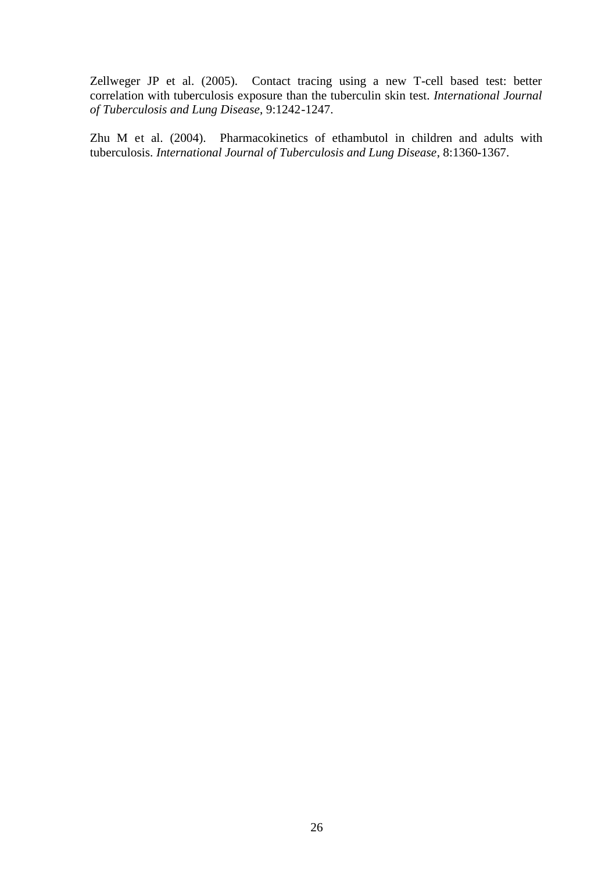Zellweger JP et al. (2005). Contact tracing using a new T-cell based test: better correlation with tuberculosis exposure than the tuberculin skin test. *International Journal of Tuberculosis and Lung Disease*, 9:1242-1247.

Zhu M et al. (2004). Pharmacokinetics of ethambutol in children and adults with tuberculosis. *International Journal of Tuberculosis and Lung Disease*, 8:1360-1367.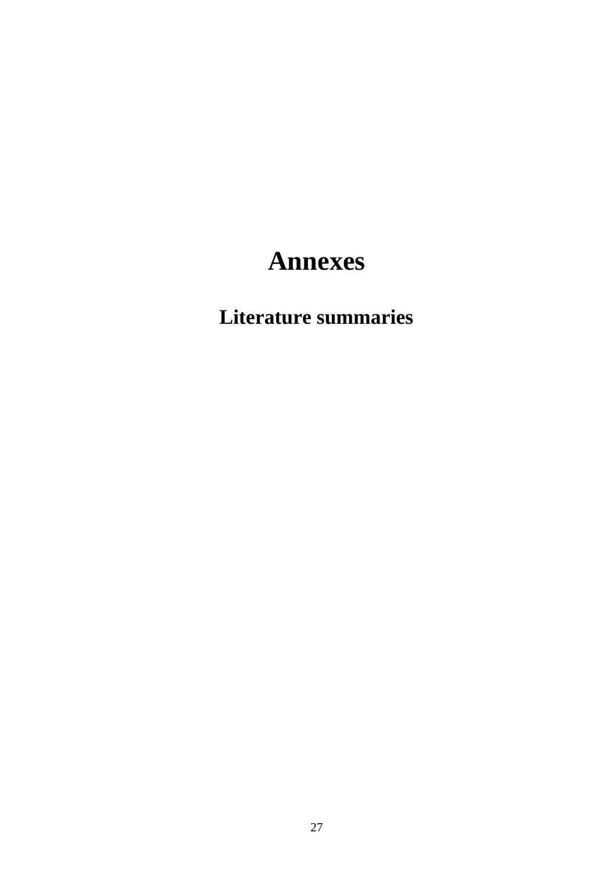## **Annexes**

## **Literature summaries**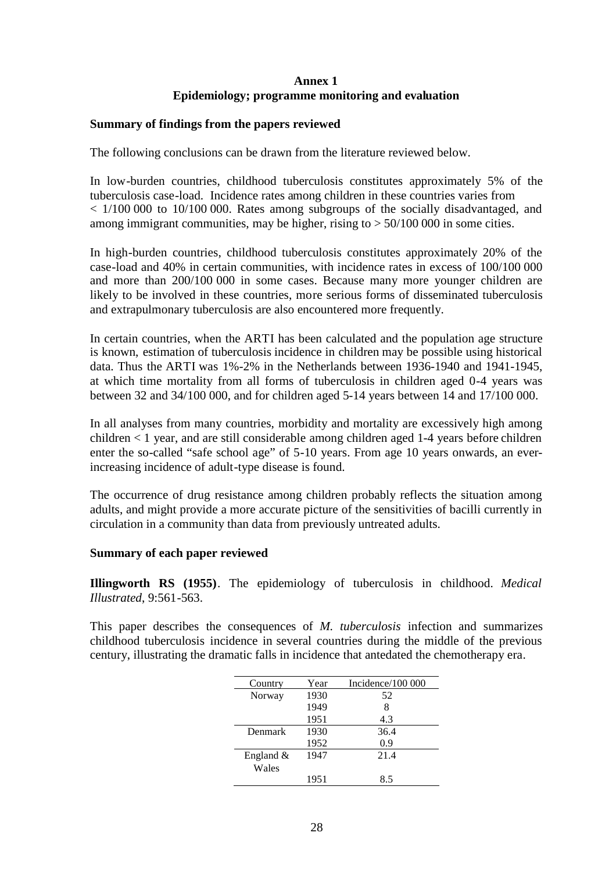## **Annex 1 Epidemiology; programme monitoring and evaluation**

### **Summary of findings from the papers reviewed**

The following conclusions can be drawn from the literature reviewed below.

In low-burden countries, childhood tuberculosis constitutes approximately 5% of the tuberculosis case-load. Incidence rates among children in these countries varies from < 1/100 000 to 10/100 000. Rates among subgroups of the socially disadvantaged, and among immigrant communities, may be higher, rising to  $> 50/100 000$  in some cities.

In high-burden countries, childhood tuberculosis constitutes approximately 20% of the case-load and 40% in certain communities, with incidence rates in excess of 100/100 000 and more than 200/100 000 in some cases. Because many more younger children are likely to be involved in these countries, more serious forms of disseminated tuberculosis and extrapulmonary tuberculosis are also encountered more frequently.

In certain countries, when the ARTI has been calculated and the population age structure is known, estimation of tuberculosis incidence in children may be possible using historical data. Thus the ARTI was 1%-2% in the Netherlands between 1936-1940 and 1941-1945, at which time mortality from all forms of tuberculosis in children aged 0-4 years was between 32 and 34/100 000, and for children aged 5-14 years between 14 and 17/100 000.

In all analyses from many countries, morbidity and mortality are excessively high among children < 1 year, and are still considerable among children aged 1-4 years before children enter the so-called "safe school age" of 5-10 years. From age 10 years onwards, an everincreasing incidence of adult-type disease is found.

The occurrence of drug resistance among children probably reflects the situation among adults, and might provide a more accurate picture of the sensitivities of bacilli currently in circulation in a community than data from previously untreated adults.

### **Summary of each paper reviewed**

**Illingworth RS (1955)**. The epidemiology of tuberculosis in childhood. *Medical Illustrated*, 9:561-563.

This paper describes the consequences of *M. tuberculosis* infection and summarizes childhood tuberculosis incidence in several countries during the middle of the previous century, illustrating the dramatic falls in incidence that antedated the chemotherapy era.

| Country      | Year | Incidence/ $100000$ |
|--------------|------|---------------------|
| Norway       | 1930 | 52                  |
|              | 1949 | 8                   |
|              | 1951 | 4.3                 |
| Denmark      | 1930 | 36.4                |
|              | 1952 | 0.9                 |
| England $\&$ | 1947 | 21.4                |
| Wales        |      |                     |
|              | 1951 | 8.5                 |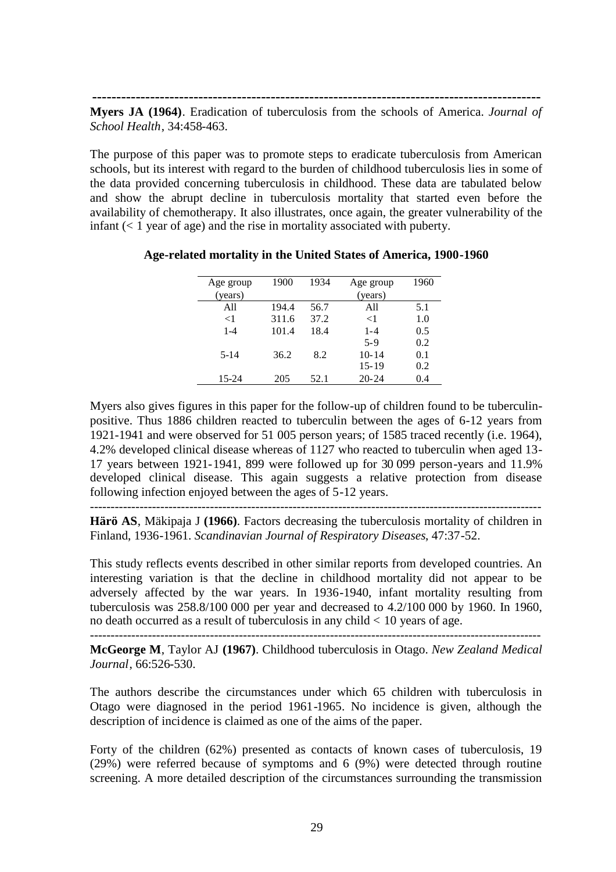**---------------------------------------------------------------------------------------------**

**Myers JA (1964)**. Eradication of tuberculosis from the schools of America. *Journal of School Health*, 34:458-463.

The purpose of this paper was to promote steps to eradicate tuberculosis from American schools, but its interest with regard to the burden of childhood tuberculosis lies in some of the data provided concerning tuberculosis in childhood. These data are tabulated below and show the abrupt decline in tuberculosis mortality that started even before the availability of chemotherapy. It also illustrates, once again, the greater vulnerability of the infant  $(< 1$  year of age) and the rise in mortality associated with puberty.

| Age group | 1900  | 1934 | Age group | 1960 |
|-----------|-------|------|-----------|------|
| (years)   |       |      | (years)   |      |
| A11       | 194.4 | 56.7 | All       | 5.1  |
| ${<}1$    | 311.6 | 37.2 | $<$ 1     | 1.0  |
| $1 - 4$   | 101.4 | 18.4 | $1 - 4$   | 0.5  |
|           |       |      | $5 - 9$   | 0.2  |
| $5 - 14$  | 36.2  | 8.2  | $10 - 14$ | 0.1  |
|           |       |      | $15 - 19$ | 0.2  |
| 15-24     | 205   | 52.1 | $20 - 24$ | 0.4  |

### **Age-related mortality in the United States of America, 1900-1960**

Myers also gives figures in this paper for the follow-up of children found to be tuberculinpositive. Thus 1886 children reacted to tuberculin between the ages of 6-12 years from 1921-1941 and were observed for 51 005 person years; of 1585 traced recently (i.e. 1964), 4.2% developed clinical disease whereas of 1127 who reacted to tuberculin when aged 13- 17 years between 1921-1941, 899 were followed up for 30 099 person-years and 11.9% developed clinical disease. This again suggests a relative protection from disease following infection enjoyed between the ages of 5-12 years.

**Härö AS**, Mäkipaja J **(1966)**. Factors decreasing the tuberculosis mortality of children in Finland, 1936-1961. *Scandinavian Journal of Respiratory Diseases*, 47:37-52.

This study reflects events described in other similar reports from developed countries. An interesting variation is that the decline in childhood mortality did not appear to be adversely affected by the war years. In 1936-1940, infant mortality resulting from tuberculosis was 258.8/100 000 per year and decreased to 4.2/100 000 by 1960. In 1960, no death occurred as a result of tuberculosis in any child < 10 years of age.

------------------------------------------------------------------------------------------------------------- **McGeorge M**, Taylor AJ **(1967)**. Childhood tuberculosis in Otago. *New Zealand Medical Journal*, 66:526-530.

The authors describe the circumstances under which 65 children with tuberculosis in Otago were diagnosed in the period 1961-1965. No incidence is given, although the description of incidence is claimed as one of the aims of the paper.

Forty of the children (62%) presented as contacts of known cases of tuberculosis, 19 (29%) were referred because of symptoms and 6 (9%) were detected through routine screening. A more detailed description of the circumstances surrounding the transmission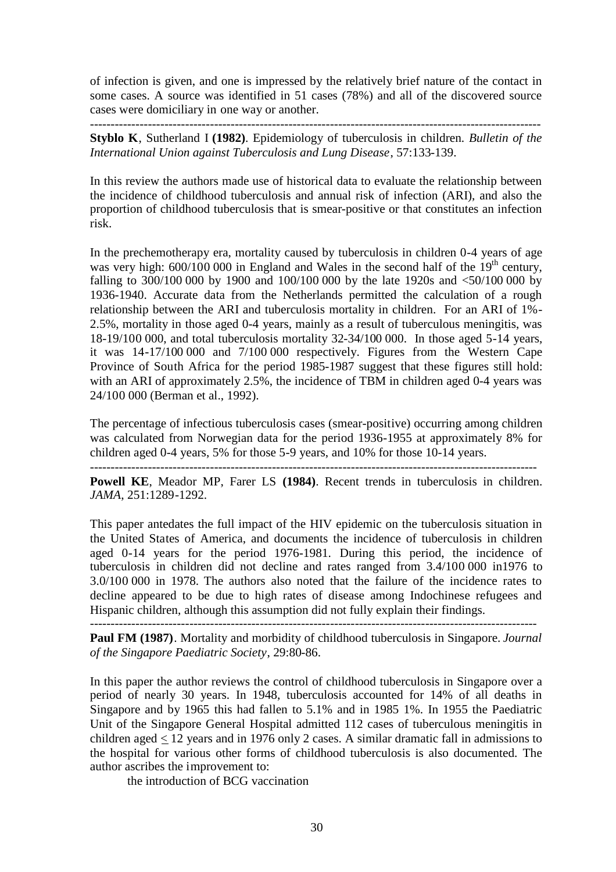of infection is given, and one is impressed by the relatively brief nature of the contact in some cases. A source was identified in 51 cases (78%) and all of the discovered source cases were domiciliary in one way or another. -------------------------------------------------------------------------------------------------------------

**Styblo K**, Sutherland I **(1982)**. Epidemiology of tuberculosis in children. *Bulletin of the International Union against Tuberculosis and Lung Disease*, 57:133-139.

In this review the authors made use of historical data to evaluate the relationship between the incidence of childhood tuberculosis and annual risk of infection (ARI), and also the proportion of childhood tuberculosis that is smear-positive or that constitutes an infection risk.

In the prechemotherapy era, mortality caused by tuberculosis in children 0-4 years of age was very high:  $600/100000$  in England and Wales in the second half of the  $19<sup>th</sup>$  century, falling to 300/100 000 by 1900 and 100/100 000 by the late 1920s and <50/100 000 by 1936-1940. Accurate data from the Netherlands permitted the calculation of a rough relationship between the ARI and tuberculosis mortality in children. For an ARI of 1%- 2.5%, mortality in those aged 0-4 years, mainly as a result of tuberculous meningitis, was 18-19/100 000, and total tuberculosis mortality 32-34/100 000. In those aged 5-14 years, it was 14-17/100 000 and 7/100 000 respectively. Figures from the Western Cape Province of South Africa for the period 1985-1987 suggest that these figures still hold: with an ARI of approximately 2.5%, the incidence of TBM in children aged 0-4 years was 24/100 000 (Berman et al., 1992).

The percentage of infectious tuberculosis cases (smear-positive) occurring among children was calculated from Norwegian data for the period 1936-1955 at approximately 8% for children aged 0-4 years, 5% for those 5-9 years, and 10% for those 10-14 years. ------------------------------------------------------------------------------------------------------------

**Powell KE**, Meador MP, Farer LS **(1984)**. Recent trends in tuberculosis in children. *JAMA*, 251:1289-1292.

This paper antedates the full impact of the HIV epidemic on the tuberculosis situation in the United States of America, and documents the incidence of tuberculosis in children aged 0-14 years for the period 1976-1981. During this period, the incidence of tuberculosis in children did not decline and rates ranged from 3.4/100 000 in1976 to 3.0/100 000 in 1978. The authors also noted that the failure of the incidence rates to decline appeared to be due to high rates of disease among Indochinese refugees and Hispanic children, although this assumption did not fully explain their findings.

------------------------------------------------------------------------------------------------------------

**Paul FM (1987)**. Mortality and morbidity of childhood tuberculosis in Singapore. *Journal of the Singapore Paediatric Society*, 29:80-86.

In this paper the author reviews the control of childhood tuberculosis in Singapore over a period of nearly 30 years. In 1948, tuberculosis accounted for 14% of all deaths in Singapore and by 1965 this had fallen to 5.1% and in 1985 1%. In 1955 the Paediatric Unit of the Singapore General Hospital admitted 112 cases of tuberculous meningitis in children aged  $\leq 12$  years and in 1976 only 2 cases. A similar dramatic fall in admissions to the hospital for various other forms of childhood tuberculosis is also documented. The author ascribes the improvement to:

the introduction of BCG vaccination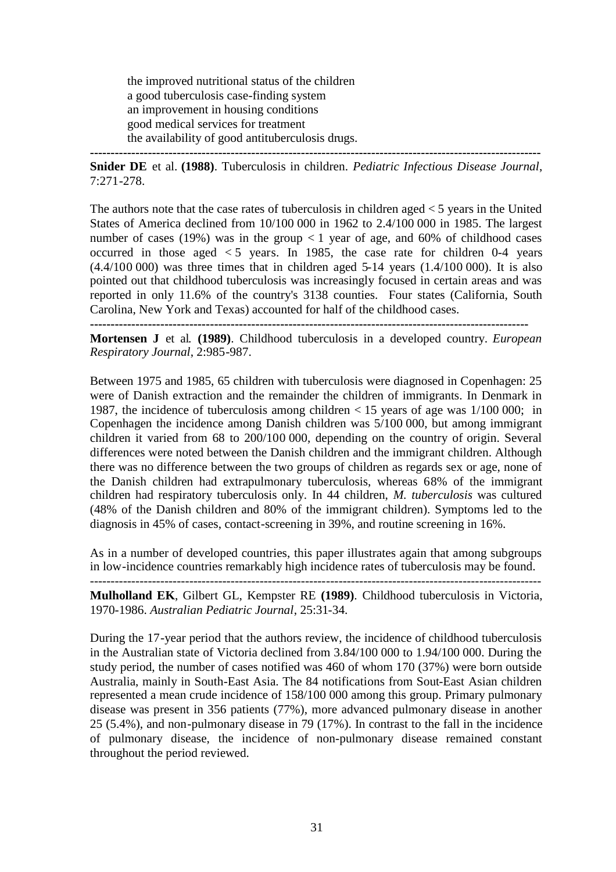the improved nutritional status of the children a good tuberculosis case-finding system an improvement in housing conditions good medical services for treatment the availability of good antituberculosis drugs. **-------------------------------------------------------------------------------------------------------------**

**Snider DE** et al. **(1988)**. Tuberculosis in children. *Pediatric Infectious Disease Journal*, 7:271-278.

The authors note that the case rates of tuberculosis in children aged  $<$  5 years in the United States of America declined from 10/100 000 in 1962 to 2.4/100 000 in 1985. The largest number of cases (19%) was in the group  $\langle 1 \rangle$  year of age, and 60% of childhood cases occurred in those aged  $\lt 5$  years. In 1985, the case rate for children 0-4 years  $(4.4/100 000)$  was three times that in children aged 5-14 years  $(1.4/100 000)$ . It is also pointed out that childhood tuberculosis was increasingly focused in certain areas and was reported in only 11.6% of the country's 3138 counties. Four states (California, South Carolina, New York and Texas) accounted for half of the childhood cases. **----------------------------------------------------------------------------------------------------------**

**Mortensen J** et al. **(1989)**. Childhood tuberculosis in a developed country. *European Respiratory Journal*, 2:985-987.

Between 1975 and 1985, 65 children with tuberculosis were diagnosed in Copenhagen: 25 were of Danish extraction and the remainder the children of immigrants. In Denmark in 1987, the incidence of tuberculosis among children < 15 years of age was 1/100 000; in Copenhagen the incidence among Danish children was 5/100 000, but among immigrant children it varied from 68 to 200/100 000, depending on the country of origin. Several differences were noted between the Danish children and the immigrant children. Although there was no difference between the two groups of children as regards sex or age, none of the Danish children had extrapulmonary tuberculosis, whereas 68% of the immigrant children had respiratory tuberculosis only. In 44 children, *M. tuberculosis* was cultured (48% of the Danish children and 80% of the immigrant children). Symptoms led to the diagnosis in 45% of cases, contact-screening in 39%, and routine screening in 16%.

As in a number of developed countries, this paper illustrates again that among subgroups in low-incidence countries remarkably high incidence rates of tuberculosis may be found.

------------------------------------------------------------------------------------------------------------- **Mulholland EK**, Gilbert GL, Kempster RE **(1989)**. Childhood tuberculosis in Victoria, 1970-1986. *Australian Pediatric Journal*, 25:31-34.

During the 17-year period that the authors review, the incidence of childhood tuberculosis in the Australian state of Victoria declined from 3.84/100 000 to 1.94/100 000. During the study period, the number of cases notified was 460 of whom 170 (37%) were born outside Australia, mainly in South-East Asia. The 84 notifications from Sout-East Asian children represented a mean crude incidence of 158/100 000 among this group. Primary pulmonary disease was present in 356 patients (77%), more advanced pulmonary disease in another 25 (5.4%), and non-pulmonary disease in 79 (17%). In contrast to the fall in the incidence of pulmonary disease, the incidence of non-pulmonary disease remained constant throughout the period reviewed.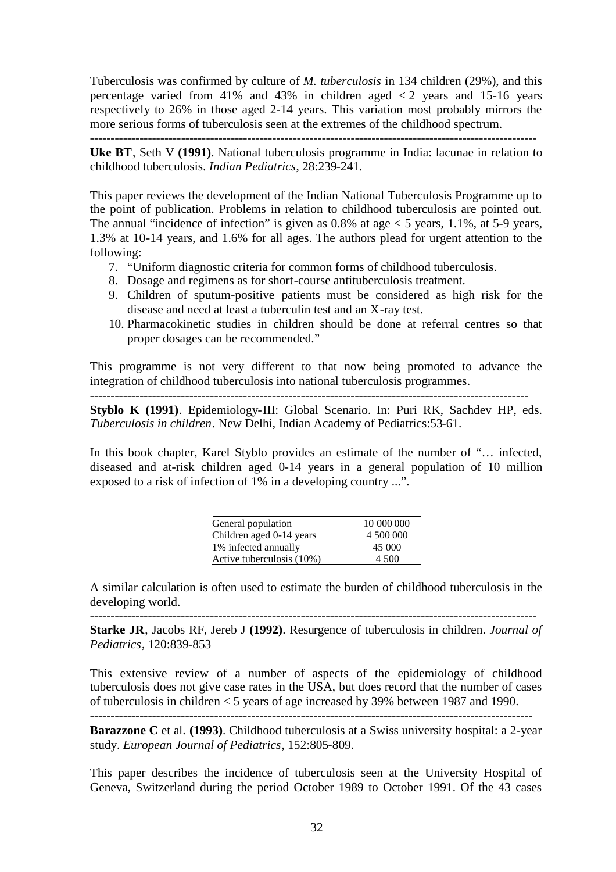Tuberculosis was confirmed by culture of *M. tuberculosis* in 134 children (29%), and this percentage varied from 41% and 43% in children aged  $\lt 2$  years and 15-16 years respectively to 26% in those aged 2-14 years. This variation most probably mirrors the more serious forms of tuberculosis seen at the extremes of the childhood spectrum.

**Uke BT**, Seth V **(1991)**. National tuberculosis programme in India: lacunae in relation to childhood tuberculosis. *Indian Pediatrics*, 28:239-241.

This paper reviews the development of the Indian National Tuberculosis Programme up to the point of publication. Problems in relation to childhood tuberculosis are pointed out. The annual "incidence of infection" is given as  $0.8\%$  at age  $< 5$  years, 1.1%, at 5-9 years, 1.3% at 10-14 years, and 1.6% for all ages. The authors plead for urgent attention to the following:

- 7. "Uniform diagnostic criteria for common forms of childhood tuberculosis.
- 8. Dosage and regimens as for short-course antituberculosis treatment.
- 9. Children of sputum-positive patients must be considered as high risk for the disease and need at least a tuberculin test and an X-ray test.
- 10. Pharmacokinetic studies in children should be done at referral centres so that proper dosages can be recommended."

This programme is not very different to that now being promoted to advance the integration of childhood tuberculosis into national tuberculosis programmes.

----------------------------------------------------------------------------------------------------------

**Styblo K (1991)**. Epidemiology-III: Global Scenario. In: Puri RK, Sachdev HP, eds. *Tuberculosis in children*. New Delhi, Indian Academy of Pediatrics:53-61.

In this book chapter, Karel Styblo provides an estimate of the number of "… infected, diseased and at-risk children aged 0-14 years in a general population of 10 million exposed to a risk of infection of 1% in a developing country ...".

| General population        | 10 000 000 |
|---------------------------|------------|
| Children aged 0-14 years  | 4 500 000  |
| 1% infected annually      | 45 000     |
| Active tuberculosis (10%) | 4 500      |

A similar calculation is often used to estimate the burden of childhood tuberculosis in the developing world. ------------------------------------------------------------------------------------------------------------

**Starke JR**, Jacobs RF, Jereb J **(1992)**. Resurgence of tuberculosis in children. *Journal of Pediatrics*, 120:839-853

This extensive review of a number of aspects of the epidemiology of childhood tuberculosis does not give case rates in the USA, but does record that the number of cases of tuberculosis in children < 5 years of age increased by 39% between 1987 and 1990.

-----------------------------------------------------------------------------------------------------------

**Barazzone C** et al. **(1993)**. Childhood tuberculosis at a Swiss university hospital: a 2-year study. *European Journal of Pediatrics*, 152:805-809.

This paper describes the incidence of tuberculosis seen at the University Hospital of Geneva, Switzerland during the period October 1989 to October 1991. Of the 43 cases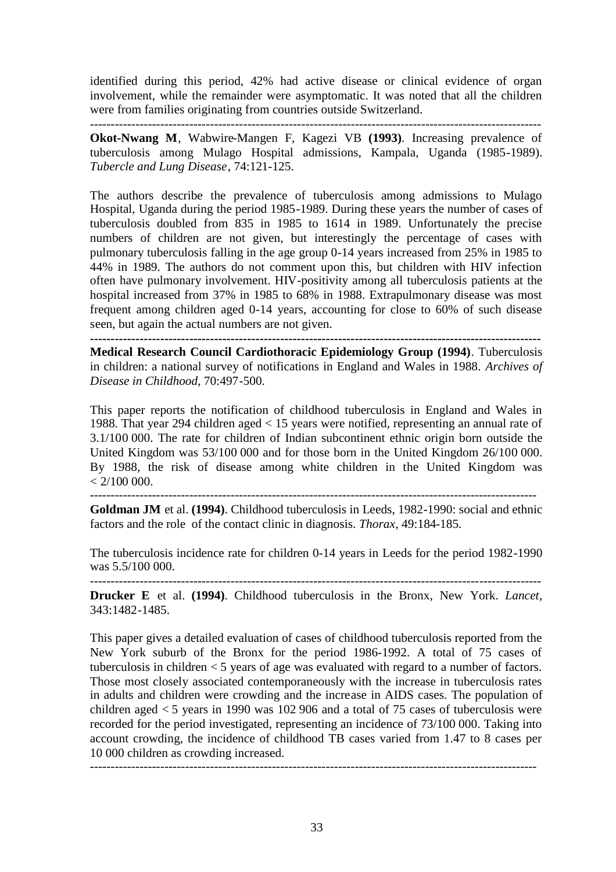identified during this period, 42% had active disease or clinical evidence of organ involvement, while the remainder were asymptomatic. It was noted that all the children were from families originating from countries outside Switzerland. -------------------------------------------------------------------------------------------------------------

**Okot-Nwang M**, Wabwire-Mangen F, Kagezi VB **(1993)**. Increasing prevalence of tuberculosis among Mulago Hospital admissions, Kampala, Uganda (1985-1989). *Tubercle and Lung Disease*, 74:121-125.

The authors describe the prevalence of tuberculosis among admissions to Mulago Hospital, Uganda during the period 1985-1989. During these years the number of cases of tuberculosis doubled from 835 in 1985 to 1614 in 1989. Unfortunately the precise numbers of children are not given, but interestingly the percentage of cases with pulmonary tuberculosis falling in the age group 0-14 years increased from 25% in 1985 to 44% in 1989. The authors do not comment upon this, but children with HIV infection often have pulmonary involvement. HIV-positivity among all tuberculosis patients at the hospital increased from 37% in 1985 to 68% in 1988. Extrapulmonary disease was most frequent among children aged 0-14 years, accounting for close to 60% of such disease seen, but again the actual numbers are not given.

**-------------------------------------------------------------------------------------------------------------**

**Medical Research Council Cardiothoracic Epidemiology Group (1994)**. Tuberculosis in children: a national survey of notifications in England and Wales in 1988. *Archives of Disease in Childhood*, 70:497-500.

This paper reports the notification of childhood tuberculosis in England and Wales in 1988. That year 294 children aged < 15 years were notified, representing an annual rate of 3.1/100 000. The rate for children of Indian subcontinent ethnic origin born outside the United Kingdom was 53/100 000 and for those born in the United Kingdom 26/100 000. By 1988, the risk of disease among white children in the United Kingdom was  $< 2/100 000$ .

------------------------------------------------------------------------------------------------------------

**Goldman JM** et al. **(1994)**. Childhood tuberculosis in Leeds, 1982-1990: social and ethnic factors and the role of the contact clinic in diagnosis. *Thorax*, 49:184-185.

The tuberculosis incidence rate for children 0-14 years in Leeds for the period 1982-1990 was 5.5/100 000.

------------------------------------------------------------------------------------------------------------- **Drucker E** et al. **(1994)**. Childhood tuberculosis in the Bronx, New York. *Lancet*, 343:1482-1485.

This paper gives a detailed evaluation of cases of childhood tuberculosis reported from the New York suburb of the Bronx for the period 1986-1992. A total of 75 cases of tuberculosis in children < 5 years of age was evaluated with regard to a number of factors. Those most closely associated contemporaneously with the increase in tuberculosis rates in adults and children were crowding and the increase in AIDS cases. The population of children aged  $\lt 5$  years in 1990 was 102 906 and a total of 75 cases of tuberculosis were recorded for the period investigated, representing an incidence of 73/100 000. Taking into account crowding, the incidence of childhood TB cases varied from 1.47 to 8 cases per 10 000 children as crowding increased.

------------------------------------------------------------------------------------------------------------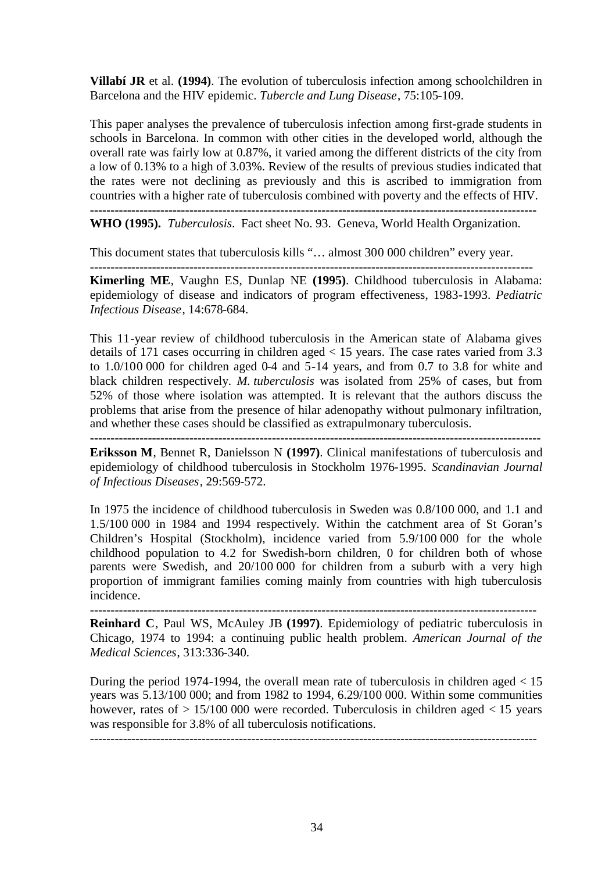**Villabí JR** et al. **(1994)**. The evolution of tuberculosis infection among schoolchildren in Barcelona and the HIV epidemic. *Tubercle and Lung Disease*, 75:105-109.

This paper analyses the prevalence of tuberculosis infection among first-grade students in schools in Barcelona. In common with other cities in the developed world, although the overall rate was fairly low at 0.87%, it varied among the different districts of the city from a low of 0.13% to a high of 3.03%. Review of the results of previous studies indicated that the rates were not declining as previously and this is ascribed to immigration from countries with a higher rate of tuberculosis combined with poverty and the effects of HIV. **------------------------------------------------------------------------------------------------------------**

**WHO (1995).** *Tuberculosis*. Fact sheet No. 93. Geneva, World Health Organization.

This document states that tuberculosis kills "… almost 300 000 children" every year. -----------------------------------------------------------------------------------------------------------

**Kimerling ME**, Vaughn ES, Dunlap NE **(1995)**. Childhood tuberculosis in Alabama: epidemiology of disease and indicators of program effectiveness, 1983-1993. *Pediatric Infectious Disease*, 14:678-684.

This 11-year review of childhood tuberculosis in the American state of Alabama gives details of 171 cases occurring in children aged < 15 years. The case rates varied from 3.3 to 1.0/100 000 for children aged 0-4 and 5-14 years, and from 0.7 to 3.8 for white and black children respectively. *M. tuberculosis* was isolated from 25% of cases, but from 52% of those where isolation was attempted. It is relevant that the authors discuss the problems that arise from the presence of hilar adenopathy without pulmonary infiltration, and whether these cases should be classified as extrapulmonary tuberculosis.

**-------------------------------------------------------------------------------------------------------------**

**Eriksson M**, Bennet R, Danielsson N **(1997)**. Clinical manifestations of tuberculosis and epidemiology of childhood tuberculosis in Stockholm 1976-1995. *Scandinavian Journal of Infectious Diseases*, 29:569-572.

In 1975 the incidence of childhood tuberculosis in Sweden was 0.8/100 000, and 1.1 and 1.5/100 000 in 1984 and 1994 respectively. Within the catchment area of St Goran's Children's Hospital (Stockholm), incidence varied from 5.9/100 000 for the whole childhood population to 4.2 for Swedish-born children, 0 for children both of whose parents were Swedish, and 20/100 000 for children from a suburb with a very high proportion of immigrant families coming mainly from countries with high tuberculosis incidence.

------------------------------------------------------------------------------------------------------------

**Reinhard C**, Paul WS, McAuley JB **(1997)**. Epidemiology of pediatric tuberculosis in Chicago, 1974 to 1994: a continuing public health problem. *American Journal of the Medical Sciences*, 313:336-340.

During the period 1974-1994, the overall mean rate of tuberculosis in children aged  $< 15$ years was 5.13/100 000; and from 1982 to 1994, 6.29/100 000. Within some communities however, rates of  $> 15/100 000$  were recorded. Tuberculosis in children aged  $< 15$  years was responsible for 3.8% of all tuberculosis notifications. ------------------------------------------------------------------------------------------------------------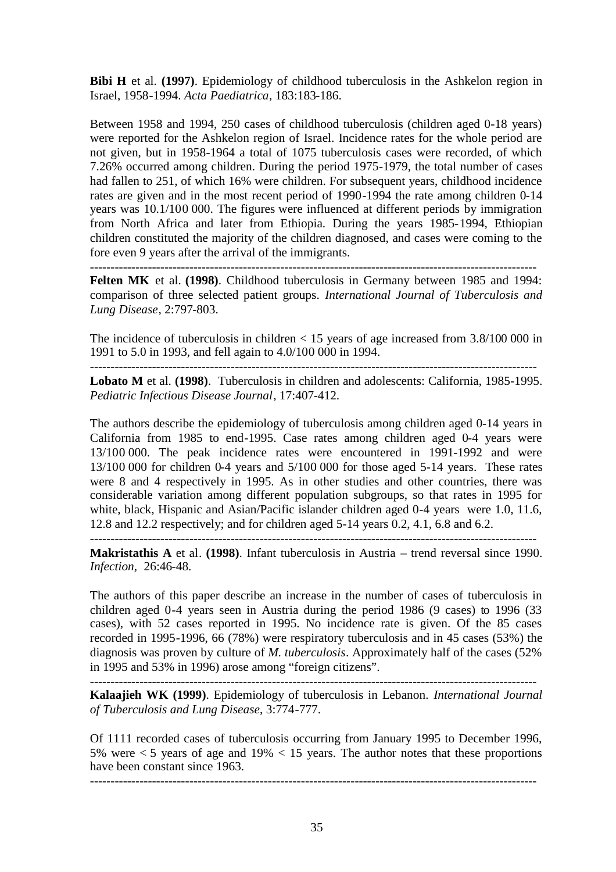**Bibi H** et al. **(1997)**. Epidemiology of childhood tuberculosis in the Ashkelon region in Israel, 1958-1994. *Acta Paediatrica*, 183:183-186.

Between 1958 and 1994, 250 cases of childhood tuberculosis (children aged 0-18 years) were reported for the Ashkelon region of Israel. Incidence rates for the whole period are not given, but in 1958-1964 a total of 1075 tuberculosis cases were recorded, of which 7.26% occurred among children. During the period 1975-1979, the total number of cases had fallen to 251, of which 16% were children. For subsequent years, childhood incidence rates are given and in the most recent period of 1990-1994 the rate among children 0-14 years was 10.1/100 000. The figures were influenced at different periods by immigration from North Africa and later from Ethiopia. During the years 1985-1994, Ethiopian children constituted the majority of the children diagnosed, and cases were coming to the fore even 9 years after the arrival of the immigrants.

------------------------------------------------------------------------------------------------------------

**Felten MK** et al. **(1998)**. Childhood tuberculosis in Germany between 1985 and 1994: comparison of three selected patient groups. *International Journal of Tuberculosis and Lung Disease*, 2:797-803.

The incidence of tuberculosis in children  $< 15$  years of age increased from 3.8/100 000 in 1991 to 5.0 in 1993, and fell again to 4.0/100 000 in 1994.

------------------------------------------------------------------------------------------------------------ **Lobato M** et al. **(1998)**. Tuberculosis in children and adolescents: California, 1985-1995.

*Pediatric Infectious Disease Journal*, 17:407-412.

The authors describe the epidemiology of tuberculosis among children aged 0-14 years in California from 1985 to end-1995. Case rates among children aged 0-4 years were 13/100 000. The peak incidence rates were encountered in 1991-1992 and were 13/100 000 for children 0-4 years and 5/100 000 for those aged 5-14 years. These rates were 8 and 4 respectively in 1995. As in other studies and other countries, there was considerable variation among different population subgroups, so that rates in 1995 for white, black, Hispanic and Asian/Pacific islander children aged 0-4 years were 1.0, 11.6, 12.8 and 12.2 respectively; and for children aged 5-14 years 0.2, 4.1, 6.8 and 6.2.

**Makristathis A** et al. **(1998)**. Infant tuberculosis in Austria – trend reversal since 1990. *Infection,* 26:46-48.

------------------------------------------------------------------------------------------------------------

The authors of this paper describe an increase in the number of cases of tuberculosis in children aged 0-4 years seen in Austria during the period 1986 (9 cases) to 1996 (33 cases), with 52 cases reported in 1995. No incidence rate is given. Of the 85 cases recorded in 1995-1996, 66 (78%) were respiratory tuberculosis and in 45 cases (53%) the diagnosis was proven by culture of *M. tuberculosis*. Approximately half of the cases (52% in 1995 and 53% in 1996) arose among "foreign citizens".

------------------------------------------------------------------------------------------------------------

**Kalaajieh WK (1999)**. Epidemiology of tuberculosis in Lebanon. *International Journal of Tuberculosis and Lung Disease*, 3:774-777.

Of 1111 recorded cases of tuberculosis occurring from January 1995 to December 1996, 5% were  $\lt$  5 years of age and 19%  $\lt$  15 years. The author notes that these proportions have been constant since 1963.

------------------------------------------------------------------------------------------------------------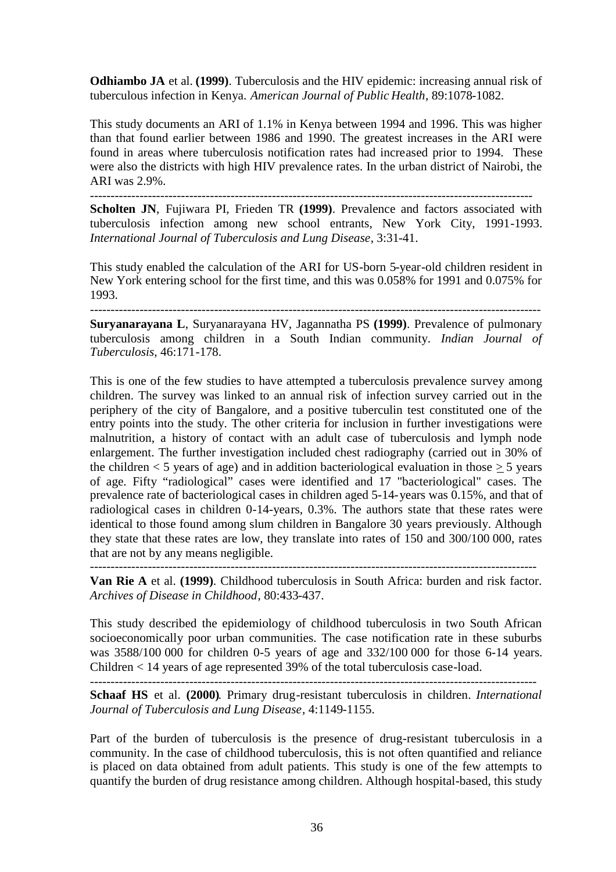**Odhiambo JA** et al. **(1999)**. Tuberculosis and the HIV epidemic: increasing annual risk of tuberculous infection in Kenya. *American Journal of Public Health*, 89:1078-1082.

This study documents an ARI of 1.1% in Kenya between 1994 and 1996. This was higher than that found earlier between 1986 and 1990. The greatest increases in the ARI were found in areas where tuberculosis notification rates had increased prior to 1994. These were also the districts with high HIV prevalence rates. In the urban district of Nairobi, the ARI was 2.9%.

-----------------------------------------------------------------------------------------------------------

**Scholten JN**, Fujiwara PI, Frieden TR **(1999)**. Prevalence and factors associated with tuberculosis infection among new school entrants, New York City, 1991-1993. *International Journal of Tuberculosis and Lung Disease*, 3:31-41.

This study enabled the calculation of the ARI for US-born 5-year-old children resident in New York entering school for the first time, and this was 0.058% for 1991 and 0.075% for 1993.

-------------------------------------------------------------------------------------------------------------

**Suryanarayana L**, Suryanarayana HV, Jagannatha PS **(1999)**. Prevalence of pulmonary tuberculosis among children in a South Indian community. *Indian Journal of Tuberculosis*, 46:171-178.

This is one of the few studies to have attempted a tuberculosis prevalence survey among children. The survey was linked to an annual risk of infection survey carried out in the periphery of the city of Bangalore, and a positive tuberculin test constituted one of the entry points into the study. The other criteria for inclusion in further investigations were malnutrition, a history of contact with an adult case of tuberculosis and lymph node enlargement. The further investigation included chest radiography (carried out in 30% of the children  $\lt 5$  years of age) and in addition bacteriological evaluation in those  $> 5$  years of age. Fifty "radiological" cases were identified and 17 "bacteriological" cases. The prevalence rate of bacteriological cases in children aged 5-14-years was 0.15%, and that of radiological cases in children 0-14-years, 0.3%. The authors state that these rates were identical to those found among slum children in Bangalore 30 years previously. Although they state that these rates are low, they translate into rates of 150 and 300/100 000, rates that are not by any means negligible.

------------------------------------------------------------------------------------------------------------

**Van Rie A** et al. **(1999)**. Childhood tuberculosis in South Africa: burden and risk factor. *Archives of Disease in Childhood*, 80:433-437.

This study described the epidemiology of childhood tuberculosis in two South African socioeconomically poor urban communities. The case notification rate in these suburbs was 3588/100 000 for children 0-5 years of age and 332/100 000 for those 6-14 years. Children < 14 years of age represented 39% of the total tuberculosis case-load.

------------------------------------------------------------------------------------------------------------

**Schaaf HS** et al. **(2000)**. Primary drug-resistant tuberculosis in children. *International Journal of Tuberculosis and Lung Disease*, 4:1149-1155.

Part of the burden of tuberculosis is the presence of drug-resistant tuberculosis in a community. In the case of childhood tuberculosis, this is not often quantified and reliance is placed on data obtained from adult patients. This study is one of the few attempts to quantify the burden of drug resistance among children. Although hospital-based, this study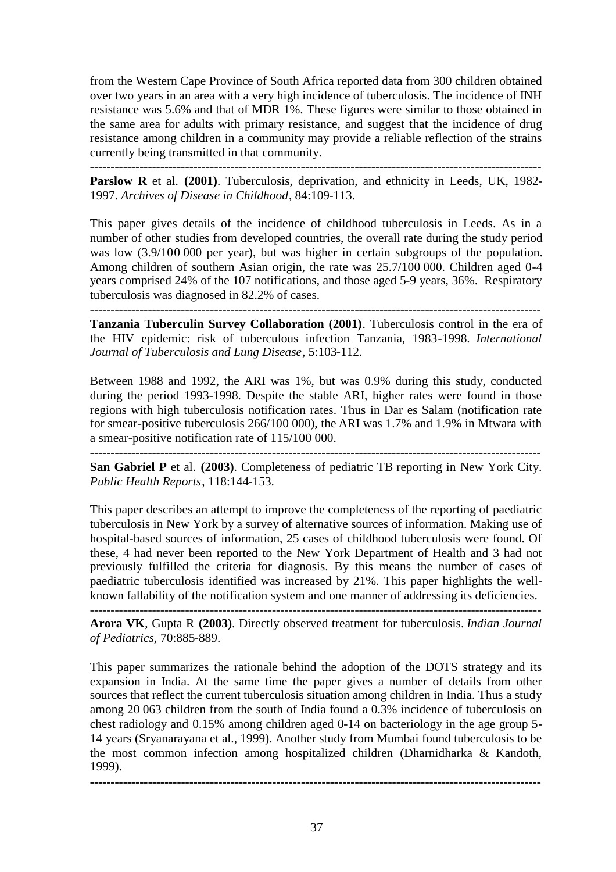from the Western Cape Province of South Africa reported data from 300 children obtained over two years in an area with a very high incidence of tuberculosis. The incidence of INH resistance was 5.6% and that of MDR 1%. These figures were similar to those obtained in the same area for adults with primary resistance, and suggest that the incidence of drug resistance among children in a community may provide a reliable reflection of the strains currently being transmitted in that community.

**-------------------------------------------------------------------------------------------------------------** Parslow R et al. (2001). Tuberculosis, deprivation, and ethnicity in Leeds, UK, 1982-1997. *Archives of Disease in Childhood*, 84:109-113.

This paper gives details of the incidence of childhood tuberculosis in Leeds. As in a number of other studies from developed countries, the overall rate during the study period was low (3.9/100 000 per year), but was higher in certain subgroups of the population. Among children of southern Asian origin, the rate was 25.7/100 000. Children aged 0-4 years comprised 24% of the 107 notifications, and those aged 5-9 years, 36%. Respiratory tuberculosis was diagnosed in 82.2% of cases.

-------------------------------------------------------------------------------------------------------------

**Tanzania Tuberculin Survey Collaboration (2001)**. Tuberculosis control in the era of the HIV epidemic: risk of tuberculous infection Tanzania, 1983-1998. *International Journal of Tuberculosis and Lung Disease*, 5:103-112.

Between 1988 and 1992, the ARI was 1%, but was 0.9% during this study, conducted during the period 1993-1998. Despite the stable ARI, higher rates were found in those regions with high tuberculosis notification rates. Thus in Dar es Salam (notification rate for smear-positive tuberculosis 266/100 000), the ARI was 1.7% and 1.9% in Mtwara with a smear-positive notification rate of 115/100 000.

**San Gabriel P** et al. **(2003)**. Completeness of pediatric TB reporting in New York City. *Public Health Reports*, 118:144-153.

This paper describes an attempt to improve the completeness of the reporting of paediatric tuberculosis in New York by a survey of alternative sources of information. Making use of hospital-based sources of information, 25 cases of childhood tuberculosis were found. Of these, 4 had never been reported to the New York Department of Health and 3 had not previously fulfilled the criteria for diagnosis. By this means the number of cases of paediatric tuberculosis identified was increased by 21%. This paper highlights the wellknown fallability of the notification system and one manner of addressing its deficiencies.

**Arora VK**, Gupta R **(2003)**. Directly observed treatment for tuberculosis. *Indian Journal of Pediatrics,* 70:885-889.

This paper summarizes the rationale behind the adoption of the DOTS strategy and its expansion in India. At the same time the paper gives a number of details from other sources that reflect the current tuberculosis situation among children in India. Thus a study among 20 063 children from the south of India found a 0.3% incidence of tuberculosis on chest radiology and 0.15% among children aged 0-14 on bacteriology in the age group 5- 14 years (Sryanarayana et al., 1999). Another study from Mumbai found tuberculosis to be the most common infection among hospitalized children (Dharnidharka & Kandoth, 1999).

**-------------------------------------------------------------------------------------------------------------**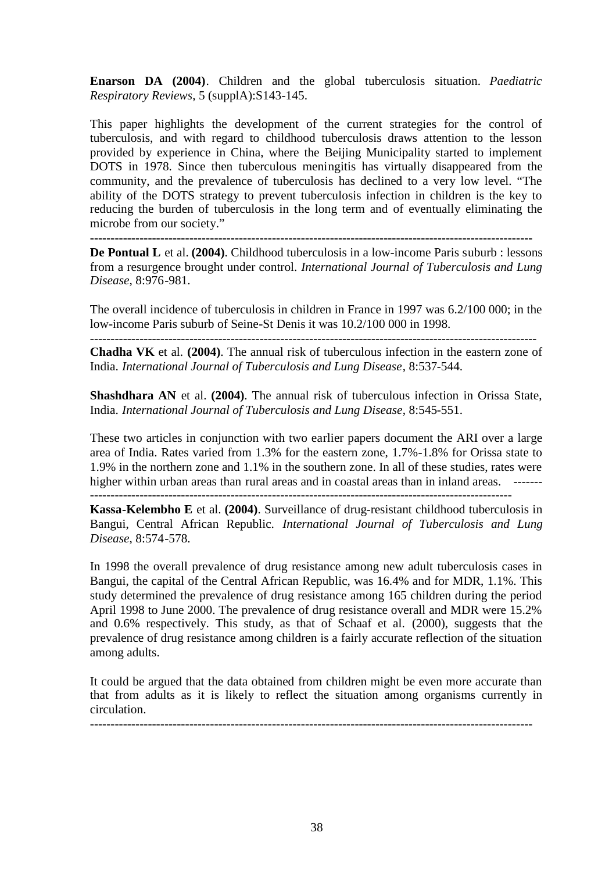**Enarson DA (2004)**. Children and the global tuberculosis situation. *Paediatric Respiratory Reviews*, 5 (supplA):S143-145.

This paper highlights the development of the current strategies for the control of tuberculosis, and with regard to childhood tuberculosis draws attention to the lesson provided by experience in China, where the Beijing Municipality started to implement DOTS in 1978. Since then tuberculous meningitis has virtually disappeared from the community, and the prevalence of tuberculosis has declined to a very low level. "The ability of the DOTS strategy to prevent tuberculosis infection in children is the key to reducing the burden of tuberculosis in the long term and of eventually eliminating the microbe from our society."

**-----------------------------------------------------------------------------------------------------------**

**De Pontual L** et al. **(2004)**. Childhood tuberculosis in a low-income Paris suburb : lessons from a resurgence brought under control. *International Journal of Tuberculosis and Lung Disease*, 8:976-981.

The overall incidence of tuberculosis in children in France in 1997 was 6.2/100 000; in the low-income Paris suburb of Seine-St Denis it was 10.2/100 000 in 1998.

------------------------------------------------------------------------------------------------------------ **Chadha VK** et al. **(2004)**. The annual risk of tuberculous infection in the eastern zone of India. *International Journal of Tuberculosis and Lung Disease*, 8:537-544.

**Shashdhara AN** et al. **(2004)**. The annual risk of tuberculous infection in Orissa State, India. *International Journal of Tuberculosis and Lung Disease*, 8:545-551.

These two articles in conjunction with two earlier papers document the ARI over a large area of India. Rates varied from 1.3% for the eastern zone, 1.7%-1.8% for Orissa state to 1.9% in the northern zone and 1.1% in the southern zone. In all of these studies, rates were higher within urban areas than rural areas and in coastal areas than in inland areas. -------

------------------------------------------------------------------------------------------------------

**Kassa-Kelembho E** et al. **(2004)**. Surveillance of drug-resistant childhood tuberculosis in Bangui, Central African Republic. *International Journal of Tuberculosis and Lung Disease*, 8:574-578.

In 1998 the overall prevalence of drug resistance among new adult tuberculosis cases in Bangui, the capital of the Central African Republic, was 16.4% and for MDR, 1.1%. This study determined the prevalence of drug resistance among 165 children during the period April 1998 to June 2000. The prevalence of drug resistance overall and MDR were 15.2% and 0.6% respectively. This study, as that of Schaaf et al. (2000), suggests that the prevalence of drug resistance among children is a fairly accurate reflection of the situation among adults.

It could be argued that the data obtained from children might be even more accurate than that from adults as it is likely to reflect the situation among organisms currently in circulation.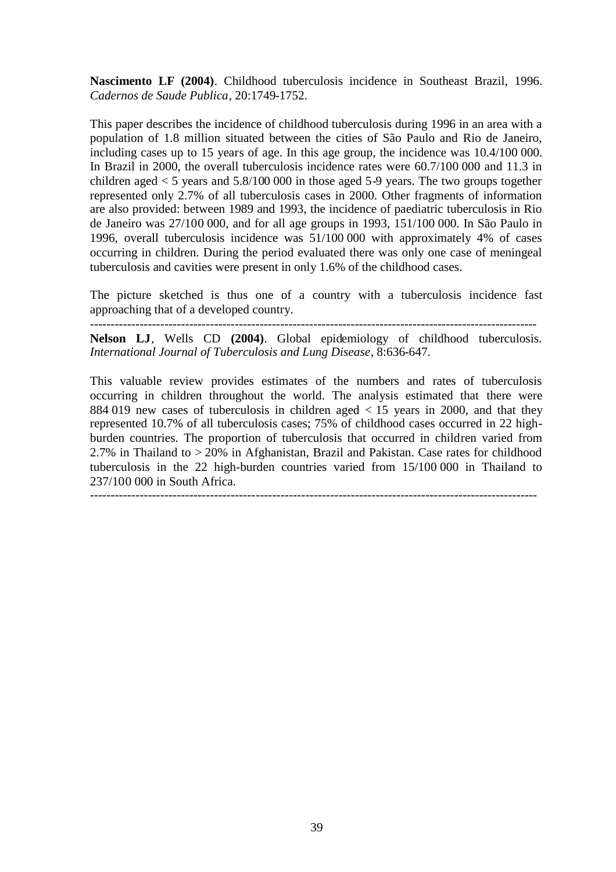**Nascimento LF (2004)**. Childhood tuberculosis incidence in Southeast Brazil, 1996. *Cadernos de Saude Publica*, 20:1749-1752.

This paper describes the incidence of childhood tuberculosis during 1996 in an area with a population of 1.8 million situated between the cities of São Paulo and Rio de Janeiro, including cases up to 15 years of age. In this age group, the incidence was 10.4/100 000. In Brazil in 2000, the overall tuberculosis incidence rates were 60.7/100 000 and 11.3 in children aged  $< 5$  years and  $5.8/100 000$  in those aged  $5.9$  years. The two groups together represented only 2.7% of all tuberculosis cases in 2000. Other fragments of information are also provided: between 1989 and 1993, the incidence of paediatric tuberculosis in Rio de Janeiro was 27/100 000, and for all age groups in 1993, 151/100 000. In São Paulo in 1996, overall tuberculosis incidence was 51/100 000 with approximately 4% of cases occurring in children. During the period evaluated there was only one case of meningeal tuberculosis and cavities were present in only 1.6% of the childhood cases.

The picture sketched is thus one of a country with a tuberculosis incidence fast approaching that of a developed country.

------------------------------------------------------------------------------------------------------------

**Nelson LJ**, Wells CD **(2004)**. Global epidemiology of childhood tuberculosis. *International Journal of Tuberculosis and Lung Disease*, 8:636-647.

This valuable review provides estimates of the numbers and rates of tuberculosis occurring in children throughout the world. The analysis estimated that there were 884 019 new cases of tuberculosis in children aged < 15 years in 2000, and that they represented 10.7% of all tuberculosis cases; 75% of childhood cases occurred in 22 highburden countries. The proportion of tuberculosis that occurred in children varied from 2.7% in Thailand to > 20% in Afghanistan, Brazil and Pakistan. Case rates for childhood tuberculosis in the 22 high-burden countries varied from 15/100 000 in Thailand to 237/100 000 in South Africa.

------------------------------------------------------------------------------------------------------------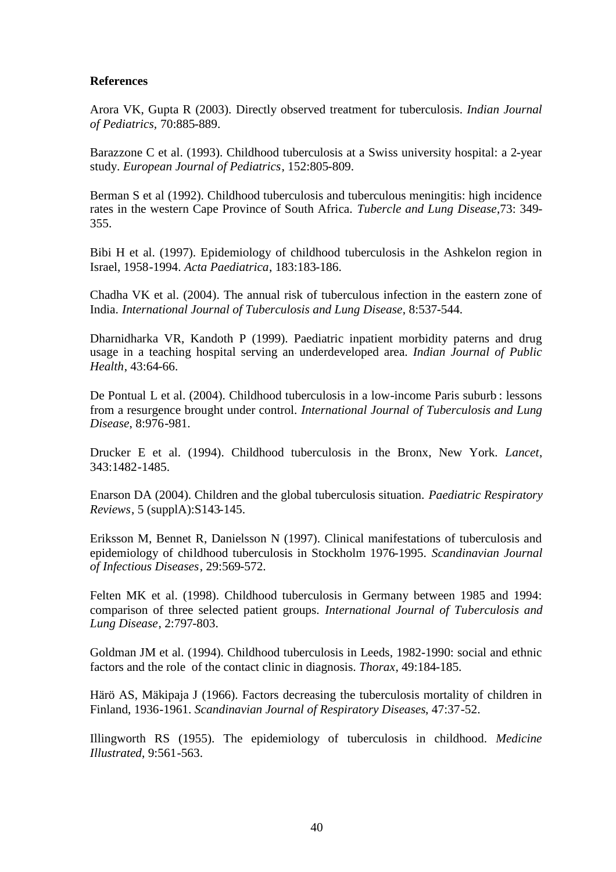## **References**

Arora VK, Gupta R (2003). Directly observed treatment for tuberculosis. *Indian Journal of Pediatrics,* 70:885-889.

Barazzone C et al. (1993). Childhood tuberculosis at a Swiss university hospital: a 2-year study. *European Journal of Pediatrics*, 152:805-809.

Berman S et al (1992). Childhood tuberculosis and tuberculous meningitis: high incidence rates in the western Cape Province of South Africa. *Tubercle and Lung Disease*,73: 349- 355.

Bibi H et al. (1997). Epidemiology of childhood tuberculosis in the Ashkelon region in Israel, 1958-1994. *Acta Paediatrica*, 183:183-186.

Chadha VK et al. (2004). The annual risk of tuberculous infection in the eastern zone of India. *International Journal of Tuberculosis and Lung Disease*, 8:537-544.

Dharnidharka VR, Kandoth P (1999). Paediatric inpatient morbidity paterns and drug usage in a teaching hospital serving an underdeveloped area. *Indian Journal of Public Health*, 43:64-66.

De Pontual L et al. (2004). Childhood tuberculosis in a low-income Paris suburb : lessons from a resurgence brought under control. *International Journal of Tuberculosis and Lung Disease*, 8:976-981.

Drucker E et al. (1994). Childhood tuberculosis in the Bronx, New York. *Lancet*, 343:1482-1485.

Enarson DA (2004). Children and the global tuberculosis situation. *Paediatric Respiratory Reviews*, 5 (supplA):S143-145.

Eriksson M, Bennet R, Danielsson N (1997). Clinical manifestations of tuberculosis and epidemiology of childhood tuberculosis in Stockholm 1976-1995. *Scandinavian Journal of Infectious Diseases*, 29:569-572.

Felten MK et al. (1998). Childhood tuberculosis in Germany between 1985 and 1994: comparison of three selected patient groups. *International Journal of Tuberculosis and Lung Disease*, 2:797-803.

Goldman JM et al. (1994). Childhood tuberculosis in Leeds, 1982-1990: social and ethnic factors and the role of the contact clinic in diagnosis. *Thorax*, 49:184-185.

Härö AS, Mäkipaja J (1966). Factors decreasing the tuberculosis mortality of children in Finland, 1936-1961. *Scandinavian Journal of Respiratory Diseases*, 47:37-52.

Illingworth RS (1955). The epidemiology of tuberculosis in childhood. *Medicine Illustrated*, 9:561-563.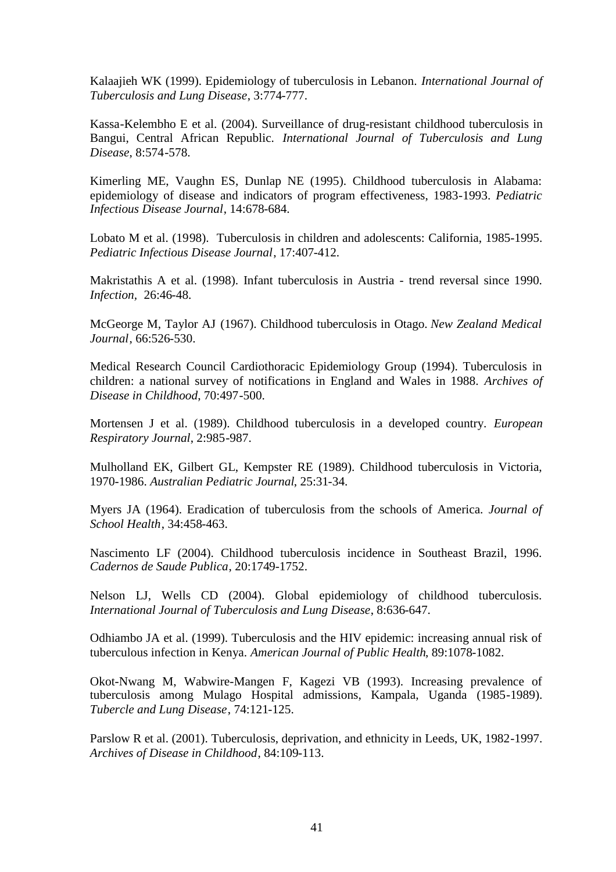Kalaajieh WK (1999). Epidemiology of tuberculosis in Lebanon. *International Journal of Tuberculosis and Lung Disease*, 3:774-777.

Kassa-Kelembho E et al. (2004). Surveillance of drug-resistant childhood tuberculosis in Bangui, Central African Republic. *International Journal of Tuberculosis and Lung Disease*, 8:574-578.

Kimerling ME, Vaughn ES, Dunlap NE (1995). Childhood tuberculosis in Alabama: epidemiology of disease and indicators of program effectiveness, 1983-1993. *Pediatric Infectious Disease Journal*, 14:678-684.

Lobato M et al. (1998). Tuberculosis in children and adolescents: California, 1985-1995. *Pediatric Infectious Disease Journal*, 17:407-412.

Makristathis A et al. (1998). Infant tuberculosis in Austria - trend reversal since 1990. *Infection,* 26:46-48.

McGeorge M, Taylor AJ (1967). Childhood tuberculosis in Otago. *New Zealand Medical Journal*, 66:526-530.

Medical Research Council Cardiothoracic Epidemiology Group (1994). Tuberculosis in children: a national survey of notifications in England and Wales in 1988. *Archives of Disease in Childhood*, 70:497-500.

Mortensen J et al. (1989). Childhood tuberculosis in a developed country. *European Respiratory Journal*, 2:985-987.

Mulholland EK, Gilbert GL, Kempster RE (1989). Childhood tuberculosis in Victoria, 1970-1986. *Australian Pediatric Journal*, 25:31-34.

Myers JA (1964). Eradication of tuberculosis from the schools of America. *Journal of School Health*, 34:458-463.

Nascimento LF (2004). Childhood tuberculosis incidence in Southeast Brazil, 1996. *Cadernos de Saude Publica*, 20:1749-1752.

Nelson LJ, Wells CD (2004). Global epidemiology of childhood tuberculosis. *International Journal of Tuberculosis and Lung Disease*, 8:636-647.

Odhiambo JA et al. (1999). Tuberculosis and the HIV epidemic: increasing annual risk of tuberculous infection in Kenya. *American Journal of Public Health*, 89:1078-1082.

Okot-Nwang M, Wabwire-Mangen F, Kagezi VB (1993). Increasing prevalence of tuberculosis among Mulago Hospital admissions, Kampala, Uganda (1985-1989). *Tubercle and Lung Disease*, 74:121-125.

Parslow R et al. (2001). Tuberculosis, deprivation, and ethnicity in Leeds, UK, 1982-1997. *Archives of Disease in Childhood*, 84:109-113.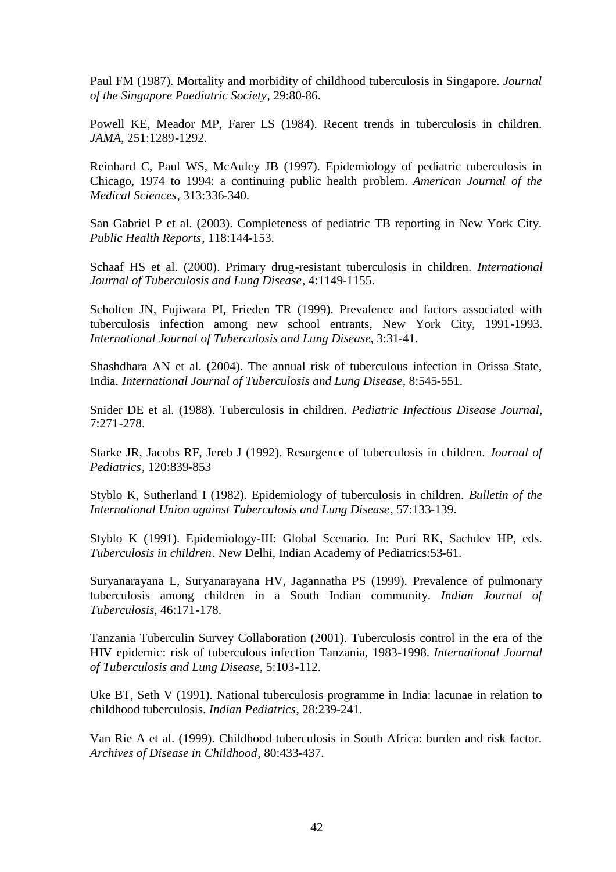Paul FM (1987). Mortality and morbidity of childhood tuberculosis in Singapore. *Journal of the Singapore Paediatric Society*, 29:80-86.

Powell KE, Meador MP, Farer LS (1984). Recent trends in tuberculosis in children. *JAMA*, 251:1289-1292.

Reinhard C, Paul WS, McAuley JB (1997). Epidemiology of pediatric tuberculosis in Chicago, 1974 to 1994: a continuing public health problem. *American Journal of the Medical Sciences*, 313:336-340.

San Gabriel P et al. (2003). Completeness of pediatric TB reporting in New York City. *Public Health Reports*, 118:144-153.

Schaaf HS et al. (2000). Primary drug-resistant tuberculosis in children. *International Journal of Tuberculosis and Lung Disease*, 4:1149-1155.

Scholten JN, Fujiwara PI, Frieden TR (1999). Prevalence and factors associated with tuberculosis infection among new school entrants, New York City, 1991-1993. *International Journal of Tuberculosis and Lung Disease*, 3:31-41.

Shashdhara AN et al. (2004). The annual risk of tuberculous infection in Orissa State, India. *International Journal of Tuberculosis and Lung Disease*, 8:545-551.

Snider DE et al. (1988). Tuberculosis in children. *Pediatric Infectious Disease Journal*, 7:271-278.

Starke JR, Jacobs RF, Jereb J (1992). Resurgence of tuberculosis in children. *Journal of Pediatrics*, 120:839-853

Styblo K, Sutherland I (1982). Epidemiology of tuberculosis in children. *Bulletin of the International Union against Tuberculosis and Lung Disease*, 57:133-139.

Styblo K (1991). Epidemiology-III: Global Scenario. In: Puri RK, Sachdev HP, eds. *Tuberculosis in children*. New Delhi, Indian Academy of Pediatrics:53-61.

Suryanarayana L, Suryanarayana HV, Jagannatha PS (1999). Prevalence of pulmonary tuberculosis among children in a South Indian community. *Indian Journal of Tuberculosis*, 46:171-178.

Tanzania Tuberculin Survey Collaboration (2001). Tuberculosis control in the era of the HIV epidemic: risk of tuberculous infection Tanzania, 1983-1998. *International Journal of Tuberculosis and Lung Disease*, 5:103-112.

Uke BT, Seth V (1991). National tuberculosis programme in India: lacunae in relation to childhood tuberculosis. *Indian Pediatrics*, 28:239-241.

Van Rie A et al. (1999). Childhood tuberculosis in South Africa: burden and risk factor. *Archives of Disease in Childhood*, 80:433-437.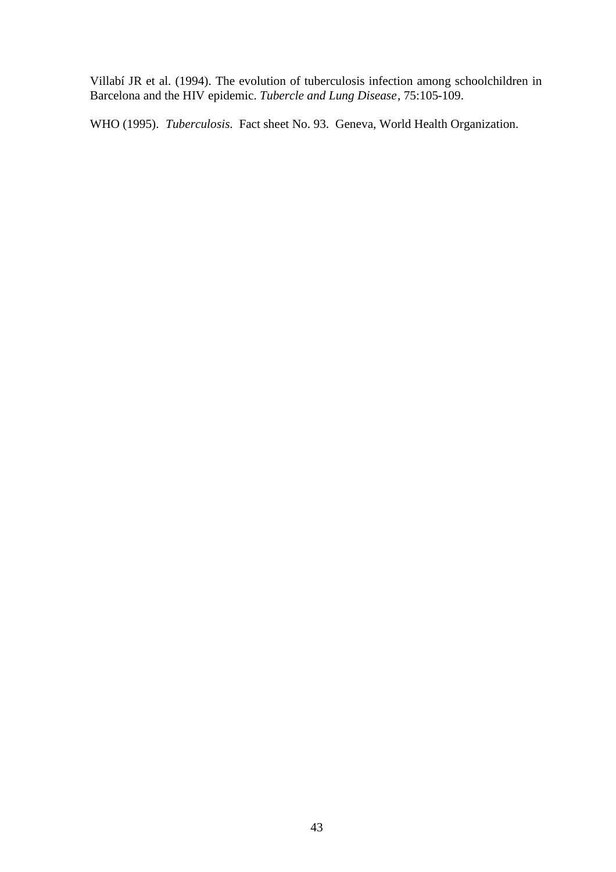Villabí JR et al. (1994). The evolution of tuberculosis infection among schoolchildren in Barcelona and the HIV epidemic. *Tubercle and Lung Disease*, 75:105-109.

WHO (1995). *Tuberculosis*. Fact sheet No. 93. Geneva, World Health Organization.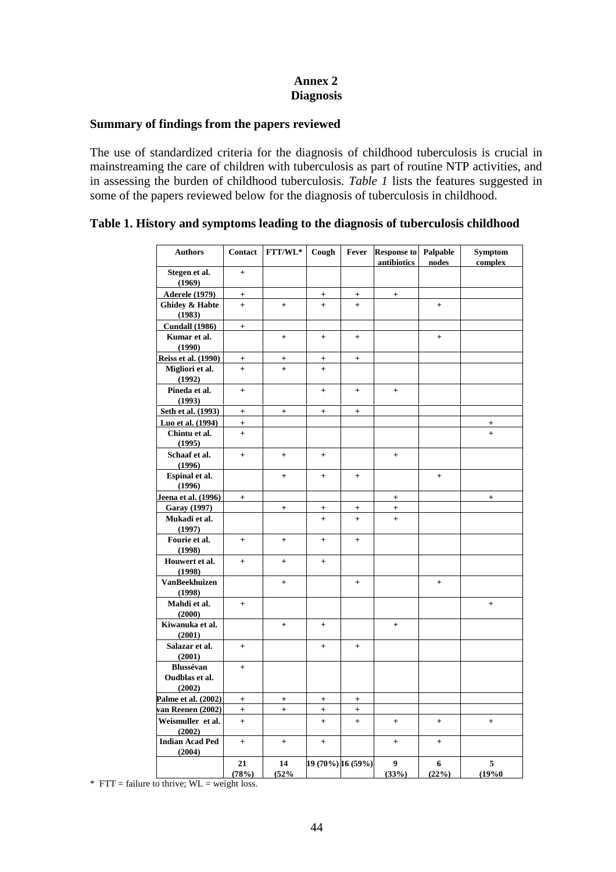# **Annex 2 Diagnosis**

### **Summary of findings from the papers reviewed**

The use of standardized criteria for the diagnosis of childhood tuberculosis is crucial in mainstreaming the care of children with tuberculosis as part of routine NTP activities, and in assessing the burden of childhood tuberculosis. *Table 1* lists the features suggested in some of the papers reviewed below for the diagnosis of tuberculosis in childhood.

#### **Authors Contact FTT/WL\* Cough Fever Response to antibiotics Palpable nodes Symptom complex Stegen et al. (1969) + Aderele (1979) + + + + Ghidey & Habte (1983) + + + + + Cundall (1986) + Kumar et al. (1990) + + + + Reiss et al.** (1990)  $+$   $+$   $+$   $+$ **Migliori et al. (1992) + + + Pineda et al. (1993) + + + + Seth et al.** (1993)  $+$   $+$   $+$   $+$   $+$ **Luo et al. (1994) + + Chintu et al. (1995) + + Schaaf et al. (1996) + + + + Espinal et al. (1996) + + + + Jeena et al. (1996) + + + Garay (1997) + + + + Mukadi et al. (1997) + + + Fourie et al. (1998) + + + + Houwert et al. (1998) + + + VanBeekhuizen (1998) + + + Mahdi et al. (2000) + + Kiwanuka et al. (2001) + + + Salazar et al. (2001) + + + Blussévan Oudblas et al. (2002) + Palme et al.** (2002)  $+$   $+$   $+$   $+$   $+$ **van Reenen (2002) + + + + Weismuller et al. (2002) + + + + + + Indian Acad Ped (2004) + + + + + 21 (78%) 14 (52% 19 (70%) 16 (59%) 9 (33%) 6 (22%) 5 (19%0**

### **Table 1. History and symptoms leading to the diagnosis of tuberculosis childhood**

 $*$  FTT = failure to thrive; WL = weight loss.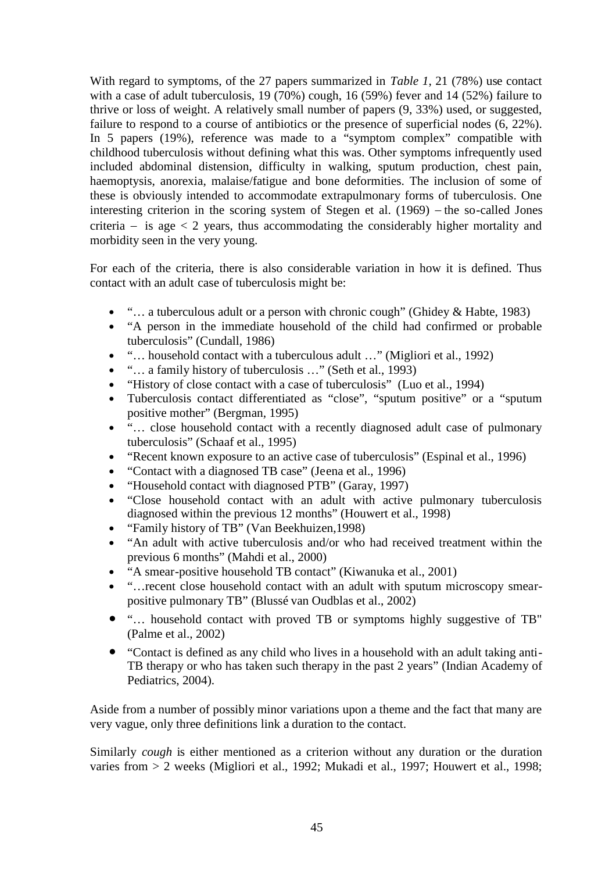With regard to symptoms, of the 27 papers summarized in *Table 1*, 21 (78%) use contact with a case of adult tuberculosis, 19 (70%) cough, 16 (59%) fever and 14 (52%) failure to thrive or loss of weight. A relatively small number of papers (9, 33%) used, or suggested, failure to respond to a course of antibiotics or the presence of superficial nodes (6, 22%). In 5 papers (19%), reference was made to a "symptom complex" compatible with childhood tuberculosis without defining what this was. Other symptoms infrequently used included abdominal distension, difficulty in walking, sputum production, chest pain, haemoptysis, anorexia, malaise/fatigue and bone deformities. The inclusion of some of these is obviously intended to accommodate extrapulmonary forms of tuberculosis. One interesting criterion in the scoring system of Stegen et al.  $(1969)$  – the so-called Jones criteria – is age  $\lt 2$  years, thus accommodating the considerably higher mortality and morbidity seen in the very young.

For each of the criteria, there is also considerable variation in how it is defined. Thus contact with an adult case of tuberculosis might be:

- "... a tuberculous adult or a person with chronic cough" (Ghidey & Habte, 1983)
- "A person in the immediate household of the child had confirmed or probable tuberculosis" (Cundall, 1986)
- "… household contact with a tuberculous adult …" (Migliori et al., 1992)
- "... a family history of tuberculosis ..." (Seth et al., 1993)
- "History of close contact with a case of tuberculosis" (Luo et al., 1994)
- Tuberculosis contact differentiated as "close", "sputum positive" or a "sputum positive mother" (Bergman, 1995)
- "... close household contact with a recently diagnosed adult case of pulmonary tuberculosis" (Schaaf et al., 1995)
- "Recent known exposure to an active case of tuberculosis" (Espinal et al., 1996)
- "Contact with a diagnosed TB case" (Jeena et al., 1996)
- "Household contact with diagnosed PTB" (Garay, 1997)
- "Close household contact with an adult with active pulmonary tuberculosis diagnosed within the previous 12 months" (Houwert et al., 1998)
- "Family history of TB" (Van Beekhuizen,1998)
- "An adult with active tuberculosis and/or who had received treatment within the previous 6 months" (Mahdi et al., 2000)
- "A smear-positive household TB contact" (Kiwanuka et al., 2001)
- "…recent close household contact with an adult with sputum microscopy smearpositive pulmonary TB" (Blussé van Oudblas et al., 2002)
- "… household contact with proved TB or symptoms highly suggestive of TB" (Palme et al., 2002)
- "Contact is defined as any child who lives in a household with an adult taking anti-TB therapy or who has taken such therapy in the past 2 years" (Indian Academy of Pediatrics, 2004).

Aside from a number of possibly minor variations upon a theme and the fact that many are very vague, only three definitions link a duration to the contact.

Similarly *cough* is either mentioned as a criterion without any duration or the duration varies from > 2 weeks (Migliori et al., 1992; Mukadi et al., 1997; Houwert et al., 1998;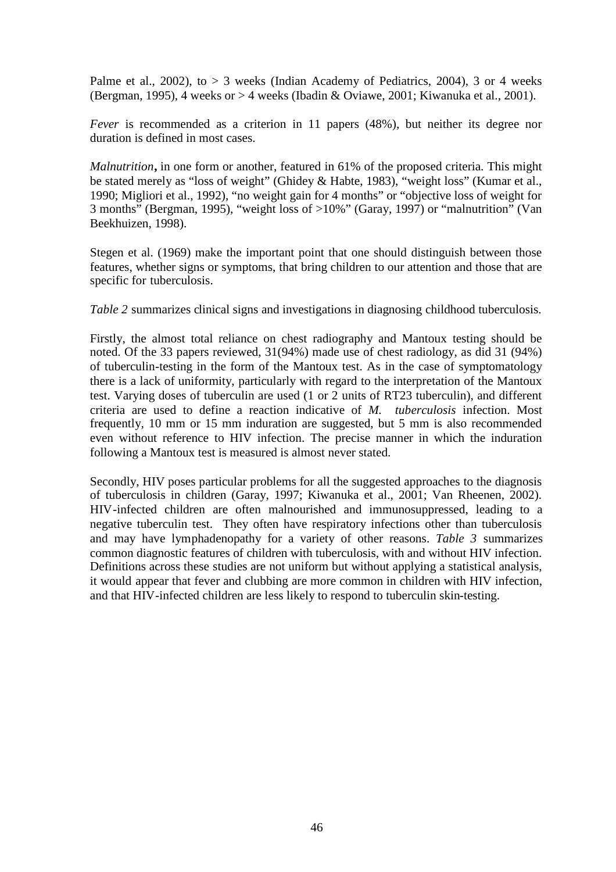Palme et al.,  $2002$ ), to  $> 3$  weeks (Indian Academy of Pediatrics, 2004), 3 or 4 weeks (Bergman, 1995), 4 weeks or > 4 weeks (Ibadin & Oviawe, 2001; Kiwanuka et al., 2001).

*Fever* is recommended as a criterion in 11 papers (48%), but neither its degree nor duration is defined in most cases.

*Malnutrition***,** in one form or another, featured in 61% of the proposed criteria. This might be stated merely as "loss of weight" (Ghidey & Habte, 1983), "weight loss" (Kumar et al., 1990; Migliori et al., 1992), "no weight gain for 4 months" or "objective loss of weight for 3 months" (Bergman, 1995), "weight loss of >10%" (Garay, 1997) or "malnutrition" (Van Beekhuizen, 1998).

Stegen et al. (1969) make the important point that one should distinguish between those features, whether signs or symptoms, that bring children to our attention and those that are specific for tuberculosis.

*Table 2* summarizes clinical signs and investigations in diagnosing childhood tuberculosis.

Firstly, the almost total reliance on chest radiography and Mantoux testing should be noted. Of the 33 papers reviewed, 31(94%) made use of chest radiology, as did 31 (94%) of tuberculin-testing in the form of the Mantoux test. As in the case of symptomatology there is a lack of uniformity, particularly with regard to the interpretation of the Mantoux test. Varying doses of tuberculin are used (1 or 2 units of RT23 tuberculin), and different criteria are used to define a reaction indicative of *M. tuberculosis* infection. Most frequently, 10 mm or 15 mm induration are suggested, but 5 mm is also recommended even without reference to HIV infection. The precise manner in which the induration following a Mantoux test is measured is almost never stated.

Secondly, HIV poses particular problems for all the suggested approaches to the diagnosis of tuberculosis in children (Garay, 1997; Kiwanuka et al., 2001; Van Rheenen, 2002). HIV-infected children are often malnourished and immunosuppressed, leading to a negative tuberculin test. They often have respiratory infections other than tuberculosis and may have lymphadenopathy for a variety of other reasons. *Table 3* summarizes common diagnostic features of children with tuberculosis, with and without HIV infection. Definitions across these studies are not uniform but without applying a statistical analysis, it would appear that fever and clubbing are more common in children with HIV infection, and that HIV-infected children are less likely to respond to tuberculin skin-testing.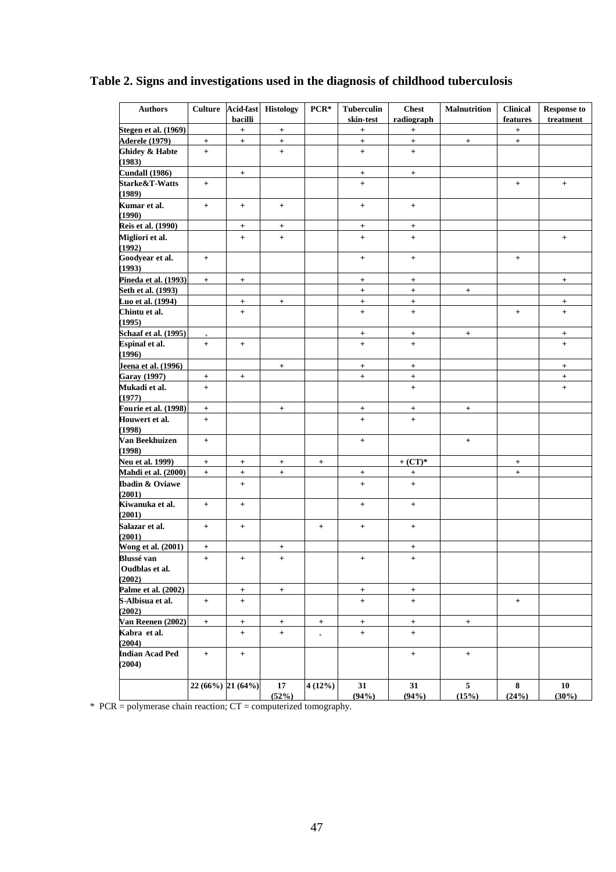|  | Table 2. Signs and investigations used in the diagnosis of childhood tuberculosis |  |  |
|--|-----------------------------------------------------------------------------------|--|--|
|  |                                                                                   |  |  |
|  |                                                                                   |  |  |

| <b>Authors</b>                      | <b>Culture</b>                   | Acid-fast<br>bacilli | <b>Histology</b>         | PCR*            | <b>Tuberculin</b><br>skin-test   | <b>Chest</b><br>radiograph       | <b>Malnutrition</b>     | <b>Clinical</b><br>features      | <b>Response to</b><br>treatment |
|-------------------------------------|----------------------------------|----------------------|--------------------------|-----------------|----------------------------------|----------------------------------|-------------------------|----------------------------------|---------------------------------|
| Stegen et al. (1969)                |                                  | $+$                  | $+$                      |                 | $\begin{array}{c} + \end{array}$ | $^{+}$                           |                         | $\begin{array}{c} + \end{array}$ |                                 |
| <b>Aderele</b> (1979)               | $+$                              | $+$                  | $+$                      |                 | $+$                              | $+$                              | $+$                     | $+$                              |                                 |
| <b>Ghidey &amp; Habte</b><br>(1983) | $+$                              |                      | $+$                      |                 | $+$                              | $+$                              |                         |                                  |                                 |
| <b>Cundall (1986)</b>               |                                  | $+$                  |                          |                 | $^{+}$                           | $+$                              |                         |                                  |                                 |
| Starke&T-Watts<br>(1989)            | $\begin{array}{c} + \end{array}$ |                      |                          |                 | $+$                              |                                  |                         | $+$                              | $+$                             |
| Kumar et al.                        | $+$                              | $+$                  | $+$                      |                 | $+$                              | $+$                              |                         |                                  |                                 |
| (1990)                              |                                  |                      |                          |                 |                                  |                                  |                         |                                  |                                 |
| Reis et al. (1990)                  |                                  | $+$                  | $\boldsymbol{+}$         |                 | $\begin{array}{c} + \end{array}$ | $+$                              |                         |                                  |                                 |
| Migliori et al.<br>(1992)           |                                  | $+$                  | $\pm$                    |                 | $+$                              | $+$                              |                         |                                  | $+$                             |
| Goodyear et al.<br>(1993)           | $+$                              |                      |                          |                 | $^{+}$                           | $^{+}$                           |                         | $+$                              |                                 |
| Pineda et al. (1993)                | $+$                              | $+$                  |                          |                 | $+$                              | $+$                              |                         |                                  | $+$                             |
| Seth et al. (1993)                  |                                  |                      |                          |                 | $\ddot{}$                        | $\ddot{}$                        | $+$                     |                                  |                                 |
| Luo et al. (1994)                   |                                  | $+$                  | $+$                      |                 | $+$                              | $+$                              |                         |                                  | $+$                             |
| Chintu et al.<br>(1995)             |                                  | $+$                  |                          |                 | $\ddot{}$                        | $\ddot{}$                        |                         | $+$                              | $+$                             |
| Schaaf et al. (1995)                |                                  |                      |                          |                 | $+$                              | $\overline{+}$                   | $+$                     |                                  | $\overline{+}$                  |
| Espinal et al.<br>(1996)            | $+$                              | $+$                  |                          |                 | $+$                              | $+$                              |                         |                                  | $+$                             |
| Jeena et al. (1996)                 |                                  |                      | $+$                      |                 | $+$                              | $+$                              |                         |                                  | $+$                             |
| Garay (1997)                        | $\boldsymbol{+}$                 | $+$                  |                          |                 | $+$                              | $\boldsymbol{+}$                 |                         |                                  | $\boldsymbol{+}$                |
| Mukadi et al.<br>(1977)             | $+$                              |                      |                          |                 |                                  | $\begin{array}{c} + \end{array}$ |                         |                                  | $+$                             |
| <b>Fourie et al. (1998)</b>         | $\boldsymbol{+}$                 |                      | $\boldsymbol{+}$         |                 | $\begin{array}{c} + \end{array}$ | $^{+}$                           | $+$                     |                                  |                                 |
| Houwert et al.<br>(1998)            | $+$                              |                      |                          |                 | $+$                              | $+$                              |                         |                                  |                                 |
| Van Beekhuizen<br>(1998)            | $+$                              |                      |                          |                 | $+$                              |                                  | $+$                     |                                  |                                 |
| <b>Neu et al. 1999)</b>             |                                  |                      |                          |                 |                                  | $+$ (CT)*                        |                         |                                  |                                 |
| Mahdi et al. (2000)                 | $+$<br>$+$                       | $+$                  | $+$<br>$\qquad \qquad +$ | $+$             |                                  |                                  |                         | $+$<br>$\qquad \qquad +$         |                                 |
| Ibadin & Oviawe<br>(2001)           |                                  | $^+$<br>$+$          |                          |                 | $\boldsymbol{+}$<br>$+$          | $^{+}$<br>$^{+}$                 |                         |                                  |                                 |
| Kiwanuka et al.<br>(2001)           | $+$                              | $+$                  |                          |                 | $+$                              | $+$                              |                         |                                  |                                 |
| Salazar et al.<br>(2001)            | $+$                              | $+$                  |                          | $+$             | $+$                              | $+$                              |                         |                                  |                                 |
| Wong et al. (2001)                  | $^{+}$                           |                      | $\ddot{}$                |                 |                                  | $^{+}$                           |                         |                                  |                                 |
| <b>Blussé</b> van<br>Oudblas et al. | $+$                              | $+$                  | $+$                      |                 | $+$                              | $+$                              |                         |                                  |                                 |
| (2002)                              |                                  |                      |                          |                 |                                  |                                  |                         |                                  |                                 |
| Palme et al. (2002)                 |                                  | $+$                  | $+$                      |                 | $+$                              | $+$                              |                         |                                  |                                 |
| S-Albisua et al.<br>(2002)          | $+$                              | $+$                  |                          |                 | $+$                              | $+$                              |                         | $+$                              |                                 |
| Van Reenen (2002)                   | $+$                              | $+$                  | $+$                      | $+$             | $\boldsymbol{+}$                 | $\boldsymbol{+}$                 | $+$                     |                                  |                                 |
| Kabra et al.<br>(2004)              |                                  | $+$                  | $+$                      | $^{\mathrm{+}}$ | $+$                              | $+$                              |                         |                                  |                                 |
| <b>Indian Acad Ped</b><br>(2004)    | $+$                              | $+$                  |                          |                 |                                  | $+$                              | $\pm$                   |                                  |                                 |
|                                     | 22 (66%) 21 (64%)                |                      | 17<br>(52%)              | 4(12%)          | 31<br>(94%)                      | 31<br>(94%)                      | 5 <sup>5</sup><br>(15%) | 8<br>(24%)                       | 10<br>$(30\%)$                  |

\* PCR = polymerase chain reaction; CT = computerized tomography.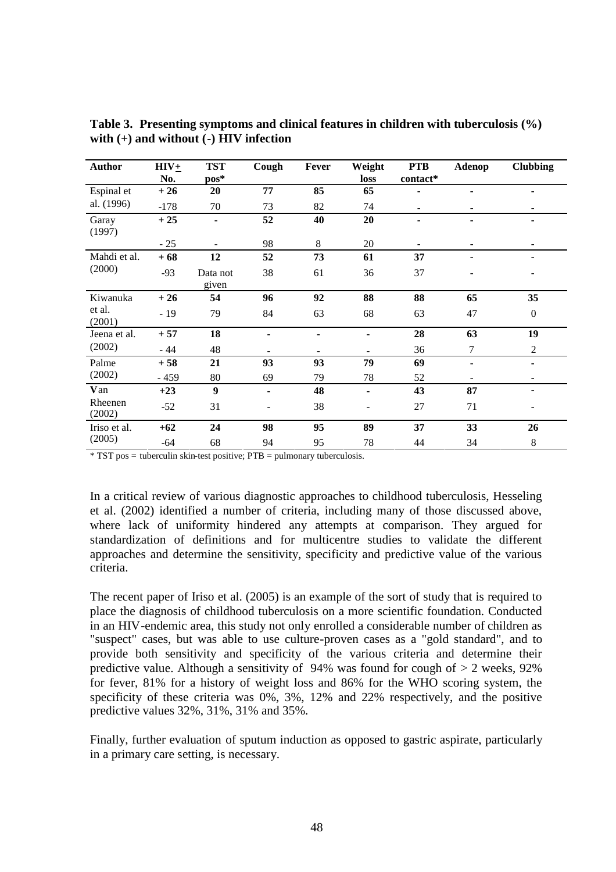| <b>Author</b>     | $HIV+$ | <b>TST</b>        | Cough                    | Fever | Weight | <b>PTB</b> | Adenop         | <b>Clubbing</b> |
|-------------------|--------|-------------------|--------------------------|-------|--------|------------|----------------|-----------------|
|                   | No.    | $pos*$            |                          |       | loss   | contact*   |                |                 |
| Espinal et        | $+26$  | 20                | 77                       | 85    | 65     |            | ۰              | ٠               |
| al. (1996)        | $-178$ | 70                | 73                       | 82    | 74     |            |                |                 |
| Garay<br>(1997)   | $+25$  | $\frac{1}{2}$     | 52                       | 40    | 20     |            |                |                 |
|                   | $-25$  |                   | 98                       | 8     | 20     |            |                |                 |
| Mahdi et al.      | $+68$  | 12                | 52                       | 73    | 61     | 37         |                |                 |
| (2000)            | $-93$  | Data not<br>given | 38                       | 61    | 36     | 37         |                |                 |
| Kiwanuka          | $+26$  | 54                | 96                       | 92    | 88     | 88         | 65             | 35              |
| et al.<br>(2001)  | $-19$  | 79                | 84                       | 63    | 68     | 63         | 47             | $\mathbf{0}$    |
| Jeena et al.      | $+57$  | 18                | ۰                        | ٠     | Ξ.     | 28         | 63             | 19              |
| (2002)            | $-44$  | 48                |                          |       |        | 36         | 7              | $\overline{2}$  |
| Palme             | $+58$  | 21                | 93                       | 93    | 79     | 69         | $\blacksquare$ | ۰               |
| (2002)            | $-459$ | 80                | 69                       | 79    | 78     | 52         |                | ۰               |
| Van               | $+23$  | $\boldsymbol{9}$  | $\overline{\phantom{a}}$ | 48    | Ξ.     | 43         | 87             |                 |
| Rheenen<br>(2002) | $-52$  | 31                | -                        | 38    |        | 27         | 71             |                 |
| Iriso et al.      | $+62$  | 24                | 98                       | 95    | 89     | 37         | 33             | 26              |
| (2005)            | $-64$  | 68                | 94                       | 95    | 78     | 44         | 34             | $\,8\,$         |

**Table 3. Presenting symptoms and clinical features in children with tuberculosis (%) with (+) and without (-) HIV infection**

\* TST pos = tuberculin skin-test positive; PTB = pulmonary tuberculosis.

In a critical review of various diagnostic approaches to childhood tuberculosis, Hesseling et al. (2002) identified a number of criteria, including many of those discussed above, where lack of uniformity hindered any attempts at comparison. They argued for standardization of definitions and for multicentre studies to validate the different approaches and determine the sensitivity, specificity and predictive value of the various criteria.

The recent paper of Iriso et al. (2005) is an example of the sort of study that is required to place the diagnosis of childhood tuberculosis on a more scientific foundation. Conducted in an HIV-endemic area, this study not only enrolled a considerable number of children as "suspect" cases, but was able to use culture-proven cases as a "gold standard", and to provide both sensitivity and specificity of the various criteria and determine their predictive value. Although a sensitivity of 94% was found for cough of  $> 2$  weeks, 92% for fever, 81% for a history of weight loss and 86% for the WHO scoring system, the specificity of these criteria was 0%, 3%, 12% and 22% respectively, and the positive predictive values 32%, 31%, 31% and 35%.

Finally, further evaluation of sputum induction as opposed to gastric aspirate, particularly in a primary care setting, is necessary.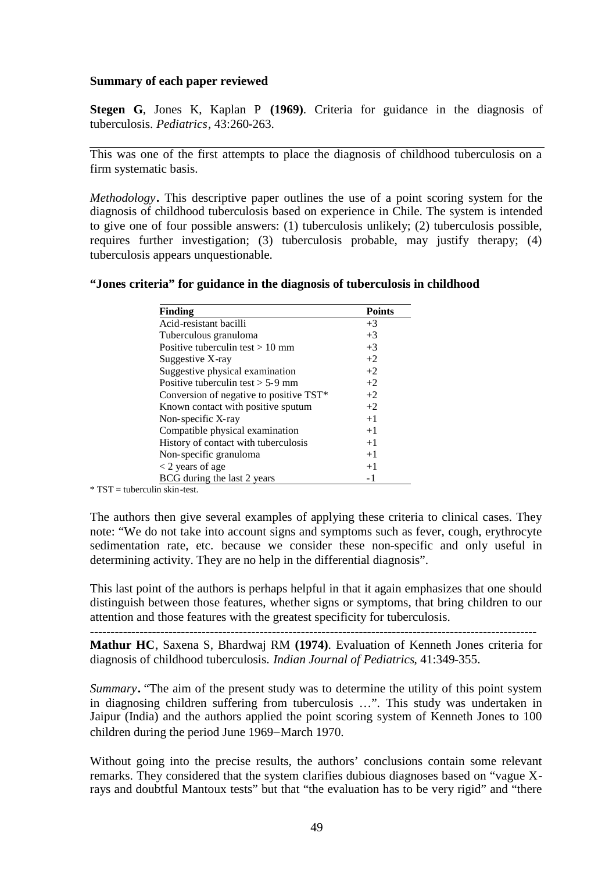### **Summary of each paper reviewed**

**Stegen G**, Jones K, Kaplan P **(1969)**. Criteria for guidance in the diagnosis of tuberculosis. *Pediatrics*, 43:260-263.

This was one of the first attempts to place the diagnosis of childhood tuberculosis on a firm systematic basis.

*Methodology***.** This descriptive paper outlines the use of a point scoring system for the diagnosis of childhood tuberculosis based on experience in Chile. The system is intended to give one of four possible answers: (1) tuberculosis unlikely; (2) tuberculosis possible, requires further investigation; (3) tuberculosis probable, may justify therapy; (4) tuberculosis appears unquestionable.

|  |  |  |  | "Jones criteria" for guidance in the diagnosis of tuberculosis in childhood |
|--|--|--|--|-----------------------------------------------------------------------------|
|  |  |  |  |                                                                             |

| Finding                                 | <b>Points</b> |
|-----------------------------------------|---------------|
| Acid-resistant bacilli                  | $+3$          |
| Tuberculous granuloma                   | $+3$          |
| Positive tuberculin test $> 10$ mm      | $+3$          |
| Suggestive X-ray                        | $+2$          |
| Suggestive physical examination         | $+2$          |
| Positive tuberculin test $> 5-9$ mm     | $+2$          |
| Conversion of negative to positive TST* | $+2$          |
| Known contact with positive sputum      | $+2$          |
| Non-specific X-ray                      | $+1$          |
| Compatible physical examination         | $+1$          |
| History of contact with tuberculosis    | $+1$          |
| Non-specific granuloma                  | $+1$          |
| $<$ 2 years of age                      | $+1$          |
| BCG during the last 2 years             |               |

 $*$  TST = tuberculin skin-test.

The authors then give several examples of applying these criteria to clinical cases. They note: "We do not take into account signs and symptoms such as fever, cough, erythrocyte sedimentation rate, etc. because we consider these non-specific and only useful in determining activity. They are no help in the differential diagnosis".

This last point of the authors is perhaps helpful in that it again emphasizes that one should distinguish between those features, whether signs or symptoms, that bring children to our attention and those features with the greatest specificity for tuberculosis.

**Mathur HC**, Saxena S, Bhardwaj RM **(1974)**. Evaluation of Kenneth Jones criteria for diagnosis of childhood tuberculosis. *Indian Journal of Pediatrics*, 41:349-355.

**------------------------------------------------------------------------------------------------------------**

*Summary***.** "The aim of the present study was to determine the utility of this point system in diagnosing children suffering from tuberculosis …". This study was undertaken in Jaipur (India) and the authors applied the point scoring system of Kenneth Jones to 100 children during the period June 1969–March 1970.

Without going into the precise results, the authors' conclusions contain some relevant remarks. They considered that the system clarifies dubious diagnoses based on "vague Xrays and doubtful Mantoux tests" but that "the evaluation has to be very rigid" and "there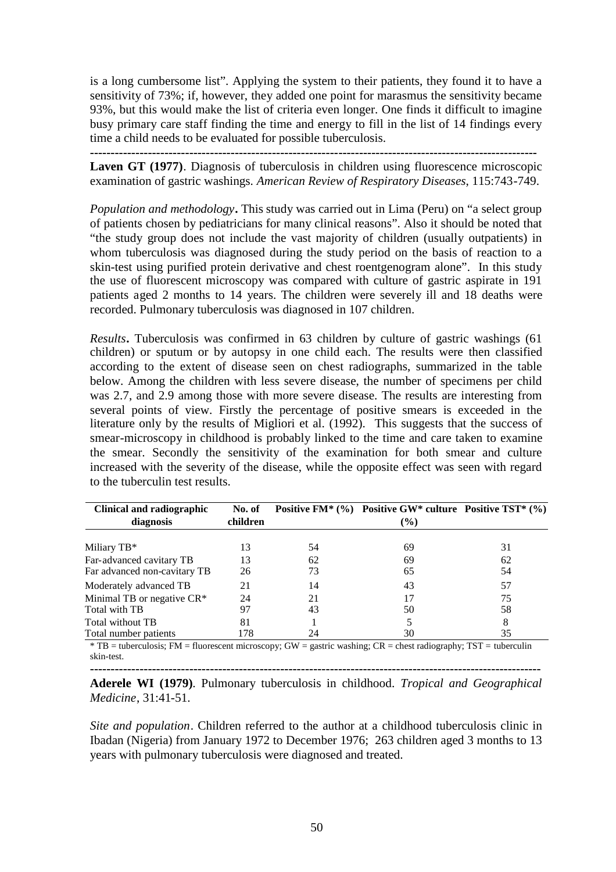is a long cumbersome list". Applying the system to their patients, they found it to have a sensitivity of 73%; if, however, they added one point for marasmus the sensitivity became 93%, but this would make the list of criteria even longer. One finds it difficult to imagine busy primary care staff finding the time and energy to fill in the list of 14 findings every time a child needs to be evaluated for possible tuberculosis.

**------------------------------------------------------------------------------------------------------------**

Laven GT (1977). Diagnosis of tuberculosis in children using fluorescence microscopic examination of gastric washings. *American Review of Respiratory Diseases*, 115:743-749.

*Population and methodology***.** This study was carried out in Lima (Peru) on "a select group of patients chosen by pediatricians for many clinical reasons". Also it should be noted that "the study group does not include the vast majority of children (usually outpatients) in whom tuberculosis was diagnosed during the study period on the basis of reaction to a skin-test using purified protein derivative and chest roentgenogram alone". In this study the use of fluorescent microscopy was compared with culture of gastric aspirate in 191 patients aged 2 months to 14 years. The children were severely ill and 18 deaths were recorded. Pulmonary tuberculosis was diagnosed in 107 children.

*Results***.** Tuberculosis was confirmed in 63 children by culture of gastric washings (61 children) or sputum or by autopsy in one child each. The results were then classified according to the extent of disease seen on chest radiographs, summarized in the table below. Among the children with less severe disease, the number of specimens per child was 2.7, and 2.9 among those with more severe disease. The results are interesting from several points of view. Firstly the percentage of positive smears is exceeded in the literature only by the results of Migliori et al. (1992). This suggests that the success of smear-microscopy in childhood is probably linked to the time and care taken to examine the smear. Secondly the sensitivity of the examination for both smear and culture increased with the severity of the disease, while the opposite effect was seen with regard to the tuberculin test results.

| Clinical and radiographic    | No. of   |    | Positive FM* $(\%)$ Positive GW* culture Positive TST* $(\%)$ |    |
|------------------------------|----------|----|---------------------------------------------------------------|----|
| diagnosis                    | children |    | $(\%)$                                                        |    |
|                              |          |    |                                                               |    |
| Miliary TB*                  | 13       | 54 | 69                                                            | 31 |
| Far-advanced cavitary TB     | 13       | 62 | 69                                                            | 62 |
| Far advanced non-cavitary TB | 26       | 73 | 65                                                            | 54 |
| Moderately advanced TB       | 21       | 14 | 43                                                            | 57 |
| Minimal TB or negative CR*   | 24       | 21 | 17                                                            | 75 |
| Total with TB                | 97       | 43 | 50                                                            | 58 |
| Total without TB             | 81       |    |                                                               |    |
| Total number patients        | 178      | 24 | 30                                                            | 35 |

\* TB = tuberculosis; FM = fluorescent microscopy; GW = gastric washing; CR = chest radiography; TST = tuberculin skin-test.

**------------------------------------------------------------------------------------------------------------- Aderele WI (1979)**. Pulmonary tuberculosis in childhood. *Tropical and Geographical Medicine*, 31:41-51.

*Site and population*. Children referred to the author at a childhood tuberculosis clinic in Ibadan (Nigeria) from January 1972 to December 1976; 263 children aged 3 months to 13 years with pulmonary tuberculosis were diagnosed and treated.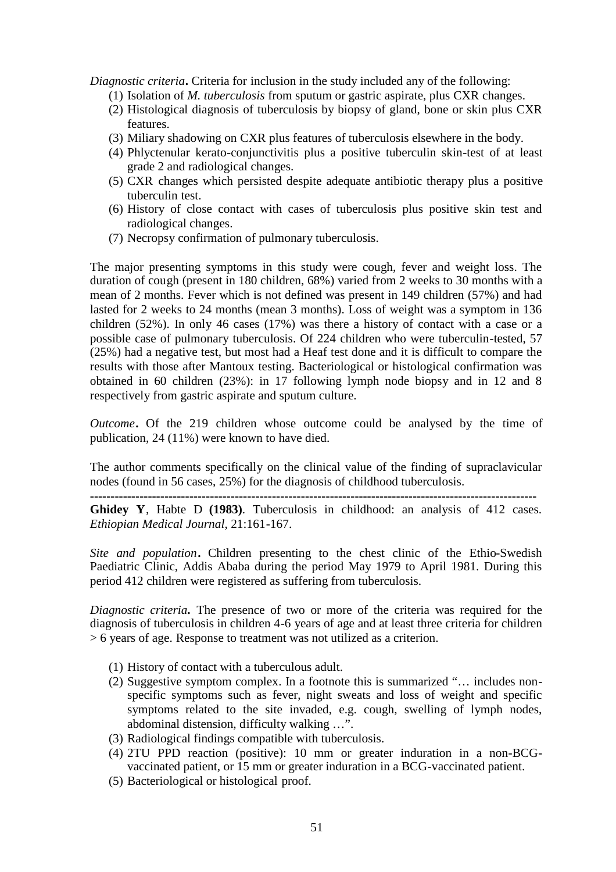*Diagnostic criteria***.** Criteria for inclusion in the study included any of the following:

- (1) Isolation of *M. tuberculosis* from sputum or gastric aspirate, plus CXR changes.
- (2) Histological diagnosis of tuberculosis by biopsy of gland, bone or skin plus CXR features.
- (3) Miliary shadowing on CXR plus features of tuberculosis elsewhere in the body.
- (4) Phlyctenular kerato-conjunctivitis plus a positive tuberculin skin-test of at least grade 2 and radiological changes.
- (5) CXR changes which persisted despite adequate antibiotic therapy plus a positive tuberculin test.
- (6) History of close contact with cases of tuberculosis plus positive skin test and radiological changes.
- (7) Necropsy confirmation of pulmonary tuberculosis.

The major presenting symptoms in this study were cough, fever and weight loss. The duration of cough (present in 180 children, 68%) varied from 2 weeks to 30 months with a mean of 2 months. Fever which is not defined was present in 149 children (57%) and had lasted for 2 weeks to 24 months (mean 3 months). Loss of weight was a symptom in 136 children (52%). In only 46 cases (17%) was there a history of contact with a case or a possible case of pulmonary tuberculosis. Of 224 children who were tuberculin-tested, 57 (25%) had a negative test, but most had a Heaf test done and it is difficult to compare the results with those after Mantoux testing. Bacteriological or histological confirmation was obtained in 60 children (23%): in 17 following lymph node biopsy and in 12 and 8 respectively from gastric aspirate and sputum culture.

*Outcome***.** Of the 219 children whose outcome could be analysed by the time of publication, 24 (11%) were known to have died.

The author comments specifically on the clinical value of the finding of supraclavicular nodes (found in 56 cases, 25%) for the diagnosis of childhood tuberculosis.

**------------------------------------------------------------------------------------------------------------**

**Ghidey Y**, Habte D **(1983)**. Tuberculosis in childhood: an analysis of 412 cases. *Ethiopian Medical Journal*, 21:161-167.

*Site and population***.** Children presenting to the chest clinic of the Ethio-Swedish Paediatric Clinic, Addis Ababa during the period May 1979 to April 1981. During this period 412 children were registered as suffering from tuberculosis.

*Diagnostic criteria***.** The presence of two or more of the criteria was required for the diagnosis of tuberculosis in children 4-6 years of age and at least three criteria for children > 6 years of age. Response to treatment was not utilized as a criterion.

- (1) History of contact with a tuberculous adult.
- (2) Suggestive symptom complex. In a footnote this is summarized "… includes nonspecific symptoms such as fever, night sweats and loss of weight and specific symptoms related to the site invaded, e.g. cough, swelling of lymph nodes, abdominal distension, difficulty walking …".
- (3) Radiological findings compatible with tuberculosis.
- (4) 2TU PPD reaction (positive): 10 mm or greater induration in a non-BCGvaccinated patient, or 15 mm or greater induration in a BCG-vaccinated patient.
- (5) Bacteriological or histological proof.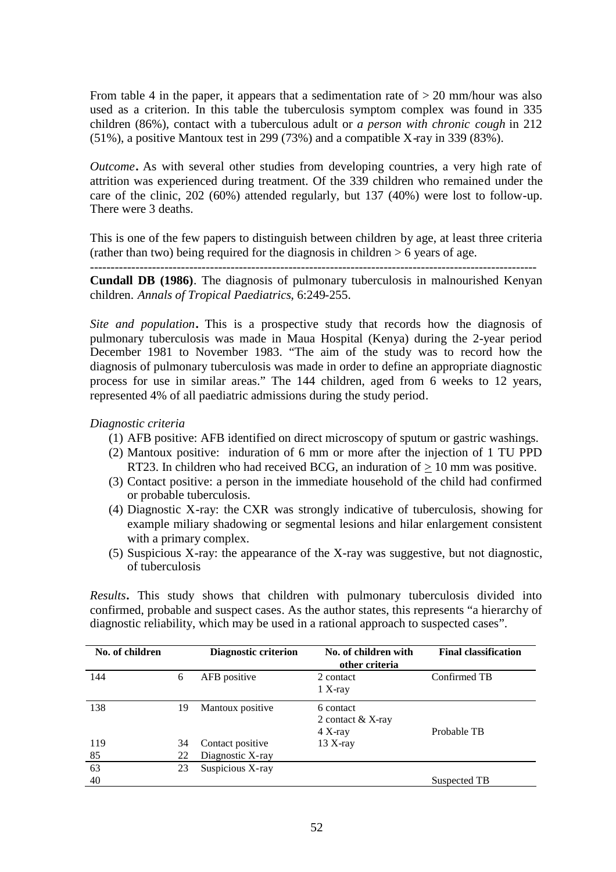From table 4 in the paper, it appears that a sedimentation rate of  $> 20$  mm/hour was also used as a criterion. In this table the tuberculosis symptom complex was found in 335 children (86%), contact with a tuberculous adult or *a person with chronic cough* in 212 (51%), a positive Mantoux test in 299 (73%) and a compatible X-ray in 339 (83%).

*Outcome***.** As with several other studies from developing countries, a very high rate of attrition was experienced during treatment. Of the 339 children who remained under the care of the clinic, 202 (60%) attended regularly, but 137 (40%) were lost to follow-up. There were 3 deaths.

This is one of the few papers to distinguish between children by age, at least three criteria (rather than two) being required for the diagnosis in children  $> 6$  years of age. ------------------------------------------------------------------------------------------------------------

**Cundall DB (1986)**. The diagnosis of pulmonary tuberculosis in malnourished Kenyan children. *Annals of Tropical Paediatrics*, 6:249-255.

*Site and population***.** This is a prospective study that records how the diagnosis of pulmonary tuberculosis was made in Maua Hospital (Kenya) during the 2-year period December 1981 to November 1983. "The aim of the study was to record how the diagnosis of pulmonary tuberculosis was made in order to define an appropriate diagnostic process for use in similar areas." The 144 children, aged from 6 weeks to 12 years, represented 4% of all paediatric admissions during the study period.

*Diagnostic criteria*

- (1) AFB positive: AFB identified on direct microscopy of sputum or gastric washings.
- (2) Mantoux positive: induration of 6 mm or more after the injection of 1 TU PPD RT23. In children who had received BCG, an induration of  $> 10$  mm was positive.
- (3) Contact positive: a person in the immediate household of the child had confirmed or probable tuberculosis.
- (4) Diagnostic X-ray: the CXR was strongly indicative of tuberculosis, showing for example miliary shadowing or segmental lesions and hilar enlargement consistent with a primary complex.
- (5) Suspicious X-ray: the appearance of the X-ray was suggestive, but not diagnostic, of tuberculosis

*Results***.** This study shows that children with pulmonary tuberculosis divided into confirmed, probable and suspect cases. As the author states, this represents "a hierarchy of diagnostic reliability, which may be used in a rational approach to suspected cases".

| No. of children |    | <b>Diagnostic criterion</b> | No. of children with<br>other criteria    | <b>Final classification</b> |
|-----------------|----|-----------------------------|-------------------------------------------|-----------------------------|
| 144             | 6  | AFB positive                | 2 contact<br>$1 X-ray$                    | Confirmed TB                |
| 138             | 19 | Mantoux positive            | 6 contact<br>2 contact & X-ray<br>4 X-ray | Probable TB                 |
| 119             | 34 | Contact positive            | $13$ X-ray                                |                             |
| 85              | 22 | Diagnostic X-ray            |                                           |                             |
| 63              | 23 | Suspicious X-ray            |                                           |                             |
| 40              |    |                             |                                           | Suspected TB                |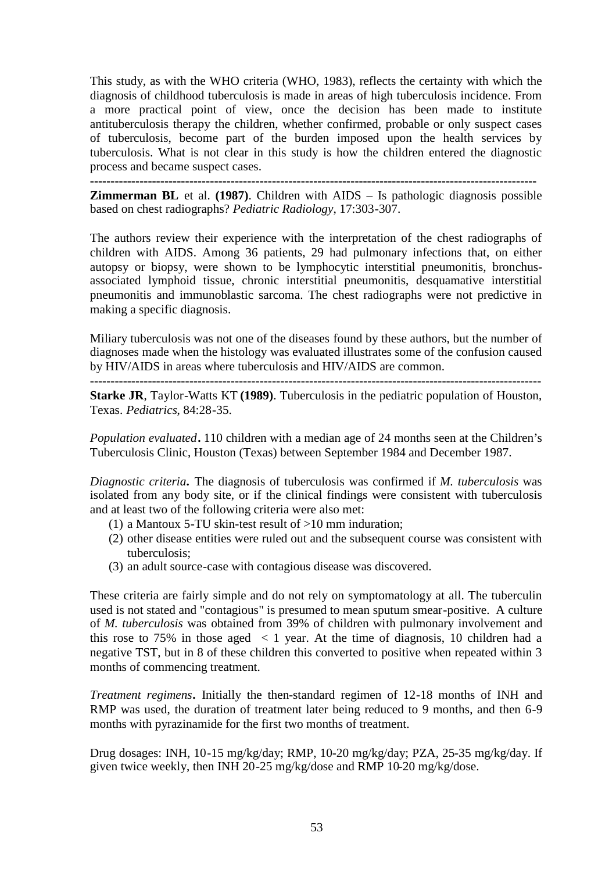This study, as with the WHO criteria (WHO, 1983), reflects the certainty with which the diagnosis of childhood tuberculosis is made in areas of high tuberculosis incidence. From a more practical point of view, once the decision has been made to institute antituberculosis therapy the children, whether confirmed, probable or only suspect cases of tuberculosis, become part of the burden imposed upon the health services by tuberculosis. What is not clear in this study is how the children entered the diagnostic process and became suspect cases.

**------------------------------------------------------------------------------------------------------------ Zimmerman BL** et al. **(1987)**. Children with AIDS – Is pathologic diagnosis possible based on chest radiographs? *Pediatric Radiology*, 17:303-307.

The authors review their experience with the interpretation of the chest radiographs of children with AIDS. Among 36 patients, 29 had pulmonary infections that, on either autopsy or biopsy, were shown to be lymphocytic interstitial pneumonitis, bronchusassociated lymphoid tissue, chronic interstitial pneumonitis, desquamative interstitial pneumonitis and immunoblastic sarcoma. The chest radiographs were not predictive in making a specific diagnosis.

Miliary tuberculosis was not one of the diseases found by these authors, but the number of diagnoses made when the histology was evaluated illustrates some of the confusion caused by HIV/AIDS in areas where tuberculosis and HIV/AIDS are common.

**Starke JR**, Taylor-Watts KT **(1989)**. Tuberculosis in the pediatric population of Houston, Texas. *Pediatrics*, 84:28-35.

*Population evaluated***.** 110 children with a median age of 24 months seen at the Children's Tuberculosis Clinic, Houston (Texas) between September 1984 and December 1987.

*Diagnostic criteria***.** The diagnosis of tuberculosis was confirmed if *M. tuberculosis* was isolated from any body site, or if the clinical findings were consistent with tuberculosis and at least two of the following criteria were also met:

- (1) a Mantoux 5-TU skin-test result of  $>10$  mm induration;
- (2) other disease entities were ruled out and the subsequent course was consistent with tuberculosis;
- (3) an adult source-case with contagious disease was discovered.

These criteria are fairly simple and do not rely on symptomatology at all. The tuberculin used is not stated and "contagious" is presumed to mean sputum smear-positive. A culture of *M. tuberculosis* was obtained from 39% of children with pulmonary involvement and this rose to 75% in those aged  $\langle 1 \rangle$  year. At the time of diagnosis, 10 children had a negative TST, but in 8 of these children this converted to positive when repeated within 3 months of commencing treatment.

*Treatment regimens***.** Initially the then-standard regimen of 12-18 months of INH and RMP was used, the duration of treatment later being reduced to 9 months, and then 6-9 months with pyrazinamide for the first two months of treatment.

Drug dosages: INH, 10-15 mg/kg/day; RMP, 10-20 mg/kg/day; PZA, 25-35 mg/kg/day. If given twice weekly, then INH 20-25 mg/kg/dose and RMP 10-20 mg/kg/dose.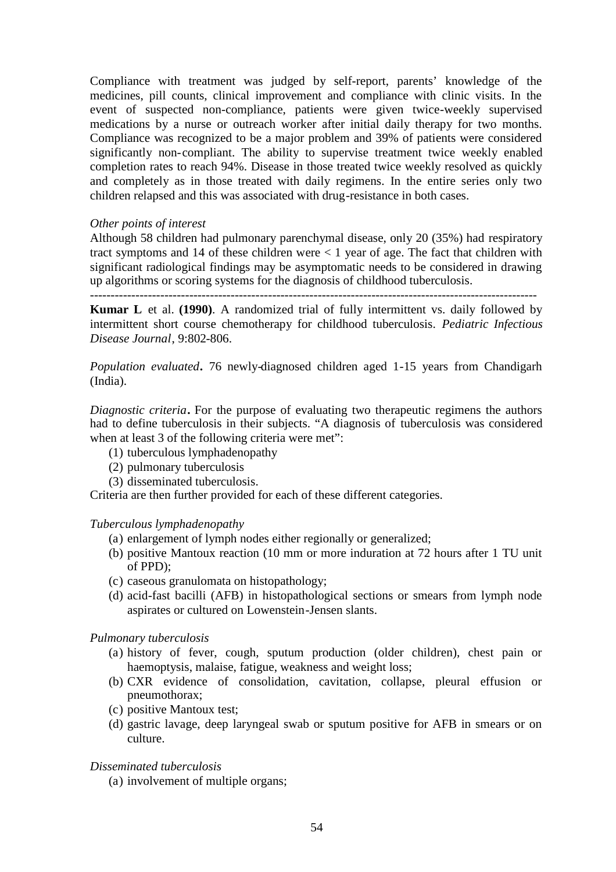Compliance with treatment was judged by self-report, parents' knowledge of the medicines, pill counts, clinical improvement and compliance with clinic visits. In the event of suspected non-compliance, patients were given twice-weekly supervised medications by a nurse or outreach worker after initial daily therapy for two months. Compliance was recognized to be a major problem and 39% of patients were considered significantly non-compliant. The ability to supervise treatment twice weekly enabled completion rates to reach 94%. Disease in those treated twice weekly resolved as quickly and completely as in those treated with daily regimens. In the entire series only two children relapsed and this was associated with drug-resistance in both cases.

### *Other points of interest*

Although 58 children had pulmonary parenchymal disease, only 20 (35%) had respiratory tract symptoms and 14 of these children were  $\lt 1$  year of age. The fact that children with significant radiological findings may be asymptomatic needs to be considered in drawing up algorithms or scoring systems for the diagnosis of childhood tuberculosis.

------------------------------------------------------------------------------------------------------------

**Kumar L** et al. **(1990)**. A randomized trial of fully intermittent vs. daily followed by intermittent short course chemotherapy for childhood tuberculosis. *Pediatric Infectious Disease Journal*, 9:802-806.

*Population evaluated***.** 76 newly-diagnosed children aged 1-15 years from Chandigarh (India).

*Diagnostic criteria***.** For the purpose of evaluating two therapeutic regimens the authors had to define tuberculosis in their subjects. "A diagnosis of tuberculosis was considered when at least 3 of the following criteria were met":

- (1) tuberculous lymphadenopathy
- (2) pulmonary tuberculosis
- (3) disseminated tuberculosis.

Criteria are then further provided for each of these different categories.

### *Tuberculous lymphadenopathy*

- (a) enlargement of lymph nodes either regionally or generalized;
- (b) positive Mantoux reaction (10 mm or more induration at 72 hours after 1 TU unit of PPD);
- (c) caseous granulomata on histopathology;
- (d) acid-fast bacilli (AFB) in histopathological sections or smears from lymph node aspirates or cultured on Lowenstein-Jensen slants.

### *Pulmonary tuberculosis*

- (a) history of fever, cough, sputum production (older children), chest pain or haemoptysis, malaise, fatigue, weakness and weight loss;
- (b) CXR evidence of consolidation, cavitation, collapse, pleural effusion or pneumothorax;
- (c) positive Mantoux test;
- (d) gastric lavage, deep laryngeal swab or sputum positive for AFB in smears or on culture.

## *Disseminated tuberculosis*

(a) involvement of multiple organs;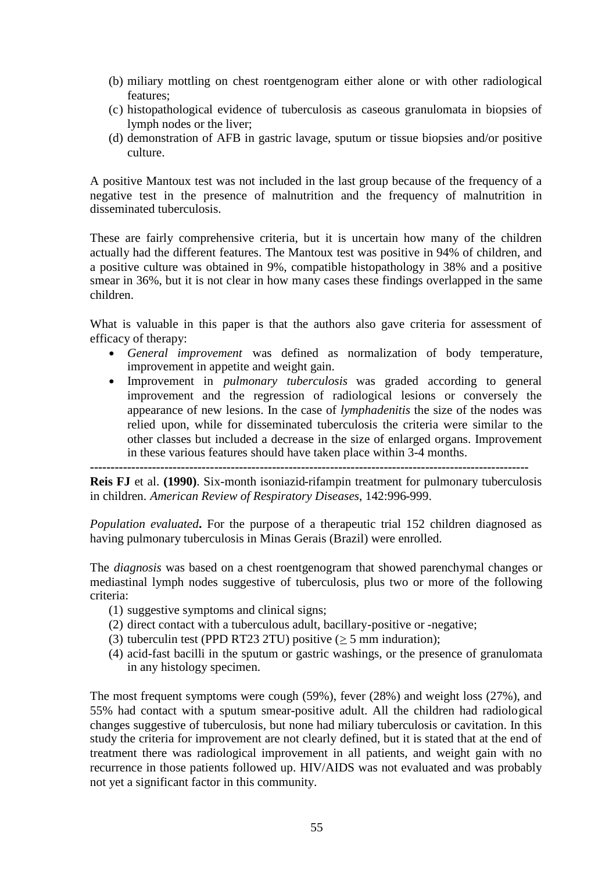- (b) miliary mottling on chest roentgenogram either alone or with other radiological features;
- (c) histopathological evidence of tuberculosis as caseous granulomata in biopsies of lymph nodes or the liver;
- (d) demonstration of AFB in gastric lavage, sputum or tissue biopsies and/or positive culture.

A positive Mantoux test was not included in the last group because of the frequency of a negative test in the presence of malnutrition and the frequency of malnutrition in disseminated tuberculosis.

These are fairly comprehensive criteria, but it is uncertain how many of the children actually had the different features. The Mantoux test was positive in 94% of children, and a positive culture was obtained in 9%, compatible histopathology in 38% and a positive smear in 36%, but it is not clear in how many cases these findings overlapped in the same children.

What is valuable in this paper is that the authors also gave criteria for assessment of efficacy of therapy:

- *General improvement* was defined as normalization of body temperature, improvement in appetite and weight gain.
- Improvement in *pulmonary tuberculosis* was graded according to general improvement and the regression of radiological lesions or conversely the appearance of new lesions. In the case of *lymphadenitis* the size of the nodes was relied upon, while for disseminated tuberculosis the criteria were similar to the other classes but included a decrease in the size of enlarged organs. Improvement in these various features should have taken place within 3-4 months.

**----------------------------------------------------------------------------------------------------------**

**Reis FJ** et al. **(1990)**. Six-month isoniazid-rifampin treatment for pulmonary tuberculosis in children. *American Review of Respiratory Diseases*, 142:996-999.

*Population evaluated***.** For the purpose of a therapeutic trial 152 children diagnosed as having pulmonary tuberculosis in Minas Gerais (Brazil) were enrolled.

The *diagnosis* was based on a chest roentgenogram that showed parenchymal changes or mediastinal lymph nodes suggestive of tuberculosis, plus two or more of the following criteria:

- (1) suggestive symptoms and clinical signs;
- (2) direct contact with a tuberculous adult, bacillary-positive or -negative;
- (3) tuberculin test (PPD RT23 2TU) positive ( $\geq$  5 mm induration);
- (4) acid-fast bacilli in the sputum or gastric washings, or the presence of granulomata in any histology specimen.

The most frequent symptoms were cough (59%), fever (28%) and weight loss (27%), and 55% had contact with a sputum smear-positive adult. All the children had radiological changes suggestive of tuberculosis, but none had miliary tuberculosis or cavitation. In this study the criteria for improvement are not clearly defined, but it is stated that at the end of treatment there was radiological improvement in all patients, and weight gain with no recurrence in those patients followed up. HIV/AIDS was not evaluated and was probably not yet a significant factor in this community.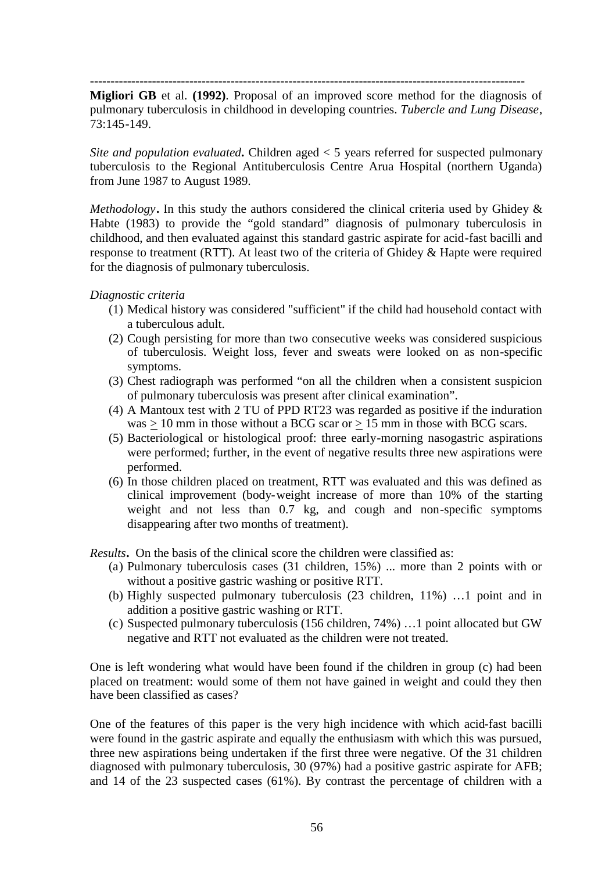---------------------------------------------------------------------------------------------------------

**Migliori GB** et al. **(1992)**. Proposal of an improved score method for the diagnosis of pulmonary tuberculosis in childhood in developing countries. *Tubercle and Lung Disease*, 73:145-149.

*Site and population evaluated***.** Children aged < 5 years referred for suspected pulmonary tuberculosis to the Regional Antituberculosis Centre Arua Hospital (northern Uganda) from June 1987 to August 1989.

*Methodology***.** In this study the authors considered the clinical criteria used by Ghidey & Habte (1983) to provide the "gold standard" diagnosis of pulmonary tuberculosis in childhood, and then evaluated against this standard gastric aspirate for acid-fast bacilli and response to treatment (RTT). At least two of the criteria of Ghidey & Hapte were required for the diagnosis of pulmonary tuberculosis.

*Diagnostic criteria*

- (1) Medical history was considered "sufficient" if the child had household contact with a tuberculous adult.
- (2) Cough persisting for more than two consecutive weeks was considered suspicious of tuberculosis. Weight loss, fever and sweats were looked on as non-specific symptoms.
- (3) Chest radiograph was performed "on all the children when a consistent suspicion of pulmonary tuberculosis was present after clinical examination".
- (4) A Mantoux test with 2 TU of PPD RT23 was regarded as positive if the induration was  $\geq 10$  mm in those without a BCG scar or  $\geq 15$  mm in those with BCG scars.
- (5) Bacteriological or histological proof: three early-morning nasogastric aspirations were performed; further, in the event of negative results three new aspirations were performed.
- (6) In those children placed on treatment, RTT was evaluated and this was defined as clinical improvement (body-weight increase of more than 10% of the starting weight and not less than 0.7 kg, and cough and non-specific symptoms disappearing after two months of treatment).

*Results***.** On the basis of the clinical score the children were classified as:

- (a) Pulmonary tuberculosis cases (31 children, 15%) ... more than 2 points with or without a positive gastric washing or positive RTT.
- (b) Highly suspected pulmonary tuberculosis (23 children, 11%) …1 point and in addition a positive gastric washing or RTT.
- (c) Suspected pulmonary tuberculosis (156 children, 74%) …1 point allocated but GW negative and RTT not evaluated as the children were not treated.

One is left wondering what would have been found if the children in group (c) had been placed on treatment: would some of them not have gained in weight and could they then have been classified as cases?

One of the features of this paper is the very high incidence with which acid-fast bacilli were found in the gastric aspirate and equally the enthusiasm with which this was pursued, three new aspirations being undertaken if the first three were negative. Of the 31 children diagnosed with pulmonary tuberculosis, 30 (97%) had a positive gastric aspirate for AFB; and 14 of the 23 suspected cases (61%). By contrast the percentage of children with a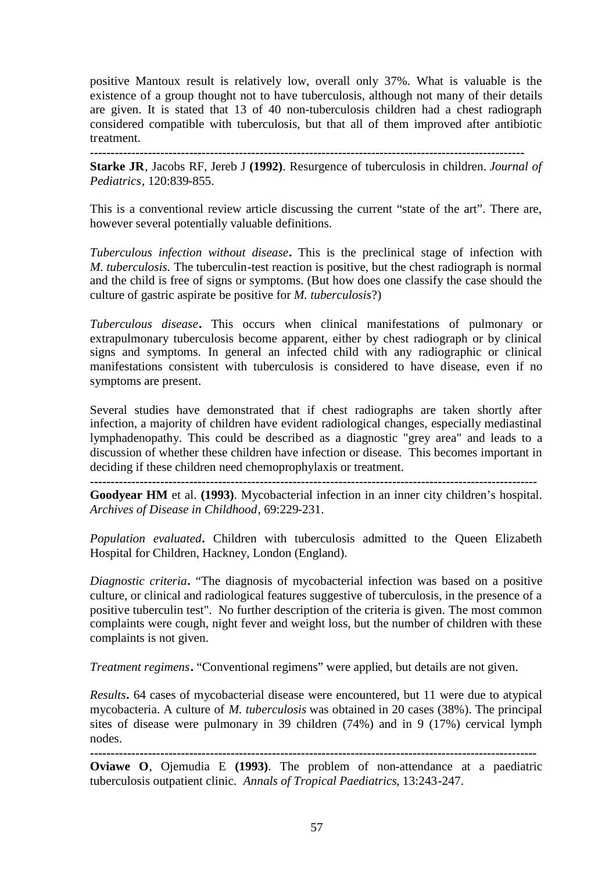positive Mantoux result is relatively low, overall only 37%. What is valuable is the existence of a group thought not to have tuberculosis, although not many of their details are given. It is stated that 13 of 40 non-tuberculosis children had a chest radiograph considered compatible with tuberculosis, but that all of them improved after antibiotic treatment.

**---------------------------------------------------------------------------------------------------------**

**Starke JR**, Jacobs RF, Jereb J **(1992)**. Resurgence of tuberculosis in children. *Journal of Pediatrics*, 120:839-855.

This is a conventional review article discussing the current "state of the art". There are, however several potentially valuable definitions.

*Tuberculous infection without disease***.** This is the preclinical stage of infection with *M. tuberculosis.* The tuberculin-test reaction is positive, but the chest radiograph is normal and the child is free of signs or symptoms. (But how does one classify the case should the culture of gastric aspirate be positive for *M. tuberculosis*?)

*Tuberculous disease***.** This occurs when clinical manifestations of pulmonary or extrapulmonary tuberculosis become apparent, either by chest radiograph or by clinical signs and symptoms. In general an infected child with any radiographic or clinical manifestations consistent with tuberculosis is considered to have disease, even if no symptoms are present.

Several studies have demonstrated that if chest radiographs are taken shortly after infection, a majority of children have evident radiological changes, especially mediastinal lymphadenopathy. This could be described as a diagnostic "grey area" and leads to a discussion of whether these children have infection or disease. This becomes important in deciding if these children need chemoprophylaxis or treatment.

**------------------------------------------------------------------------------------------------------------**

**Goodyear HM** et al. **(1993)**. Mycobacterial infection in an inner city children's hospital. *Archives of Disease in Childhood*, 69:229-231.

*Population evaluated***.** Children with tuberculosis admitted to the Queen Elizabeth Hospital for Children, Hackney, London (England).

*Diagnostic criteria***.** "The diagnosis of mycobacterial infection was based on a positive culture, or clinical and radiological features suggestive of tuberculosis, in the presence of a positive tuberculin test". No further description of the criteria is given. The most common complaints were cough, night fever and weight loss, but the number of children with these complaints is not given.

*Treatment regimens***.** "Conventional regimens" were applied, but details are not given.

*Results***.** 64 cases of mycobacterial disease were encountered, but 11 were due to atypical mycobacteria. A culture of *M. tuberculosis* was obtained in 20 cases (38%). The principal sites of disease were pulmonary in 39 children (74%) and in 9 (17%) cervical lymph nodes.

**------------------------------------------------------------------------------------------------------------**

**Oviawe O**, Ojemudia E **(1993)**. The problem of non-attendance at a paediatric tuberculosis outpatient clinic. *Annals of Tropical Paediatrics*, 13:243-247.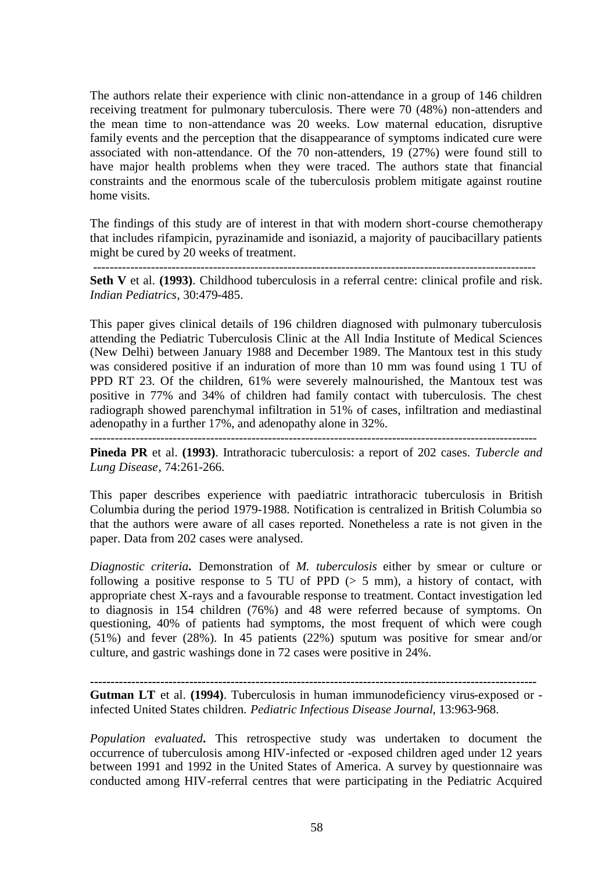The authors relate their experience with clinic non-attendance in a group of 146 children receiving treatment for pulmonary tuberculosis. There were 70 (48%) non-attenders and the mean time to non-attendance was 20 weeks. Low maternal education, disruptive family events and the perception that the disappearance of symptoms indicated cure were associated with non-attendance. Of the 70 non-attenders, 19 (27%) were found still to have major health problems when they were traced. The authors state that financial constraints and the enormous scale of the tuberculosis problem mitigate against routine home visits.

The findings of this study are of interest in that with modern short-course chemotherapy that includes rifampicin, pyrazinamide and isoniazid, a majority of paucibacillary patients might be cured by 20 weeks of treatment.

-----------------------------------------------------------------------------------------------------------

**Seth V** et al. **(1993)**. Childhood tuberculosis in a referral centre: clinical profile and risk. *Indian Pediatrics*, 30:479-485.

This paper gives clinical details of 196 children diagnosed with pulmonary tuberculosis attending the Pediatric Tuberculosis Clinic at the All India Institute of Medical Sciences (New Delhi) between January 1988 and December 1989. The Mantoux test in this study was considered positive if an induration of more than 10 mm was found using 1 TU of PPD RT 23. Of the children, 61% were severely malnourished, the Mantoux test was positive in 77% and 34% of children had family contact with tuberculosis. The chest radiograph showed parenchymal infiltration in 51% of cases, infiltration and mediastinal adenopathy in a further 17%, and adenopathy alone in 32%.

------------------------------------------------------------------------------------------------------------

**Pineda PR** et al. **(1993)**. Intrathoracic tuberculosis: a report of 202 cases. *Tubercle and Lung Disease*, 74:261-266.

This paper describes experience with paediatric intrathoracic tuberculosis in British Columbia during the period 1979-1988. Notification is centralized in British Columbia so that the authors were aware of all cases reported. Nonetheless a rate is not given in the paper. Data from 202 cases were analysed.

*Diagnostic criteria***.** Demonstration of *M. tuberculosis* either by smear or culture or following a positive response to 5 TU of PPD  $(> 5 \text{ mm})$ , a history of contact, with appropriate chest X-rays and a favourable response to treatment. Contact investigation led to diagnosis in 154 children (76%) and 48 were referred because of symptoms. On questioning, 40% of patients had symptoms, the most frequent of which were cough (51%) and fever (28%). In 45 patients (22%) sputum was positive for smear and/or culture, and gastric washings done in 72 cases were positive in 24%.

**------------------------------------------------------------------------------------------------------------**

**Gutman LT** et al. **(1994)**. Tuberculosis in human immunodeficiency virus-exposed or infected United States children. *Pediatric Infectious Disease Journal*, 13:963-968.

*Population evaluated***.** This retrospective study was undertaken to document the occurrence of tuberculosis among HIV-infected or -exposed children aged under 12 years between 1991 and 1992 in the United States of America. A survey by questionnaire was conducted among HIV-referral centres that were participating in the Pediatric Acquired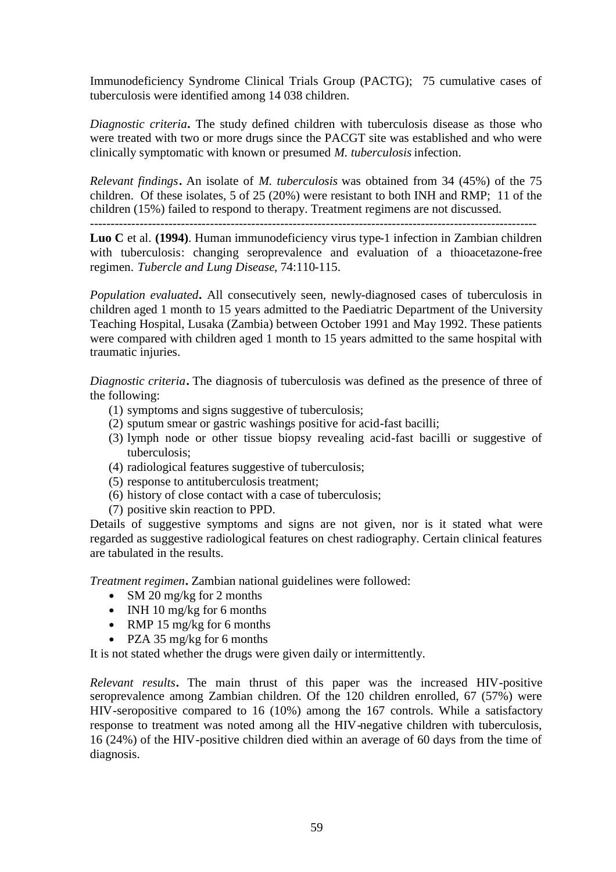Immunodeficiency Syndrome Clinical Trials Group (PACTG); 75 cumulative cases of tuberculosis were identified among 14 038 children.

*Diagnostic criteria***.** The study defined children with tuberculosis disease as those who were treated with two or more drugs since the PACGT site was established and who were clinically symptomatic with known or presumed *M. tuberculosis* infection.

*Relevant findings***.** An isolate of *M. tuberculosis* was obtained from 34 (45%) of the 75 children. Of these isolates, 5 of 25 (20%) were resistant to both INH and RMP; 11 of the children (15%) failed to respond to therapy. Treatment regimens are not discussed.

------------------------------------------------------------------------------------------------------------

**Luo C** et al. **(1994)**. Human immunodeficiency virus type-1 infection in Zambian children with tuberculosis: changing seroprevalence and evaluation of a thioacetazone-free regimen. *Tubercle and Lung Disease*, 74:110-115.

*Population evaluated***.** All consecutively seen, newly-diagnosed cases of tuberculosis in children aged 1 month to 15 years admitted to the Paediatric Department of the University Teaching Hospital, Lusaka (Zambia) between October 1991 and May 1992. These patients were compared with children aged 1 month to 15 years admitted to the same hospital with traumatic injuries.

*Diagnostic criteria***.** The diagnosis of tuberculosis was defined as the presence of three of the following:

- (1) symptoms and signs suggestive of tuberculosis;
- (2) sputum smear or gastric washings positive for acid-fast bacilli;
- (3) lymph node or other tissue biopsy revealing acid-fast bacilli or suggestive of tuberculosis;
- (4) radiological features suggestive of tuberculosis;
- (5) response to antituberculosis treatment;
- (6) history of close contact with a case of tuberculosis;
- (7) positive skin reaction to PPD.

Details of suggestive symptoms and signs are not given, nor is it stated what were regarded as suggestive radiological features on chest radiography. Certain clinical features are tabulated in the results.

*Treatment regimen***.** Zambian national guidelines were followed:

- SM 20 mg/kg for 2 months
- INH 10 mg/kg for 6 months
- RMP 15 mg/kg for 6 months
- PZA 35 mg/kg for 6 months

It is not stated whether the drugs were given daily or intermittently.

*Relevant results***.** The main thrust of this paper was the increased HIV-positive seroprevalence among Zambian children. Of the 120 children enrolled, 67 (57%) were HIV-seropositive compared to 16 (10%) among the 167 controls. While a satisfactory response to treatment was noted among all the HIV-negative children with tuberculosis, 16 (24%) of the HIV-positive children died within an average of 60 days from the time of diagnosis.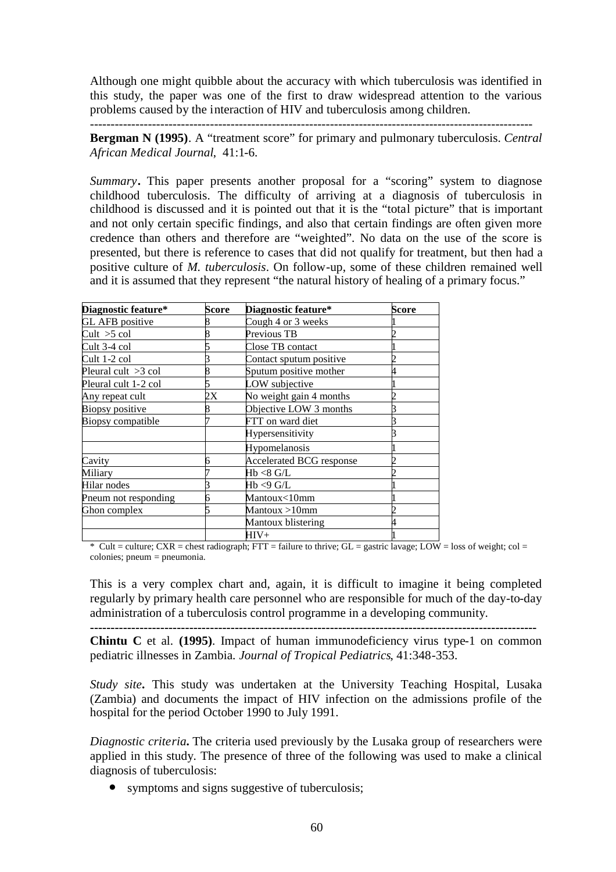Although one might quibble about the accuracy with which tuberculosis was identified in this study, the paper was one of the first to draw widespread attention to the various problems caused by the interaction of HIV and tuberculosis among children. -----------------------------------------------------------------------------------------------------------

**Bergman N (1995)**. A "treatment score" for primary and pulmonary tuberculosis. *Central African Medical Journal*, 41:1-6.

*Summary***.** This paper presents another proposal for a "scoring" system to diagnose childhood tuberculosis. The difficulty of arriving at a diagnosis of tuberculosis in childhood is discussed and it is pointed out that it is the "total picture" that is important and not only certain specific findings, and also that certain findings are often given more credence than others and therefore are "weighted". No data on the use of the score is presented, but there is reference to cases that did not qualify for treatment, but then had a positive culture of *M. tuberculosis*. On follow-up, some of these children remained well and it is assumed that they represent "the natural history of healing of a primary focus."

| Diagnostic feature*   | Score | Diagnostic feature*             | Score |
|-----------------------|-------|---------------------------------|-------|
| GL AFB positive       | 8     | Cough 4 or 3 weeks              |       |
| Cut > 5 col           |       | Previous TB                     |       |
| Cult 3-4 col          |       | Close TB contact                |       |
| Cult 1-2 col          | 3     | Contact sputum positive         |       |
| Pleural cult $>3$ col | 8     | Sputum positive mother          |       |
| Pleural cult 1-2 col  |       | LOW subjective                  |       |
| Any repeat cult       | 2X    | No weight gain 4 months         |       |
| Biopsy positive       | 8     | Objective LOW 3 months          |       |
| Biopsy compatible     |       | FTT on ward diet                |       |
|                       |       | Hypersensitivity                |       |
|                       |       | Hypomelanosis                   |       |
| Cavity                | 6     | <b>Accelerated BCG response</b> |       |
| Miliary               |       | Hb <8 G/L                       |       |
| Hilar nodes           |       | Hb <9 G/L                       |       |
| Pneum not responding  | 6     | Mantoux<10mm                    |       |
| Ghon complex          |       | Mantoux >10mm                   |       |
|                       |       | Mantoux blistering              |       |
|                       |       | $HIV+$                          |       |

 $*$  Cult = culture; CXR = chest radiograph; FTT = failure to thrive; GL = gastric lavage; LOW = loss of weight; col = colonies; pneum = pneumonia.

This is a very complex chart and, again, it is difficult to imagine it being completed regularly by primary health care personnel who are responsible for much of the day-to-day administration of a tuberculosis control programme in a developing community.

**------------------------------------------------------------------------------------------------------------**

**Chintu C** et al. **(1995)**. Impact of human immunodeficiency virus type-1 on common pediatric illnesses in Zambia. *Journal of Tropical Pediatrics*, 41:348-353.

*Study site***.** This study was undertaken at the University Teaching Hospital, Lusaka (Zambia) and documents the impact of HIV infection on the admissions profile of the hospital for the period October 1990 to July 1991.

*Diagnostic criteria***.** The criteria used previously by the Lusaka group of researchers were applied in this study. The presence of three of the following was used to make a clinical diagnosis of tuberculosis:

• symptoms and signs suggestive of tuberculosis;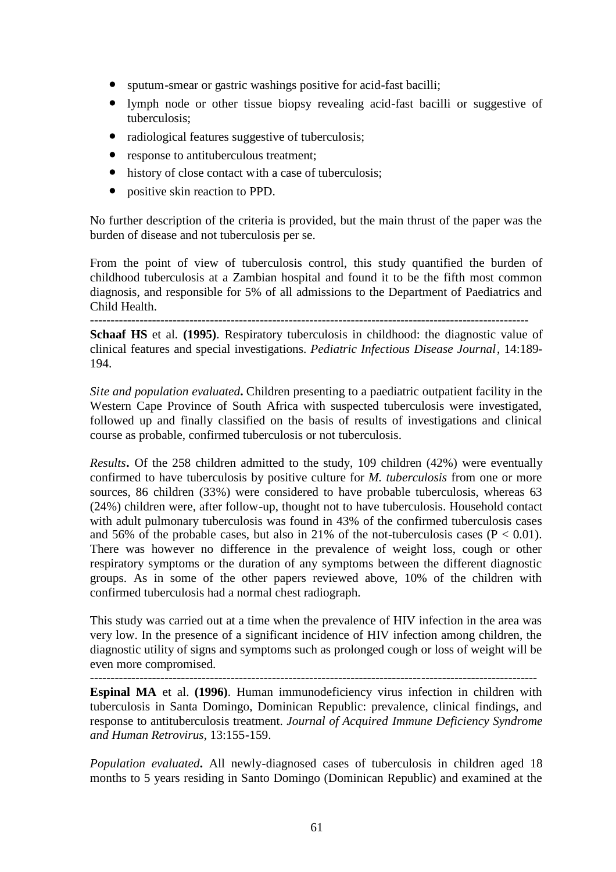- sputum-smear or gastric washings positive for acid-fast bacilli;
- lymph node or other tissue biopsy revealing acid-fast bacilli or suggestive of tuberculosis;
- radiological features suggestive of tuberculosis;
- response to antituberculous treatment:
- history of close contact with a case of tuberculosis;
- positive skin reaction to PPD.

No further description of the criteria is provided, but the main thrust of the paper was the burden of disease and not tuberculosis per se.

From the point of view of tuberculosis control, this study quantified the burden of childhood tuberculosis at a Zambian hospital and found it to be the fifth most common diagnosis, and responsible for 5% of all admissions to the Department of Paediatrics and Child Health.

----------------------------------------------------------------------------------------------------------

**Schaaf HS** et al. **(1995)**. Respiratory tuberculosis in childhood: the diagnostic value of clinical features and special investigations. *Pediatric Infectious Disease Journal*, 14:189- 194.

*Site and population evaluated***.** Children presenting to a paediatric outpatient facility in the Western Cape Province of South Africa with suspected tuberculosis were investigated, followed up and finally classified on the basis of results of investigations and clinical course as probable, confirmed tuberculosis or not tuberculosis.

*Results***.** Of the 258 children admitted to the study, 109 children (42%) were eventually confirmed to have tuberculosis by positive culture for *M. tuberculosis* from one or more sources, 86 children (33%) were considered to have probable tuberculosis, whereas 63 (24%) children were, after follow-up, thought not to have tuberculosis. Household contact with adult pulmonary tuberculosis was found in 43% of the confirmed tuberculosis cases and 56% of the probable cases, but also in 21% of the not-tuberculosis cases  $(P < 0.01)$ . There was however no difference in the prevalence of weight loss, cough or other respiratory symptoms or the duration of any symptoms between the different diagnostic groups. As in some of the other papers reviewed above, 10% of the children with confirmed tuberculosis had a normal chest radiograph.

This study was carried out at a time when the prevalence of HIV infection in the area was very low. In the presence of a significant incidence of HIV infection among children, the diagnostic utility of signs and symptoms such as prolonged cough or loss of weight will be even more compromised.

------------------------------------------------------------------------------------------------------------

**Espinal MA** et al. **(1996)**. Human immunodeficiency virus infection in children with tuberculosis in Santa Domingo, Dominican Republic: prevalence, clinical findings, and response to antituberculosis treatment. *Journal of Acquired Immune Deficiency Syndrome and Human Retrovirus*, 13:155-159.

*Population evaluated***.** All newly-diagnosed cases of tuberculosis in children aged 18 months to 5 years residing in Santo Domingo (Dominican Republic) and examined at the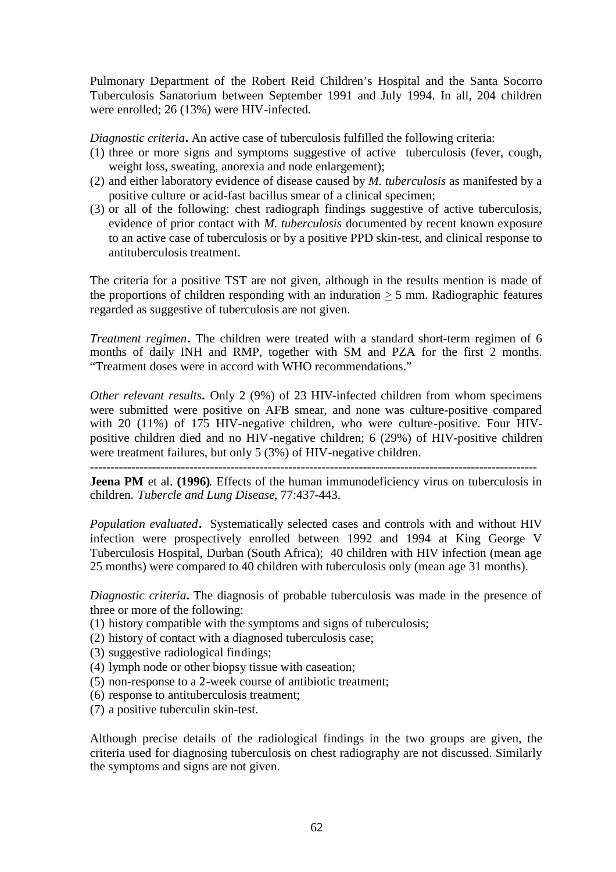Pulmonary Department of the Robert Reid Children's Hospital and the Santa Socorro Tuberculosis Sanatorium between September 1991 and July 1994. In all, 204 children were enrolled; 26 (13%) were HIV-infected.

*Diagnostic criteria***.** An active case of tuberculosis fulfilled the following criteria:

- (1) three or more signs and symptoms suggestive of active tuberculosis (fever, cough, weight loss, sweating, anorexia and node enlargement);
- (2) and either laboratory evidence of disease caused by *M. tuberculosis* as manifested by a positive culture or acid-fast bacillus smear of a clinical specimen;
- (3) or all of the following: chest radiograph findings suggestive of active tuberculosis, evidence of prior contact with *M. tuberculosis* documented by recent known exposure to an active case of tuberculosis or by a positive PPD skin-test, and clinical response to antituberculosis treatment.

The criteria for a positive TST are not given, although in the results mention is made of the proportions of children responding with an induration  $> 5$  mm. Radiographic features regarded as suggestive of tuberculosis are not given.

*Treatment regimen***.** The children were treated with a standard short-term regimen of 6 months of daily INH and RMP, together with SM and PZA for the first 2 months. "Treatment doses were in accord with WHO recommendations."

*Other relevant results***.** Only 2 (9%) of 23 HIV-infected children from whom specimens were submitted were positive on AFB smear, and none was culture-positive compared with 20 (11%) of 175 HIV-negative children, who were culture-positive. Four HIVpositive children died and no HIV-negative children; 6 (29%) of HIV-positive children were treatment failures, but only 5 (3%) of HIV-negative children.

**Jeena PM** et al. **(1996)**. Effects of the human immunodeficiency virus on tuberculosis in children. *Tubercle and Lung Disease*, 77:437-443.

*Population evaluated***.** Systematically selected cases and controls with and without HIV infection were prospectively enrolled between 1992 and 1994 at King George V Tuberculosis Hospital, Durban (South Africa); 40 children with HIV infection (mean age 25 months) were compared to 40 children with tuberculosis only (mean age 31 months).

*Diagnostic criteria***.** The diagnosis of probable tuberculosis was made in the presence of three or more of the following:

- (1) history compatible with the symptoms and signs of tuberculosis;
- (2) history of contact with a diagnosed tuberculosis case;
- (3) suggestive radiological findings;
- (4) lymph node or other biopsy tissue with caseation;
- (5) non-response to a 2-week course of antibiotic treatment;
- (6) response to antituberculosis treatment;
- (7) a positive tuberculin skin-test.

Although precise details of the radiological findings in the two groups are given, the criteria used for diagnosing tuberculosis on chest radiography are not discussed. Similarly the symptoms and signs are not given.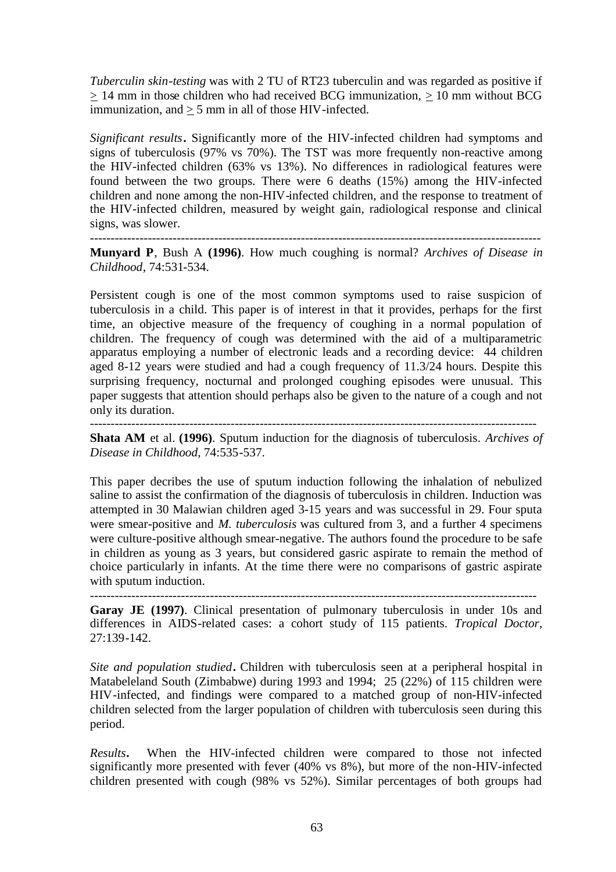*Tuberculin skin-testing* was with 2 TU of RT23 tuberculin and was regarded as positive if > 14 mm in those children who had received BCG immunization, > 10 mm without BCG immunization, and  $> 5$  mm in all of those HIV-infected.

*Significant results***.** Significantly more of the HIV-infected children had symptoms and signs of tuberculosis (97% vs 70%). The TST was more frequently non-reactive among the HIV-infected children (63% vs 13%). No differences in radiological features were found between the two groups. There were 6 deaths (15%) among the HIV-infected children and none among the non-HIV-infected children, and the response to treatment of the HIV-infected children, measured by weight gain, radiological response and clinical signs, was slower.

------------------------------------------------------------------------------------------------------------- **Munyard P**, Bush A **(1996)**. How much coughing is normal? *Archives of Disease in Childhood*, 74:531-534.

Persistent cough is one of the most common symptoms used to raise suspicion of tuberculosis in a child. This paper is of interest in that it provides, perhaps for the first time, an objective measure of the frequency of coughing in a normal population of children. The frequency of cough was determined with the aid of a multiparametric apparatus employing a number of electronic leads and a recording device: 44 children aged 8-12 years were studied and had a cough frequency of 11.3/24 hours. Despite this surprising frequency, nocturnal and prolonged coughing episodes were unusual. This paper suggests that attention should perhaps also be given to the nature of a cough and not only its duration.

------------------------------------------------------------------------------------------------------------

**Shata AM** et al. **(1996)**. Sputum induction for the diagnosis of tuberculosis. *Archives of Disease in Childhood*, 74:535-537.

This paper decribes the use of sputum induction following the inhalation of nebulized saline to assist the confirmation of the diagnosis of tuberculosis in children. Induction was attempted in 30 Malawian children aged 3-15 years and was successful in 29. Four sputa were smear-positive and *M. tuberculosis* was cultured from 3, and a further 4 specimens were culture-positive although smear-negative. The authors found the procedure to be safe in children as young as 3 years, but considered gasric aspirate to remain the method of choice particularly in infants. At the time there were no comparisons of gastric aspirate with sputum induction.

------------------------------------------------------------------------------------------------------------

**Garay JE (1997)**. Clinical presentation of pulmonary tuberculosis in under 10s and differences in AIDS-related cases: a cohort study of 115 patients. *Tropical Doctor*, 27:139-142.

*Site and population studied***.** Children with tuberculosis seen at a peripheral hospital in Matabeleland South (Zimbabwe) during 1993 and 1994; 25 (22%) of 115 children were HIV-infected, and findings were compared to a matched group of non-HIV-infected children selected from the larger population of children with tuberculosis seen during this period.

*Results***.** When the HIV-infected children were compared to those not infected significantly more presented with fever (40% vs 8%), but more of the non-HIV-infected children presented with cough (98% vs 52%). Similar percentages of both groups had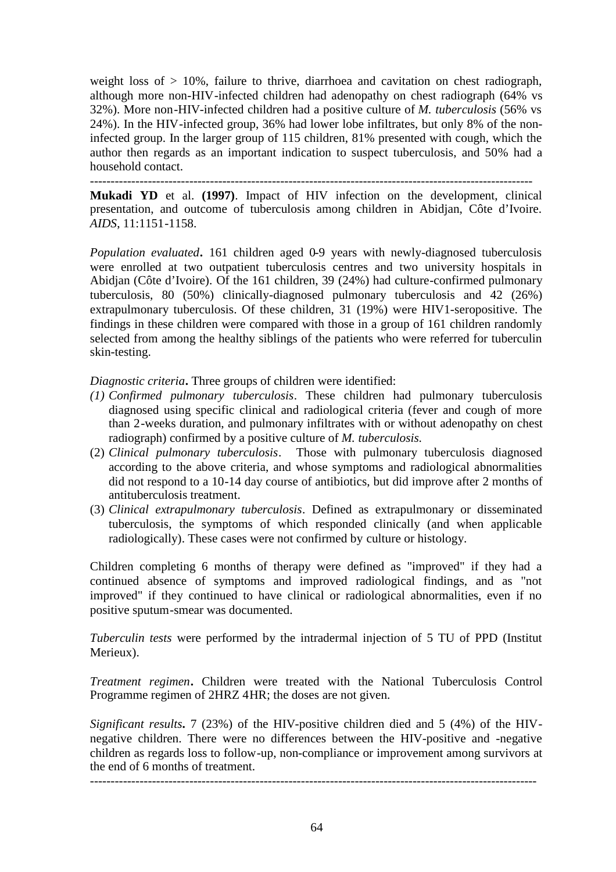weight loss of  $> 10\%$ , failure to thrive, diarrhoea and cavitation on chest radiograph, although more non-HIV-infected children had adenopathy on chest radiograph (64% vs 32%). More non-HIV-infected children had a positive culture of *M. tuberculosis* (56% vs 24%). In the HIV-infected group, 36% had lower lobe infiltrates, but only 8% of the noninfected group. In the larger group of 115 children, 81% presented with cough, which the author then regards as an important indication to suspect tuberculosis, and 50% had a household contact.

-----------------------------------------------------------------------------------------------------------

**Mukadi YD** et al. **(1997)**. Impact of HIV infection on the development, clinical presentation, and outcome of tuberculosis among children in Abidjan, Côte d'Ivoire. *AIDS*, 11:1151-1158.

*Population evaluated***.** 161 children aged 0-9 years with newly-diagnosed tuberculosis were enrolled at two outpatient tuberculosis centres and two university hospitals in Abidjan (Côte d'Ivoire). Of the 161 children, 39 (24%) had culture-confirmed pulmonary tuberculosis, 80 (50%) clinically-diagnosed pulmonary tuberculosis and 42 (26%) extrapulmonary tuberculosis. Of these children, 31 (19%) were HIV1-seropositive. The findings in these children were compared with those in a group of 161 children randomly selected from among the healthy siblings of the patients who were referred for tuberculin skin-testing.

*Diagnostic criteria***.** Three groups of children were identified:

- *(1) Confirmed pulmonary tuberculosis*. These children had pulmonary tuberculosis diagnosed using specific clinical and radiological criteria (fever and cough of more than 2-weeks duration, and pulmonary infiltrates with or without adenopathy on chest radiograph) confirmed by a positive culture of *M. tuberculosis.*
- (2) *Clinical pulmonary tuberculosis*. Those with pulmonary tuberculosis diagnosed according to the above criteria, and whose symptoms and radiological abnormalities did not respond to a 10-14 day course of antibiotics, but did improve after 2 months of antituberculosis treatment.
- (3) *Clinical extrapulmonary tuberculosis*. Defined as extrapulmonary or disseminated tuberculosis, the symptoms of which responded clinically (and when applicable radiologically). These cases were not confirmed by culture or histology.

Children completing 6 months of therapy were defined as "improved" if they had a continued absence of symptoms and improved radiological findings, and as "not improved" if they continued to have clinical or radiological abnormalities, even if no positive sputum-smear was documented.

*Tuberculin tests* were performed by the intradermal injection of 5 TU of PPD (Institut Merieux).

*Treatment regimen***.** Children were treated with the National Tuberculosis Control Programme regimen of 2HRZ 4HR; the doses are not given.

*Significant results***.** 7 (23%) of the HIV-positive children died and 5 (4%) of the HIVnegative children. There were no differences between the HIV-positive and -negative children as regards loss to follow-up, non-compliance or improvement among survivors at the end of 6 months of treatment.

------------------------------------------------------------------------------------------------------------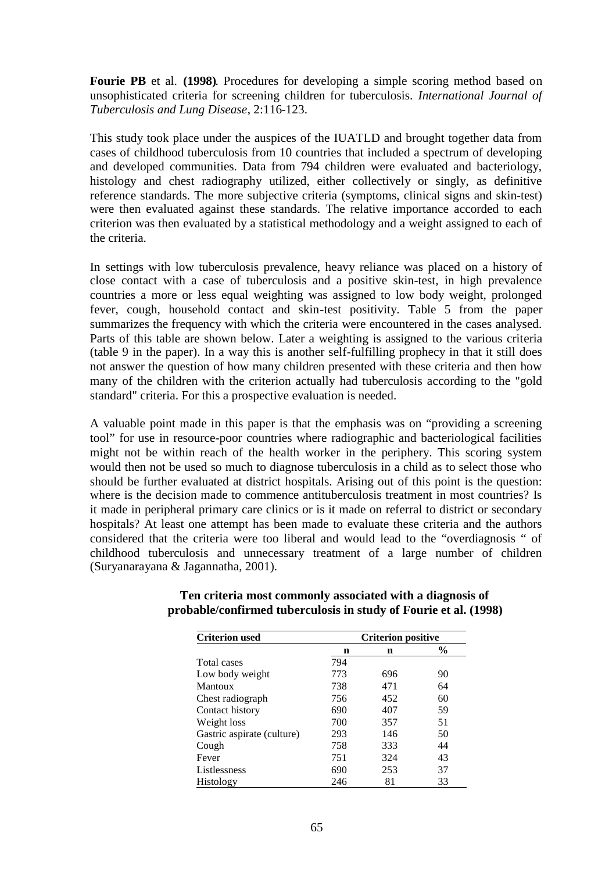**Fourie PB** et al. **(1998)**. Procedures for developing a simple scoring method based on unsophisticated criteria for screening children for tuberculosis. *International Journal of Tuberculosis and Lung Disease*, 2:116-123.

This study took place under the auspices of the IUATLD and brought together data from cases of childhood tuberculosis from 10 countries that included a spectrum of developing and developed communities. Data from 794 children were evaluated and bacteriology, histology and chest radiography utilized, either collectively or singly, as definitive reference standards. The more subjective criteria (symptoms, clinical signs and skin-test) were then evaluated against these standards. The relative importance accorded to each criterion was then evaluated by a statistical methodology and a weight assigned to each of the criteria.

In settings with low tuberculosis prevalence, heavy reliance was placed on a history of close contact with a case of tuberculosis and a positive skin-test, in high prevalence countries a more or less equal weighting was assigned to low body weight, prolonged fever, cough, household contact and skin-test positivity. Table 5 from the paper summarizes the frequency with which the criteria were encountered in the cases analysed. Parts of this table are shown below. Later a weighting is assigned to the various criteria (table 9 in the paper). In a way this is another self-fulfilling prophecy in that it still does not answer the question of how many children presented with these criteria and then how many of the children with the criterion actually had tuberculosis according to the "gold standard" criteria. For this a prospective evaluation is needed.

A valuable point made in this paper is that the emphasis was on "providing a screening tool" for use in resource-poor countries where radiographic and bacteriological facilities might not be within reach of the health worker in the periphery. This scoring system would then not be used so much to diagnose tuberculosis in a child as to select those who should be further evaluated at district hospitals. Arising out of this point is the question: where is the decision made to commence antituberculosis treatment in most countries? Is it made in peripheral primary care clinics or is it made on referral to district or secondary hospitals? At least one attempt has been made to evaluate these criteria and the authors considered that the criteria were too liberal and would lead to the "overdiagnosis " of childhood tuberculosis and unnecessary treatment of a large number of children (Suryanarayana & Jagannatha, 2001).

| <b>Criterion used</b>      | <b>Criterion positive</b> |     |               |  |
|----------------------------|---------------------------|-----|---------------|--|
|                            | n                         | n   | $\frac{6}{9}$ |  |
| Total cases                | 794                       |     |               |  |
| Low body weight            | 773                       | 696 | 90            |  |
| Mantoux                    | 738                       | 471 | 64            |  |
| Chest radiograph           | 756                       | 452 | 60            |  |
| Contact history            | 690                       | 407 | 59            |  |
| Weight loss                | 700                       | 357 | 51            |  |
| Gastric aspirate (culture) | 293                       | 146 | 50            |  |
| Cough                      | 758                       | 333 | 44            |  |
| Fever                      | 751                       | 324 | 43            |  |
| Listlessness               | 690                       | 253 | 37            |  |
| Histology                  | 246                       | 81  | 33            |  |

# **Ten criteria most commonly associated with a diagnosis of probable/confirmed tuberculosis in study of Fourie et al. (1998)**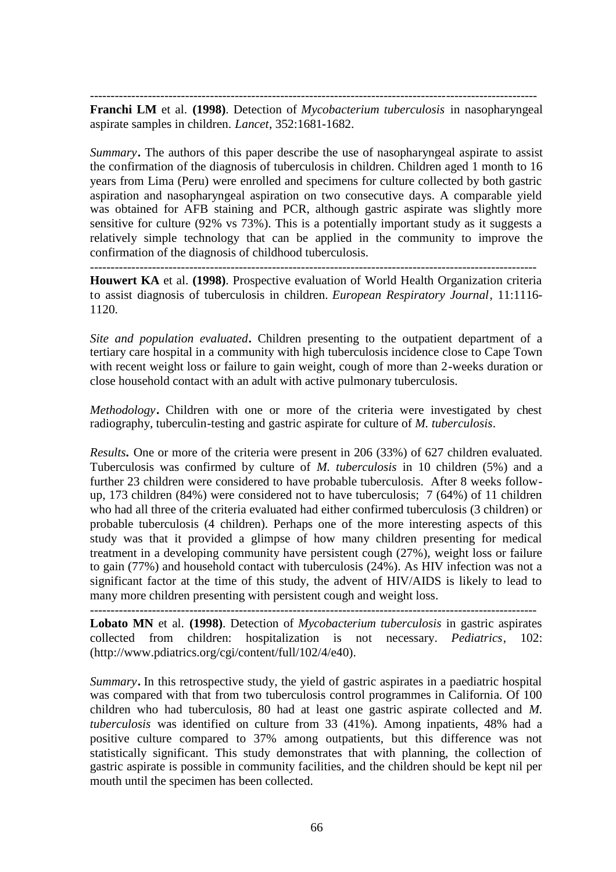------------------------------------------------------------------------------------------------------------

**Franchi LM** et al. **(1998)**. Detection of *Mycobacterium tuberculosis* in nasopharyngeal aspirate samples in children. *Lancet*, 352:1681-1682.

*Summary***.** The authors of this paper describe the use of nasopharyngeal aspirate to assist the confirmation of the diagnosis of tuberculosis in children. Children aged 1 month to 16 years from Lima (Peru) were enrolled and specimens for culture collected by both gastric aspiration and nasopharyngeal aspiration on two consecutive days. A comparable yield was obtained for AFB staining and PCR, although gastric aspirate was slightly more sensitive for culture (92% vs 73%). This is a potentially important study as it suggests a relatively simple technology that can be applied in the community to improve the confirmation of the diagnosis of childhood tuberculosis.

------------------------------------------------------------------------------------------------------------

**Houwert KA** et al. **(1998)**. Prospective evaluation of World Health Organization criteria to assist diagnosis of tuberculosis in children. *European Respiratory Journal*, 11:1116- 1120.

*Site and population evaluated***.** Children presenting to the outpatient department of a tertiary care hospital in a community with high tuberculosis incidence close to Cape Town with recent weight loss or failure to gain weight, cough of more than 2-weeks duration or close household contact with an adult with active pulmonary tuberculosis.

*Methodology***.** Children with one or more of the criteria were investigated by chest radiography, tuberculin-testing and gastric aspirate for culture of *M. tuberculosis*.

*Results.* One or more of the criteria were present in 206 (33%) of 627 children evaluated. Tuberculosis was confirmed by culture of *M. tuberculosis* in 10 children (5%) and a further 23 children were considered to have probable tuberculosis. After 8 weeks followup, 173 children (84%) were considered not to have tuberculosis; 7 (64%) of 11 children who had all three of the criteria evaluated had either confirmed tuberculosis (3 children) or probable tuberculosis (4 children). Perhaps one of the more interesting aspects of this study was that it provided a glimpse of how many children presenting for medical treatment in a developing community have persistent cough (27%), weight loss or failure to gain (77%) and household contact with tuberculosis (24%). As HIV infection was not a significant factor at the time of this study, the advent of HIV/AIDS is likely to lead to many more children presenting with persistent cough and weight loss.

**Lobato MN** et al. **(1998)**. Detection of *Mycobacterium tuberculosis* in gastric aspirates collected from children: hospitalization is not necessary. *Pediatrics*, 102: (http://www.pdiatrics.org/cgi/content/full/102/4/e40).

*Summary***.** In this retrospective study, the yield of gastric aspirates in a paediatric hospital was compared with that from two tuberculosis control programmes in California. Of 100 children who had tuberculosis, 80 had at least one gastric aspirate collected and *M. tuberculosis* was identified on culture from 33 (41%). Among inpatients, 48% had a positive culture compared to 37% among outpatients, but this difference was not statistically significant. This study demonstrates that with planning, the collection of gastric aspirate is possible in community facilities, and the children should be kept nil per mouth until the specimen has been collected.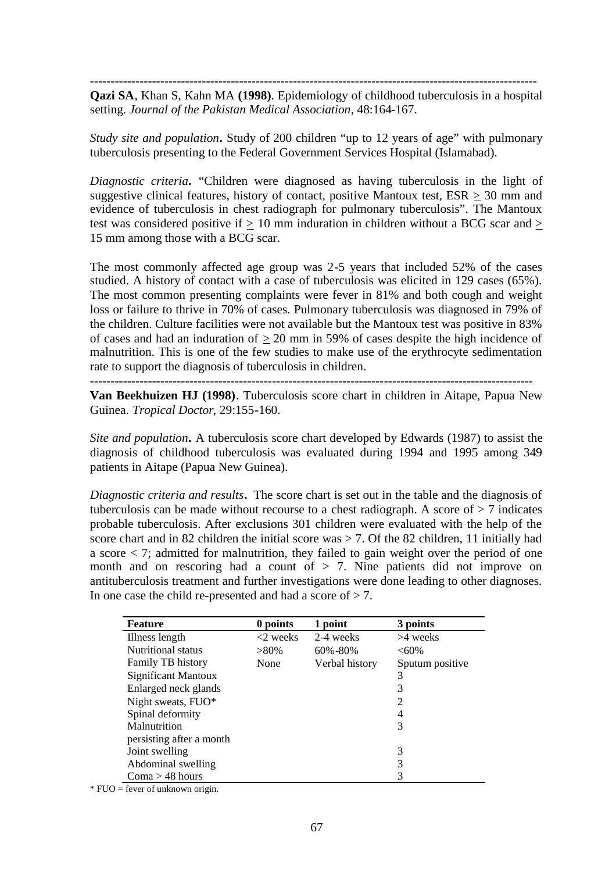------------------------------------------------------------------------------------------------------------

**Qazi SA**, Khan S, Kahn MA **(1998)**. Epidemiology of childhood tuberculosis in a hospital setting. *Journal of the Pakistan Medical Association*, 48:164-167.

*Study site and population***.** Study of 200 children "up to 12 years of age" with pulmonary tuberculosis presenting to the Federal Government Services Hospital (Islamabad).

*Diagnostic criteria***.** "Children were diagnosed as having tuberculosis in the light of suggestive clinical features, history of contact, positive Mantoux test,  $ESR \ge 30$  mm and evidence of tuberculosis in chest radiograph for pulmonary tuberculosis". The Mantoux test was considered positive if  $> 10$  mm induration in children without a BCG scar and  $> 10$ 15 mm among those with a BCG scar.

The most commonly affected age group was 2-5 years that included 52% of the cases studied. A history of contact with a case of tuberculosis was elicited in 129 cases (65%). The most common presenting complaints were fever in 81% and both cough and weight loss or failure to thrive in 70% of cases. Pulmonary tuberculosis was diagnosed in 79% of the children. Culture facilities were not available but the Mantoux test was positive in 83% of cases and had an induration of  $\geq 20$  mm in 59% of cases despite the high incidence of malnutrition. This is one of the few studies to make use of the erythrocyte sedimentation rate to support the diagnosis of tuberculosis in children.

-----------------------------------------------------------------------------------------------------------

**Van Beekhuizen HJ (1998)**. Tuberculosis score chart in children in Aitape, Papua New Guinea. *Tropical Doctor*, 29:155-160.

*Site and population***.** A tuberculosis score chart developed by Edwards (1987) to assist the diagnosis of childhood tuberculosis was evaluated during 1994 and 1995 among 349 patients in Aitape (Papua New Guinea).

*Diagnostic criteria and results***.** The score chart is set out in the table and the diagnosis of tuberculosis can be made without recourse to a chest radiograph. A score of  $> 7$  indicates probable tuberculosis. After exclusions 301 children were evaluated with the help of the score chart and in 82 children the initial score was  $> 7$ . Of the 82 children, 11 initially had a score  $\lt$  7; admitted for malnutrition, they failed to gain weight over the period of one month and on rescoring had a count of  $> 7$ . Nine patients did not improve on antituberculosis treatment and further investigations were done leading to other diagnoses. In one case the child re-presented and had a score of  $> 7$ .

| <b>Feature</b>             | 0 points    | point          | 3 points        |
|----------------------------|-------------|----------------|-----------------|
| Illness length             | $<$ 2 weeks | 2-4 weeks      | $>4$ weeks      |
| Nutritional status         | $>80\%$     | $60\% - 80\%$  | $<60\%$         |
| Family TB history          | None        | Verbal history | Sputum positive |
| <b>Significant Mantoux</b> |             |                | 3               |
| Enlarged neck glands       |             |                | 3               |
| Night sweats, FUO*         |             |                | 2               |
| Spinal deformity           |             |                | 4               |
| Malnutrition               |             |                | 3               |
| persisting after a month   |             |                |                 |
| Joint swelling             |             |                | 3               |
| Abdominal swelling         |             |                | 3               |
| $Coma > 48$ hours          |             |                |                 |

\* FUO = fever of unknown origin.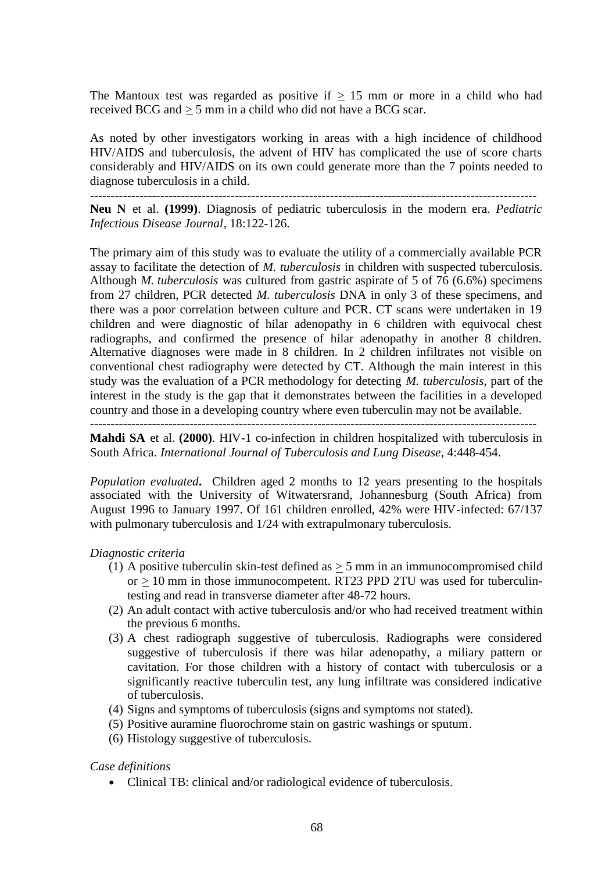The Mantoux test was regarded as positive if  $\geq$  15 mm or more in a child who had received BCG and > 5 mm in a child who did not have a BCG scar.

As noted by other investigators working in areas with a high incidence of childhood HIV/AIDS and tuberculosis, the advent of HIV has complicated the use of score charts considerably and HIV/AIDS on its own could generate more than the 7 points needed to diagnose tuberculosis in a child.

------------------------------------------------------------------------------------------------------------

**Neu N** et al. **(1999)**. Diagnosis of pediatric tuberculosis in the modern era. *Pediatric Infectious Disease Journal*, 18:122-126.

The primary aim of this study was to evaluate the utility of a commercially available PCR assay to facilitate the detection of *M. tuberculosis* in children with suspected tuberculosis. Although *M. tuberculosis* was cultured from gastric aspirate of 5 of 76 (6.6%) specimens from 27 children, PCR detected *M. tuberculosis* DNA in only 3 of these specimens, and there was a poor correlation between culture and PCR. CT scans were undertaken in 19 children and were diagnostic of hilar adenopathy in 6 children with equivocal chest radiographs, and confirmed the presence of hilar adenopathy in another 8 children. Alternative diagnoses were made in 8 children. In 2 children infiltrates not visible on conventional chest radiography were detected by CT. Although the main interest in this study was the evaluation of a PCR methodology for detecting *M. tuberculosis,* part of the interest in the study is the gap that it demonstrates between the facilities in a developed country and those in a developing country where even tuberculin may not be available.

------------------------------------------------------------------------------------------------------------

**Mahdi SA** et al. **(2000)**. HIV-1 co-infection in children hospitalized with tuberculosis in South Africa. *International Journal of Tuberculosis and Lung Disease*, 4:448-454.

*Population evaluated***.** Children aged 2 months to 12 years presenting to the hospitals associated with the University of Witwatersrand, Johannesburg (South Africa) from August 1996 to January 1997. Of 161 children enrolled, 42% were HIV-infected: 67/137 with pulmonary tuberculosis and  $1/24$  with extrapulmonary tuberculosis.

#### *Diagnostic criteria*

- (1) A positive tuberculin skin-test defined as  $>$  5 mm in an immunocompromised child or  $\geq$  10 mm in those immunocompetent. RT23 PPD 2TU was used for tuberculintesting and read in transverse diameter after 48-72 hours.
- (2) An adult contact with active tuberculosis and/or who had received treatment within the previous 6 months.
- (3) A chest radiograph suggestive of tuberculosis. Radiographs were considered suggestive of tuberculosis if there was hilar adenopathy, a miliary pattern or cavitation. For those children with a history of contact with tuberculosis or a significantly reactive tuberculin test, any lung infiltrate was considered indicative of tuberculosis.
- (4) Signs and symptoms of tuberculosis (signs and symptoms not stated).
- (5) Positive auramine fluorochrome stain on gastric washings or sputum.
- (6) Histology suggestive of tuberculosis.

#### *Case definitions*

• Clinical TB: clinical and/or radiological evidence of tuberculosis.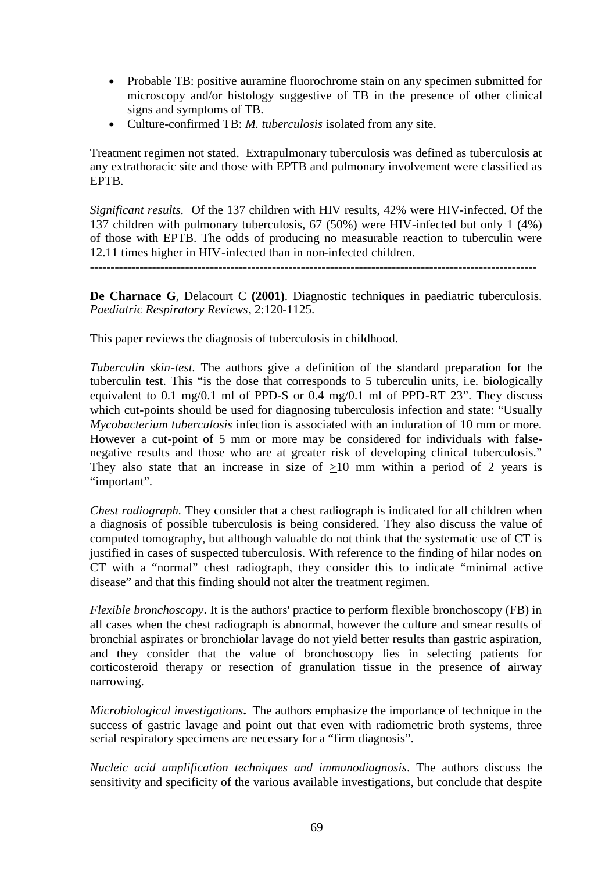- Probable TB: positive auramine fluorochrome stain on any specimen submitted for microscopy and/or histology suggestive of TB in the presence of other clinical signs and symptoms of TB.
- Culture-confirmed TB: *M. tuberculosis* isolated from any site.

Treatment regimen not stated. Extrapulmonary tuberculosis was defined as tuberculosis at any extrathoracic site and those with EPTB and pulmonary involvement were classified as EPTB.

*Significant results.* Of the 137 children with HIV results, 42% were HIV-infected. Of the 137 children with pulmonary tuberculosis, 67 (50%) were HIV-infected but only 1 (4%) of those with EPTB. The odds of producing no measurable reaction to tuberculin were 12.11 times higher in HIV-infected than in non-infected children.

------------------------------------------------------------------------------------------------------------

**De Charnace G**, Delacourt C **(2001)**. Diagnostic techniques in paediatric tuberculosis. *Paediatric Respiratory Reviews*, 2:120-1125.

This paper reviews the diagnosis of tuberculosis in childhood.

*Tuberculin skin-test.* The authors give a definition of the standard preparation for the tuberculin test. This "is the dose that corresponds to 5 tuberculin units, i.e. biologically equivalent to 0.1 mg/0.1 ml of PPD-S or 0.4 mg/0.1 ml of PPD-RT 23". They discuss which cut-points should be used for diagnosing tuberculosis infection and state: "Usually *Mycobacterium tuberculosis* infection is associated with an induration of 10 mm or more. However a cut-point of 5 mm or more may be considered for individuals with falsenegative results and those who are at greater risk of developing clinical tuberculosis." They also state that an increase in size of  $\geq 10$  mm within a period of 2 years is "important".

*Chest radiograph.* They consider that a chest radiograph is indicated for all children when a diagnosis of possible tuberculosis is being considered. They also discuss the value of computed tomography, but although valuable do not think that the systematic use of CT is justified in cases of suspected tuberculosis. With reference to the finding of hilar nodes on CT with a "normal" chest radiograph, they consider this to indicate "minimal active disease" and that this finding should not alter the treatment regimen.

*Flexible bronchoscopy***.** It is the authors' practice to perform flexible bronchoscopy (FB) in all cases when the chest radiograph is abnormal, however the culture and smear results of bronchial aspirates or bronchiolar lavage do not yield better results than gastric aspiration, and they consider that the value of bronchoscopy lies in selecting patients for corticosteroid therapy or resection of granulation tissue in the presence of airway narrowing.

*Microbiological investigations***.** The authors emphasize the importance of technique in the success of gastric lavage and point out that even with radiometric broth systems, three serial respiratory specimens are necessary for a "firm diagnosis".

*Nucleic acid amplification techniques and immunodiagnosis*. The authors discuss the sensitivity and specificity of the various available investigations, but conclude that despite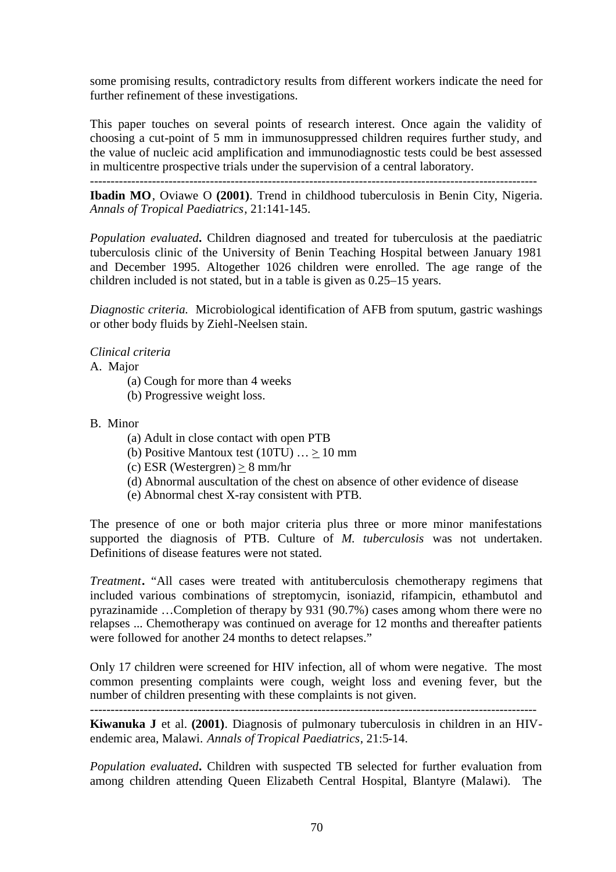some promising results, contradictory results from different workers indicate the need for further refinement of these investigations.

This paper touches on several points of research interest. Once again the validity of choosing a cut-point of 5 mm in immunosuppressed children requires further study, and the value of nucleic acid amplification and immunodiagnostic tests could be best assessed in multicentre prospective trials under the supervision of a central laboratory.

------------------------------------------------------------------------------------------------------------

**Ibadin MO**, Oviawe O **(2001)**. Trend in childhood tuberculosis in Benin City, Nigeria. *Annals of Tropical Paediatrics*, 21:141-145.

*Population evaluated***.** Children diagnosed and treated for tuberculosis at the paediatric tuberculosis clinic of the University of Benin Teaching Hospital between January 1981 and December 1995. Altogether 1026 children were enrolled. The age range of the children included is not stated, but in a table is given as 0.25–15 years.

*Diagnostic criteria.* Microbiological identification of AFB from sputum, gastric washings or other body fluids by Ziehl-Neelsen stain.

# *Clinical criteria*

A. Major

- (a) Cough for more than 4 weeks
- (b) Progressive weight loss.

# B. Minor

- (a) Adult in close contact with open PTB
- (b) Positive Mantoux test (10TU)  $\ldots \ge 10$  mm
- (c) ESR (Westergren) > 8 mm/hr
- (d) Abnormal auscultation of the chest on absence of other evidence of disease
- (e) Abnormal chest X-ray consistent with PTB.

The presence of one or both major criteria plus three or more minor manifestations supported the diagnosis of PTB. Culture of *M. tuberculosis* was not undertaken. Definitions of disease features were not stated.

*Treatment***.** "All cases were treated with antituberculosis chemotherapy regimens that included various combinations of streptomycin, isoniazid, rifampicin, ethambutol and pyrazinamide …Completion of therapy by 931 (90.7%) cases among whom there were no relapses ... Chemotherapy was continued on average for 12 months and thereafter patients were followed for another 24 months to detect relapses."

Only 17 children were screened for HIV infection, all of whom were negative. The most common presenting complaints were cough, weight loss and evening fever, but the number of children presenting with these complaints is not given.

------------------------------------------------------------------------------------------------------------ **Kiwanuka J** et al. **(2001)**. Diagnosis of pulmonary tuberculosis in children in an HIVendemic area, Malawi. *Annals of Tropical Paediatrics*, 21:5-14.

*Population evaluated***.** Children with suspected TB selected for further evaluation from among children attending Queen Elizabeth Central Hospital, Blantyre (Malawi). The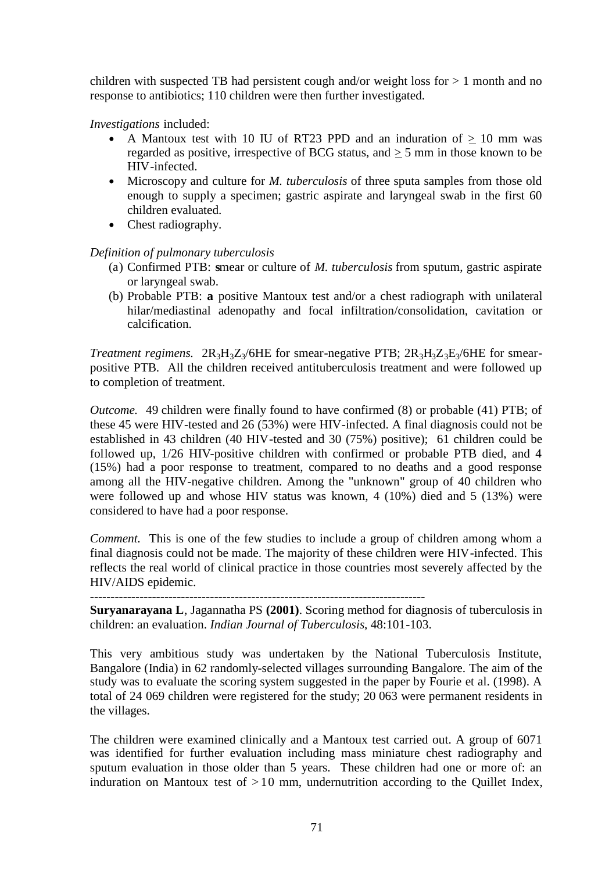children with suspected TB had persistent cough and/or weight loss for  $> 1$  month and no response to antibiotics; 110 children were then further investigated.

*Investigations* included:

- A Mantoux test with 10 IU of RT23 PPD and an induration of  $> 10$  mm was regarded as positive, irrespective of BCG status, and > 5 mm in those known to be HIV-infected.
- Microscopy and culture for *M. tuberculosis* of three sputa samples from those old enough to supply a specimen; gastric aspirate and laryngeal swab in the first 60 children evaluated.
- Chest radiography.

# *Definition of pulmonary tuberculosis*

- (a) Confirmed PTB: **s**mear or culture of *M. tuberculosis* from sputum, gastric aspirate or laryngeal swab.
- (b) Probable PTB: **a** positive Mantoux test and/or a chest radiograph with unilateral hilar/mediastinal adenopathy and focal infiltration/consolidation, cavitation or calcification.

*Treatment regimens.*  $2R_3H_3Z_3/6HE$  for smear-negative PTB;  $2R_3H_3Z_3E_3/6HE$  for smearpositive PTB. All the children received antituberculosis treatment and were followed up to completion of treatment.

*Outcome.* 49 children were finally found to have confirmed (8) or probable (41) PTB; of these 45 were HIV-tested and 26 (53%) were HIV-infected. A final diagnosis could not be established in 43 children (40 HIV-tested and 30 (75%) positive); 61 children could be followed up, 1/26 HIV-positive children with confirmed or probable PTB died, and 4 (15%) had a poor response to treatment, compared to no deaths and a good response among all the HIV-negative children. Among the "unknown" group of 40 children who were followed up and whose HIV status was known, 4 (10%) died and 5 (13%) were considered to have had a poor response.

*Comment.* This is one of the few studies to include a group of children among whom a final diagnosis could not be made. The majority of these children were HIV-infected. This reflects the real world of clinical practice in those countries most severely affected by the HIV/AIDS epidemic.

---------------------------------------------------------------------------------

**Suryanarayana L**, Jagannatha PS **(2001)**. Scoring method for diagnosis of tuberculosis in children: an evaluation. *Indian Journal of Tuberculosis*, 48:101-103.

This very ambitious study was undertaken by the National Tuberculosis Institute, Bangalore (India) in 62 randomly-selected villages surrounding Bangalore. The aim of the study was to evaluate the scoring system suggested in the paper by Fourie et al. (1998). A total of 24 069 children were registered for the study; 20 063 were permanent residents in the villages.

The children were examined clinically and a Mantoux test carried out. A group of 6071 was identified for further evaluation including mass miniature chest radiography and sputum evaluation in those older than 5 years. These children had one or more of: an induration on Mantoux test of  $> 10$  mm, undernutrition according to the Quillet Index,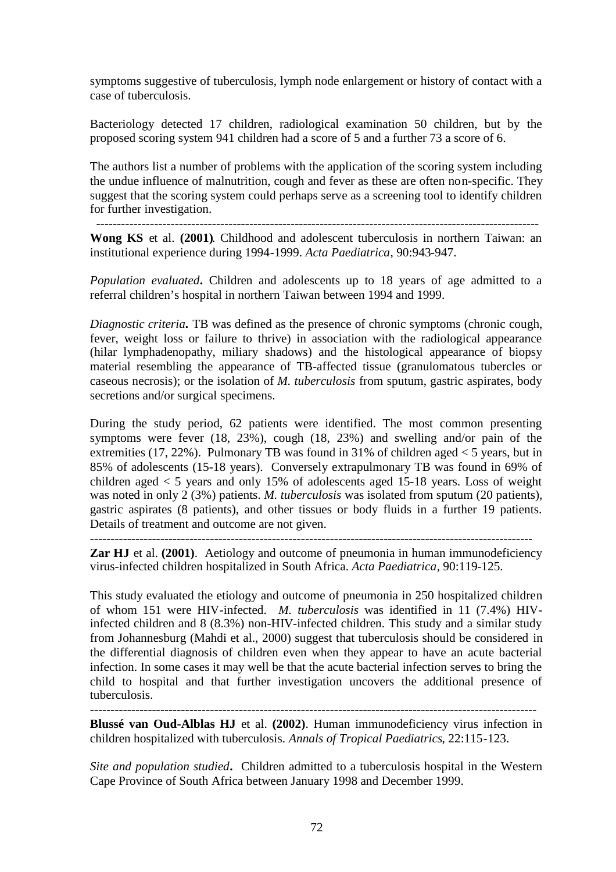symptoms suggestive of tuberculosis, lymph node enlargement or history of contact with a case of tuberculosis.

Bacteriology detected 17 children, radiological examination 50 children, but by the proposed scoring system 941 children had a score of 5 and a further 73 a score of 6.

The authors list a number of problems with the application of the scoring system including the undue influence of malnutrition, cough and fever as these are often non-specific. They suggest that the scoring system could perhaps serve as a screening tool to identify children for further investigation.

-----------------------------------------------------------------------------------------------------------

**Wong KS** et al. **(2001)**. Childhood and adolescent tuberculosis in northern Taiwan: an institutional experience during 1994-1999. *Acta Paediatrica*, 90:943-947.

*Population evaluated***.** Children and adolescents up to 18 years of age admitted to a referral children's hospital in northern Taiwan between 1994 and 1999.

*Diagnostic criteria***.** TB was defined as the presence of chronic symptoms (chronic cough, fever, weight loss or failure to thrive) in association with the radiological appearance (hilar lymphadenopathy, miliary shadows) and the histological appearance of biopsy material resembling the appearance of TB-affected tissue (granulomatous tubercles or caseous necrosis); or the isolation of *M. tuberculosis* from sputum, gastric aspirates, body secretions and/or surgical specimens.

During the study period, 62 patients were identified. The most common presenting symptoms were fever (18, 23%), cough (18, 23%) and swelling and/or pain of the extremities (17, 22%). Pulmonary TB was found in 31% of children aged  $<$  5 years, but in 85% of adolescents (15-18 years). Conversely extrapulmonary TB was found in 69% of children aged  $\lt 5$  years and only 15% of adolescents aged 15-18 years. Loss of weight was noted in only 2 (3%) patients. *M. tuberculosis* was isolated from sputum (20 patients), gastric aspirates (8 patients), and other tissues or body fluids in a further 19 patients. Details of treatment and outcome are not given.

-----------------------------------------------------------------------------------------------------------

**Zar HJ** et al. **(2001)**. Aetiology and outcome of pneumonia in human immunodeficiency virus-infected children hospitalized in South Africa. *Acta Paediatrica*, 90:119-125.

This study evaluated the etiology and outcome of pneumonia in 250 hospitalized children of whom 151 were HIV-infected. *M. tuberculosis* was identified in 11 (7.4%) HIVinfected children and 8 (8.3%) non-HIV-infected children. This study and a similar study from Johannesburg (Mahdi et al., 2000) suggest that tuberculosis should be considered in the differential diagnosis of children even when they appear to have an acute bacterial infection. In some cases it may well be that the acute bacterial infection serves to bring the child to hospital and that further investigation uncovers the additional presence of tuberculosis.

------------------------------------------------------------------------------------------------------------

**Blussé van Oud-Alblas HJ** et al. **(2002)**. Human immunodeficiency virus infection in children hospitalized with tuberculosis. *Annals of Tropical Paediatrics*, 22:115-123.

*Site and population studied***.** Children admitted to a tuberculosis hospital in the Western Cape Province of South Africa between January 1998 and December 1999.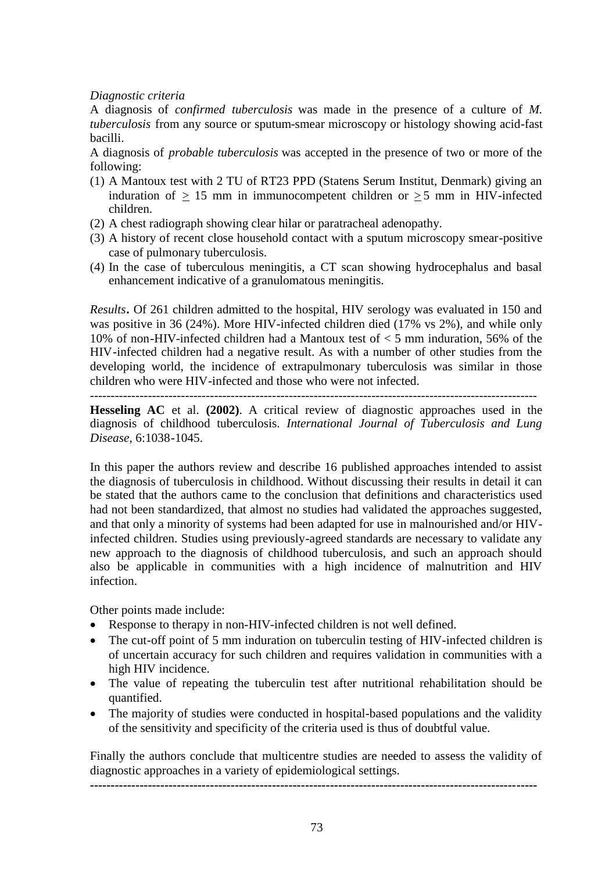### *Diagnostic criteria*

A diagnosis of *confirmed tuberculosis* was made in the presence of a culture of *M. tuberculosis* from any source or sputum-smear microscopy or histology showing acid-fast bacilli.

A diagnosis of *probable tuberculosis* was accepted in the presence of two or more of the following:

- (1) A Mantoux test with 2 TU of RT23 PPD (Statens Serum Institut, Denmark) giving an induration of  $\geq$  15 mm in immunocompetent children or  $\geq$  5 mm in HIV-infected children.
- (2) A chest radiograph showing clear hilar or paratracheal adenopathy.
- (3) A history of recent close household contact with a sputum microscopy smear-positive case of pulmonary tuberculosis.
- (4) In the case of tuberculous meningitis, a CT scan showing hydrocephalus and basal enhancement indicative of a granulomatous meningitis.

*Results***.** Of 261 children admitted to the hospital, HIV serology was evaluated in 150 and was positive in 36 (24%). More HIV-infected children died (17% vs 2%), and while only 10% of non-HIV-infected children had a Mantoux test of < 5 mm induration, 56% of the HIV-infected children had a negative result. As with a number of other studies from the developing world, the incidence of extrapulmonary tuberculosis was similar in those children who were HIV-infected and those who were not infected.

------------------------------------------------------------------------------------------------------------

**Hesseling AC** et al. **(2002)**. A critical review of diagnostic approaches used in the diagnosis of childhood tuberculosis. *International Journal of Tuberculosis and Lung Disease*, 6:1038-1045.

In this paper the authors review and describe 16 published approaches intended to assist the diagnosis of tuberculosis in childhood. Without discussing their results in detail it can be stated that the authors came to the conclusion that definitions and characteristics used had not been standardized, that almost no studies had validated the approaches suggested, and that only a minority of systems had been adapted for use in malnourished and/or HIVinfected children. Studies using previously-agreed standards are necessary to validate any new approach to the diagnosis of childhood tuberculosis, and such an approach should also be applicable in communities with a high incidence of malnutrition and HIV infection.

Other points made include:

- Response to therapy in non-HIV-infected children is not well defined.
- The cut-off point of 5 mm induration on tuberculin testing of HIV-infected children is of uncertain accuracy for such children and requires validation in communities with a high HIV incidence.
- The value of repeating the tuberculin test after nutritional rehabilitation should be quantified.
- The majority of studies were conducted in hospital-based populations and the validity of the sensitivity and specificity of the criteria used is thus of doubtful value.

Finally the authors conclude that multicentre studies are needed to assess the validity of diagnostic approaches in a variety of epidemiological settings.

**------------------------------------------------------------------------------------------------------------**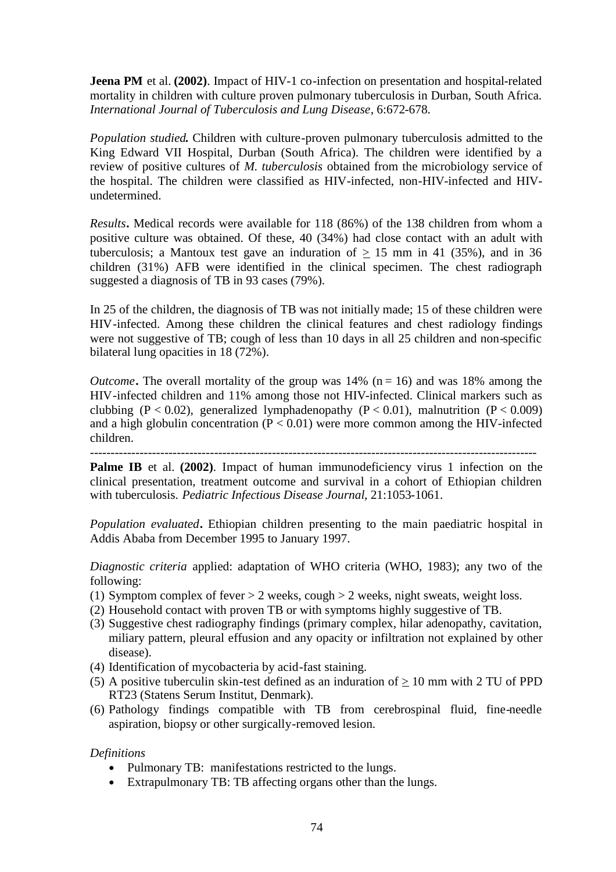**Jeena PM** et al. (2002). Impact of HIV-1 co-infection on presentation and hospital-related mortality in children with culture proven pulmonary tuberculosis in Durban, South Africa. *International Journal of Tuberculosis and Lung Disease*, 6:672-678.

*Population studied***.** Children with culture-proven pulmonary tuberculosis admitted to the King Edward VII Hospital, Durban (South Africa). The children were identified by a review of positive cultures of *M. tuberculosis* obtained from the microbiology service of the hospital. The children were classified as HIV-infected, non-HIV-infected and HIVundetermined.

*Results***.** Medical records were available for 118 (86%) of the 138 children from whom a positive culture was obtained. Of these, 40 (34%) had close contact with an adult with tuberculosis; a Mantoux test gave an induration of  $> 15$  mm in 41 (35%), and in 36 children (31%) AFB were identified in the clinical specimen. The chest radiograph suggested a diagnosis of TB in 93 cases (79%).

In 25 of the children, the diagnosis of TB was not initially made; 15 of these children were HIV-infected. Among these children the clinical features and chest radiology findings were not suggestive of TB; cough of less than 10 days in all 25 children and non-specific bilateral lung opacities in 18 (72%).

*Outcome*. The overall mortality of the group was  $14\%$  ( $n = 16$ ) and was 18% among the HIV-infected children and 11% among those not HIV-infected. Clinical markers such as clubbing (P < 0.02), generalized lymphadenopathy (P < 0.01), malnutrition (P < 0.009) and a high globulin concentration  $(P < 0.01)$  were more common among the HIV-infected children.

------------------------------------------------------------------------------------------------------------ **Palme IB** et al. (2002). Impact of human immunodeficiency virus 1 infection on the clinical presentation, treatment outcome and survival in a cohort of Ethiopian children with tuberculosis. *Pediatric Infectious Disease Journal*, 21:1053-1061.

*Population evaluated***.** Ethiopian children presenting to the main paediatric hospital in Addis Ababa from December 1995 to January 1997.

*Diagnostic criteria* applied: adaptation of WHO criteria (WHO, 1983); any two of the following:

- (1) Symptom complex of fever  $> 2$  weeks, cough  $> 2$  weeks, night sweats, weight loss.
- (2) Household contact with proven TB or with symptoms highly suggestive of TB.
- (3) Suggestive chest radiography findings (primary complex, hilar adenopathy, cavitation, miliary pattern, pleural effusion and any opacity or infiltration not explained by other disease).
- (4) Identification of mycobacteria by acid-fast staining.
- (5) A positive tuberculin skin-test defined as an induration of  $\geq 10$  mm with 2 TU of PPD RT23 (Statens Serum Institut, Denmark).
- (6) Pathology findings compatible with TB from cerebrospinal fluid, fine-needle aspiration, biopsy or other surgically-removed lesion.

# *Definitions*

- Pulmonary TB: manifestations restricted to the lungs.
- Extrapulmonary TB: TB affecting organs other than the lungs.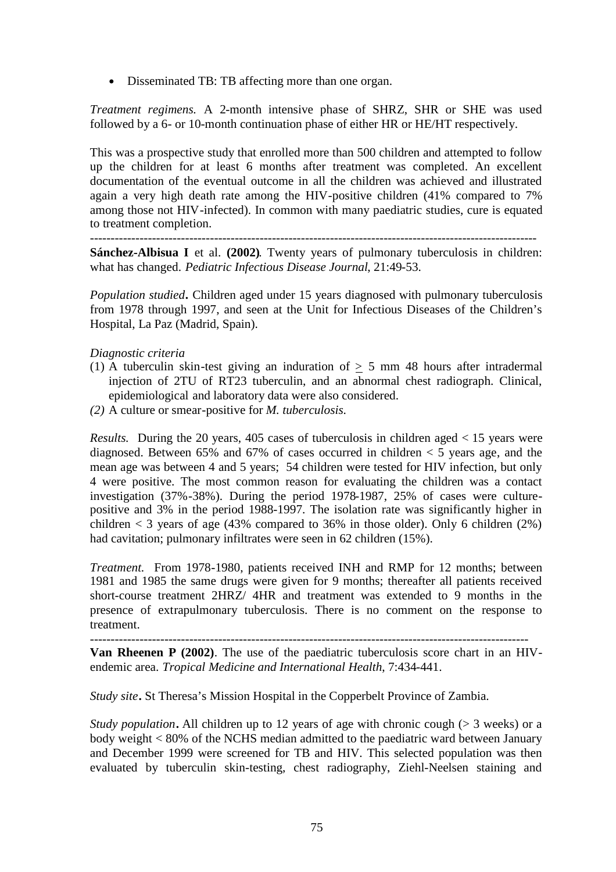• Disseminated TB: TB affecting more than one organ.

*Treatment regimens.* A 2-month intensive phase of SHRZ, SHR or SHE was used followed by a 6- or 10-month continuation phase of either HR or HE/HT respectively.

This was a prospective study that enrolled more than 500 children and attempted to follow up the children for at least 6 months after treatment was completed. An excellent documentation of the eventual outcome in all the children was achieved and illustrated again a very high death rate among the HIV-positive children (41% compared to 7% among those not HIV-infected). In common with many paediatric studies, cure is equated to treatment completion.

------------------------------------------------------------------------------------------------------------

**Sánchez-Albisua I** et al. **(2002)**. Twenty years of pulmonary tuberculosis in children: what has changed. *Pediatric Infectious Disease Journal*, 21:49-53.

*Population studied***.** Children aged under 15 years diagnosed with pulmonary tuberculosis from 1978 through 1997, and seen at the Unit for Infectious Diseases of the Children's Hospital, La Paz (Madrid, Spain).

### *Diagnostic criteria*

- (1) A tuberculin skin-test giving an induration of  $\geq$  5 mm 48 hours after intradermal injection of 2TU of RT23 tuberculin, and an abnormal chest radiograph. Clinical, epidemiological and laboratory data were also considered.
- *(2)* A culture or smear-positive for *M. tuberculosis.*

*Results.* During the 20 years, 405 cases of tuberculosis in children aged < 15 years were diagnosed. Between 65% and 67% of cases occurred in children  $\lt$  5 years age, and the mean age was between 4 and 5 years; 54 children were tested for HIV infection, but only 4 were positive. The most common reason for evaluating the children was a contact investigation (37%-38%). During the period 1978-1987, 25% of cases were culturepositive and 3% in the period 1988-1997. The isolation rate was significantly higher in children  $\lt$  3 years of age (43% compared to 36% in those older). Only 6 children (2%) had cavitation; pulmonary infiltrates were seen in 62 children (15%).

*Treatment.* From 1978-1980, patients received INH and RMP for 12 months; between 1981 and 1985 the same drugs were given for 9 months; thereafter all patients received short-course treatment 2HRZ/ 4HR and treatment was extended to 9 months in the presence of extrapulmonary tuberculosis. There is no comment on the response to treatment.

---------------------------------------------------------------------------------------------------------- **Van Rheenen P (2002)**. The use of the paediatric tuberculosis score chart in an HIVendemic area. *Tropical Medicine and International Health*, 7:434-441.

*Study site***.** St Theresa's Mission Hospital in the Copperbelt Province of Zambia.

*Study population*. All children up to 12 years of age with chronic cough (> 3 weeks) or a body weight < 80% of the NCHS median admitted to the paediatric ward between January and December 1999 were screened for TB and HIV. This selected population was then evaluated by tuberculin skin-testing, chest radiography, Ziehl-Neelsen staining and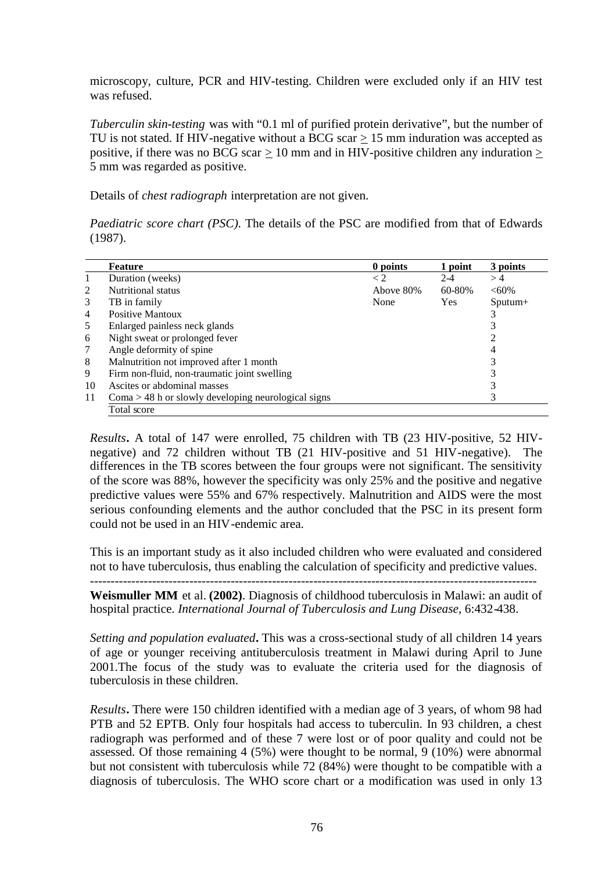microscopy, culture, PCR and HIV-testing. Children were excluded only if an HIV test was refused.

*Tuberculin skin-testing* was with "0.1 ml of purified protein derivative", but the number of TU is not stated. If HIV-negative without a  $\overline{BCG}$  scar  $> 15$  mm induration was accepted as positive, if there was no BCG scar  $\geq 10$  mm and in HIV-positive children any induration  $\geq$ 5 mm was regarded as positive.

Details of *chest radiograph* interpretation are not given.

*Paediatric score chart (PSC)*. The details of the PSC are modified from that of Edwards (1987).

|    | <b>Feature</b>                                        | 0 points   | 1 point    | 3 points      |
|----|-------------------------------------------------------|------------|------------|---------------|
|    | Duration (weeks)                                      | $\lt 2$    | $2 - 4$    | >4            |
| 2  | Nutritional status                                    | Above 80\% | 60-80%     | $<60\%$       |
| 3  | TB in family                                          | None       | <b>Yes</b> | $S$ putum $+$ |
| 4  | <b>Positive Mantoux</b>                               |            |            |               |
| 5  | Enlarged painless neck glands                         |            |            |               |
| 6  | Night sweat or prolonged fever                        |            |            |               |
| 7  | Angle deformity of spine                              |            |            | 4             |
| 8  | Malnutrition not improved after 1 month               |            |            |               |
| 9  | Firm non-fluid, non-traumatic joint swelling          |            |            |               |
| 10 | Ascites or abdominal masses                           |            |            |               |
| 11 | $Coma > 48$ h or slowly developing neurological signs |            |            |               |
|    | Total score                                           |            |            |               |

*Results***.** A total of 147 were enrolled, 75 children with TB (23 HIV-positive, 52 HIVnegative) and 72 children without TB (21 HIV-positive and 51 HIV-negative). The differences in the TB scores between the four groups were not significant. The sensitivity of the score was 88%, however the specificity was only 25% and the positive and negative predictive values were 55% and 67% respectively. Malnutrition and AIDS were the most serious confounding elements and the author concluded that the PSC in its present form could not be used in an HIV-endemic area.

This is an important study as it also included children who were evaluated and considered not to have tuberculosis, thus enabling the calculation of specificity and predictive values.

------------------------------------------------------------------------------------------------------------

**Weismuller MM** et al. **(2002)**. Diagnosis of childhood tuberculosis in Malawi: an audit of hospital practice. *International Journal of Tuberculosis and Lung Disease*, 6:432-438.

*Setting and population evaluated***.** This was a cross-sectional study of all children 14 years of age or younger receiving antituberculosis treatment in Malawi during April to June 2001.The focus of the study was to evaluate the criteria used for the diagnosis of tuberculosis in these children.

*Results***.** There were 150 children identified with a median age of 3 years, of whom 98 had PTB and 52 EPTB. Only four hospitals had access to tuberculin. In 93 children, a chest radiograph was performed and of these 7 were lost or of poor quality and could not be assessed. Of those remaining 4 (5%) were thought to be normal, 9 (10%) were abnormal but not consistent with tuberculosis while 72 (84%) were thought to be compatible with a diagnosis of tuberculosis. The WHO score chart or a modification was used in only 13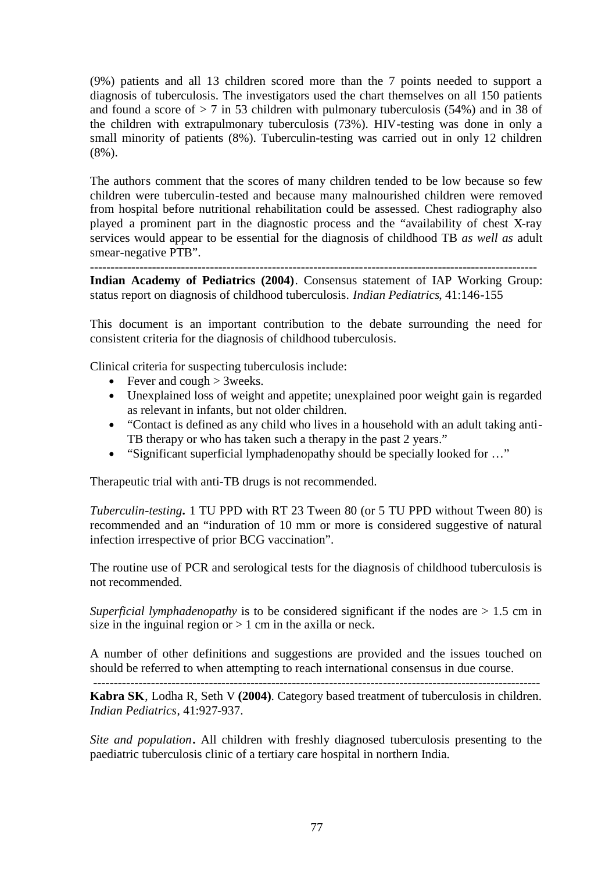(9%) patients and all 13 children scored more than the 7 points needed to support a diagnosis of tuberculosis. The investigators used the chart themselves on all 150 patients and found a score of  $> 7$  in 53 children with pulmonary tuberculosis (54%) and in 38 of the children with extrapulmonary tuberculosis (73%). HIV-testing was done in only a small minority of patients (8%). Tuberculin-testing was carried out in only 12 children (8%).

The authors comment that the scores of many children tended to be low because so few children were tuberculin-tested and because many malnourished children were removed from hospital before nutritional rehabilitation could be assessed. Chest radiography also played a prominent part in the diagnostic process and the "availability of chest X-ray services would appear to be essential for the diagnosis of childhood TB *as well as* adult smear-negative PTB".

------------------------------------------------------------------------------------------------------------

**Indian Academy of Pediatrics (2004)**. Consensus statement of IAP Working Group: status report on diagnosis of childhood tuberculosis. *Indian Pediatrics*, 41:146-155

This document is an important contribution to the debate surrounding the need for consistent criteria for the diagnosis of childhood tuberculosis.

Clinical criteria for suspecting tuberculosis include:

- Fever and cough  $>$  3weeks.
- Unexplained loss of weight and appetite; unexplained poor weight gain is regarded as relevant in infants, but not older children.
- "Contact is defined as any child who lives in a household with an adult taking anti-TB therapy or who has taken such a therapy in the past 2 years."
- "Significant superficial lymphadenopathy should be specially looked for ..."

Therapeutic trial with anti-TB drugs is not recommended.

*Tuberculin-testing***.** 1 TU PPD with RT 23 Tween 80 (or 5 TU PPD without Tween 80) is recommended and an "induration of 10 mm or more is considered suggestive of natural infection irrespective of prior BCG vaccination".

The routine use of PCR and serological tests for the diagnosis of childhood tuberculosis is not recommended.

*Superficial lymphadenopathy* is to be considered significant if the nodes are > 1.5 cm in size in the inguinal region or  $> 1$  cm in the axilla or neck.

A number of other definitions and suggestions are provided and the issues touched on should be referred to when attempting to reach international consensus in due course.

------------------------------------------------------------------------------------------------------------

**Kabra SK**, Lodha R, Seth V **(2004)**. Category based treatment of tuberculosis in children. *Indian Pediatrics*, 41:927-937.

*Site and population***.** All children with freshly diagnosed tuberculosis presenting to the paediatric tuberculosis clinic of a tertiary care hospital in northern India.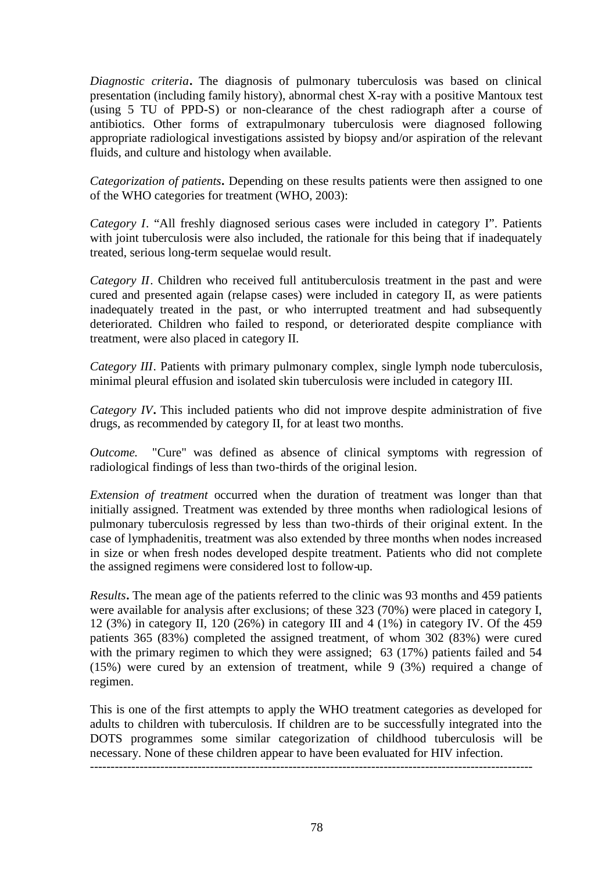*Diagnostic criteria***.** The diagnosis of pulmonary tuberculosis was based on clinical presentation (including family history), abnormal chest X-ray with a positive Mantoux test (using 5 TU of PPD-S) or non-clearance of the chest radiograph after a course of antibiotics. Other forms of extrapulmonary tuberculosis were diagnosed following appropriate radiological investigations assisted by biopsy and/or aspiration of the relevant fluids, and culture and histology when available.

*Categorization of patients***.** Depending on these results patients were then assigned to one of the WHO categories for treatment (WHO, 2003):

*Category I*. "All freshly diagnosed serious cases were included in category I". Patients with joint tuberculosis were also included, the rationale for this being that if inadequately treated, serious long-term sequelae would result.

*Category II*. Children who received full antituberculosis treatment in the past and were cured and presented again (relapse cases) were included in category II, as were patients inadequately treated in the past, or who interrupted treatment and had subsequently deteriorated. Children who failed to respond, or deteriorated despite compliance with treatment, were also placed in category II.

*Category III*. Patients with primary pulmonary complex, single lymph node tuberculosis, minimal pleural effusion and isolated skin tuberculosis were included in category III.

*Category IV***.** This included patients who did not improve despite administration of five drugs, as recommended by category II, for at least two months.

*Outcome.* "Cure" was defined as absence of clinical symptoms with regression of radiological findings of less than two-thirds of the original lesion.

*Extension of treatment* occurred when the duration of treatment was longer than that initially assigned. Treatment was extended by three months when radiological lesions of pulmonary tuberculosis regressed by less than two-thirds of their original extent. In the case of lymphadenitis, treatment was also extended by three months when nodes increased in size or when fresh nodes developed despite treatment. Patients who did not complete the assigned regimens were considered lost to follow-up.

*Results***.** The mean age of the patients referred to the clinic was 93 months and 459 patients were available for analysis after exclusions; of these 323 (70%) were placed in category I, 12 (3%) in category II, 120 (26%) in category III and 4 (1%) in category IV. Of the 459 patients 365 (83%) completed the assigned treatment, of whom 302 (83%) were cured with the primary regimen to which they were assigned; 63 (17%) patients failed and 54 (15%) were cured by an extension of treatment, while 9 (3%) required a change of regimen.

This is one of the first attempts to apply the WHO treatment categories as developed for adults to children with tuberculosis. If children are to be successfully integrated into the DOTS programmes some similar categorization of childhood tuberculosis will be necessary. None of these children appear to have been evaluated for HIV infection.

-----------------------------------------------------------------------------------------------------------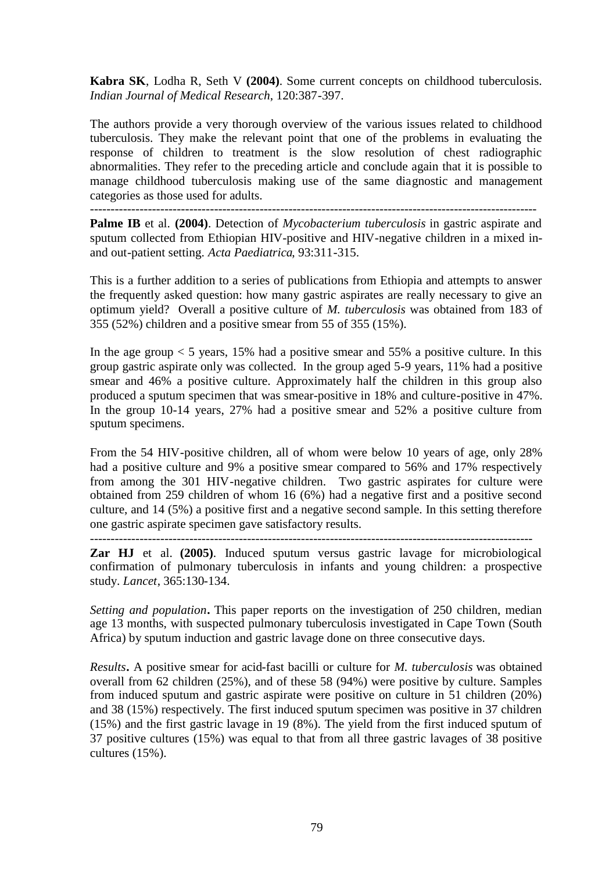**Kabra SK**, Lodha R, Seth V **(2004)**. Some current concepts on childhood tuberculosis. *Indian Journal of Medical Research*, 120:387-397.

The authors provide a very thorough overview of the various issues related to childhood tuberculosis. They make the relevant point that one of the problems in evaluating the response of children to treatment is the slow resolution of chest radiographic abnormalities. They refer to the preceding article and conclude again that it is possible to manage childhood tuberculosis making use of the same diagnostic and management categories as those used for adults.

------------------------------------------------------------------------------------------------------------

**Palme IB** et al. **(2004)**. Detection of *Mycobacterium tuberculosis* in gastric aspirate and sputum collected from Ethiopian HIV-positive and HIV-negative children in a mixed inand out-patient setting. *Acta Paediatrica*, 93:311-315.

This is a further addition to a series of publications from Ethiopia and attempts to answer the frequently asked question: how many gastric aspirates are really necessary to give an optimum yield? Overall a positive culture of *M. tuberculosis* was obtained from 183 of 355 (52%) children and a positive smear from 55 of 355 (15%).

In the age group  $< 5$  years, 15% had a positive smear and 55% a positive culture. In this group gastric aspirate only was collected. In the group aged 5-9 years, 11% had a positive smear and 46% a positive culture. Approximately half the children in this group also produced a sputum specimen that was smear-positive in 18% and culture-positive in 47%. In the group 10-14 years, 27% had a positive smear and 52% a positive culture from sputum specimens.

From the 54 HIV-positive children, all of whom were below 10 years of age, only 28% had a positive culture and 9% a positive smear compared to 56% and 17% respectively from among the 301 HIV-negative children. Two gastric aspirates for culture were obtained from 259 children of whom 16 (6%) had a negative first and a positive second culture, and 14 (5%) a positive first and a negative second sample. In this setting therefore one gastric aspirate specimen gave satisfactory results.

-----------------------------------------------------------------------------------------------------------

**Zar HJ** et al. **(2005)**. Induced sputum versus gastric lavage for microbiological confirmation of pulmonary tuberculosis in infants and young children: a prospective study. *Lancet*, 365:130-134.

*Setting and population***.** This paper reports on the investigation of 250 children, median age 13 months, with suspected pulmonary tuberculosis investigated in Cape Town (South Africa) by sputum induction and gastric lavage done on three consecutive days.

*Results***.** A positive smear for acid-fast bacilli or culture for *M. tuberculosis* was obtained overall from 62 children (25%), and of these 58 (94%) were positive by culture. Samples from induced sputum and gastric aspirate were positive on culture in 51 children (20%) and 38 (15%) respectively. The first induced sputum specimen was positive in 37 children (15%) and the first gastric lavage in 19 (8%). The yield from the first induced sputum of 37 positive cultures (15%) was equal to that from all three gastric lavages of 38 positive cultures (15%).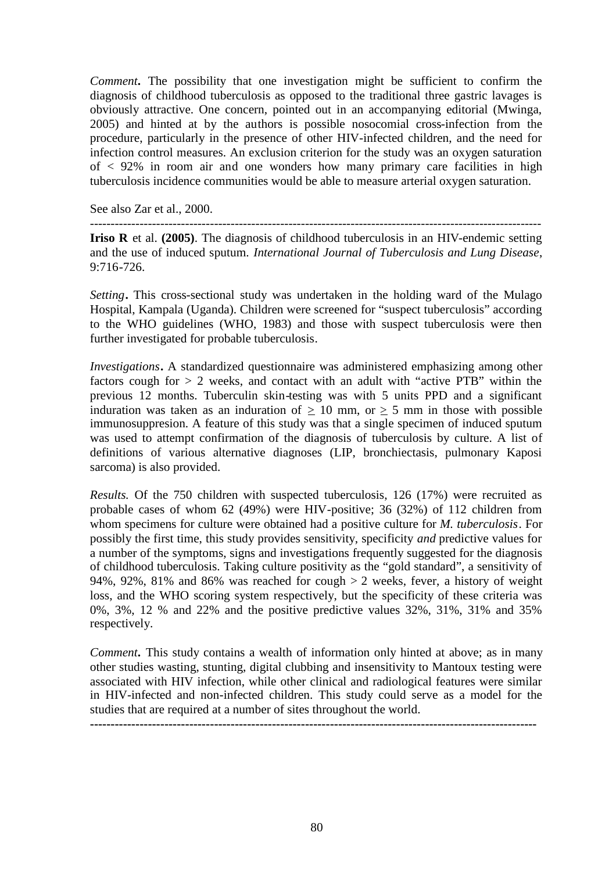*Comment***.** The possibility that one investigation might be sufficient to confirm the diagnosis of childhood tuberculosis as opposed to the traditional three gastric lavages is obviously attractive. One concern, pointed out in an accompanying editorial (Mwinga, 2005) and hinted at by the authors is possible nosocomial cross-infection from the procedure, particularly in the presence of other HIV-infected children, and the need for infection control measures. An exclusion criterion for the study was an oxygen saturation of  $\langle 92\%$  in room air and one wonders how many primary care facilities in high tuberculosis incidence communities would be able to measure arterial oxygen saturation.

See also Zar et al., 2000.

------------------------------------------------------------------------------------------------------------- **Iriso R** et al. **(2005)**. The diagnosis of childhood tuberculosis in an HIV-endemic setting

and the use of induced sputum. *International Journal of Tuberculosis and Lung Disease*, 9:716-726.

*Setting***.** This cross-sectional study was undertaken in the holding ward of the Mulago Hospital, Kampala (Uganda). Children were screened for "suspect tuberculosis" according to the WHO guidelines (WHO, 1983) and those with suspect tuberculosis were then further investigated for probable tuberculosis.

*Investigations***.** A standardized questionnaire was administered emphasizing among other factors cough for  $> 2$  weeks, and contact with an adult with "active PTB" within the previous 12 months. Tuberculin skin-testing was with 5 units PPD and a significant induration was taken as an induration of  $> 10$  mm, or  $> 5$  mm in those with possible immunosuppresion. A feature of this study was that a single specimen of induced sputum was used to attempt confirmation of the diagnosis of tuberculosis by culture. A list of definitions of various alternative diagnoses (LIP, bronchiectasis, pulmonary Kaposi sarcoma) is also provided.

*Results.* Of the 750 children with suspected tuberculosis, 126 (17%) were recruited as probable cases of whom 62 (49%) were HIV-positive; 36 (32%) of 112 children from whom specimens for culture were obtained had a positive culture for *M. tuberculosis*. For possibly the first time, this study provides sensitivity, specificity *and* predictive values for a number of the symptoms, signs and investigations frequently suggested for the diagnosis of childhood tuberculosis. Taking culture positivity as the "gold standard", a sensitivity of 94%, 92%, 81% and 86% was reached for cough  $> 2$  weeks, fever, a history of weight loss, and the WHO scoring system respectively, but the specificity of these criteria was 0%, 3%, 12 % and 22% and the positive predictive values 32%, 31%, 31% and 35% respectively.

*Comment***.** This study contains a wealth of information only hinted at above; as in many other studies wasting, stunting, digital clubbing and insensitivity to Mantoux testing were associated with HIV infection, while other clinical and radiological features were similar in HIV-infected and non-infected children. This study could serve as a model for the studies that are required at a number of sites throughout the world.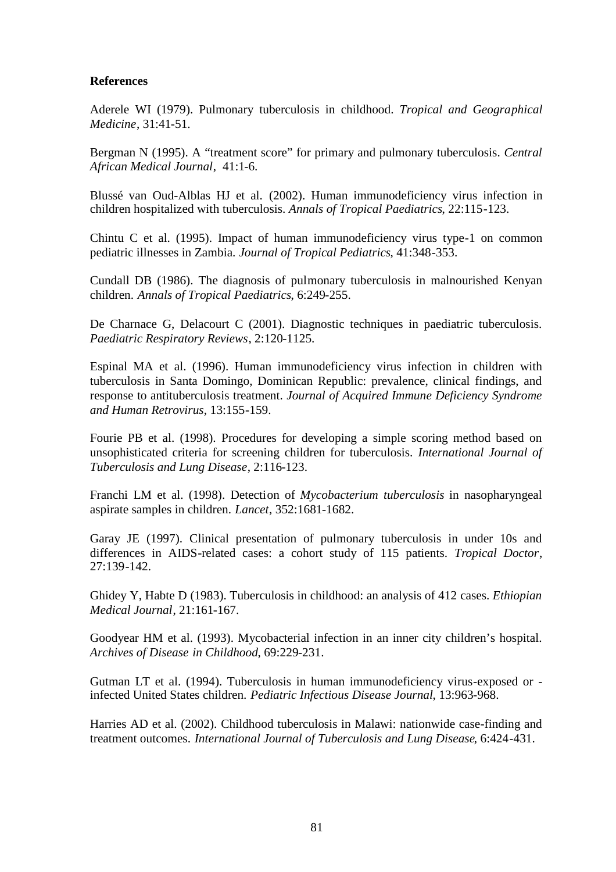# **References**

Aderele WI (1979). Pulmonary tuberculosis in childhood. *Tropical and Geographical Medicine*, 31:41-51.

Bergman N (1995). A "treatment score" for primary and pulmonary tuberculosis. *Central African Medical Journal*, 41:1-6.

Blussé van Oud-Alblas HJ et al. (2002). Human immunodeficiency virus infection in children hospitalized with tuberculosis. *Annals of Tropical Paediatrics*, 22:115-123.

Chintu C et al. (1995). Impact of human immunodeficiency virus type-1 on common pediatric illnesses in Zambia. *Journal of Tropical Pediatrics*, 41:348-353.

Cundall DB (1986). The diagnosis of pulmonary tuberculosis in malnourished Kenyan children. *Annals of Tropical Paediatrics*, 6:249-255.

De Charnace G, Delacourt C (2001). Diagnostic techniques in paediatric tuberculosis. *Paediatric Respiratory Reviews*, 2:120-1125.

Espinal MA et al. (1996). Human immunodeficiency virus infection in children with tuberculosis in Santa Domingo, Dominican Republic: prevalence, clinical findings, and response to antituberculosis treatment. *Journal of Acquired Immune Deficiency Syndrome and Human Retrovirus*, 13:155-159.

Fourie PB et al. (1998). Procedures for developing a simple scoring method based on unsophisticated criteria for screening children for tuberculosis. *International Journal of Tuberculosis and Lung Disease*, 2:116-123.

Franchi LM et al. (1998). Detection of *Mycobacterium tuberculosis* in nasopharyngeal aspirate samples in children. *Lancet*, 352:1681-1682.

Garay JE (1997). Clinical presentation of pulmonary tuberculosis in under 10s and differences in AIDS-related cases: a cohort study of 115 patients. *Tropical Doctor*, 27:139-142.

Ghidey Y, Habte D (1983). Tuberculosis in childhood: an analysis of 412 cases. *Ethiopian Medical Journal*, 21:161-167.

Goodyear HM et al. (1993). Mycobacterial infection in an inner city children's hospital. *Archives of Disease in Childhood*, 69:229-231.

Gutman LT et al. (1994). Tuberculosis in human immunodeficiency virus-exposed or infected United States children. *Pediatric Infectious Disease Journal*, 13:963-968.

Harries AD et al. (2002). Childhood tuberculosis in Malawi: nationwide case-finding and treatment outcomes. *International Journal of Tuberculosis and Lung Disease*, 6:424-431.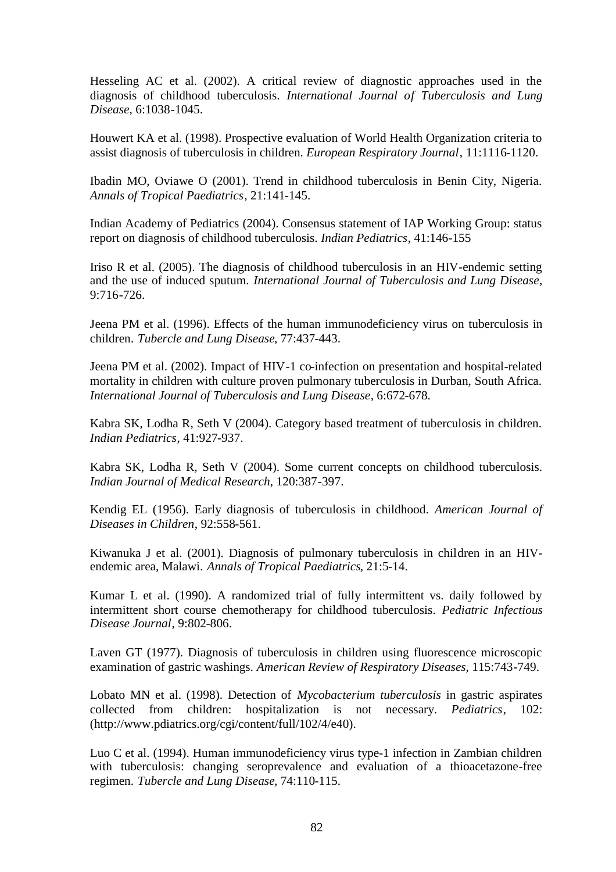Hesseling AC et al. (2002). A critical review of diagnostic approaches used in the diagnosis of childhood tuberculosis. *International Journal of Tuberculosis and Lung Disease*, 6:1038-1045.

Houwert KA et al. (1998). Prospective evaluation of World Health Organization criteria to assist diagnosis of tuberculosis in children. *European Respiratory Journal*, 11:1116-1120.

Ibadin MO, Oviawe O (2001). Trend in childhood tuberculosis in Benin City, Nigeria. *Annals of Tropical Paediatrics*, 21:141-145.

Indian Academy of Pediatrics (2004). Consensus statement of IAP Working Group: status report on diagnosis of childhood tuberculosis. *Indian Pediatrics*, 41:146-155

Iriso R et al. (2005). The diagnosis of childhood tuberculosis in an HIV-endemic setting and the use of induced sputum. *International Journal of Tuberculosis and Lung Disease*, 9:716-726.

Jeena PM et al. (1996). Effects of the human immunodeficiency virus on tuberculosis in children. *Tubercle and Lung Disease*, 77:437-443.

Jeena PM et al. (2002). Impact of HIV-1 co-infection on presentation and hospital-related mortality in children with culture proven pulmonary tuberculosis in Durban, South Africa. *International Journal of Tuberculosis and Lung Disease*, 6:672-678.

Kabra SK, Lodha R, Seth V (2004). Category based treatment of tuberculosis in children. *Indian Pediatrics*, 41:927-937.

Kabra SK, Lodha R, Seth V (2004). Some current concepts on childhood tuberculosis. *Indian Journal of Medical Research*, 120:387-397.

Kendig EL (1956). Early diagnosis of tuberculosis in childhood. *American Journal of Diseases in Children*, 92:558-561.

Kiwanuka J et al. (2001). Diagnosis of pulmonary tuberculosis in children in an HIVendemic area, Malawi. *Annals of Tropical Paediatrics*, 21:5-14.

Kumar L et al. (1990). A randomized trial of fully intermittent vs. daily followed by intermittent short course chemotherapy for childhood tuberculosis. *Pediatric Infectious Disease Journal*, 9:802-806.

Laven GT (1977). Diagnosis of tuberculosis in children using fluorescence microscopic examination of gastric washings. *American Review of Respiratory Diseases*, 115:743-749.

Lobato MN et al. (1998). Detection of *Mycobacterium tuberculosis* in gastric aspirates collected from children: hospitalization is not necessary. *Pediatrics*, 102: (http://www.pdiatrics.org/cgi/content/full/102/4/e40).

Luo C et al. (1994). Human immunodeficiency virus type-1 infection in Zambian children with tuberculosis: changing seroprevalence and evaluation of a thioacetazone-free regimen. *Tubercle and Lung Disease*, 74:110-115.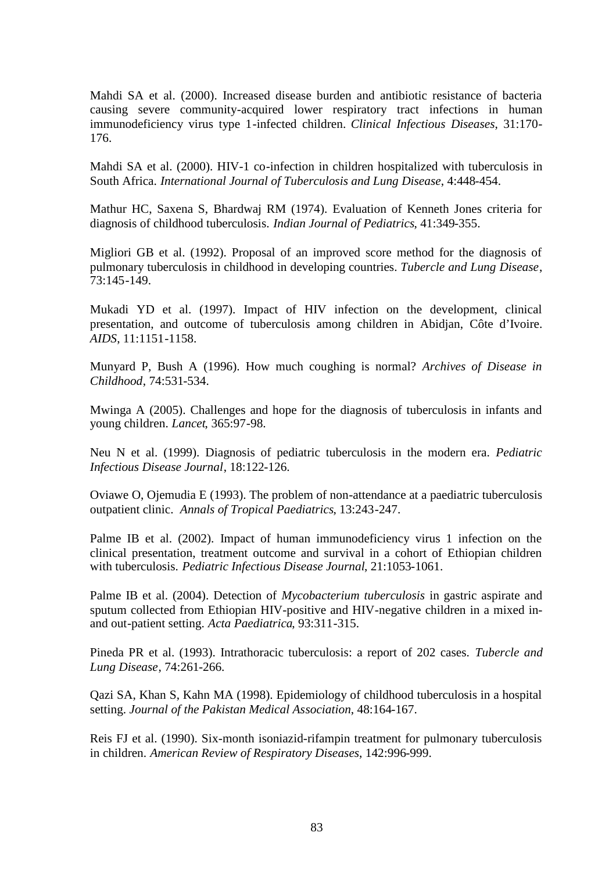Mahdi SA et al. (2000). Increased disease burden and antibiotic resistance of bacteria causing severe community-acquired lower respiratory tract infections in human immunodeficiency virus type 1-infected children. *Clinical Infectious Diseases*, 31:170- 176.

Mahdi SA et al. (2000). HIV-1 co-infection in children hospitalized with tuberculosis in South Africa. *International Journal of Tuberculosis and Lung Disease*, 4:448-454.

Mathur HC, Saxena S, Bhardwaj RM (1974). Evaluation of Kenneth Jones criteria for diagnosis of childhood tuberculosis. *Indian Journal of Pediatrics*, 41:349-355.

Migliori GB et al. (1992). Proposal of an improved score method for the diagnosis of pulmonary tuberculosis in childhood in developing countries. *Tubercle and Lung Disease*, 73:145-149.

Mukadi YD et al. (1997). Impact of HIV infection on the development, clinical presentation, and outcome of tuberculosis among children in Abidjan, Côte d'Ivoire. *AIDS*, 11:1151-1158.

Munyard P, Bush A (1996). How much coughing is normal? *Archives of Disease in Childhood*, 74:531-534.

Mwinga A (2005). Challenges and hope for the diagnosis of tuberculosis in infants and young children. *Lancet*, 365:97-98.

Neu N et al. (1999). Diagnosis of pediatric tuberculosis in the modern era. *Pediatric Infectious Disease Journal*, 18:122-126.

Oviawe O, Ojemudia E (1993). The problem of non-attendance at a paediatric tuberculosis outpatient clinic. *Annals of Tropical Paediatrics*, 13:243-247.

Palme IB et al. (2002). Impact of human immunodeficiency virus 1 infection on the clinical presentation, treatment outcome and survival in a cohort of Ethiopian children with tuberculosis. *Pediatric Infectious Disease Journal*, 21:1053-1061.

Palme IB et al. (2004). Detection of *Mycobacterium tuberculosis* in gastric aspirate and sputum collected from Ethiopian HIV-positive and HIV-negative children in a mixed inand out-patient setting. *Acta Paediatrica*, 93:311-315.

Pineda PR et al. (1993). Intrathoracic tuberculosis: a report of 202 cases. *Tubercle and Lung Disease*, 74:261-266.

Qazi SA, Khan S, Kahn MA (1998). Epidemiology of childhood tuberculosis in a hospital setting. *Journal of the Pakistan Medical Association*, 48:164-167.

Reis FJ et al. (1990). Six-month isoniazid-rifampin treatment for pulmonary tuberculosis in children. *American Review of Respiratory Diseases*, 142:996-999.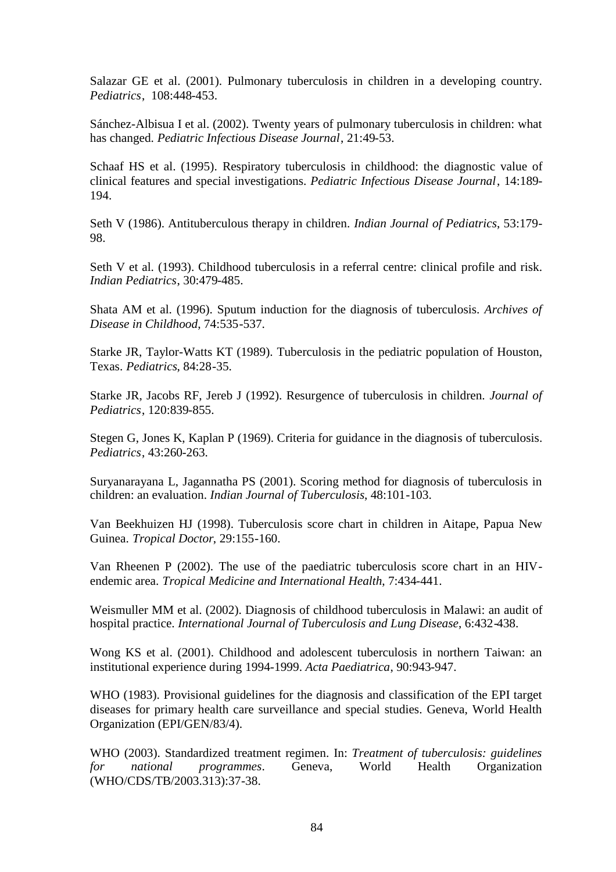Salazar GE et al. (2001). Pulmonary tuberculosis in children in a developing country. *Pediatrics*, 108:448-453.

Sánchez-Albisua I et al. (2002). Twenty years of pulmonary tuberculosis in children: what has changed. *Pediatric Infectious Disease Journal*, 21:49-53.

Schaaf HS et al. (1995). Respiratory tuberculosis in childhood: the diagnostic value of clinical features and special investigations. *Pediatric Infectious Disease Journal*, 14:189- 194.

Seth V (1986). Antituberculous therapy in children. *Indian Journal of Pediatrics*, 53:179- 98.

Seth V et al. (1993). Childhood tuberculosis in a referral centre: clinical profile and risk. *Indian Pediatrics*, 30:479-485.

Shata AM et al. (1996). Sputum induction for the diagnosis of tuberculosis. *Archives of Disease in Childhood*, 74:535-537.

Starke JR, Taylor-Watts KT (1989). Tuberculosis in the pediatric population of Houston, Texas. *Pediatrics*, 84:28-35.

Starke JR, Jacobs RF, Jereb J (1992). Resurgence of tuberculosis in children. *Journal of Pediatrics*, 120:839-855.

Stegen G, Jones K, Kaplan P (1969). Criteria for guidance in the diagnosis of tuberculosis. *Pediatrics*, 43:260-263.

Suryanarayana L, Jagannatha PS (2001). Scoring method for diagnosis of tuberculosis in children: an evaluation. *Indian Journal of Tuberculosis*, 48:101-103.

Van Beekhuizen HJ (1998). Tuberculosis score chart in children in Aitape, Papua New Guinea. *Tropical Doctor*, 29:155-160.

Van Rheenen P (2002). The use of the paediatric tuberculosis score chart in an HIVendemic area. *Tropical Medicine and International Health*, 7:434-441.

Weismuller MM et al. (2002). Diagnosis of childhood tuberculosis in Malawi: an audit of hospital practice. *International Journal of Tuberculosis and Lung Disease*, 6:432-438.

Wong KS et al. (2001). Childhood and adolescent tuberculosis in northern Taiwan: an institutional experience during 1994-1999. *Acta Paediatrica*, 90:943-947.

WHO (1983). Provisional guidelines for the diagnosis and classification of the EPI target diseases for primary health care surveillance and special studies. Geneva, World Health Organization (EPI/GEN/83/4).

WHO (2003). Standardized treatment regimen. In: *Treatment of tuberculosis: guidelines for national programmes*. Geneva, World Health Organization (WHO/CDS/TB/2003.313):37-38.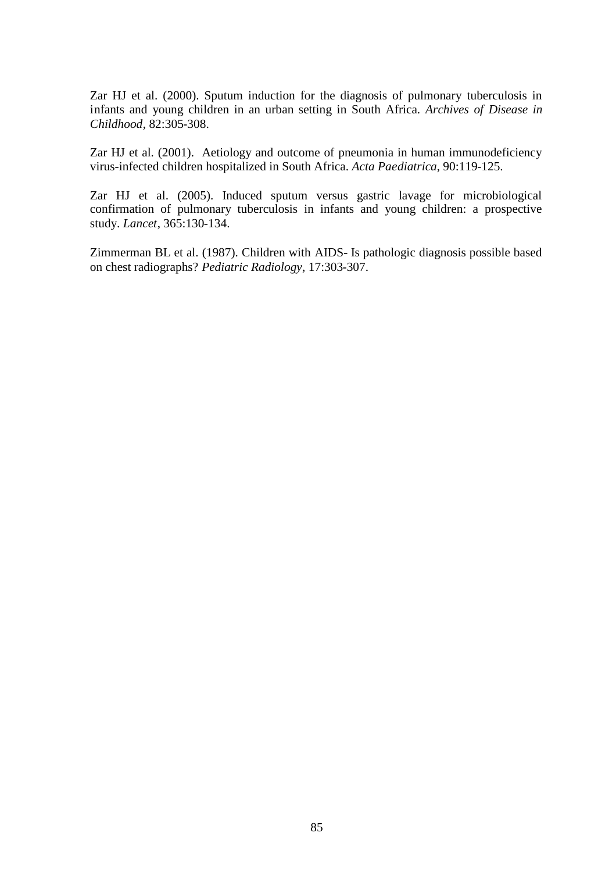Zar HJ et al. (2000). Sputum induction for the diagnosis of pulmonary tuberculosis in infants and young children in an urban setting in South Africa. *Archives of Disease in Childhood*, 82:305-308.

Zar HJ et al. (2001). Aetiology and outcome of pneumonia in human immunodeficiency virus-infected children hospitalized in South Africa. *Acta Paediatrica*, 90:119-125.

Zar HJ et al. (2005). Induced sputum versus gastric lavage for microbiological confirmation of pulmonary tuberculosis in infants and young children: a prospective study. *Lancet*, 365:130-134.

Zimmerman BL et al. (1987). Children with AIDS- Is pathologic diagnosis possible based on chest radiographs? *Pediatric Radiology*, 17:303-307.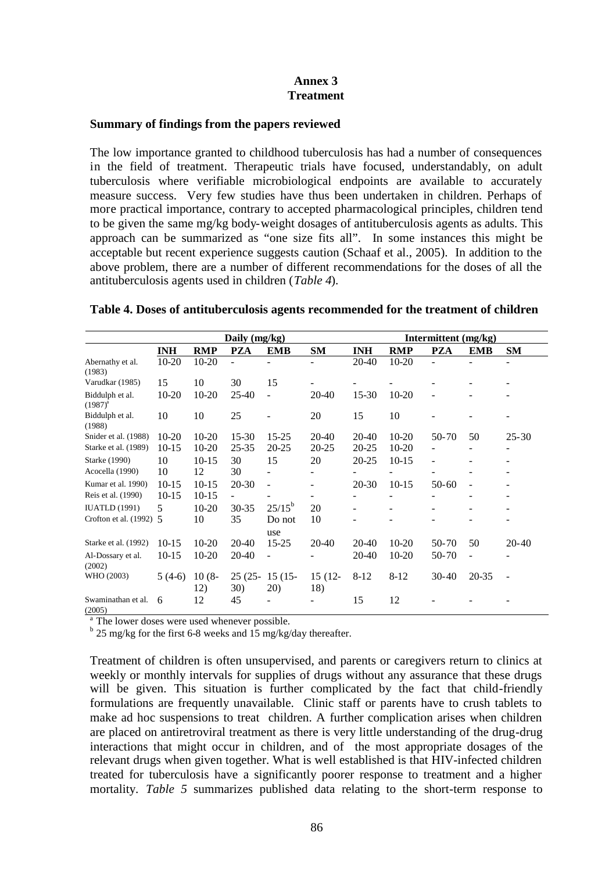# **Annex 3 Treatment**

### **Summary of findings from the papers reviewed**

The low importance granted to childhood tuberculosis has had a number of consequences in the field of treatment. Therapeutic trials have focused, understandably, on adult tuberculosis where verifiable microbiological endpoints are available to accurately measure success. Very few studies have thus been undertaken in children. Perhaps of more practical importance, contrary to accepted pharmacological principles, children tend to be given the same mg/kg body-weight dosages of antituberculosis agents as adults. This approach can be summarized as "one size fits all". In some instances this might be acceptable but recent experience suggests caution (Schaaf et al., 2005). In addition to the above problem, there are a number of different recommendations for the doses of all the antituberculosis agents used in children (*Table 4*).

|                                 | Daily $(mg/kg)$ |                 |                  |                          |                | Inter <u>mittent</u> (mg/kg) |                          |                          |                          |                   |
|---------------------------------|-----------------|-----------------|------------------|--------------------------|----------------|------------------------------|--------------------------|--------------------------|--------------------------|-------------------|
|                                 | <b>INH</b>      | <b>RMP</b>      | <b>PZA</b>       | <b>EMB</b>               | <b>SM</b>      | <b>INH</b>                   | <b>RMP</b>               | <b>PZA</b>               | <b>EMB</b>               | <b>SM</b>         |
| Abernathy et al.                | $10 - 20$       | 10-20           | ٠                |                          |                | 20-40                        | 10-20                    | ÷.                       |                          | $\qquad \qquad -$ |
| (1983)                          |                 |                 |                  |                          |                |                              |                          |                          |                          |                   |
| Varudkar (1985)                 | 15              | 10              | 30               | 15                       |                |                              |                          |                          |                          |                   |
| Biddulph et al.<br>$(1987)^{a}$ | $10 - 20$       | $10 - 20$       | 25-40            |                          | 20-40          | $15-30$                      | $10 - 20$                |                          |                          |                   |
| Biddulph et al.<br>(1988)       | 10              | 10              | 25               |                          | 20             | 15                           | 10                       |                          |                          |                   |
| Snider et al. (1988)            | $10-20$         | $10-20$         | $15-30$          | $15 - 25$                | 20-40          | 20-40                        | $10-20$                  | $50-70$                  | 50                       | $25 - 30$         |
| Starke et al. (1989)            | $10-15$         | $10-20$         | 25-35            | 20-25                    | 20-25          | 20-25                        | $10-20$                  | $\overline{\phantom{0}}$ | ٠                        | -                 |
| Starke (1990)                   | 10              | $10-15$         | 30               | 15                       | 20             | $20 - 25$                    | $10-15$                  | $\overline{\phantom{0}}$ | -                        | -                 |
| Acocella (1990)                 | 10              | 12              | 30               |                          |                |                              |                          | ۰                        | -                        | -                 |
| Kumar et al. 1990)              | $10-15$         | $10-15$         | 20-30            | $\blacksquare$           | -              | 20-30                        | $10-15$                  | $50-60$                  | $\overline{\phantom{a}}$ | ۰                 |
| Reis et al. (1990)              | $10-15$         | $10-15$         | -                |                          | ۰              |                              | $\overline{\phantom{a}}$ | ۰                        | ۰                        |                   |
| <b>IUATLD</b> (1991)            | 5               | $10-20$         | $30 - 35$        | $25/15^b$                | 20             |                              | $\equiv$                 |                          |                          |                   |
| Crofton et al. (1992) 5         |                 | 10              | 35               | Do not<br>use            | 10             |                              |                          |                          |                          |                   |
| Starke et al. (1992)            | $10-15$         | $10-20$         | 20-40            | $15 - 25$                | 20-40          | 20-40                        | $10-20$                  | $50-70$                  | 50                       | $20-40$           |
| Al-Dossary et al.<br>(2002)     | $10-15$         | $10 - 20$       | 20-40            | $\overline{\phantom{a}}$ |                | 20-40                        | $10 - 20$                | 50-70                    | $\overline{a}$           |                   |
| WHO (2003)                      | $5(4-6)$        | $10(8 -$<br>12) | $25(25 -$<br>30) | $15(15 -$<br>20)         | 15 (12-<br>18) | $8-12$                       | $8-12$                   | $30 - 40$                | 20-35                    |                   |
| Swaminathan et al.<br>(2005)    | 6               | 12              | 45               |                          |                | 15                           | 12                       |                          |                          |                   |

#### **Table 4. Doses of antituberculosis agents recommended for the treatment of children**

<sup>a</sup> The lower doses were used whenever possible.

 $b$  25 mg/kg for the first 6-8 weeks and 15 mg/kg/day thereafter.

Treatment of children is often unsupervised, and parents or caregivers return to clinics at weekly or monthly intervals for supplies of drugs without any assurance that these drugs will be given. This situation is further complicated by the fact that child-friendly formulations are frequently unavailable. Clinic staff or parents have to crush tablets to make ad hoc suspensions to treat children. A further complication arises when children are placed on antiretroviral treatment as there is very little understanding of the drug-drug interactions that might occur in children, and of the most appropriate dosages of the relevant drugs when given together. What is well established is that HIV-infected children treated for tuberculosis have a significantly poorer response to treatment and a higher mortality. *Table 5* summarizes published data relating to the short-term response to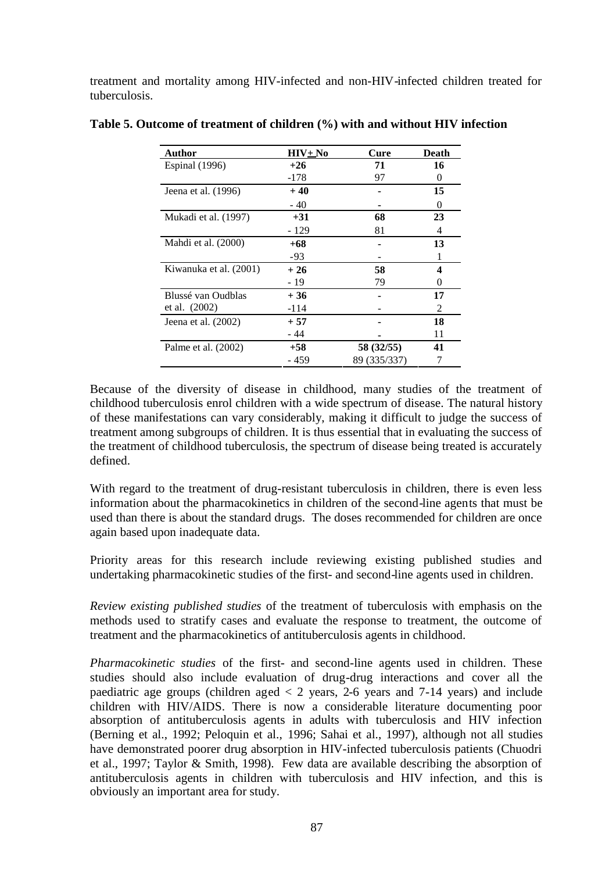treatment and mortality among HIV-infected and non-HIV-infected children treated for tuberculosis.

| Author                 | $HIV_{\pm}No$ | Cure         | Death    |
|------------------------|---------------|--------------|----------|
| Espinal (1996)         | $+26$         | 71           | 16       |
|                        | -178          | 97           | $\theta$ |
| Jeena et al. (1996)    | $+40$         |              | 15       |
|                        | $-40$         |              | $\Omega$ |
| Mukadi et al. (1997)   | $+31$         | 68           | 23       |
|                        | - 129         | 81           | 4        |
| Mahdi et al. (2000)    | $+68$         |              | 13       |
|                        | -93           |              |          |
| Kiwanuka et al. (2001) | $+26$         | 58           | 4        |
|                        | - 19          | 79           | $_{0}$   |
| Blussé van Oudblas     | $+36$         |              | 17       |
| et al. $(2002)$        | $-114$        |              | 2        |
| Jeena et al. $(2002)$  | $+57$         |              | 18       |
|                        | - 44          |              | 11       |
| Palme et al. (2002)    | $+58$         | 58 (32/55)   | 41       |
|                        | - 459         | 89 (335/337) |          |

**Table 5. Outcome of treatment of children (%) with and without HIV infection**

Because of the diversity of disease in childhood, many studies of the treatment of childhood tuberculosis enrol children with a wide spectrum of disease. The natural history of these manifestations can vary considerably, making it difficult to judge the success of treatment among subgroups of children. It is thus essential that in evaluating the success of the treatment of childhood tuberculosis, the spectrum of disease being treated is accurately defined.

With regard to the treatment of drug-resistant tuberculosis in children, there is even less information about the pharmacokinetics in children of the second-line agents that must be used than there is about the standard drugs. The doses recommended for children are once again based upon inadequate data.

Priority areas for this research include reviewing existing published studies and undertaking pharmacokinetic studies of the first- and second-line agents used in children.

*Review existing published studies* of the treatment of tuberculosis with emphasis on the methods used to stratify cases and evaluate the response to treatment, the outcome of treatment and the pharmacokinetics of antituberculosis agents in childhood.

*Pharmacokinetic studies* of the first- and second-line agents used in children. These studies should also include evaluation of drug-drug interactions and cover all the paediatric age groups (children aged  $\lt 2$  years, 2-6 years and 7-14 years) and include children with HIV/AIDS. There is now a considerable literature documenting poor absorption of antituberculosis agents in adults with tuberculosis and HIV infection (Berning et al., 1992; Peloquin et al., 1996; Sahai et al., 1997), although not all studies have demonstrated poorer drug absorption in HIV-infected tuberculosis patients (Chuodri et al., 1997; Taylor & Smith, 1998). Few data are available describing the absorption of antituberculosis agents in children with tuberculosis and HIV infection, and this is obviously an important area for study.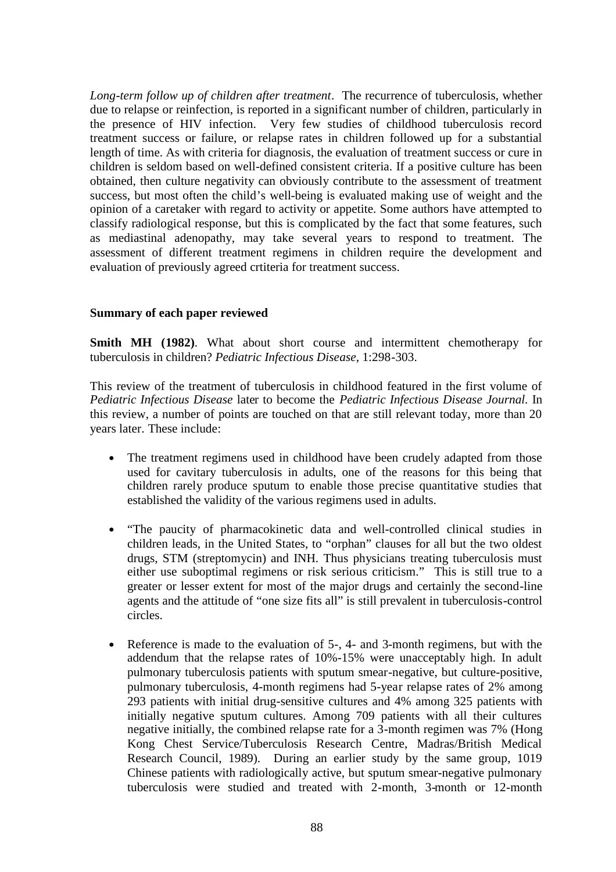*Long-term follow up of children after treatment*. The recurrence of tuberculosis, whether due to relapse or reinfection, is reported in a significant number of children, particularly in the presence of HIV infection. Very few studies of childhood tuberculosis record treatment success or failure, or relapse rates in children followed up for a substantial length of time. As with criteria for diagnosis, the evaluation of treatment success or cure in children is seldom based on well-defined consistent criteria. If a positive culture has been obtained, then culture negativity can obviously contribute to the assessment of treatment success, but most often the child's well-being is evaluated making use of weight and the opinion of a caretaker with regard to activity or appetite. Some authors have attempted to classify radiological response, but this is complicated by the fact that some features, such as mediastinal adenopathy, may take several years to respond to treatment. The assessment of different treatment regimens in children require the development and evaluation of previously agreed crtiteria for treatment success.

### **Summary of each paper reviewed**

**Smith MH (1982)**. What about short course and intermittent chemotherapy for tuberculosis in children? *Pediatric Infectious Disease*, 1:298-303.

This review of the treatment of tuberculosis in childhood featured in the first volume of *Pediatric Infectious Disease* later to become the *Pediatric Infectious Disease Journal*. In this review, a number of points are touched on that are still relevant today, more than 20 years later. These include:

- The treatment regimens used in childhood have been crudely adapted from those used for cavitary tuberculosis in adults, one of the reasons for this being that children rarely produce sputum to enable those precise quantitative studies that established the validity of the various regimens used in adults.
- "The paucity of pharmacokinetic data and well-controlled clinical studies in children leads, in the United States, to "orphan" clauses for all but the two oldest drugs, STM (streptomycin) and INH. Thus physicians treating tuberculosis must either use suboptimal regimens or risk serious criticism." This is still true to a greater or lesser extent for most of the major drugs and certainly the second-line agents and the attitude of "one size fits all" is still prevalent in tuberculosis-control circles.
- Reference is made to the evaluation of 5-, 4- and 3-month regimens, but with the addendum that the relapse rates of 10%-15% were unacceptably high. In adult pulmonary tuberculosis patients with sputum smear-negative, but culture-positive, pulmonary tuberculosis, 4-month regimens had 5-year relapse rates of 2% among 293 patients with initial drug-sensitive cultures and 4% among 325 patients with initially negative sputum cultures. Among 709 patients with all their cultures negative initially, the combined relapse rate for a 3-month regimen was 7% (Hong Kong Chest Service/Tuberculosis Research Centre, Madras/British Medical Research Council, 1989). During an earlier study by the same group, 1019 Chinese patients with radiologically active, but sputum smear-negative pulmonary tuberculosis were studied and treated with 2-month, 3-month or 12-month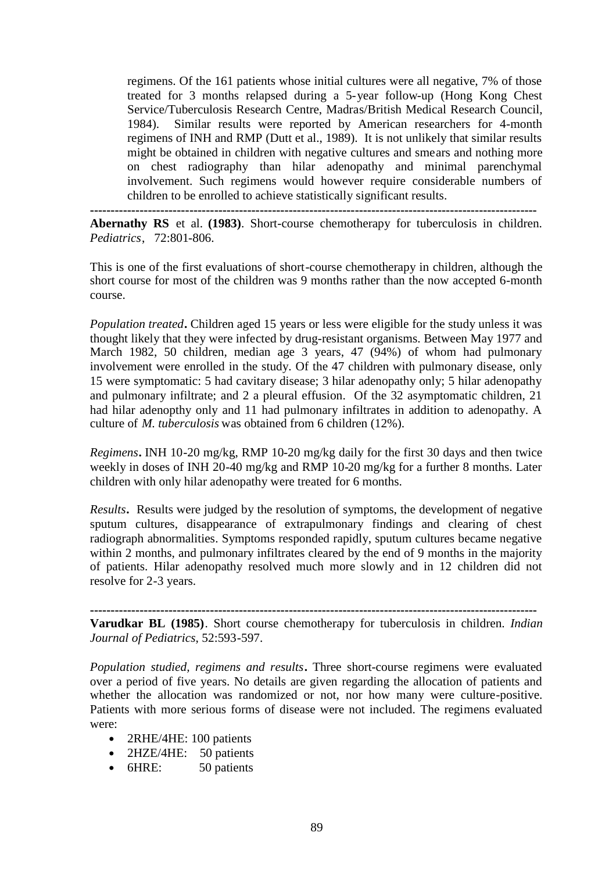regimens. Of the 161 patients whose initial cultures were all negative, 7% of those treated for 3 months relapsed during a 5-year follow-up (Hong Kong Chest Service/Tuberculosis Research Centre, Madras/British Medical Research Council, 1984). Similar results were reported by American researchers for 4-month regimens of INH and RMP (Dutt et al., 1989). It is not unlikely that similar results might be obtained in children with negative cultures and smears and nothing more on chest radiography than hilar adenopathy and minimal parenchymal involvement. Such regimens would however require considerable numbers of children to be enrolled to achieve statistically significant results.

**------------------------------------------------------------------------------------------------------------**

**Abernathy RS** et al. **(1983)**. Short-course chemotherapy for tuberculosis in children. *Pediatrics*, 72:801-806.

This is one of the first evaluations of short-course chemotherapy in children, although the short course for most of the children was 9 months rather than the now accepted 6-month course.

*Population treated***.** Children aged 15 years or less were eligible for the study unless it was thought likely that they were infected by drug-resistant organisms. Between May 1977 and March 1982, 50 children, median age 3 years, 47 (94%) of whom had pulmonary involvement were enrolled in the study. Of the 47 children with pulmonary disease, only 15 were symptomatic: 5 had cavitary disease; 3 hilar adenopathy only; 5 hilar adenopathy and pulmonary infiltrate; and 2 a pleural effusion. Of the 32 asymptomatic children, 21 had hilar adenopthy only and 11 had pulmonary infiltrates in addition to adenopathy. A culture of *M. tuberculosis* was obtained from 6 children (12%).

*Regimens***.** INH 10-20 mg/kg, RMP 10-20 mg/kg daily for the first 30 days and then twice weekly in doses of INH 20-40 mg/kg and RMP 10-20 mg/kg for a further 8 months. Later children with only hilar adenopathy were treated for 6 months.

*Results***.** Results were judged by the resolution of symptoms, the development of negative sputum cultures, disappearance of extrapulmonary findings and clearing of chest radiograph abnormalities. Symptoms responded rapidly, sputum cultures became negative within 2 months, and pulmonary infiltrates cleared by the end of 9 months in the majority of patients. Hilar adenopathy resolved much more slowly and in 12 children did not resolve for 2-3 years.

**------------------------------------------------------------------------------------------------------------**

**Varudkar BL (1985)**. Short course chemotherapy for tuberculosis in children. *Indian Journal of Pediatrics*, 52:593-597.

*Population studied, regimens and results***.** Three short-course regimens were evaluated over a period of five years. No details are given regarding the allocation of patients and whether the allocation was randomized or not, nor how many were culture-positive. Patients with more serious forms of disease were not included. The regimens evaluated were:

- 2RHE/4HE: 100 patients
- 2HZE/4HE: 50 patients
- 6HRE: 50 patients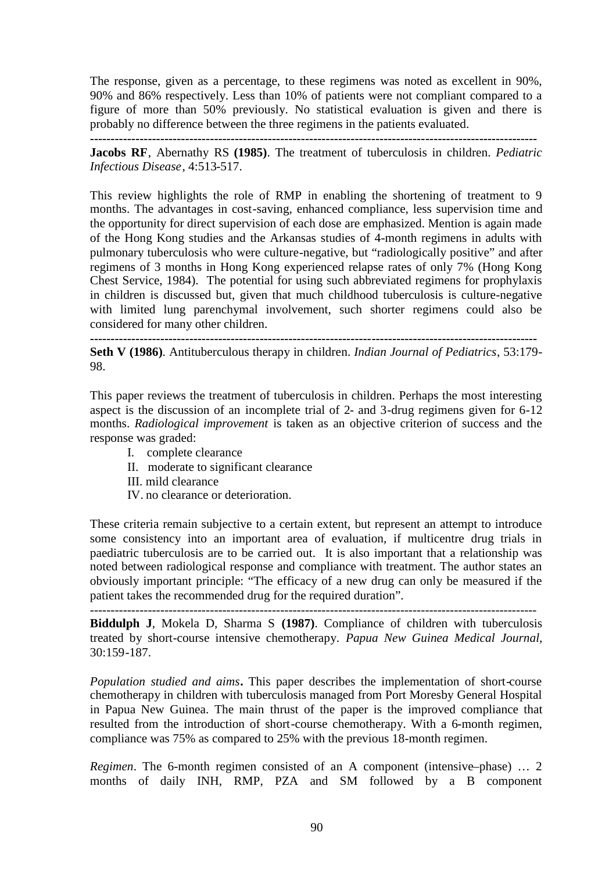The response, given as a percentage, to these regimens was noted as excellent in 90%, 90% and 86% respectively. Less than 10% of patients were not compliant compared to a figure of more than 50% previously. No statistical evaluation is given and there is probably no difference between the three regimens in the patients evaluated.

**------------------------------------------------------------------------------------------------------------**

**Jacobs RF**, Abernathy RS **(1985)**. The treatment of tuberculosis in children. *Pediatric Infectious Disease*, 4:513-517.

This review highlights the role of RMP in enabling the shortening of treatment to 9 months. The advantages in cost-saving, enhanced compliance, less supervision time and the opportunity for direct supervision of each dose are emphasized. Mention is again made of the Hong Kong studies and the Arkansas studies of 4-month regimens in adults with pulmonary tuberculosis who were culture-negative, but "radiologically positive" and after regimens of 3 months in Hong Kong experienced relapse rates of only 7% (Hong Kong Chest Service, 1984). The potential for using such abbreviated regimens for prophylaxis in children is discussed but, given that much childhood tuberculosis is culture-negative with limited lung parenchymal involvement, such shorter regimens could also be considered for many other children.

**------------------------------------------------------------------------------------------------------------**

**Seth V (1986)**. Antituberculous therapy in children. *Indian Journal of Pediatrics*, 53:179- 98.

This paper reviews the treatment of tuberculosis in children. Perhaps the most interesting aspect is the discussion of an incomplete trial of 2- and 3-drug regimens given for 6-12 months. *Radiological improvement* is taken as an objective criterion of success and the response was graded:

- I. complete clearance
- II. moderate to significant clearance
- III. mild clearance
- IV. no clearance or deterioration.

These criteria remain subjective to a certain extent, but represent an attempt to introduce some consistency into an important area of evaluation, if multicentre drug trials in paediatric tuberculosis are to be carried out. It is also important that a relationship was noted between radiological response and compliance with treatment. The author states an obviously important principle: "The efficacy of a new drug can only be measured if the patient takes the recommended drug for the required duration".

**Biddulph J**, Mokela D, Sharma S **(1987)**. Compliance of children with tuberculosis treated by short-course intensive chemotherapy. *Papua New Guinea Medical Journal*, 30:159-187.

*Population studied and aims***.** This paper describes the implementation of short-course chemotherapy in children with tuberculosis managed from Port Moresby General Hospital in Papua New Guinea. The main thrust of the paper is the improved compliance that resulted from the introduction of short-course chemotherapy. With a 6-month regimen, compliance was 75% as compared to 25% with the previous 18-month regimen.

*Regimen*. The 6-month regimen consisted of an A component (intensive–phase) … 2 months of daily INH, RMP, PZA and SM followed by a B component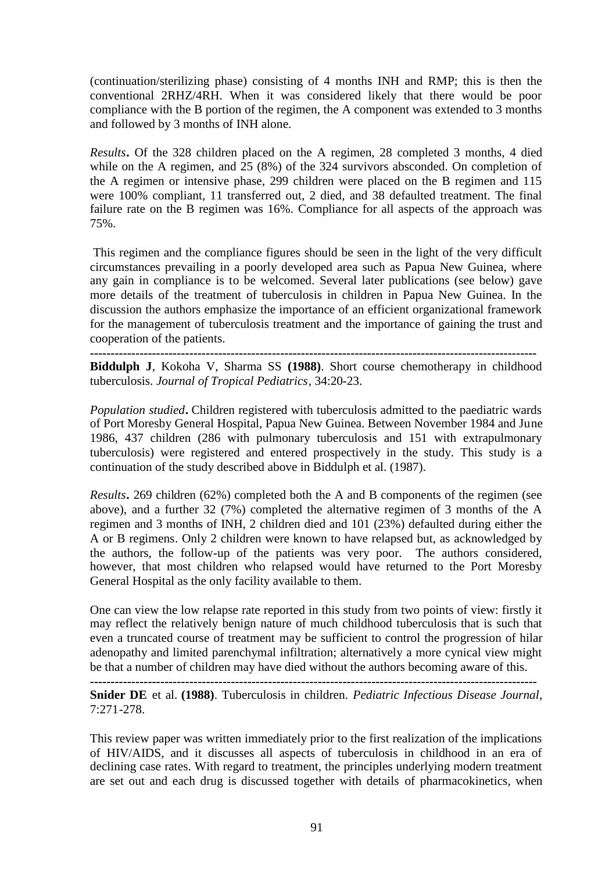(continuation/sterilizing phase) consisting of 4 months INH and RMP; this is then the conventional 2RHZ/4RH. When it was considered likely that there would be poor compliance with the B portion of the regimen, the A component was extended to 3 months and followed by 3 months of INH alone.

*Results***.** Of the 328 children placed on the A regimen, 28 completed 3 months, 4 died while on the A regimen, and 25 (8%) of the 324 survivors absconded. On completion of the A regimen or intensive phase, 299 children were placed on the B regimen and 115 were 100% compliant, 11 transferred out, 2 died, and 38 defaulted treatment. The final failure rate on the B regimen was 16%. Compliance for all aspects of the approach was 75%.

This regimen and the compliance figures should be seen in the light of the very difficult circumstances prevailing in a poorly developed area such as Papua New Guinea, where any gain in compliance is to be welcomed. Several later publications (see below) gave more details of the treatment of tuberculosis in children in Papua New Guinea. In the discussion the authors emphasize the importance of an efficient organizational framework for the management of tuberculosis treatment and the importance of gaining the trust and cooperation of the patients.

**------------------------------------------------------------------------------------------------------------**

**Biddulph J**, Kokoha V, Sharma SS **(1988)**. Short course chemotherapy in childhood tuberculosis. *Journal of Tropical Pediatrics*, 34:20-23.

*Population studied***.** Children registered with tuberculosis admitted to the paediatric wards of Port Moresby General Hospital, Papua New Guinea. Between November 1984 and June 1986, 437 children (286 with pulmonary tuberculosis and 151 with extrapulmonary tuberculosis) were registered and entered prospectively in the study. This study is a continuation of the study described above in Biddulph et al. (1987).

*Results***.** 269 children (62%) completed both the A and B components of the regimen (see above), and a further 32 (7%) completed the alternative regimen of 3 months of the A regimen and 3 months of INH, 2 children died and 101 (23%) defaulted during either the A or B regimens. Only 2 children were known to have relapsed but, as acknowledged by the authors, the follow-up of the patients was very poor. The authors considered, however, that most children who relapsed would have returned to the Port Moresby General Hospital as the only facility available to them.

One can view the low relapse rate reported in this study from two points of view: firstly it may reflect the relatively benign nature of much childhood tuberculosis that is such that even a truncated course of treatment may be sufficient to control the progression of hilar adenopathy and limited parenchymal infiltration; alternatively a more cynical view might be that a number of children may have died without the authors becoming aware of this.

**------------------------------------------------------------------------------------------------------------**

**Snider DE** et al. **(1988)**. Tuberculosis in children. *Pediatric Infectious Disease Journal*, 7:271-278.

This review paper was written immediately prior to the first realization of the implications of HIV/AIDS, and it discusses all aspects of tuberculosis in childhood in an era of declining case rates. With regard to treatment, the principles underlying modern treatment are set out and each drug is discussed together with details of pharmacokinetics, when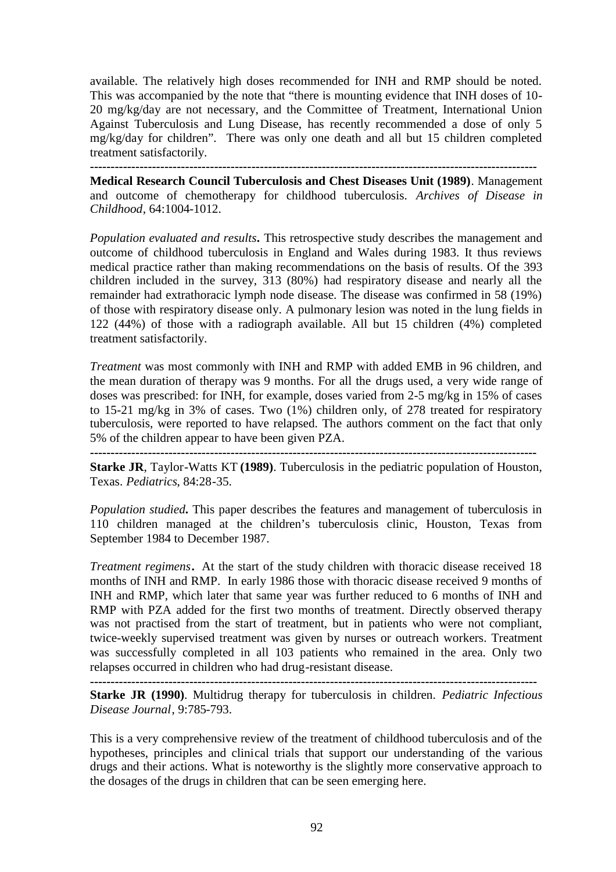available. The relatively high doses recommended for INH and RMP should be noted. This was accompanied by the note that "there is mounting evidence that INH doses of 10- 20 mg/kg/day are not necessary, and the Committee of Treatment, International Union Against Tuberculosis and Lung Disease, has recently recommended a dose of only 5 mg/kg/day for children". There was only one death and all but 15 children completed treatment satisfactorily.

**------------------------------------------------------------------------------------------------------------**

**Medical Research Council Tuberculosis and Chest Diseases Unit (1989)**. Management and outcome of chemotherapy for childhood tuberculosis. *Archives of Disease in Childhood*, 64:1004-1012.

*Population evaluated and results***.** This retrospective study describes the management and outcome of childhood tuberculosis in England and Wales during 1983. It thus reviews medical practice rather than making recommendations on the basis of results. Of the 393 children included in the survey, 313 (80%) had respiratory disease and nearly all the remainder had extrathoracic lymph node disease. The disease was confirmed in 58 (19%) of those with respiratory disease only. A pulmonary lesion was noted in the lung fields in 122 (44%) of those with a radiograph available. All but 15 children (4%) completed treatment satisfactorily.

*Treatment* was most commonly with INH and RMP with added EMB in 96 children, and the mean duration of therapy was 9 months. For all the drugs used, a very wide range of doses was prescribed: for INH, for example, doses varied from 2-5 mg/kg in 15% of cases to 15-21 mg/kg in 3% of cases. Two (1%) children only, of 278 treated for respiratory tuberculosis, were reported to have relapsed. The authors comment on the fact that only 5% of the children appear to have been given PZA. **------------------------------------------------------------------------------------------------------------**

**Starke JR**, Taylor-Watts KT **(1989)**. Tuberculosis in the pediatric population of Houston, Texas. *Pediatrics*, 84:28-35.

*Population studied***.** This paper describes the features and management of tuberculosis in 110 children managed at the children's tuberculosis clinic, Houston, Texas from September 1984 to December 1987.

*Treatment regimens***.** At the start of the study children with thoracic disease received 18 months of INH and RMP. In early 1986 those with thoracic disease received 9 months of INH and RMP, which later that same year was further reduced to 6 months of INH and RMP with PZA added for the first two months of treatment. Directly observed therapy was not practised from the start of treatment, but in patients who were not compliant, twice-weekly supervised treatment was given by nurses or outreach workers. Treatment was successfully completed in all 103 patients who remained in the area. Only two relapses occurred in children who had drug-resistant disease.

**------------------------------------------------------------------------------------------------------------**

**Starke JR (1990)**. Multidrug therapy for tuberculosis in children. *Pediatric Infectious Disease Journal*, 9:785-793.

This is a very comprehensive review of the treatment of childhood tuberculosis and of the hypotheses, principles and clinical trials that support our understanding of the various drugs and their actions. What is noteworthy is the slightly more conservative approach to the dosages of the drugs in children that can be seen emerging here.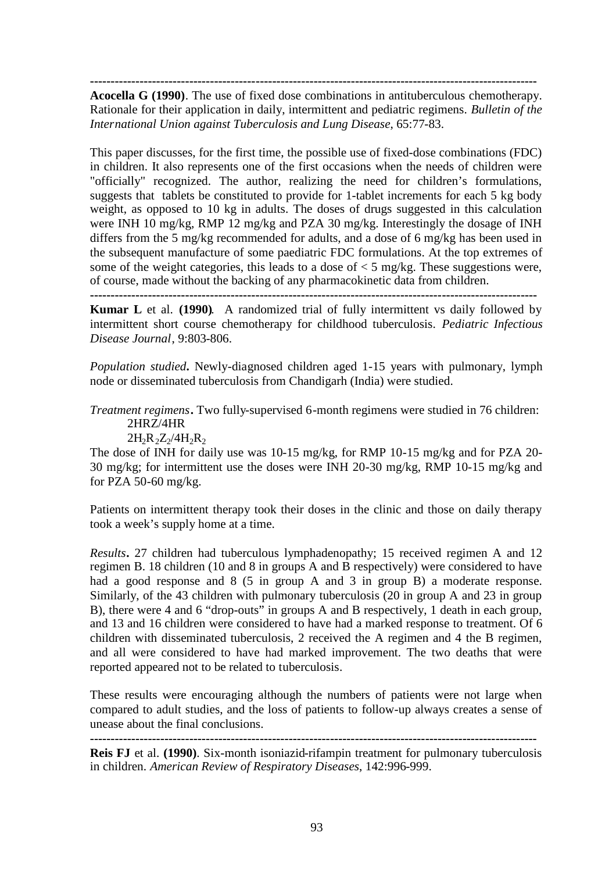**------------------------------------------------------------------------------------------------------------**

**Acocella G (1990)**. The use of fixed dose combinations in antituberculous chemotherapy. Rationale for their application in daily, intermittent and pediatric regimens. *Bulletin of the International Union against Tuberculosis and Lung Disease*, 65:77-83.

This paper discusses, for the first time, the possible use of fixed-dose combinations (FDC) in children. It also represents one of the first occasions when the needs of children were "officially" recognized. The author, realizing the need for children's formulations, suggests that tablets be constituted to provide for 1-tablet increments for each 5 kg body weight, as opposed to 10 kg in adults. The doses of drugs suggested in this calculation were INH 10 mg/kg, RMP 12 mg/kg and PZA 30 mg/kg. Interestingly the dosage of INH differs from the 5 mg/kg recommended for adults, and a dose of 6 mg/kg has been used in the subsequent manufacture of some paediatric FDC formulations. At the top extremes of some of the weight categories, this leads to a dose of  $\lt 5$  mg/kg. These suggestions were, of course, made without the backing of any pharmacokinetic data from children.

**------------------------------------------------------------------------------------------------------------**

**Kumar L** et al. **(1990)**. A randomized trial of fully intermittent vs daily followed by intermittent short course chemotherapy for childhood tuberculosis. *Pediatric Infectious Disease Journal*, 9:803-806.

*Population studied***.** Newly-diagnosed children aged 1-15 years with pulmonary, lymph node or disseminated tuberculosis from Chandigarh (India) were studied.

*Treatment regimens***.** Two fully-supervised 6-month regimens were studied in 76 children: 2HRZ/4HR

 $2H_2R_2Z_2/4H_2R_2$ 

The dose of INH for daily use was 10-15 mg/kg, for RMP 10-15 mg/kg and for PZA 20- 30 mg/kg; for intermittent use the doses were INH 20-30 mg/kg, RMP 10-15 mg/kg and for PZA 50-60 mg/kg.

Patients on intermittent therapy took their doses in the clinic and those on daily therapy took a week's supply home at a time.

*Results***.** 27 children had tuberculous lymphadenopathy; 15 received regimen A and 12 regimen B. 18 children (10 and 8 in groups A and B respectively) were considered to have had a good response and 8 (5 in group A and 3 in group B) a moderate response. Similarly, of the 43 children with pulmonary tuberculosis (20 in group A and 23 in group B), there were 4 and 6 "drop-outs" in groups A and B respectively, 1 death in each group, and 13 and 16 children were considered to have had a marked response to treatment. Of 6 children with disseminated tuberculosis, 2 received the A regimen and 4 the B regimen, and all were considered to have had marked improvement. The two deaths that were reported appeared not to be related to tuberculosis.

These results were encouraging although the numbers of patients were not large when compared to adult studies, and the loss of patients to follow-up always creates a sense of unease about the final conclusions.

**------------------------------------------------------------------------------------------------------------**

**Reis FJ** et al. **(1990)**. Six-month isoniazid-rifampin treatment for pulmonary tuberculosis in children. *American Review of Respiratory Diseases*, 142:996-999.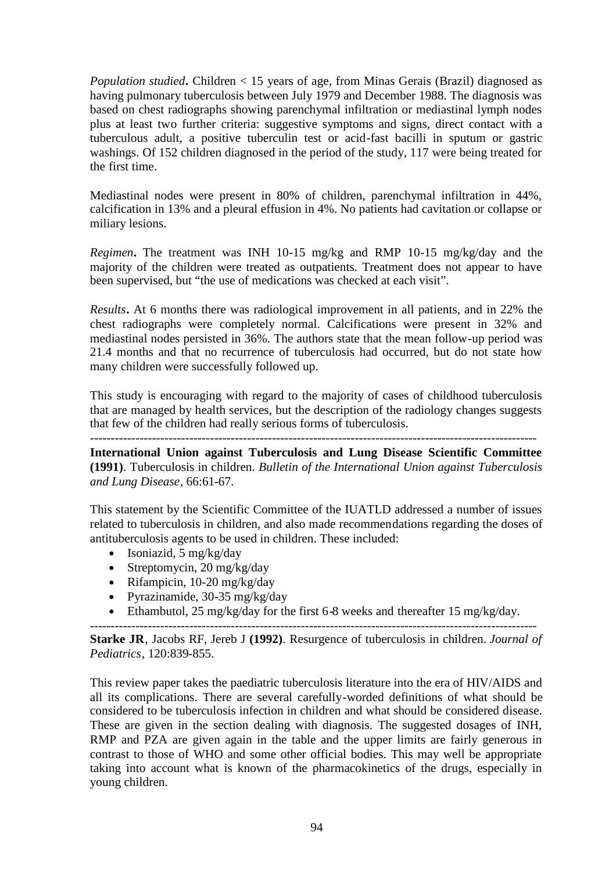*Population studied***.** Children < 15 years of age, from Minas Gerais (Brazil) diagnosed as having pulmonary tuberculosis between July 1979 and December 1988. The diagnosis was based on chest radiographs showing parenchymal infiltration or mediastinal lymph nodes plus at least two further criteria: suggestive symptoms and signs, direct contact with a tuberculous adult, a positive tuberculin test or acid-fast bacilli in sputum or gastric washings. Of 152 children diagnosed in the period of the study, 117 were being treated for the first time.

Mediastinal nodes were present in 80% of children, parenchymal infiltration in 44%, calcification in 13% and a pleural effusion in 4%. No patients had cavitation or collapse or miliary lesions.

*Regimen***.** The treatment was INH 10-15 mg/kg and RMP 10-15 mg/kg/day and the majority of the children were treated as outpatients. Treatment does not appear to have been supervised, but "the use of medications was checked at each visit".

*Results***.** At 6 months there was radiological improvement in all patients, and in 22% the chest radiographs were completely normal. Calcifications were present in 32% and mediastinal nodes persisted in 36%. The authors state that the mean follow-up period was 21.4 months and that no recurrence of tuberculosis had occurred, but do not state how many children were successfully followed up.

This study is encouraging with regard to the majority of cases of childhood tuberculosis that are managed by health services, but the description of the radiology changes suggests that few of the children had really serious forms of tuberculosis.

------------------------------------------------------------------------------------------------------------

**International Union against Tuberculosis and Lung Disease Scientific Committee (1991)**. Tuberculosis in children. *Bulletin of the International Union against Tuberculosis and Lung Disease*, 66:61-67.

This statement by the Scientific Committee of the IUATLD addressed a number of issues related to tuberculosis in children, and also made recommendations regarding the doses of antituberculosis agents to be used in children. These included:

- Isoniazid,  $5 \text{ mg/kg/day}$
- Streptomycin, 20 mg/kg/day
- Rifampicin, 10-20 mg/kg/day
- Pyrazinamide,  $30-35$  mg/kg/day
- Ethambutol, 25 mg/kg/day for the first 6-8 weeks and thereafter 15 mg/kg/day.

**Starke JR**, Jacobs RF, Jereb J **(1992)**. Resurgence of tuberculosis in children. *Journal of Pediatrics*, 120:839-855.

------------------------------------------------------------------------------------------------------------

This review paper takes the paediatric tuberculosis literature into the era of HIV/AIDS and all its complications. There are several carefully-worded definitions of what should be considered to be tuberculosis infection in children and what should be considered disease. These are given in the section dealing with diagnosis. The suggested dosages of INH, RMP and PZA are given again in the table and the upper limits are fairly generous in contrast to those of WHO and some other official bodies. This may well be appropriate taking into account what is known of the pharmacokinetics of the drugs, especially in young children.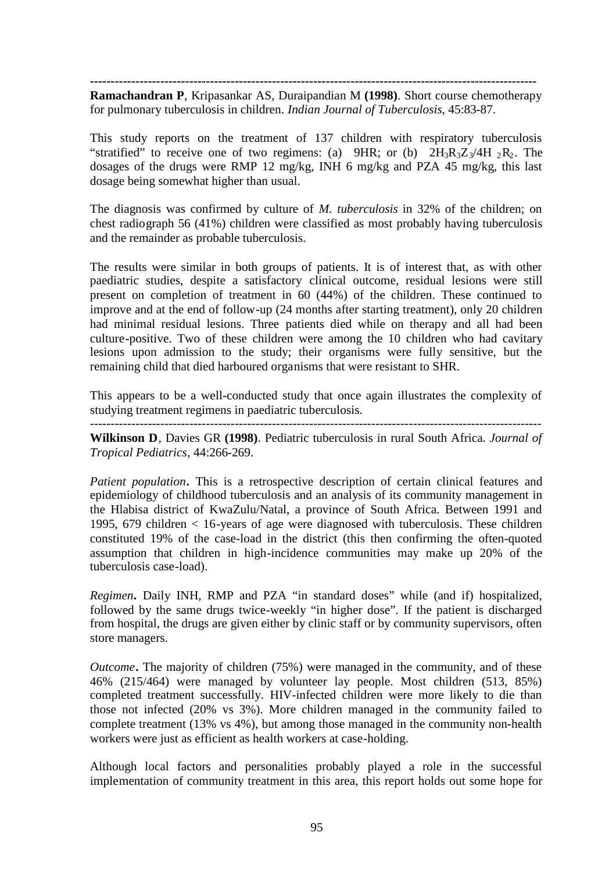**------------------------------------------------------------------------------------------------------------**

**Ramachandran P**, Kripasankar AS, Duraipandian M **(1998)**. Short course chemotherapy for pulmonary tuberculosis in children. *Indian Journal of Tuberculosis*, 45:83-87.

This study reports on the treatment of 137 children with respiratory tuberculosis "stratified" to receive one of two regimens: (a) 9HR; or (b)  $2H_3R_3Z_3/4H_2R_2$ . The dosages of the drugs were RMP 12 mg/kg, INH 6 mg/kg and PZA 45 mg/kg, this last dosage being somewhat higher than usual.

The diagnosis was confirmed by culture of *M. tuberculosis* in 32% of the children; on chest radiograph 56 (41%) children were classified as most probably having tuberculosis and the remainder as probable tuberculosis.

The results were similar in both groups of patients. It is of interest that, as with other paediatric studies, despite a satisfactory clinical outcome, residual lesions were still present on completion of treatment in 60 (44%) of the children. These continued to improve and at the end of follow-up (24 months after starting treatment), only 20 children had minimal residual lesions. Three patients died while on therapy and all had been culture-positive. Two of these children were among the 10 children who had cavitary lesions upon admission to the study; their organisms were fully sensitive, but the remaining child that died harboured organisms that were resistant to SHR.

This appears to be a well-conducted study that once again illustrates the complexity of studying treatment regimens in paediatric tuberculosis.

-------------------------------------------------------------------------------------------------------------

**Wilkinson D**, Davies GR **(1998)**. Pediatric tuberculosis in rural South Africa. *Journal of Tropical Pediatrics*, 44:266-269.

*Patient population***.** This is a retrospective description of certain clinical features and epidemiology of childhood tuberculosis and an analysis of its community management in the Hlabisa district of KwaZulu/Natal, a province of South Africa. Between 1991 and 1995, 679 children < 16-years of age were diagnosed with tuberculosis. These children constituted 19% of the case-load in the district (this then confirming the often-quoted assumption that children in high-incidence communities may make up 20% of the tuberculosis case-load).

*Regimen***.** Daily INH, RMP and PZA "in standard doses" while (and if) hospitalized, followed by the same drugs twice-weekly "in higher dose". If the patient is discharged from hospital, the drugs are given either by clinic staff or by community supervisors, often store managers.

*Outcome***.** The majority of children (75%) were managed in the community, and of these 46% (215/464) were managed by volunteer lay people. Most children (513, 85%) completed treatment successfully. HIV-infected children were more likely to die than those not infected (20% vs 3%). More children managed in the community failed to complete treatment (13% vs 4%), but among those managed in the community non-health workers were just as efficient as health workers at case-holding.

Although local factors and personalities probably played a role in the successful implementation of community treatment in this area, this report holds out some hope for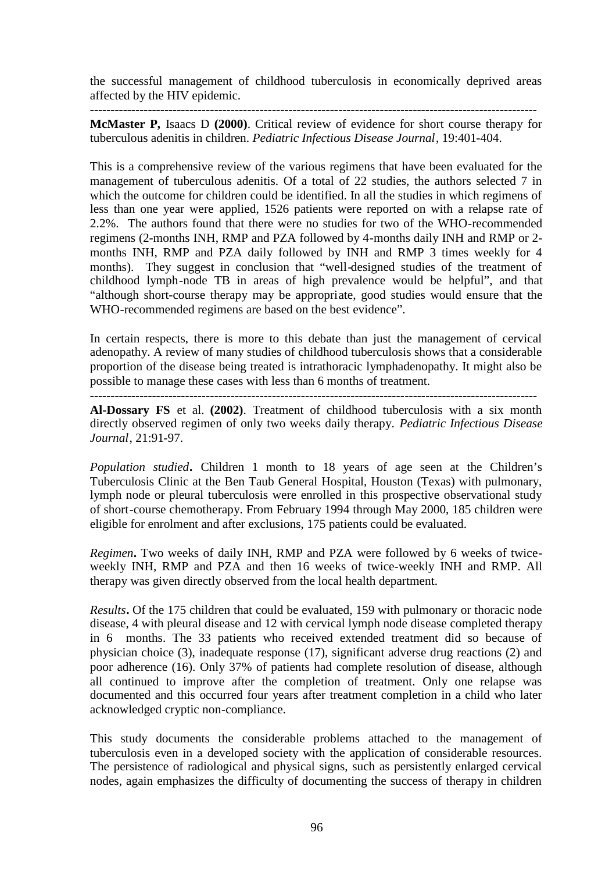the successful management of childhood tuberculosis in economically deprived areas affected by the HIV epidemic.

**------------------------------------------------------------------------------------------------------------**

**McMaster P,** Isaacs D **(2000)**. Critical review of evidence for short course therapy for tuberculous adenitis in children. *Pediatric Infectious Disease Journal*, 19:401-404.

This is a comprehensive review of the various regimens that have been evaluated for the management of tuberculous adenitis. Of a total of 22 studies, the authors selected 7 in which the outcome for children could be identified. In all the studies in which regimens of less than one year were applied, 1526 patients were reported on with a relapse rate of 2.2%. The authors found that there were no studies for two of the WHO-recommended regimens (2-months INH, RMP and PZA followed by 4-months daily INH and RMP or 2 months INH, RMP and PZA daily followed by INH and RMP 3 times weekly for 4 months). They suggest in conclusion that "well-designed studies of the treatment of childhood lymph-node TB in areas of high prevalence would be helpful", and that "although short-course therapy may be appropriate, good studies would ensure that the WHO-recommended regimens are based on the best evidence".

In certain respects, there is more to this debate than just the management of cervical adenopathy. A review of many studies of childhood tuberculosis shows that a considerable proportion of the disease being treated is intrathoracic lymphadenopathy. It might also be possible to manage these cases with less than 6 months of treatment.

**Al-Dossary FS** et al. **(2002)**. Treatment of childhood tuberculosis with a six month directly observed regimen of only two weeks daily therapy. *Pediatric Infectious Disease Journal*, 21:91-97.

*Population studied***.** Children 1 month to 18 years of age seen at the Children's Tuberculosis Clinic at the Ben Taub General Hospital, Houston (Texas) with pulmonary, lymph node or pleural tuberculosis were enrolled in this prospective observational study of short-course chemotherapy. From February 1994 through May 2000, 185 children were eligible for enrolment and after exclusions, 175 patients could be evaluated.

*Regimen***.** Two weeks of daily INH, RMP and PZA were followed by 6 weeks of twiceweekly INH, RMP and PZA and then 16 weeks of twice-weekly INH and RMP. All therapy was given directly observed from the local health department.

*Results***.** Of the 175 children that could be evaluated, 159 with pulmonary or thoracic node disease, 4 with pleural disease and 12 with cervical lymph node disease completed therapy in 6 months. The 33 patients who received extended treatment did so because of physician choice (3), inadequate response (17), significant adverse drug reactions (2) and poor adherence (16). Only 37% of patients had complete resolution of disease, although all continued to improve after the completion of treatment. Only one relapse was documented and this occurred four years after treatment completion in a child who later acknowledged cryptic non-compliance.

This study documents the considerable problems attached to the management of tuberculosis even in a developed society with the application of considerable resources. The persistence of radiological and physical signs, such as persistently enlarged cervical nodes, again emphasizes the difficulty of documenting the success of therapy in children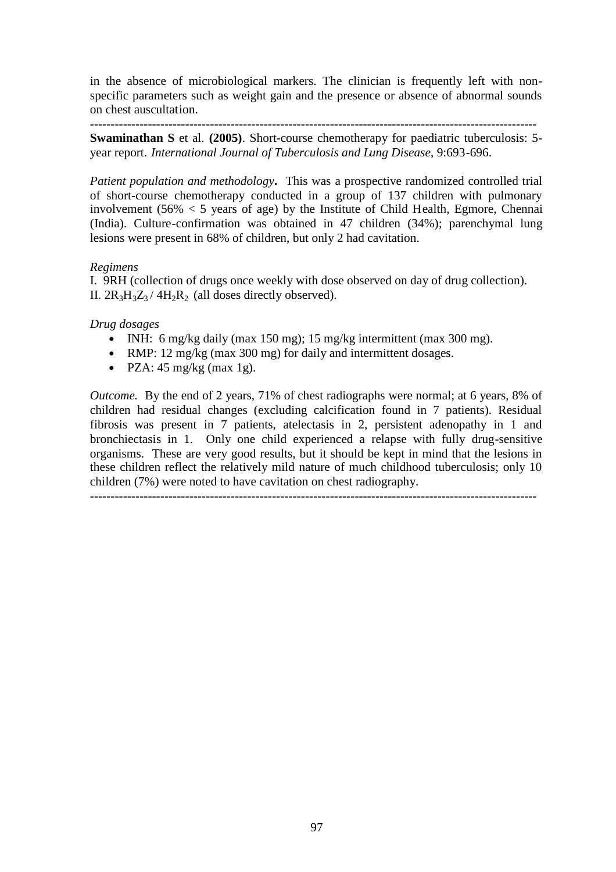in the absence of microbiological markers. The clinician is frequently left with nonspecific parameters such as weight gain and the presence or absence of abnormal sounds on chest auscultation.

------------------------------------------------------------------------------------------------------------ **Swaminathan S** et al. **(2005)**. Short-course chemotherapy for paediatric tuberculosis: 5 year report. *International Journal of Tuberculosis and Lung Disease*, 9:693-696.

*Patient population and methodology***.** This was a prospective randomized controlled trial of short-course chemotherapy conducted in a group of 137 children with pulmonary involvement ( $56\% < 5$  years of age) by the Institute of Child Health, Egmore, Chennai (India). Culture-confirmation was obtained in 47 children (34%); parenchymal lung lesions were present in 68% of children, but only 2 had cavitation.

# *Regimens*

I. 9RH (collection of drugs once weekly with dose observed on day of drug collection). II.  $2R_3H_3Z_3$  /  $4H_2R_2$  (all doses directly observed).

*Drug dosages*

- INH: 6 mg/kg daily (max 150 mg); 15 mg/kg intermittent (max 300 mg).
- RMP: 12 mg/kg (max 300 mg) for daily and intermittent dosages.
- PZA:  $45 \text{ mg/kg}$  (max 1g).

*Outcome.* By the end of 2 years, 71% of chest radiographs were normal; at 6 years, 8% of children had residual changes (excluding calcification found in 7 patients). Residual fibrosis was present in 7 patients, atelectasis in 2, persistent adenopathy in 1 and bronchiectasis in 1. Only one child experienced a relapse with fully drug-sensitive organisms. These are very good results, but it should be kept in mind that the lesions in these children reflect the relatively mild nature of much childhood tuberculosis; only 10 children (7%) were noted to have cavitation on chest radiography.

------------------------------------------------------------------------------------------------------------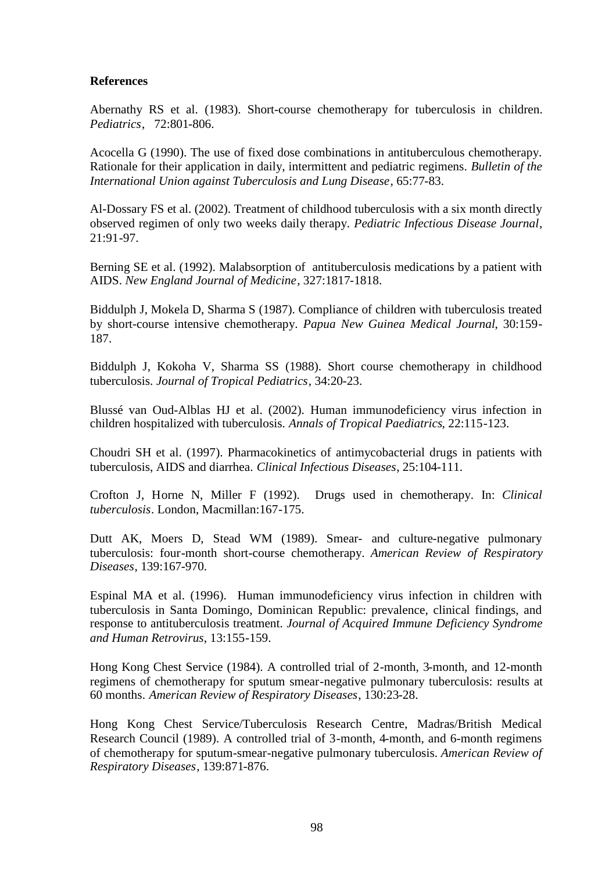# **References**

Abernathy RS et al. (1983). Short-course chemotherapy for tuberculosis in children. *Pediatrics*, 72:801-806.

Acocella G (1990). The use of fixed dose combinations in antituberculous chemotherapy. Rationale for their application in daily, intermittent and pediatric regimens. *Bulletin of the International Union against Tuberculosis and Lung Disease*, 65:77-83.

Al-Dossary FS et al. (2002). Treatment of childhood tuberculosis with a six month directly observed regimen of only two weeks daily therapy. *Pediatric Infectious Disease Journal*, 21:91-97.

Berning SE et al. (1992). Malabsorption of antituberculosis medications by a patient with AIDS. *New England Journal of Medicine*, 327:1817-1818.

Biddulph J, Mokela D, Sharma S (1987). Compliance of children with tuberculosis treated by short-course intensive chemotherapy. *Papua New Guinea Medical Journal*, 30:159- 187.

Biddulph J, Kokoha V, Sharma SS (1988). Short course chemotherapy in childhood tuberculosis. *Journal of Tropical Pediatrics*, 34:20-23.

Blussé van Oud-Alblas HJ et al. (2002). Human immunodeficiency virus infection in children hospitalized with tuberculosis. *Annals of Tropical Paediatrics*, 22:115-123.

Choudri SH et al. (1997). Pharmacokinetics of antimycobacterial drugs in patients with tuberculosis, AIDS and diarrhea. *Clinical Infectious Diseases*, 25:104-111.

Crofton J, Horne N, Miller F (1992). Drugs used in chemotherapy. In: *Clinical tuberculosis*. London, Macmillan:167-175.

Dutt AK, Moers D, Stead WM (1989). Smear- and culture-negative pulmonary tuberculosis: four-month short-course chemotherapy. *American Review of Respiratory Diseases*, 139:167-970.

Espinal MA et al. (1996). Human immunodeficiency virus infection in children with tuberculosis in Santa Domingo, Dominican Republic: prevalence, clinical findings, and response to antituberculosis treatment. *Journal of Acquired Immune Deficiency Syndrome and Human Retrovirus*, 13:155-159.

Hong Kong Chest Service (1984). A controlled trial of 2-month, 3-month, and 12-month regimens of chemotherapy for sputum smear-negative pulmonary tuberculosis: results at 60 months. *American Review of Respiratory Diseases*, 130:23-28.

Hong Kong Chest Service/Tuberculosis Research Centre, Madras/British Medical Research Council (1989). A controlled trial of 3-month, 4-month, and 6-month regimens of chemotherapy for sputum-smear-negative pulmonary tuberculosis. *American Review of Respiratory Diseases*, 139:871-876.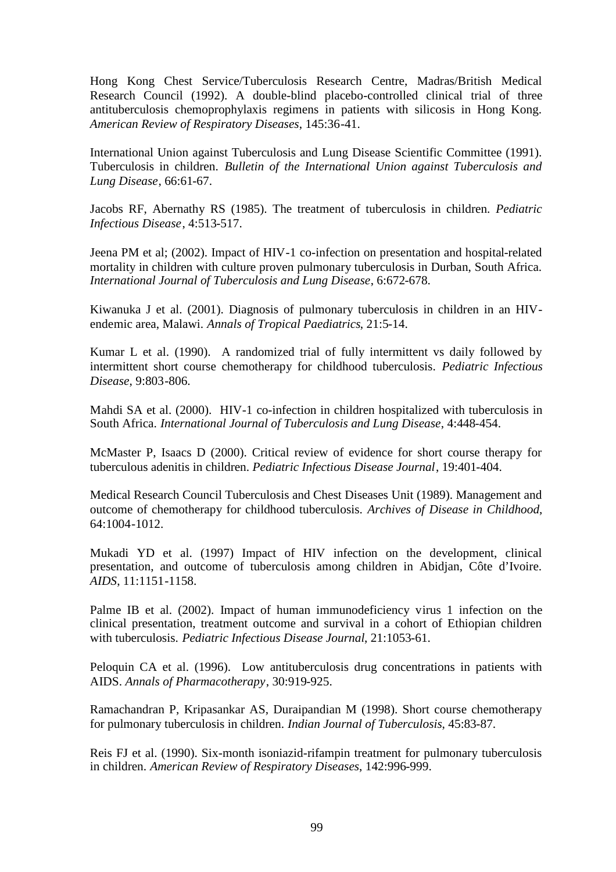Hong Kong Chest Service/Tuberculosis Research Centre, Madras/British Medical Research Council (1992). A double-blind placebo-controlled clinical trial of three antituberculosis chemoprophylaxis regimens in patients with silicosis in Hong Kong. *American Review of Respiratory Diseases*, 145:36-41.

International Union against Tuberculosis and Lung Disease Scientific Committee (1991). Tuberculosis in children. *Bulletin of the International Union against Tuberculosis and Lung Disease*, 66:61-67.

Jacobs RF, Abernathy RS (1985). The treatment of tuberculosis in children. *Pediatric Infectious Disease*, 4:513-517.

Jeena PM et al; (2002). Impact of HIV-1 co-infection on presentation and hospital-related mortality in children with culture proven pulmonary tuberculosis in Durban, South Africa. *International Journal of Tuberculosis and Lung Disease*, 6:672-678.

Kiwanuka J et al. (2001). Diagnosis of pulmonary tuberculosis in children in an HIVendemic area, Malawi. *Annals of Tropical Paediatrics*, 21:5-14.

Kumar L et al. (1990). A randomized trial of fully intermittent vs daily followed by intermittent short course chemotherapy for childhood tuberculosis. *Pediatric Infectious Disease*, 9:803-806.

Mahdi SA et al. (2000). HIV-1 co-infection in children hospitalized with tuberculosis in South Africa. *International Journal of Tuberculosis and Lung Disease*, 4:448-454.

McMaster P, Isaacs D (2000). Critical review of evidence for short course therapy for tuberculous adenitis in children. *Pediatric Infectious Disease Journal*, 19:401-404.

Medical Research Council Tuberculosis and Chest Diseases Unit (1989). Management and outcome of chemotherapy for childhood tuberculosis. *Archives of Disease in Childhood*, 64:1004-1012.

Mukadi YD et al. (1997) Impact of HIV infection on the development, clinical presentation, and outcome of tuberculosis among children in Abidjan, Côte d'Ivoire. *AIDS*, 11:1151-1158.

Palme IB et al. (2002). Impact of human immunodeficiency virus 1 infection on the clinical presentation, treatment outcome and survival in a cohort of Ethiopian children with tuberculosis. *Pediatric Infectious Disease Journal*, 21:1053-61.

Peloquin CA et al. (1996). Low antituberculosis drug concentrations in patients with AIDS. *Annals of Pharmacotherapy*, 30:919-925.

Ramachandran P, Kripasankar AS, Duraipandian M (1998). Short course chemotherapy for pulmonary tuberculosis in children. *Indian Journal of Tuberculosis*, 45:83-87.

Reis FJ et al. (1990). Six-month isoniazid-rifampin treatment for pulmonary tuberculosis in children. *American Review of Respiratory Diseases*, 142:996-999.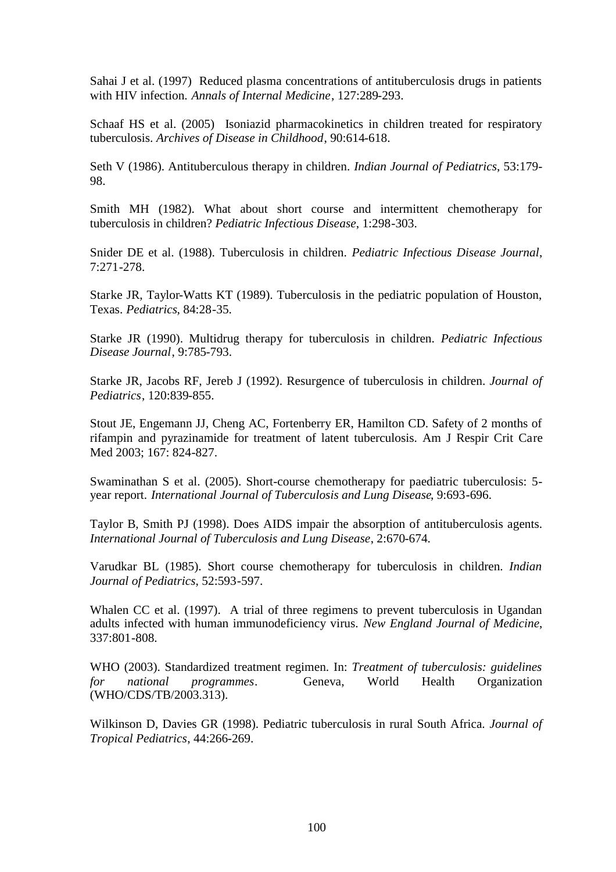Sahai J et al. (1997) Reduced plasma concentrations of antituberculosis drugs in patients with HIV infection. *Annals of Internal Medicine*, 127:289-293.

Schaaf HS et al. (2005) Isoniazid pharmacokinetics in children treated for respiratory tuberculosis. *Archives of Disease in Childhood*, 90:614-618.

Seth V (1986). Antituberculous therapy in children. *Indian Journal of Pediatrics*, 53:179- 98.

Smith MH (1982). What about short course and intermittent chemotherapy for tuberculosis in children? *Pediatric Infectious Disease*, 1:298-303.

Snider DE et al. (1988). Tuberculosis in children. *Pediatric Infectious Disease Journal*, 7:271-278.

Starke JR, Taylor-Watts KT (1989). Tuberculosis in the pediatric population of Houston, Texas. *Pediatrics*, 84:28-35.

Starke JR (1990). Multidrug therapy for tuberculosis in children. *Pediatric Infectious Disease Journal*, 9:785-793.

Starke JR, Jacobs RF, Jereb J (1992). Resurgence of tuberculosis in children. *Journal of Pediatrics*, 120:839-855.

Stout JE, Engemann JJ, Cheng AC, Fortenberry ER, Hamilton CD. Safety of 2 months of rifampin and pyrazinamide for treatment of latent tuberculosis. Am J Respir Crit Care Med 2003; 167: 824-827.

Swaminathan S et al. (2005). Short-course chemotherapy for paediatric tuberculosis: 5 year report. *International Journal of Tuberculosis and Lung Disease*, 9:693-696.

Taylor B, Smith PJ (1998). Does AIDS impair the absorption of antituberculosis agents. *International Journal of Tuberculosis and Lung Disease*, 2:670-674.

Varudkar BL (1985). Short course chemotherapy for tuberculosis in children. *Indian Journal of Pediatrics*, 52:593-597.

Whalen CC et al. (1997). A trial of three regimens to prevent tuberculosis in Ugandan adults infected with human immunodeficiency virus. *New England Journal of Medicine*, 337:801-808.

WHO (2003). Standardized treatment regimen. In: *Treatment of tuberculosis: guidelines for national programmes*. Geneva, World Health Organization (WHO/CDS/TB/2003.313).

Wilkinson D, Davies GR (1998). Pediatric tuberculosis in rural South Africa. *Journal of Tropical Pediatrics*, 44:266-269.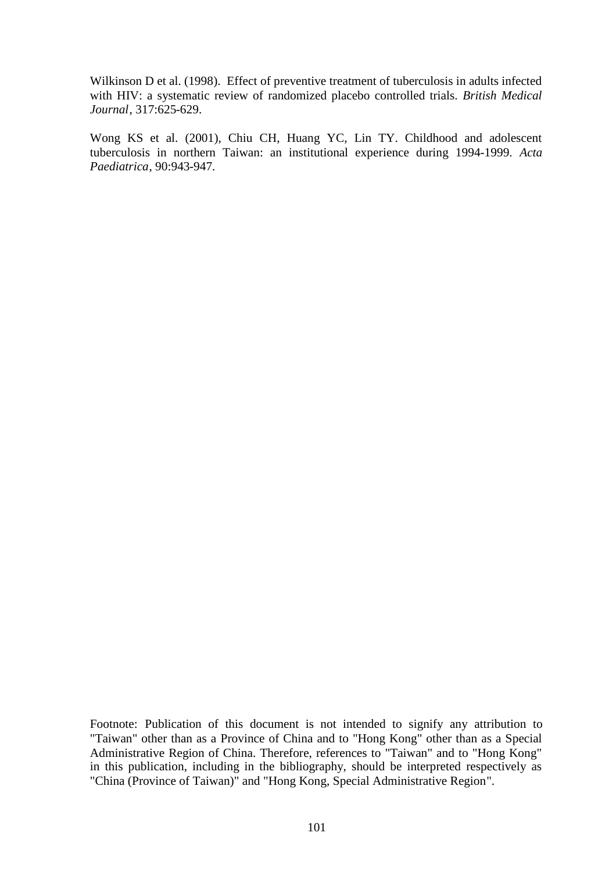Wilkinson D et al. (1998). Effect of preventive treatment of tuberculosis in adults infected with HIV: a systematic review of randomized placebo controlled trials. *British Medical Journal*, 317:625-629.

Wong KS et al. (2001), Chiu CH, Huang YC, Lin TY. Childhood and adolescent tuberculosis in northern Taiwan: an institutional experience during 1994-1999. *Acta Paediatrica*, 90:943-947.

Footnote: Publication of this document is not intended to signify any attribution to "Taiwan" other than as a Province of China and to "Hong Kong" other than as a Special Administrative Region of China. Therefore, references to "Taiwan" and to "Hong Kong" in this publication, including in the bibliography, should be interpreted respectively as "China (Province of Taiwan)" and "Hong Kong, Special Administrative Region".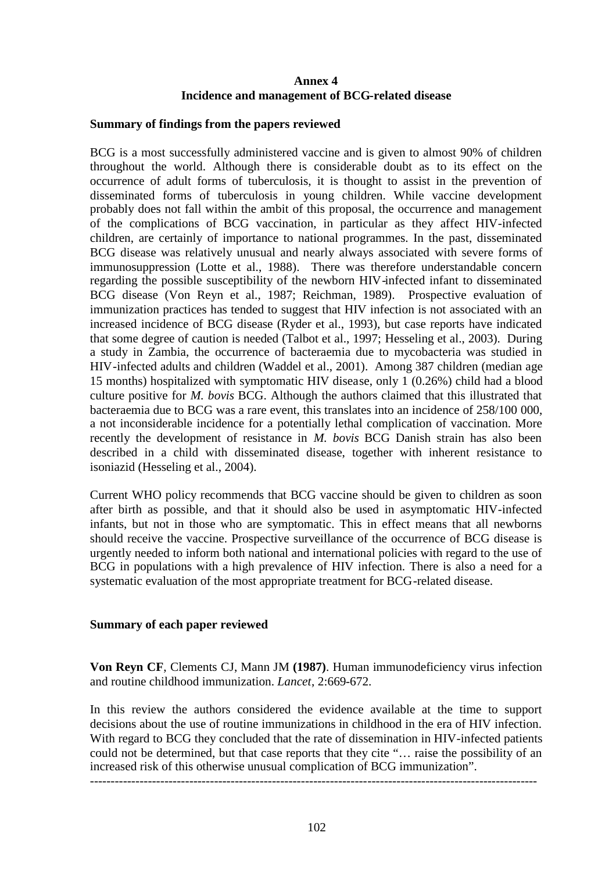## **Annex 4 Incidence and management of BCG-related disease**

#### **Summary of findings from the papers reviewed**

BCG is a most successfully administered vaccine and is given to almost 90% of children throughout the world. Although there is considerable doubt as to its effect on the occurrence of adult forms of tuberculosis, it is thought to assist in the prevention of disseminated forms of tuberculosis in young children. While vaccine development probably does not fall within the ambit of this proposal, the occurrence and management of the complications of BCG vaccination, in particular as they affect HIV-infected children, are certainly of importance to national programmes. In the past, disseminated BCG disease was relatively unusual and nearly always associated with severe forms of immunosuppression (Lotte et al., 1988). There was therefore understandable concern regarding the possible susceptibility of the newborn HIV-infected infant to disseminated BCG disease (Von Reyn et al., 1987; Reichman, 1989). Prospective evaluation of immunization practices has tended to suggest that HIV infection is not associated with an increased incidence of BCG disease (Ryder et al., 1993), but case reports have indicated that some degree of caution is needed (Talbot et al., 1997; Hesseling et al., 2003). During a study in Zambia, the occurrence of bacteraemia due to mycobacteria was studied in HIV-infected adults and children (Waddel et al., 2001). Among 387 children (median age 15 months) hospitalized with symptomatic HIV disease, only 1 (0.26%) child had a blood culture positive for *M. bovis* BCG. Although the authors claimed that this illustrated that bacteraemia due to BCG was a rare event, this translates into an incidence of 258/100 000, a not inconsiderable incidence for a potentially lethal complication of vaccination. More recently the development of resistance in *M. bovis* BCG Danish strain has also been described in a child with disseminated disease, together with inherent resistance to isoniazid (Hesseling et al., 2004).

Current WHO policy recommends that BCG vaccine should be given to children as soon after birth as possible, and that it should also be used in asymptomatic HIV-infected infants, but not in those who are symptomatic. This in effect means that all newborns should receive the vaccine. Prospective surveillance of the occurrence of BCG disease is urgently needed to inform both national and international policies with regard to the use of BCG in populations with a high prevalence of HIV infection. There is also a need for a systematic evaluation of the most appropriate treatment for BCG-related disease.

#### **Summary of each paper reviewed**

**Von Reyn CF**, Clements CJ, Mann JM **(1987)**. Human immunodeficiency virus infection and routine childhood immunization. *Lancet*, 2:669-672.

In this review the authors considered the evidence available at the time to support decisions about the use of routine immunizations in childhood in the era of HIV infection. With regard to BCG they concluded that the rate of dissemination in HIV-infected patients could not be determined, but that case reports that they cite "… raise the possibility of an increased risk of this otherwise unusual complication of BCG immunization".

------------------------------------------------------------------------------------------------------------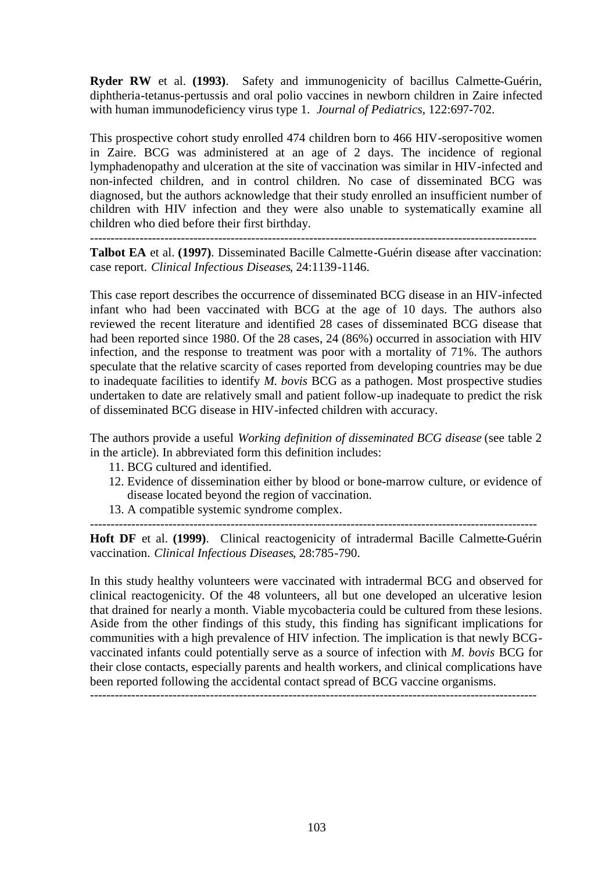**Ryder RW** et al. **(1993)**. Safety and immunogenicity of bacillus Calmette-Guérin, diphtheria-tetanus-pertussis and oral polio vaccines in newborn children in Zaire infected with human immunodeficiency virus type 1. *Journal of Pediatrics*, 122:697-702.

This prospective cohort study enrolled 474 children born to 466 HIV-seropositive women in Zaire. BCG was administered at an age of 2 days. The incidence of regional lymphadenopathy and ulceration at the site of vaccination was similar in HIV-infected and non-infected children, and in control children. No case of disseminated BCG was diagnosed, but the authors acknowledge that their study enrolled an insufficient number of children with HIV infection and they were also unable to systematically examine all children who died before their first birthday.

------------------------------------------------------------------------------------------------------------

**Talbot EA** et al. **(1997)**. Disseminated Bacille Calmette-Guérin disease after vaccination: case report. *Clinical Infectious Diseases*, 24:1139-1146.

This case report describes the occurrence of disseminated BCG disease in an HIV-infected infant who had been vaccinated with BCG at the age of 10 days. The authors also reviewed the recent literature and identified 28 cases of disseminated BCG disease that had been reported since 1980. Of the 28 cases, 24 (86%) occurred in association with HIV infection, and the response to treatment was poor with a mortality of 71%. The authors speculate that the relative scarcity of cases reported from developing countries may be due to inadequate facilities to identify *M. bovis* BCG as a pathogen. Most prospective studies undertaken to date are relatively small and patient follow-up inadequate to predict the risk of disseminated BCG disease in HIV-infected children with accuracy.

The authors provide a useful *Working definition of disseminated BCG disease* (see table 2 in the article). In abbreviated form this definition includes:

- 11. BCG cultured and identified.
- 12. Evidence of dissemination either by blood or bone-marrow culture, or evidence of disease located beyond the region of vaccination.
- 13. A compatible systemic syndrome complex.

------------------------------------------------------------------------------------------------------------ **Hoft DF** et al. **(1999)**. Clinical reactogenicity of intradermal Bacille Calmette-Guérin vaccination. *Clinical Infectious Diseases*, 28:785-790.

In this study healthy volunteers were vaccinated with intradermal BCG and observed for clinical reactogenicity. Of the 48 volunteers, all but one developed an ulcerative lesion that drained for nearly a month. Viable mycobacteria could be cultured from these lesions. Aside from the other findings of this study, this finding has significant implications for communities with a high prevalence of HIV infection. The implication is that newly BCGvaccinated infants could potentially serve as a source of infection with *M. bovis* BCG for their close contacts, especially parents and health workers, and clinical complications have been reported following the accidental contact spread of BCG vaccine organisms.

------------------------------------------------------------------------------------------------------------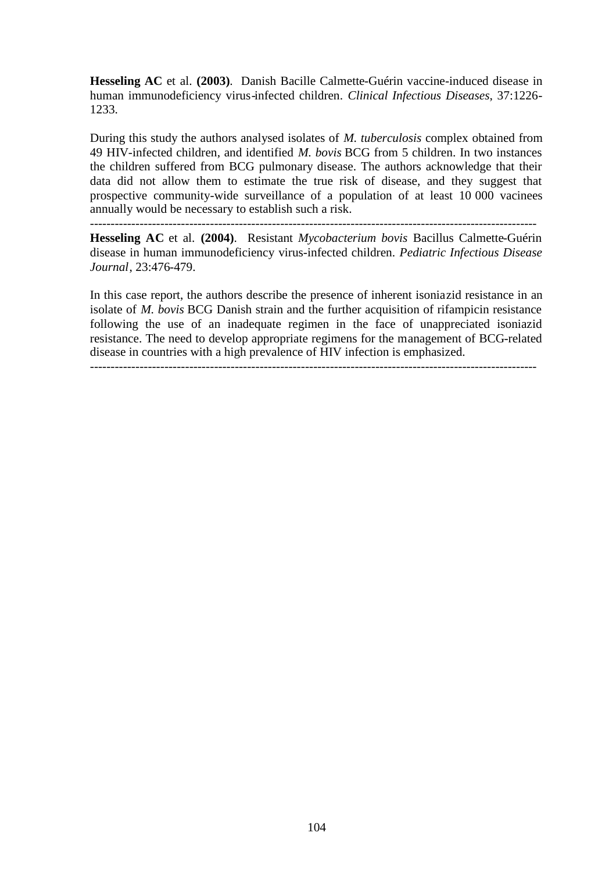**Hesseling AC** et al. **(2003)**. Danish Bacille Calmette-Guérin vaccine-induced disease in human immunodeficiency virus-infected children. *Clinical Infectious Diseases*, 37:1226- 1233.

During this study the authors analysed isolates of *M. tuberculosis* complex obtained from 49 HIV-infected children, and identified *M. bovis* BCG from 5 children. In two instances the children suffered from BCG pulmonary disease. The authors acknowledge that their data did not allow them to estimate the true risk of disease, and they suggest that prospective community-wide surveillance of a population of at least 10 000 vacinees annually would be necessary to establish such a risk.

------------------------------------------------------------------------------------------------------------

**Hesseling AC** et al. **(2004)**. Resistant *Mycobacterium bovis* Bacillus Calmette-Guérin disease in human immunodeficiency virus-infected children. *Pediatric Infectious Disease Journal*, 23:476-479.

In this case report, the authors describe the presence of inherent isoniazid resistance in an isolate of *M. bovis* BCG Danish strain and the further acquisition of rifampicin resistance following the use of an inadequate regimen in the face of unappreciated isoniazid resistance. The need to develop appropriate regimens for the management of BCG-related disease in countries with a high prevalence of HIV infection is emphasized.

------------------------------------------------------------------------------------------------------------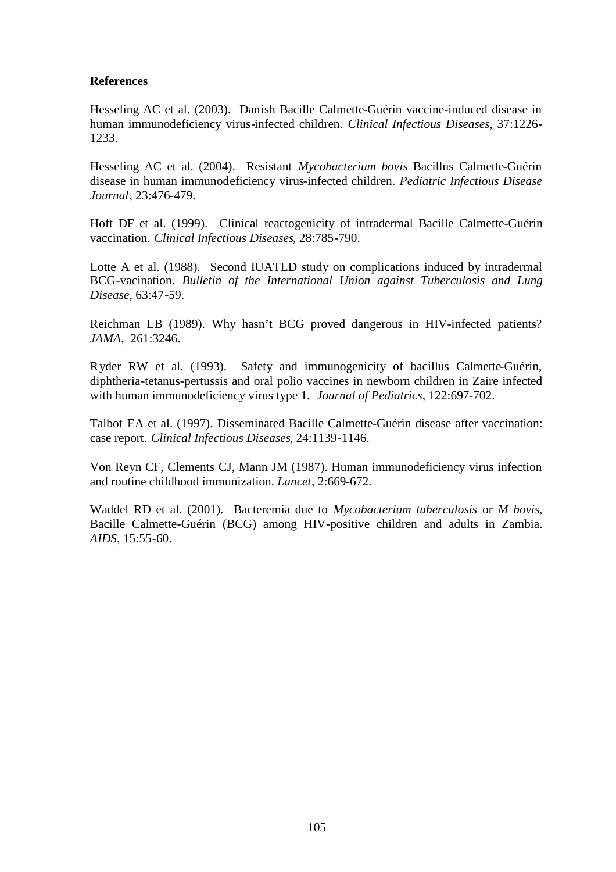## **References**

Hesseling AC et al. (2003). Danish Bacille Calmette-Guérin vaccine-induced disease in human immunodeficiency virus-infected children. *Clinical Infectious Diseases*, 37:1226- 1233.

Hesseling AC et al. (2004). Resistant *Mycobacterium bovis* Bacillus Calmette-Guérin disease in human immunodeficiency virus-infected children. *Pediatric Infectious Disease Journal*, 23:476-479.

Hoft DF et al. (1999). Clinical reactogenicity of intradermal Bacille Calmette-Guérin vaccination. *Clinical Infectious Diseases*, 28:785-790.

Lotte A et al. (1988). Second IUATLD study on complications induced by intradermal BCG-vacination. *Bulletin of the International Union against Tuberculosis and Lung Disease*, 63:47-59.

Reichman LB (1989). Why hasn't BCG proved dangerous in HIV-infected patients? *JAMA*, 261:3246.

Ryder RW et al. (1993). Safety and immunogenicity of bacillus Calmette-Guérin, diphtheria-tetanus-pertussis and oral polio vaccines in newborn children in Zaire infected with human immunodeficiency virus type 1. *Journal of Pediatrics*, 122:697-702.

Talbot EA et al. (1997). Disseminated Bacille Calmette-Guérin disease after vaccination: case report. *Clinical Infectious Diseases*, 24:1139-1146.

Von Reyn CF, Clements CJ, Mann JM (1987). Human immunodeficiency virus infection and routine childhood immunization. *Lancet*, 2:669-672.

Waddel RD et al. (2001). Bacteremia due to *Mycobacterium tuberculosis* or *M bovis*, Bacille Calmette-Guérin (BCG) among HIV-positive children and adults in Zambia. *AIDS*, 15:55-60.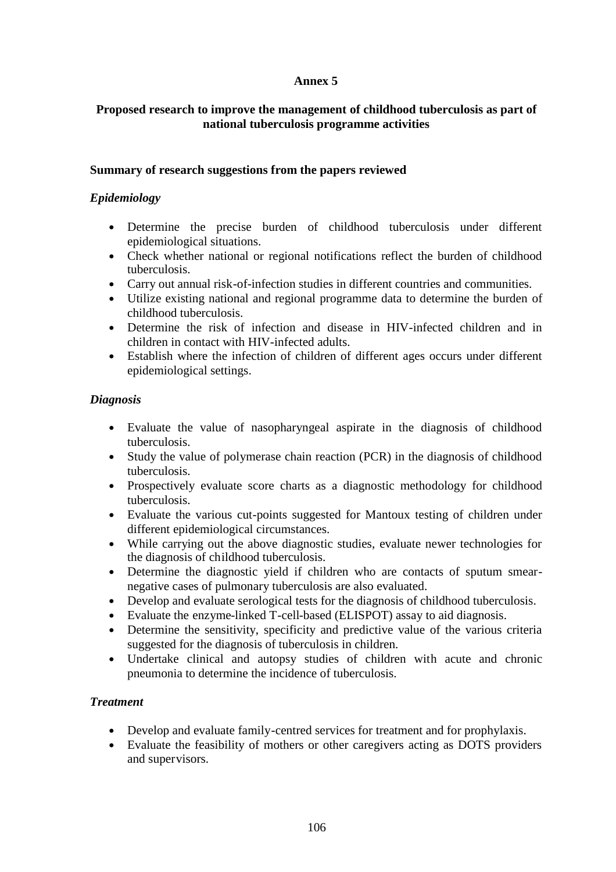# **Annex 5**

## **Proposed research to improve the management of childhood tuberculosis as part of national tuberculosis programme activities**

### **Summary of research suggestions from the papers reviewed**

# *Epidemiology*

- Determine the precise burden of childhood tuberculosis under different epidemiological situations.
- Check whether national or regional notifications reflect the burden of childhood tuberculosis.
- Carry out annual risk-of-infection studies in different countries and communities.
- Utilize existing national and regional programme data to determine the burden of childhood tuberculosis.
- Determine the risk of infection and disease in HIV-infected children and in children in contact with HIV-infected adults.
- Establish where the infection of children of different ages occurs under different epidemiological settings.

# *Diagnosis*

- Evaluate the value of nasopharyngeal aspirate in the diagnosis of childhood tuberculosis.
- Study the value of polymerase chain reaction (PCR) in the diagnosis of childhood tuberculosis.
- Prospectively evaluate score charts as a diagnostic methodology for childhood tuberculosis.
- Evaluate the various cut-points suggested for Mantoux testing of children under different epidemiological circumstances.
- While carrying out the above diagnostic studies, evaluate newer technologies for the diagnosis of childhood tuberculosis.
- Determine the diagnostic yield if children who are contacts of sputum smearnegative cases of pulmonary tuberculosis are also evaluated.
- Develop and evaluate serological tests for the diagnosis of childhood tuberculosis.
- Evaluate the enzyme-linked T-cell-based (ELISPOT) assay to aid diagnosis.
- Determine the sensitivity, specificity and predictive value of the various criteria suggested for the diagnosis of tuberculosis in children.
- Undertake clinical and autopsy studies of children with acute and chronic pneumonia to determine the incidence of tuberculosis.

# *Treatment*

- Develop and evaluate family-centred services for treatment and for prophylaxis.
- Evaluate the feasibility of mothers or other caregivers acting as DOTS providers and supervisors.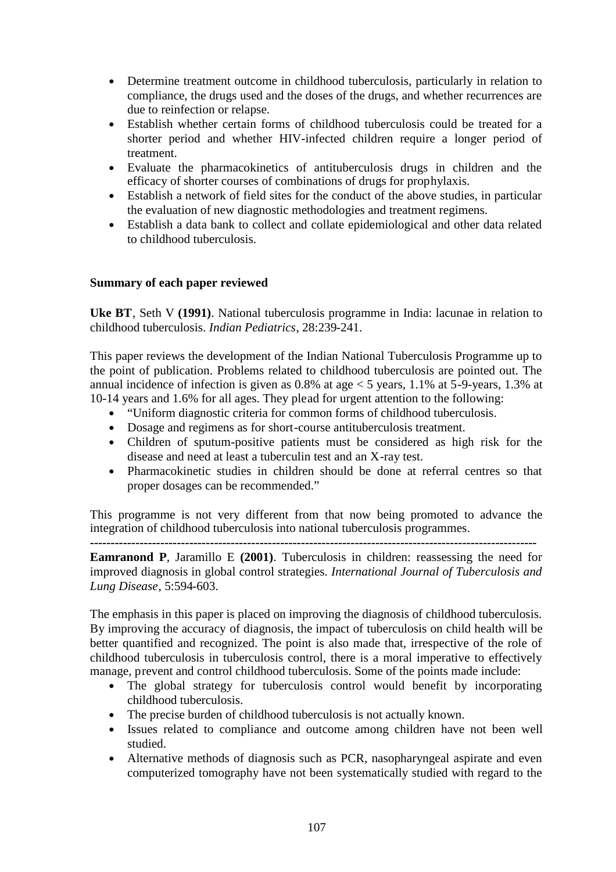- Determine treatment outcome in childhood tuberculosis, particularly in relation to compliance, the drugs used and the doses of the drugs, and whether recurrences are due to reinfection or relapse.
- Establish whether certain forms of childhood tuberculosis could be treated for a shorter period and whether HIV-infected children require a longer period of treatment.
- Evaluate the pharmacokinetics of antituberculosis drugs in children and the efficacy of shorter courses of combinations of drugs for prophylaxis.
- Establish a network of field sites for the conduct of the above studies, in particular the evaluation of new diagnostic methodologies and treatment regimens.
- Establish a data bank to collect and collate epidemiological and other data related to childhood tuberculosis.

## **Summary of each paper reviewed**

**Uke BT**, Seth V **(1991)**. National tuberculosis programme in India: lacunae in relation to childhood tuberculosis. *Indian Pediatrics*, 28:239-241.

This paper reviews the development of the Indian National Tuberculosis Programme up to the point of publication. Problems related to childhood tuberculosis are pointed out. The annual incidence of infection is given as  $0.8\%$  at age  $< 5$  years, 1.1% at  $5\text{-}9\text{-}years$ , 1.3% at 10-14 years and 1.6% for all ages. They plead for urgent attention to the following:

- "Uniform diagnostic criteria for common forms of childhood tuberculosis.
- Dosage and regimens as for short-course antituberculosis treatment.
- Children of sputum-positive patients must be considered as high risk for the disease and need at least a tuberculin test and an X-ray test.
- Pharmacokinetic studies in children should be done at referral centres so that proper dosages can be recommended."

This programme is not very different from that now being promoted to advance the integration of childhood tuberculosis into national tuberculosis programmes. **------------------------------------------------------------------------------------------------------------**

**Eamranond P**, Jaramillo E **(2001)**. Tuberculosis in children: reassessing the need for improved diagnosis in global control strategies. *International Journal of Tuberculosis and Lung Disease*, 5:594-603.

The emphasis in this paper is placed on improving the diagnosis of childhood tuberculosis. By improving the accuracy of diagnosis, the impact of tuberculosis on child health will be better quantified and recognized. The point is also made that, irrespective of the role of childhood tuberculosis in tuberculosis control, there is a moral imperative to effectively manage, prevent and control childhood tuberculosis. Some of the points made include:

- The global strategy for tuberculosis control would benefit by incorporating childhood tuberculosis.
- The precise burden of childhood tuberculosis is not actually known.
- Issues related to compliance and outcome among children have not been well studied.
- Alternative methods of diagnosis such as PCR, nasopharyngeal aspirate and even computerized tomography have not been systematically studied with regard to the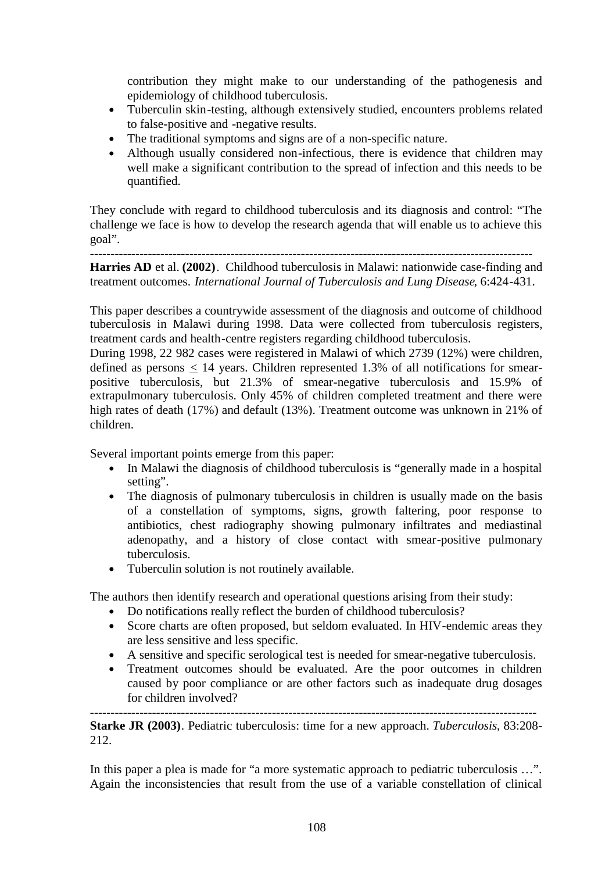contribution they might make to our understanding of the pathogenesis and epidemiology of childhood tuberculosis.

- Tuberculin skin-testing, although extensively studied, encounters problems related to false-positive and -negative results.
- The traditional symptoms and signs are of a non-specific nature.
- Although usually considered non-infectious, there is evidence that children may well make a significant contribution to the spread of infection and this needs to be quantified.

They conclude with regard to childhood tuberculosis and its diagnosis and control: "The challenge we face is how to develop the research agenda that will enable us to achieve this goal".

**----------------------------------------------------------------------------------------------------------- Harries AD** et al. **(2002)**. Childhood tuberculosis in Malawi: nationwide case-finding and treatment outcomes. *International Journal of Tuberculosis and Lung Disease*, 6:424-431.

This paper describes a countrywide assessment of the diagnosis and outcome of childhood tuberculosis in Malawi during 1998. Data were collected from tuberculosis registers, treatment cards and health-centre registers regarding childhood tuberculosis.

During 1998, 22 982 cases were registered in Malawi of which 2739 (12%) were children, defined as persons  $\leq$  14 years. Children represented 1.3% of all notifications for smearpositive tuberculosis, but 21.3% of smear-negative tuberculosis and 15.9% of extrapulmonary tuberculosis. Only 45% of children completed treatment and there were high rates of death (17%) and default (13%). Treatment outcome was unknown in 21% of children.

Several important points emerge from this paper:

- In Malawi the diagnosis of childhood tuberculosis is "generally made in a hospital setting".
- The diagnosis of pulmonary tuberculosis in children is usually made on the basis of a constellation of symptoms, signs, growth faltering, poor response to antibiotics, chest radiography showing pulmonary infiltrates and mediastinal adenopathy, and a history of close contact with smear-positive pulmonary tuberculosis.
- Tuberculin solution is not routinely available.

The authors then identify research and operational questions arising from their study:

- Do notifications really reflect the burden of childhood tuberculosis?
- Score charts are often proposed, but seldom evaluated. In HIV-endemic areas they are less sensitive and less specific.
- A sensitive and specific serological test is needed for smear-negative tuberculosis.
- Treatment outcomes should be evaluated. Are the poor outcomes in children caused by poor compliance or are other factors such as inadequate drug dosages for children involved?

**------------------------------------------------------------------------------------------------------------ Starke JR (2003)**. Pediatric tuberculosis: time for a new approach. *Tuberculosis*, 83:208- 212.

In this paper a plea is made for "a more systematic approach to pediatric tuberculosis ...". Again the inconsistencies that result from the use of a variable constellation of clinical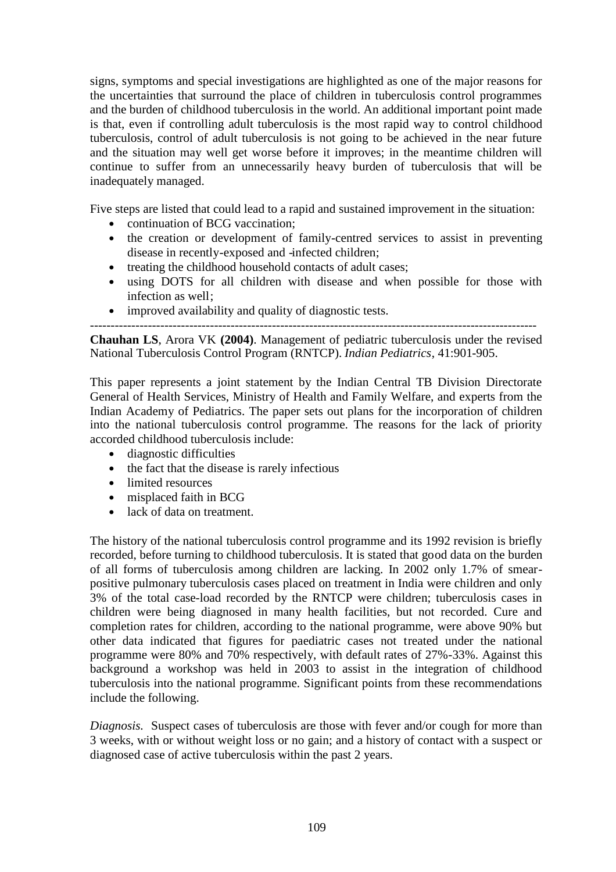signs, symptoms and special investigations are highlighted as one of the major reasons for the uncertainties that surround the place of children in tuberculosis control programmes and the burden of childhood tuberculosis in the world. An additional important point made is that, even if controlling adult tuberculosis is the most rapid way to control childhood tuberculosis, control of adult tuberculosis is not going to be achieved in the near future and the situation may well get worse before it improves; in the meantime children will continue to suffer from an unnecessarily heavy burden of tuberculosis that will be inadequately managed.

Five steps are listed that could lead to a rapid and sustained improvement in the situation:

- continuation of BCG vaccination:
- the creation or development of family-centred services to assist in preventing disease in recently-exposed and -infected children;
- treating the childhood household contacts of adult cases;
- using DOTS for all children with disease and when possible for those with infection as well;
- improved availability and quality of diagnostic tests.

------------------------------------------------------------------------------------------------------------ **Chauhan LS**, Arora VK **(2004)**. Management of pediatric tuberculosis under the revised National Tuberculosis Control Program (RNTCP). *Indian Pediatrics*, 41:901-905.

This paper represents a joint statement by the Indian Central TB Division Directorate General of Health Services, Ministry of Health and Family Welfare, and experts from the Indian Academy of Pediatrics. The paper sets out plans for the incorporation of children into the national tuberculosis control programme. The reasons for the lack of priority accorded childhood tuberculosis include:

- diagnostic difficulties
- the fact that the disease is rarely infectious
- limited resources
- misplaced faith in BCG
- lack of data on treatment.

The history of the national tuberculosis control programme and its 1992 revision is briefly recorded, before turning to childhood tuberculosis. It is stated that good data on the burden of all forms of tuberculosis among children are lacking. In 2002 only 1.7% of smearpositive pulmonary tuberculosis cases placed on treatment in India were children and only 3% of the total case-load recorded by the RNTCP were children; tuberculosis cases in children were being diagnosed in many health facilities, but not recorded. Cure and completion rates for children, according to the national programme, were above 90% but other data indicated that figures for paediatric cases not treated under the national programme were 80% and 70% respectively, with default rates of 27%-33%. Against this background a workshop was held in 2003 to assist in the integration of childhood tuberculosis into the national programme. Significant points from these recommendations include the following.

*Diagnosis.* Suspect cases of tuberculosis are those with fever and/or cough for more than 3 weeks, with or without weight loss or no gain; and a history of contact with a suspect or diagnosed case of active tuberculosis within the past 2 years.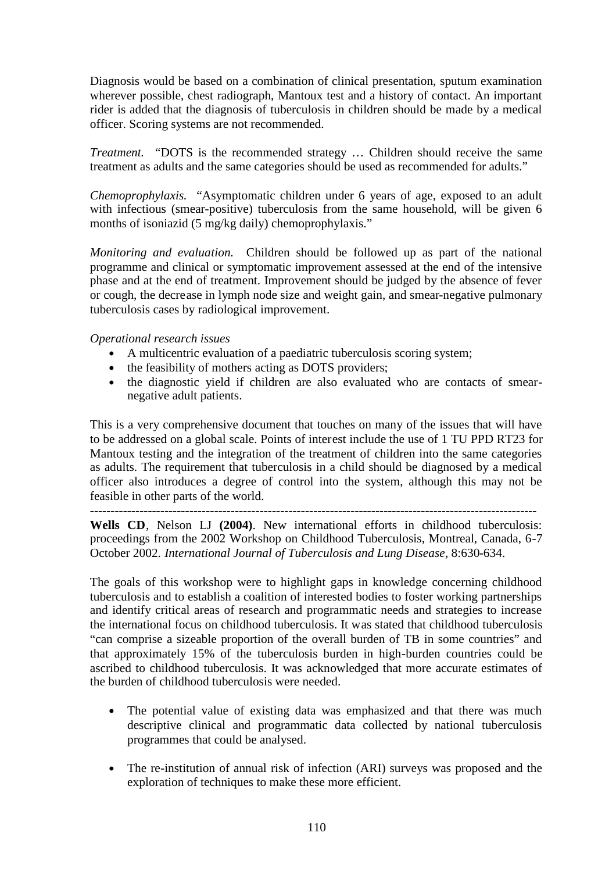Diagnosis would be based on a combination of clinical presentation, sputum examination wherever possible, chest radiograph, Mantoux test and a history of contact. An important rider is added that the diagnosis of tuberculosis in children should be made by a medical officer. Scoring systems are not recommended.

*Treatment.* "DOTS is the recommended strategy … Children should receive the same treatment as adults and the same categories should be used as recommended for adults."

*Chemoprophylaxis.* "Asymptomatic children under 6 years of age, exposed to an adult with infectious (smear-positive) tuberculosis from the same household, will be given 6 months of isoniazid (5 mg/kg daily) chemoprophylaxis."

*Monitoring and evaluation.* Children should be followed up as part of the national programme and clinical or symptomatic improvement assessed at the end of the intensive phase and at the end of treatment. Improvement should be judged by the absence of fever or cough, the decrease in lymph node size and weight gain, and smear-negative pulmonary tuberculosis cases by radiological improvement.

## *Operational research issues*

- A multicentric evaluation of a paediatric tuberculosis scoring system;
- the feasibility of mothers acting as DOTS providers;
- the diagnostic vield if children are also evaluated who are contacts of smearnegative adult patients.

This is a very comprehensive document that touches on many of the issues that will have to be addressed on a global scale. Points of interest include the use of 1 TU PPD RT23 for Mantoux testing and the integration of the treatment of children into the same categories as adults. The requirement that tuberculosis in a child should be diagnosed by a medical officer also introduces a degree of control into the system, although this may not be feasible in other parts of the world.

**------------------------------------------------------------------------------------------------------------**

**Wells CD**, Nelson LJ **(2004)**. New international efforts in childhood tuberculosis: proceedings from the 2002 Workshop on Childhood Tuberculosis, Montreal, Canada, 6-7 October 2002. *International Journal of Tuberculosis and Lung Disease*, 8:630-634.

The goals of this workshop were to highlight gaps in knowledge concerning childhood tuberculosis and to establish a coalition of interested bodies to foster working partnerships and identify critical areas of research and programmatic needs and strategies to increase the international focus on childhood tuberculosis. It was stated that childhood tuberculosis "can comprise a sizeable proportion of the overall burden of TB in some countries" and that approximately 15% of the tuberculosis burden in high-burden countries could be ascribed to childhood tuberculosis. It was acknowledged that more accurate estimates of the burden of childhood tuberculosis were needed.

- The potential value of existing data was emphasized and that there was much descriptive clinical and programmatic data collected by national tuberculosis programmes that could be analysed.
- The re-institution of annual risk of infection (ARI) surveys was proposed and the exploration of techniques to make these more efficient.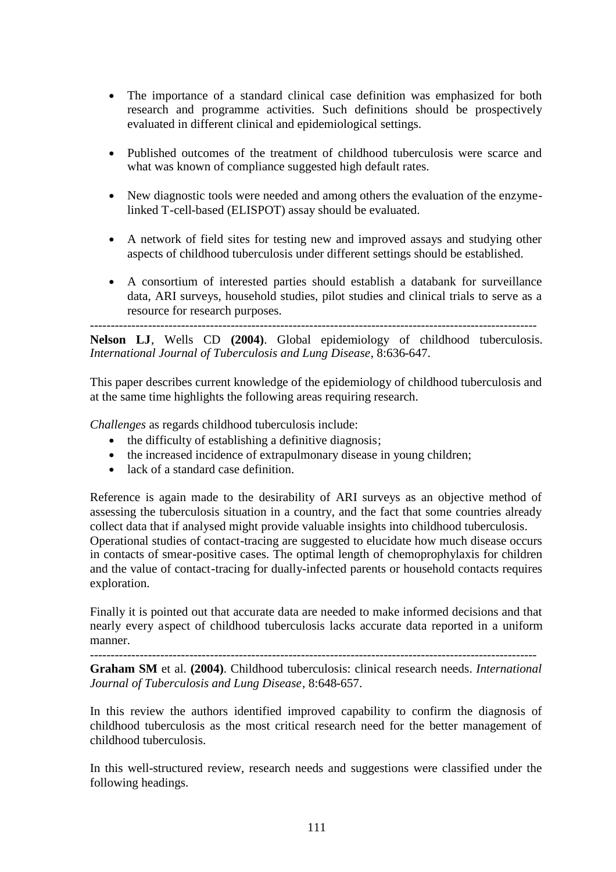- The importance of a standard clinical case definition was emphasized for both research and programme activities. Such definitions should be prospectively evaluated in different clinical and epidemiological settings.
- Published outcomes of the treatment of childhood tuberculosis were scarce and what was known of compliance suggested high default rates.
- New diagnostic tools were needed and among others the evaluation of the enzymelinked T-cell-based (ELISPOT) assay should be evaluated.
- A network of field sites for testing new and improved assays and studying other aspects of childhood tuberculosis under different settings should be established.
- A consortium of interested parties should establish a databank for surveillance data, ARI surveys, household studies, pilot studies and clinical trials to serve as a resource for research purposes.

------------------------------------------------------------------------------------------------------------ **Nelson LJ**, Wells CD **(2004)**. Global epidemiology of childhood tuberculosis. *International Journal of Tuberculosis and Lung Disease*, 8:636-647.

This paper describes current knowledge of the epidemiology of childhood tuberculosis and at the same time highlights the following areas requiring research.

*Challenges* as regards childhood tuberculosis include:

- the difficulty of establishing a definitive diagnosis;
- the increased incidence of extrapulmonary disease in young children;
- lack of a standard case definition.

Reference is again made to the desirability of ARI surveys as an objective method of assessing the tuberculosis situation in a country, and the fact that some countries already collect data that if analysed might provide valuable insights into childhood tuberculosis. Operational studies of contact-tracing are suggested to elucidate how much disease occurs in contacts of smear-positive cases. The optimal length of chemoprophylaxis for children and the value of contact-tracing for dually-infected parents or household contacts requires exploration.

Finally it is pointed out that accurate data are needed to make informed decisions and that nearly every aspect of childhood tuberculosis lacks accurate data reported in a uniform manner.

------------------------------------------------------------------------------------------------------------

**Graham SM** et al. **(2004)**. Childhood tuberculosis: clinical research needs. *International Journal of Tuberculosis and Lung Disease*, 8:648-657.

In this review the authors identified improved capability to confirm the diagnosis of childhood tuberculosis as the most critical research need for the better management of childhood tuberculosis.

In this well-structured review, research needs and suggestions were classified under the following headings.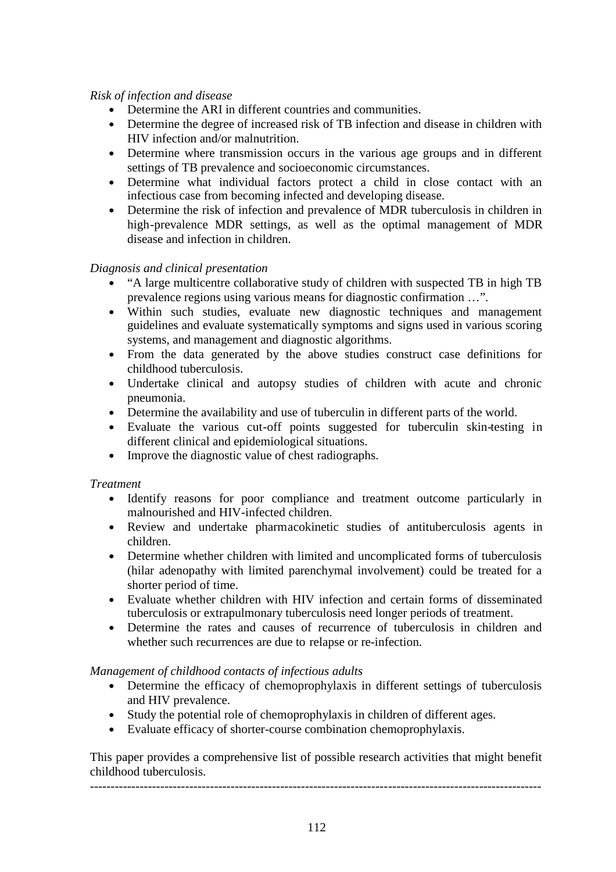## *Risk of infection and disease*

- Determine the ARI in different countries and communities.
- Determine the degree of increased risk of TB infection and disease in children with HIV infection and/or malnutrition.
- Determine where transmission occurs in the various age groups and in different settings of TB prevalence and socioeconomic circumstances.
- Determine what individual factors protect a child in close contact with an infectious case from becoming infected and developing disease.
- Determine the risk of infection and prevalence of MDR tuberculosis in children in high-prevalence MDR settings, as well as the optimal management of MDR disease and infection in children.

## *Diagnosis and clinical presentation*

- "A large multicentre collaborative study of children with suspected TB in high TB prevalence regions using various means for diagnostic confirmation …".
- Within such studies, evaluate new diagnostic techniques and management guidelines and evaluate systematically symptoms and signs used in various scoring systems, and management and diagnostic algorithms.
- From the data generated by the above studies construct case definitions for childhood tuberculosis.
- Undertake clinical and autopsy studies of children with acute and chronic pneumonia.
- Determine the availability and use of tuberculin in different parts of the world.
- Evaluate the various cut-off points suggested for tuberculin skin-testing in different clinical and epidemiological situations.
- Improve the diagnostic value of chest radiographs.

#### *Treatment*

- Identify reasons for poor compliance and treatment outcome particularly in malnourished and HIV-infected children.
- Review and undertake pharmacokinetic studies of antituberculosis agents in children.
- Determine whether children with limited and uncomplicated forms of tuberculosis (hilar adenopathy with limited parenchymal involvement) could be treated for a shorter period of time.
- Evaluate whether children with HIV infection and certain forms of disseminated tuberculosis or extrapulmonary tuberculosis need longer periods of treatment.
- Determine the rates and causes of recurrence of tuberculosis in children and whether such recurrences are due to relapse or re-infection.

#### *Management of childhood contacts of infectious adults*

- Determine the efficacy of chemoprophylaxis in different settings of tuberculosis and HIV prevalence.
- Study the potential role of chemoprophylaxis in children of different ages.
- Evaluate efficacy of shorter-course combination chemoprophylaxis.

This paper provides a comprehensive list of possible research activities that might benefit childhood tuberculosis.

-------------------------------------------------------------------------------------------------------------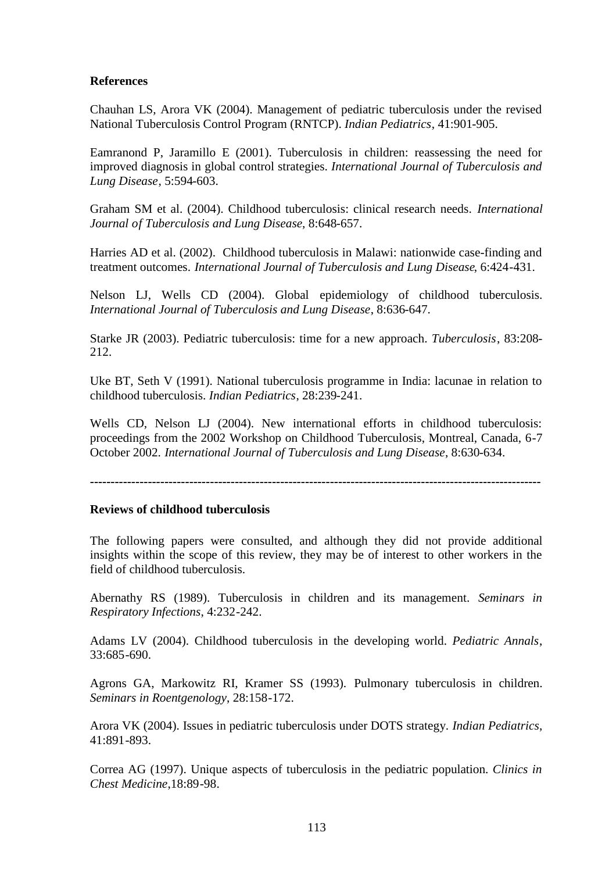## **References**

Chauhan LS, Arora VK (2004). Management of pediatric tuberculosis under the revised National Tuberculosis Control Program (RNTCP). *Indian Pediatrics*, 41:901-905.

Eamranond P, Jaramillo E (2001). Tuberculosis in children: reassessing the need for improved diagnosis in global control strategies. *International Journal of Tuberculosis and Lung Disease*, 5:594-603.

Graham SM et al. (2004). Childhood tuberculosis: clinical research needs. *International Journal of Tuberculosis and Lung Disease*, 8:648-657.

Harries AD et al. (2002). Childhood tuberculosis in Malawi: nationwide case-finding and treatment outcomes. *International Journal of Tuberculosis and Lung Disease*, 6:424-431.

Nelson LJ, Wells CD (2004). Global epidemiology of childhood tuberculosis. *International Journal of Tuberculosis and Lung Disease*, 8:636-647.

Starke JR (2003). Pediatric tuberculosis: time for a new approach. *Tuberculosis*, 83:208- 212.

Uke BT, Seth V (1991). National tuberculosis programme in India: lacunae in relation to childhood tuberculosis. *Indian Pediatrics*, 28:239-241.

Wells CD, Nelson LJ (2004). New international efforts in childhood tuberculosis: proceedings from the 2002 Workshop on Childhood Tuberculosis, Montreal, Canada, 6-7 October 2002. *International Journal of Tuberculosis and Lung Disease*, 8:630-634.

**-------------------------------------------------------------------------------------------------------------**

#### **Reviews of childhood tuberculosis**

The following papers were consulted, and although they did not provide additional insights within the scope of this review, they may be of interest to other workers in the field of childhood tuberculosis.

Abernathy RS (1989). Tuberculosis in children and its management. *Seminars in Respiratory Infections*, 4:232-242.

Adams LV (2004). Childhood tuberculosis in the developing world. *Pediatric Annals*, 33:685-690.

Agrons GA, Markowitz RI, Kramer SS (1993). Pulmonary tuberculosis in children. *Seminars in Roentgenology*, 28:158-172.

Arora VK (2004). Issues in pediatric tuberculosis under DOTS strategy. *Indian Pediatrics*, 41:891-893.

Correa AG (1997). Unique aspects of tuberculosis in the pediatric population. *Clinics in Chest Medicine*,18:89-98.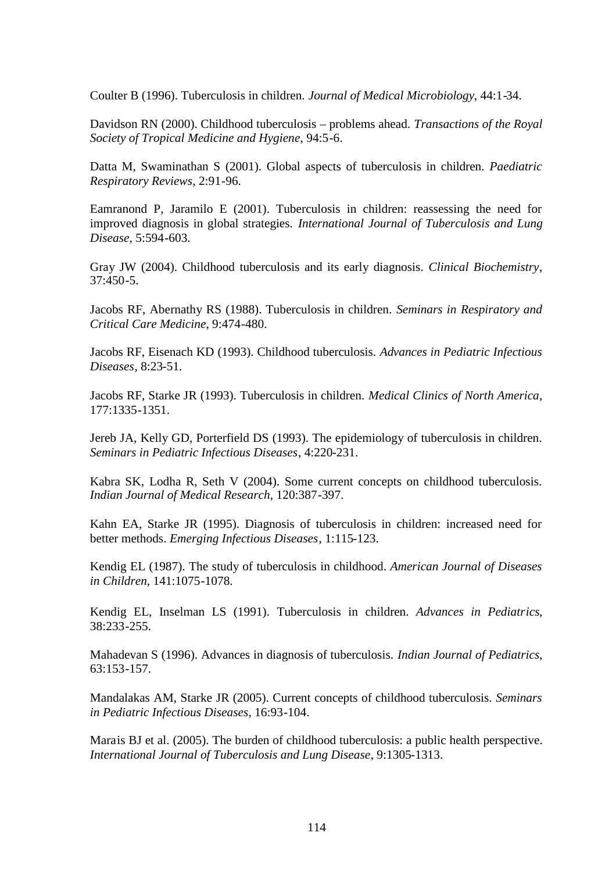Coulter B (1996). Tuberculosis in children. *Journal of Medical Microbiology*, 44:1-34.

Davidson RN (2000). Childhood tuberculosis – problems ahead. *Transactions of the Royal Society of Tropical Medicine and Hygiene*, 94:5-6.

Datta M, Swaminathan S (2001). Global aspects of tuberculosis in children. *Paediatric Respiratory Reviews*, 2:91-96.

Eamranond P, Jaramilo E (2001). Tuberculosis in children: reassessing the need for improved diagnosis in global strategies. *International Journal of Tuberculosis and Lung Disease*, 5:594-603.

Gray JW (2004). Childhood tuberculosis and its early diagnosis. *Clinical Biochemistry*, 37:450-5.

Jacobs RF, Abernathy RS (1988). Tuberculosis in children. *Seminars in Respiratory and Critical Care Medicine*, 9:474-480.

Jacobs RF, Eisenach KD (1993). Childhood tuberculosis. *Advances in Pediatric Infectious Diseases*, 8:23-51.

Jacobs RF, Starke JR (1993). Tuberculosis in children. *Medical Clinics of North America*, 177:1335-1351.

Jereb JA, Kelly GD, Porterfield DS (1993). The epidemiology of tuberculosis in children. *Seminars in Pediatric Infectious Diseases*, 4:220-231.

Kabra SK, Lodha R, Seth V (2004). Some current concepts on childhood tuberculosis. *Indian Journal of Medical Research*, 120:387-397.

Kahn EA, Starke JR (1995). Diagnosis of tuberculosis in children: increased need for better methods. *Emerging Infectious Diseases*, 1:115-123.

Kendig EL (1987). The study of tuberculosis in childhood. *American Journal of Diseases in Children*, 141:1075-1078.

Kendig EL, Inselman LS (1991). Tuberculosis in children. *Advances in Pediatrics*, 38:233-255.

Mahadevan S (1996). Advances in diagnosis of tuberculosis. *Indian Journal of Pediatrics*, 63:153-157.

Mandalakas AM, Starke JR (2005). Current concepts of childhood tuberculosis. *Seminars in Pediatric Infectious Diseases*, 16:93-104.

Marais BJ et al. (2005). The burden of childhood tuberculosis: a public health perspective. *International Journal of Tuberculosis and Lung Disease*, 9:1305-1313.